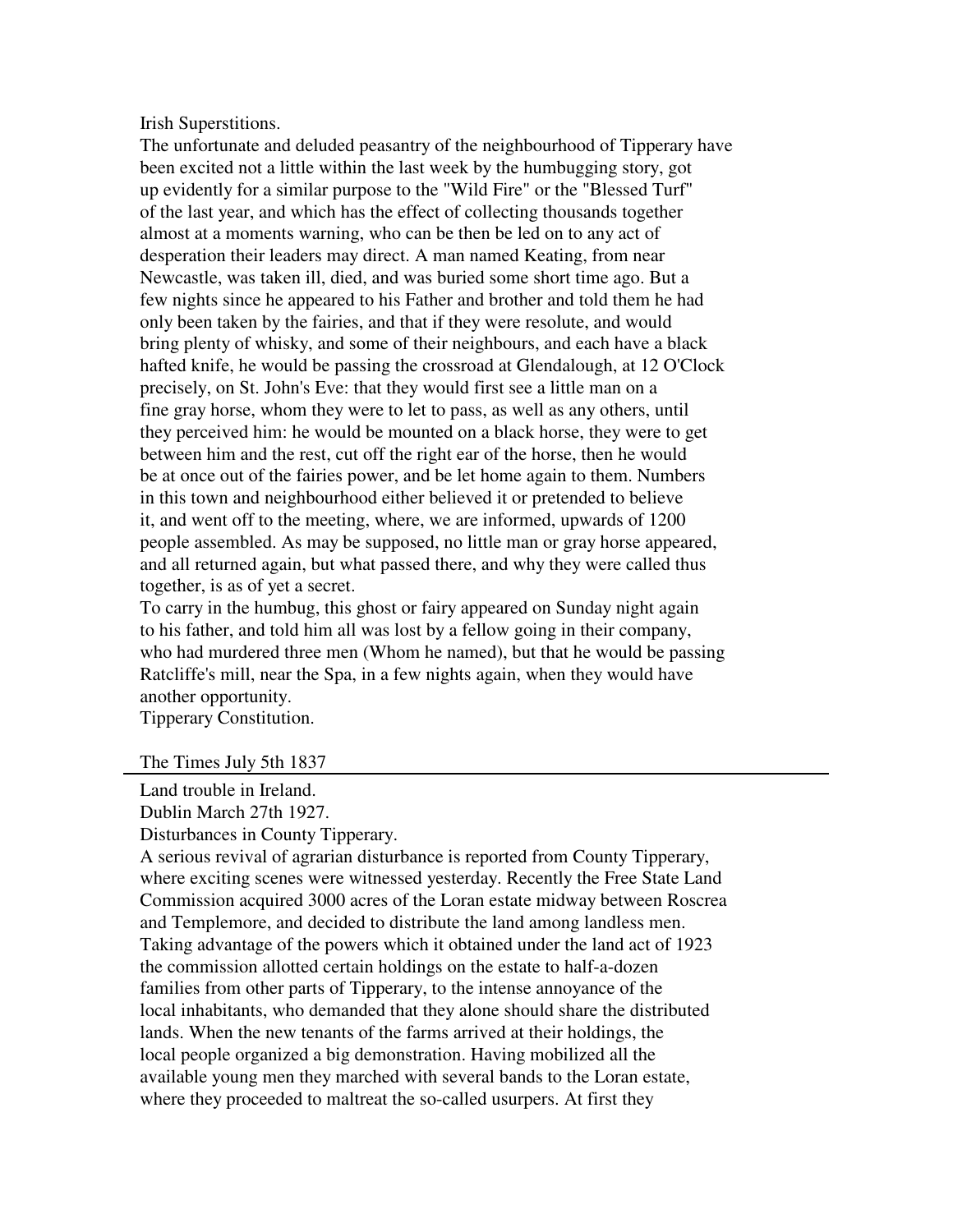Irish Superstitions.

The unfortunate and deluded peasantry of the neighbourhood of Tipperary have been excited not a little within the last week by the humbugging story, got up evidently for a similar purpose to the "Wild Fire" or the "Blessed Turf" of the last year, and which has the effect of collecting thousands together almost at a moments warning, who can be then be led on to any act of desperation their leaders may direct. A man named Keating, from near Newcastle, was taken ill, died, and was buried some short time ago. But a few nights since he appeared to his Father and brother and told them he had only been taken by the fairies, and that if they were resolute, and would bring plenty of whisky, and some of their neighbours, and each have a black hafted knife, he would be passing the crossroad at Glendalough, at 12 O'Clock precisely, on St. John's Eve: that they would first see a little man on a fine gray horse, whom they were to let to pass, as well as any others, until they perceived him: he would be mounted on a black horse, they were to get between him and the rest, cut off the right ear of the horse, then he would be at once out of the fairies power, and be let home again to them. Numbers in this town and neighbourhood either believed it or pretended to believe it, and went off to the meeting, where, we are informed, upwards of 1200 people assembled. As may be supposed, no little man or gray horse appeared, and all returned again, but what passed there, and why they were called thus together, is as of yet a secret.

To carry in the humbug, this ghost or fairy appeared on Sunday night again to his father, and told him all was lost by a fellow going in their company, who had murdered three men (Whom he named), but that he would be passing Ratcliffe's mill, near the Spa, in a few nights again, when they would have another opportunity.

Tipperary Constitution.

The Times July 5th 1837

Land trouble in Ireland. Dublin March 27th 1927.

Disturbances in County Tipperary.

A serious revival of agrarian disturbance is reported from County Tipperary, where exciting scenes were witnessed yesterday. Recently the Free State Land Commission acquired 3000 acres of the Loran estate midway between Roscrea and Templemore, and decided to distribute the land among landless men. Taking advantage of the powers which it obtained under the land act of 1923 the commission allotted certain holdings on the estate to half-a-dozen families from other parts of Tipperary, to the intense annoyance of the local inhabitants, who demanded that they alone should share the distributed lands. When the new tenants of the farms arrived at their holdings, the local people organized a big demonstration. Having mobilized all the available young men they marched with several bands to the Loran estate, where they proceeded to maltreat the so-called usurpers. At first they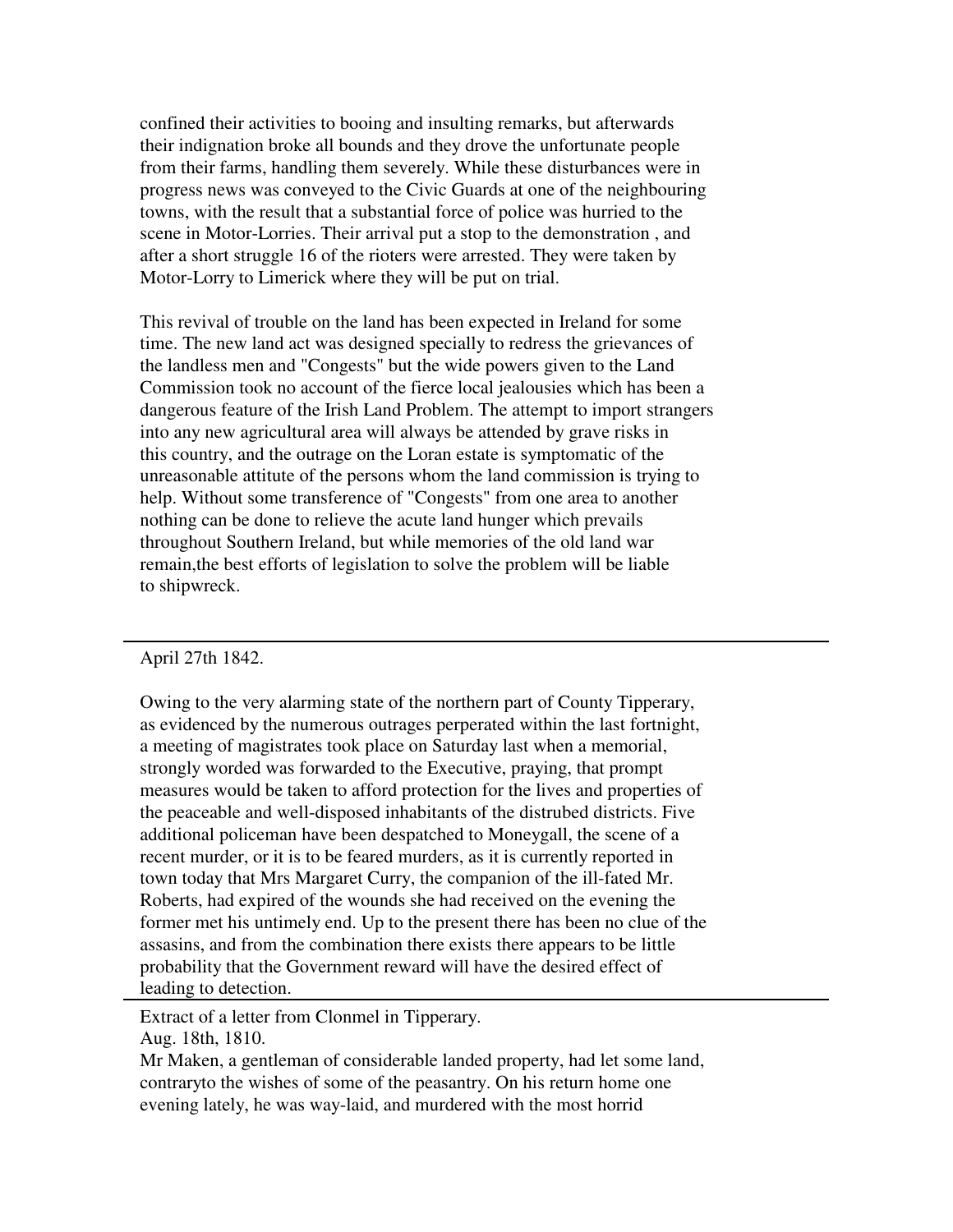confined their activities to booing and insulting remarks, but afterwards their indignation broke all bounds and they drove the unfortunate people from their farms, handling them severely. While these disturbances were in progress news was conveyed to the Civic Guards at one of the neighbouring towns, with the result that a substantial force of police was hurried to the scene in Motor-Lorries. Their arrival put a stop to the demonstration , and after a short struggle 16 of the rioters were arrested. They were taken by Motor-Lorry to Limerick where they will be put on trial.

This revival of trouble on the land has been expected in Ireland for some time. The new land act was designed specially to redress the grievances of the landless men and "Congests" but the wide powers given to the Land Commission took no account of the fierce local jealousies which has been a dangerous feature of the Irish Land Problem. The attempt to import strangers into any new agricultural area will always be attended by grave risks in this country, and the outrage on the Loran estate is symptomatic of the unreasonable attitute of the persons whom the land commission is trying to help. Without some transference of "Congests" from one area to another nothing can be done to relieve the acute land hunger which prevails throughout Southern Ireland, but while memories of the old land war remain,the best efforts of legislation to solve the problem will be liable to shipwreck.

## April 27th 1842.

Owing to the very alarming state of the northern part of County Tipperary, as evidenced by the numerous outrages perperated within the last fortnight, a meeting of magistrates took place on Saturday last when a memorial, strongly worded was forwarded to the Executive, praying, that prompt measures would be taken to afford protection for the lives and properties of the peaceable and well-disposed inhabitants of the distrubed districts. Five additional policeman have been despatched to Moneygall, the scene of a recent murder, or it is to be feared murders, as it is currently reported in town today that Mrs Margaret Curry, the companion of the ill-fated Mr. Roberts, had expired of the wounds she had received on the evening the former met his untimely end. Up to the present there has been no clue of the assasins, and from the combination there exists there appears to be little probability that the Government reward will have the desired effect of leading to detection.

Extract of a letter from Clonmel in Tipperary.

Aug. 18th, 1810.

Mr Maken, a gentleman of considerable landed property, had let some land, contraryto the wishes of some of the peasantry. On his return home one evening lately, he was way-laid, and murdered with the most horrid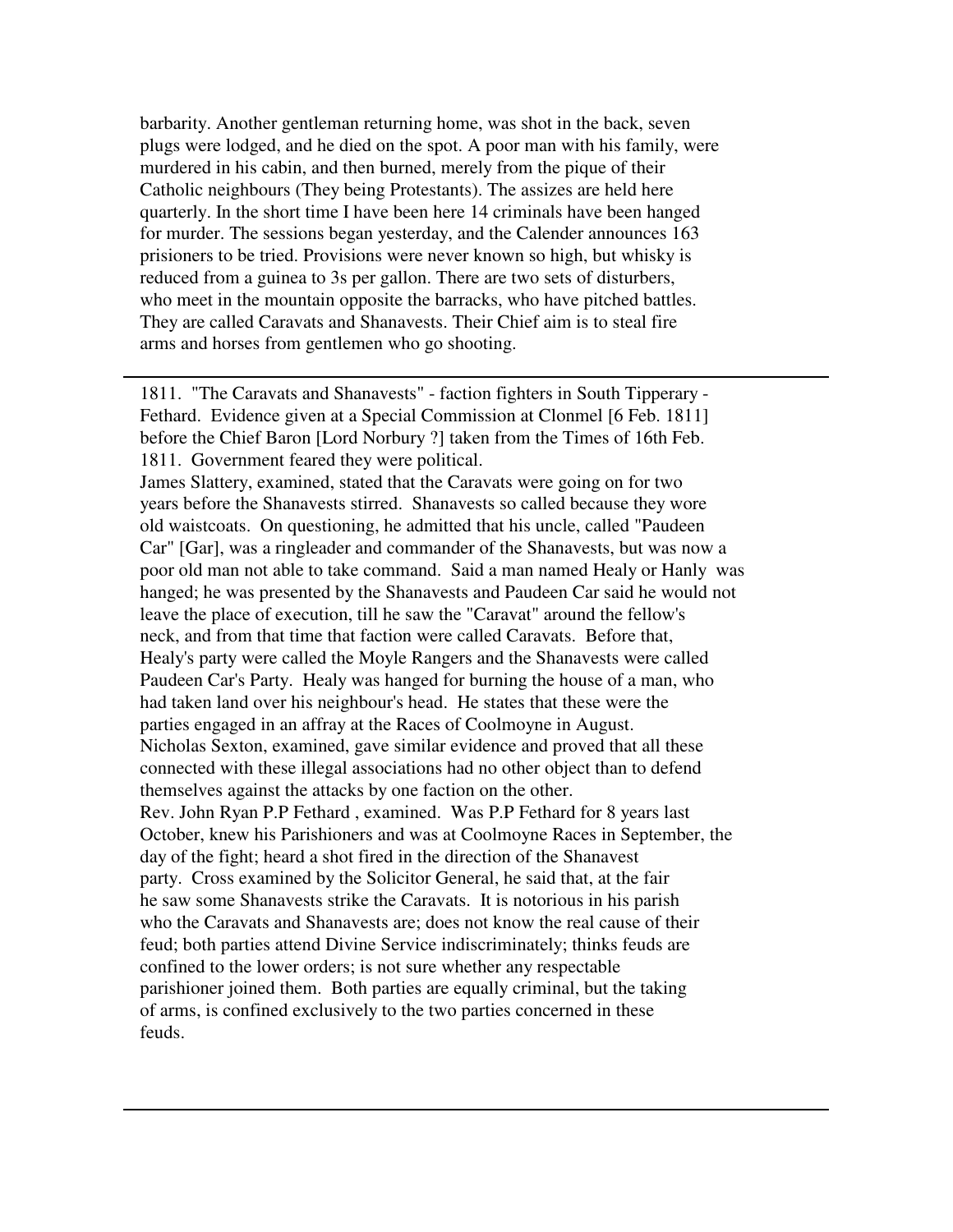barbarity. Another gentleman returning home, was shot in the back, seven plugs were lodged, and he died on the spot. A poor man with his family, were murdered in his cabin, and then burned, merely from the pique of their Catholic neighbours (They being Protestants). The assizes are held here quarterly. In the short time I have been here 14 criminals have been hanged for murder. The sessions began yesterday, and the Calender announces 163 prisioners to be tried. Provisions were never known so high, but whisky is reduced from a guinea to 3s per gallon. There are two sets of disturbers, who meet in the mountain opposite the barracks, who have pitched battles. They are called Caravats and Shanavests. Their Chief aim is to steal fire arms and horses from gentlemen who go shooting.

1811. "The Caravats and Shanavests" - faction fighters in South Tipperary - Fethard. Evidence given at a Special Commission at Clonmel [6 Feb. 1811] before the Chief Baron [Lord Norbury ?] taken from the Times of 16th Feb. 1811. Government feared they were political.

James Slattery, examined, stated that the Caravats were going on for two years before the Shanavests stirred. Shanavests so called because they wore old waistcoats. On questioning, he admitted that his uncle, called "Paudeen Car" [Gar], was a ringleader and commander of the Shanavests, but was now a poor old man not able to take command. Said a man named Healy or Hanly was hanged; he was presented by the Shanavests and Paudeen Car said he would not leave the place of execution, till he saw the "Caravat" around the fellow's neck, and from that time that faction were called Caravats. Before that, Healy's party were called the Moyle Rangers and the Shanavests were called Paudeen Car's Party. Healy was hanged for burning the house of a man, who had taken land over his neighbour's head. He states that these were the parties engaged in an affray at the Races of Coolmoyne in August. Nicholas Sexton, examined, gave similar evidence and proved that all these connected with these illegal associations had no other object than to defend themselves against the attacks by one faction on the other. Rev. John Ryan P.P Fethard , examined. Was P.P Fethard for 8 years last October, knew his Parishioners and was at Coolmoyne Races in September, the day of the fight; heard a shot fired in the direction of the Shanavest party. Cross examined by the Solicitor General, he said that, at the fair he saw some Shanavests strike the Caravats. It is notorious in his parish who the Caravats and Shanavests are; does not know the real cause of their feud; both parties attend Divine Service indiscriminately; thinks feuds are confined to the lower orders; is not sure whether any respectable parishioner joined them. Both parties are equally criminal, but the taking of arms, is confined exclusively to the two parties concerned in these feuds.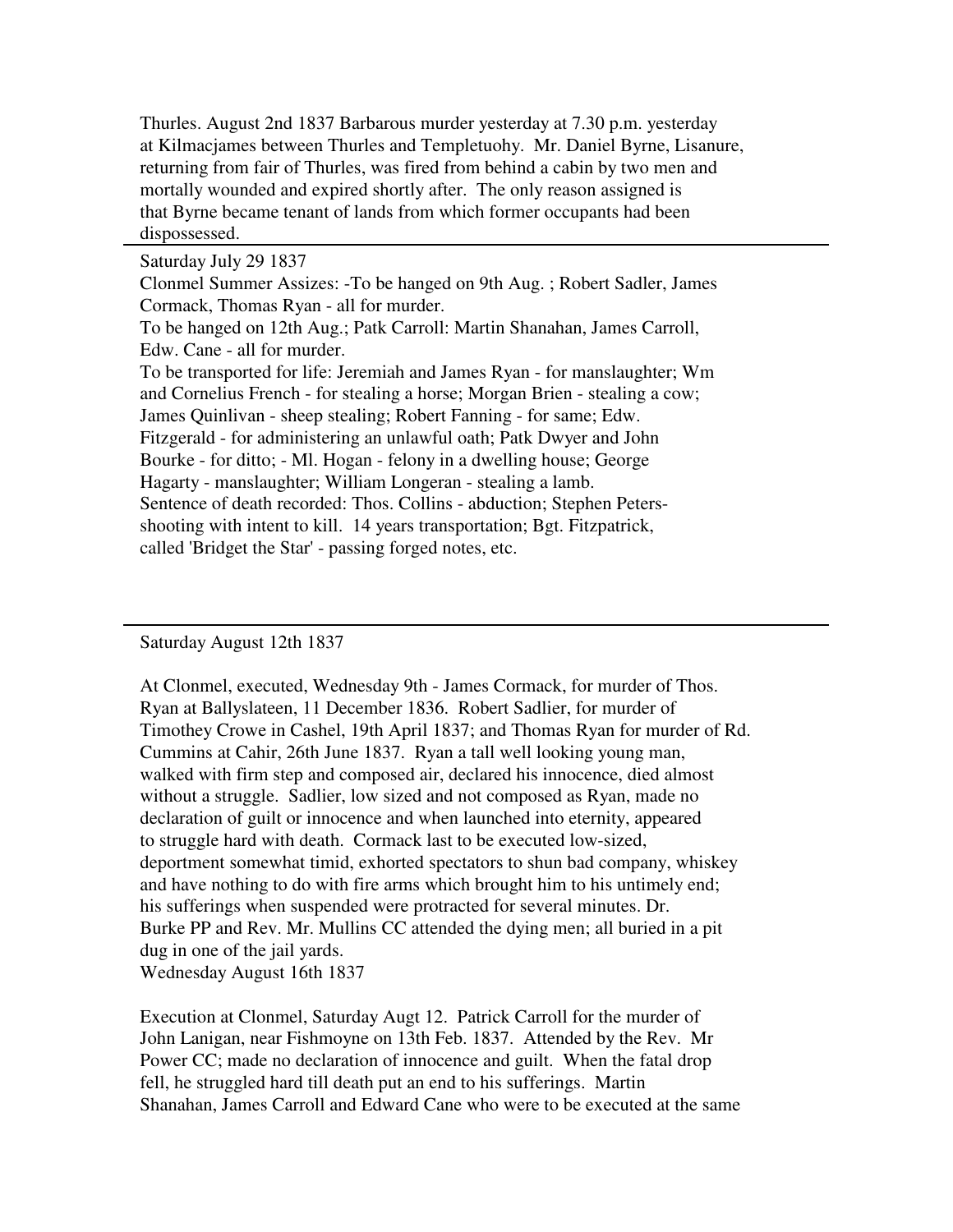Thurles. August 2nd 1837 Barbarous murder yesterday at 7.30 p.m. yesterday at Kilmacjames between Thurles and Templetuohy. Mr. Daniel Byrne, Lisanure, returning from fair of Thurles, was fired from behind a cabin by two men and mortally wounded and expired shortly after. The only reason assigned is that Byrne became tenant of lands from which former occupants had been dispossessed.

Saturday July 29 1837

Clonmel Summer Assizes: -To be hanged on 9th Aug. ; Robert Sadler, James Cormack, Thomas Ryan - all for murder. To be hanged on 12th Aug.; Patk Carroll: Martin Shanahan, James Carroll, Edw. Cane - all for murder.

To be transported for life: Jeremiah and James Ryan - for manslaughter; Wm and Cornelius French - for stealing a horse; Morgan Brien - stealing a cow; James Quinlivan - sheep stealing; Robert Fanning - for same; Edw. Fitzgerald - for administering an unlawful oath; Patk Dwyer and John Bourke - for ditto; - Ml. Hogan - felony in a dwelling house; George Hagarty - manslaughter; William Longeran - stealing a lamb. Sentence of death recorded: Thos. Collins - abduction; Stephen Petersshooting with intent to kill. 14 years transportation; Bgt. Fitzpatrick, called 'Bridget the Star' - passing forged notes, etc.

Saturday August 12th 1837

At Clonmel, executed, Wednesday 9th - James Cormack, for murder of Thos. Ryan at Ballyslateen, 11 December 1836. Robert Sadlier, for murder of Timothey Crowe in Cashel, 19th April 1837; and Thomas Ryan for murder of Rd. Cummins at Cahir, 26th June 1837. Ryan a tall well looking young man, walked with firm step and composed air, declared his innocence, died almost without a struggle. Sadlier, low sized and not composed as Ryan, made no declaration of guilt or innocence and when launched into eternity, appeared to struggle hard with death. Cormack last to be executed low-sized, deportment somewhat timid, exhorted spectators to shun bad company, whiskey and have nothing to do with fire arms which brought him to his untimely end; his sufferings when suspended were protracted for several minutes. Dr. Burke PP and Rev. Mr. Mullins CC attended the dying men; all buried in a pit dug in one of the jail yards. Wednesday August 16th 1837

Execution at Clonmel, Saturday Augt 12. Patrick Carroll for the murder of John Lanigan, near Fishmoyne on 13th Feb. 1837. Attended by the Rev. Mr Power CC; made no declaration of innocence and guilt. When the fatal drop fell, he struggled hard till death put an end to his sufferings. Martin Shanahan, James Carroll and Edward Cane who were to be executed at the same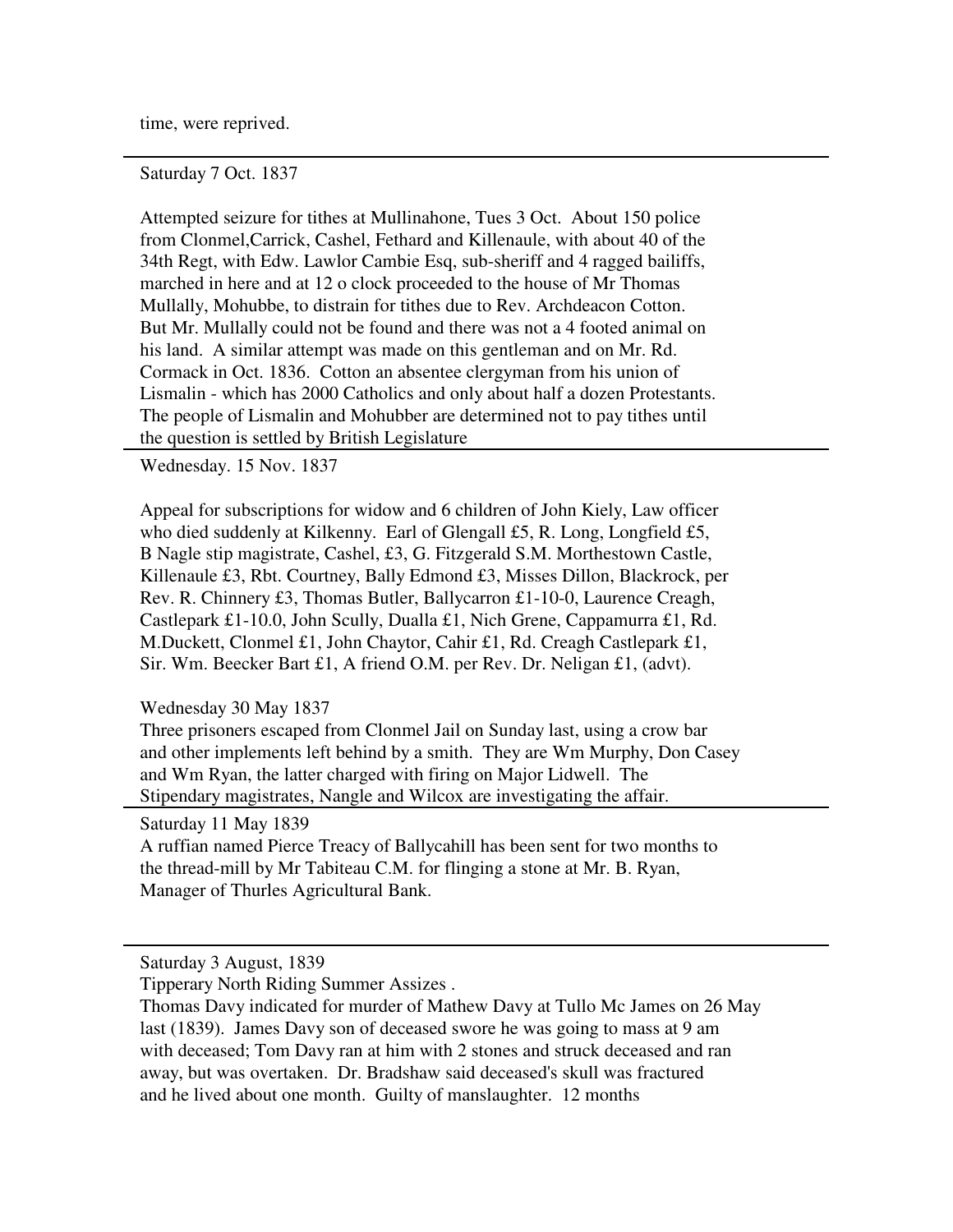time, were reprived.

Saturday 7 Oct. 1837

Attempted seizure for tithes at Mullinahone, Tues 3 Oct. About 150 police from Clonmel,Carrick, Cashel, Fethard and Killenaule, with about 40 of the 34th Regt, with Edw. Lawlor Cambie Esq, sub-sheriff and 4 ragged bailiffs, marched in here and at 12 o clock proceeded to the house of Mr Thomas Mullally, Mohubbe, to distrain for tithes due to Rev. Archdeacon Cotton. But Mr. Mullally could not be found and there was not a 4 footed animal on his land. A similar attempt was made on this gentleman and on Mr. Rd. Cormack in Oct. 1836. Cotton an absentee clergyman from his union of Lismalin - which has 2000 Catholics and only about half a dozen Protestants. The people of Lismalin and Mohubber are determined not to pay tithes until the question is settled by British Legislature

Wednesday. 15 Nov. 1837

Appeal for subscriptions for widow and 6 children of John Kiely, Law officer who died suddenly at Kilkenny. Earl of Glengall £5, R. Long, Longfield £5, B Nagle stip magistrate, Cashel, £3, G. Fitzgerald S.M. Morthestown Castle, Killenaule £3, Rbt. Courtney, Bally Edmond £3, Misses Dillon, Blackrock, per Rev. R. Chinnery £3, Thomas Butler, Ballycarron £1-10-0, Laurence Creagh, Castlepark £1-10.0, John Scully, Dualla £1, Nich Grene, Cappamurra £1, Rd. M.Duckett, Clonmel £1, John Chaytor, Cahir £1, Rd. Creagh Castlepark £1, Sir. Wm. Beecker Bart £1, A friend O.M. per Rev. Dr. Neligan £1, (advt).

Wednesday 30 May 1837

Three prisoners escaped from Clonmel Jail on Sunday last, using a crow bar and other implements left behind by a smith. They are Wm Murphy, Don Casey and Wm Ryan, the latter charged with firing on Major Lidwell. The Stipendary magistrates, Nangle and Wilcox are investigating the affair.

Saturday 11 May 1839

A ruffian named Pierce Treacy of Ballycahill has been sent for two months to the thread-mill by Mr Tabiteau C.M. for flinging a stone at Mr. B. Ryan, Manager of Thurles Agricultural Bank.

Saturday 3 August, 1839

Tipperary North Riding Summer Assizes .

Thomas Davy indicated for murder of Mathew Davy at Tullo Mc James on 26 May last (1839). James Davy son of deceased swore he was going to mass at 9 am with deceased; Tom Davy ran at him with 2 stones and struck deceased and ran away, but was overtaken. Dr. Bradshaw said deceased's skull was fractured and he lived about one month. Guilty of manslaughter. 12 months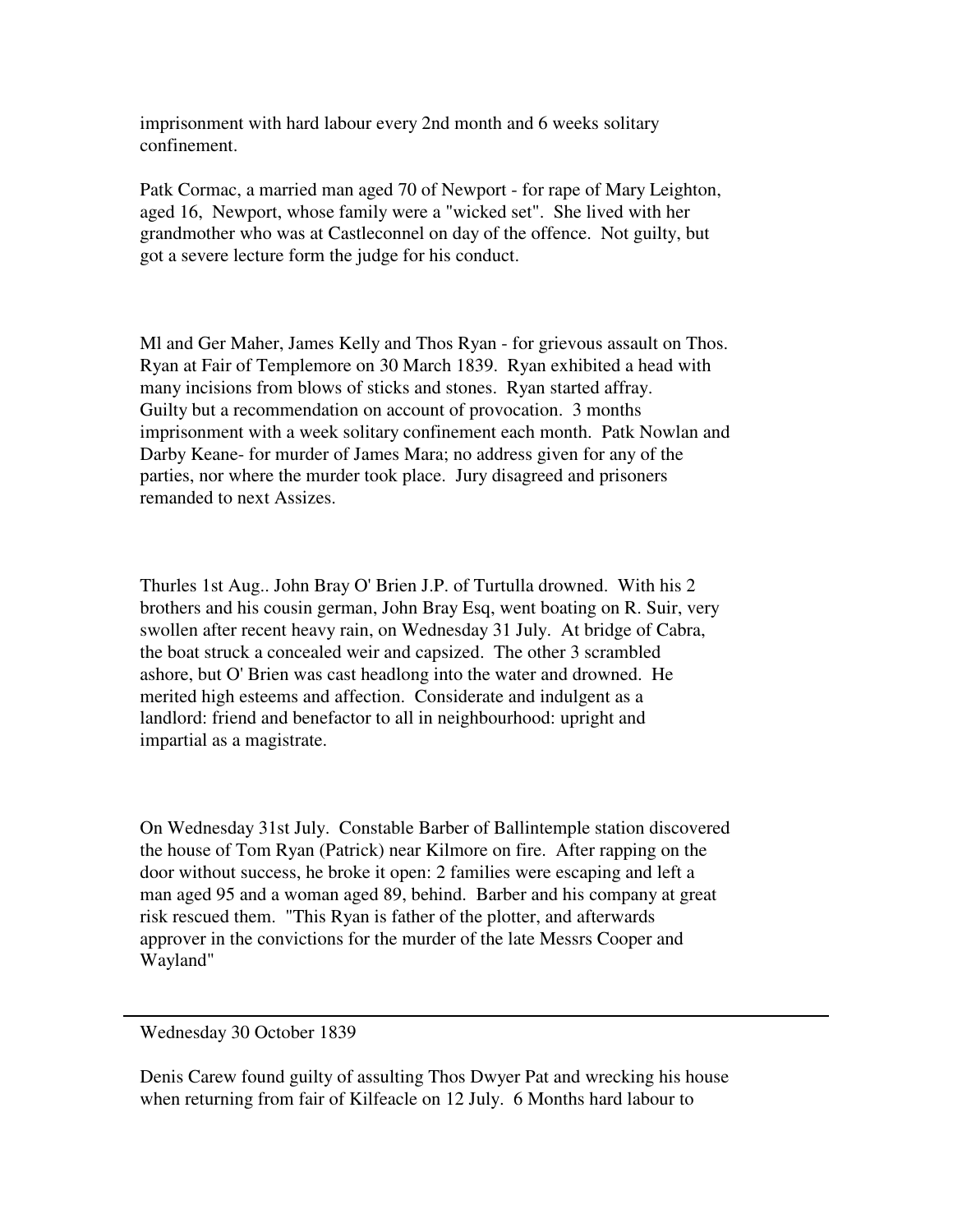imprisonment with hard labour every 2nd month and 6 weeks solitary confinement.

Patk Cormac, a married man aged 70 of Newport - for rape of Mary Leighton, aged 16, Newport, whose family were a "wicked set". She lived with her grandmother who was at Castleconnel on day of the offence. Not guilty, but got a severe lecture form the judge for his conduct.

Ml and Ger Maher, James Kelly and Thos Ryan - for grievous assault on Thos. Ryan at Fair of Templemore on 30 March 1839. Ryan exhibited a head with many incisions from blows of sticks and stones. Ryan started affray. Guilty but a recommendation on account of provocation. 3 months imprisonment with a week solitary confinement each month. Patk Nowlan and Darby Keane- for murder of James Mara; no address given for any of the parties, nor where the murder took place. Jury disagreed and prisoners remanded to next Assizes.

Thurles 1st Aug.. John Bray O' Brien J.P. of Turtulla drowned. With his 2 brothers and his cousin german, John Bray Esq, went boating on R. Suir, very swollen after recent heavy rain, on Wednesday 31 July. At bridge of Cabra, the boat struck a concealed weir and capsized. The other 3 scrambled ashore, but O' Brien was cast headlong into the water and drowned. He merited high esteems and affection. Considerate and indulgent as a landlord: friend and benefactor to all in neighbourhood: upright and impartial as a magistrate.

On Wednesday 31st July. Constable Barber of Ballintemple station discovered the house of Tom Ryan (Patrick) near Kilmore on fire. After rapping on the door without success, he broke it open: 2 families were escaping and left a man aged 95 and a woman aged 89, behind. Barber and his company at great risk rescued them. "This Ryan is father of the plotter, and afterwards approver in the convictions for the murder of the late Messrs Cooper and Wayland"

Wednesday 30 October 1839

Denis Carew found guilty of assulting Thos Dwyer Pat and wrecking his house when returning from fair of Kilfeacle on 12 July. 6 Months hard labour to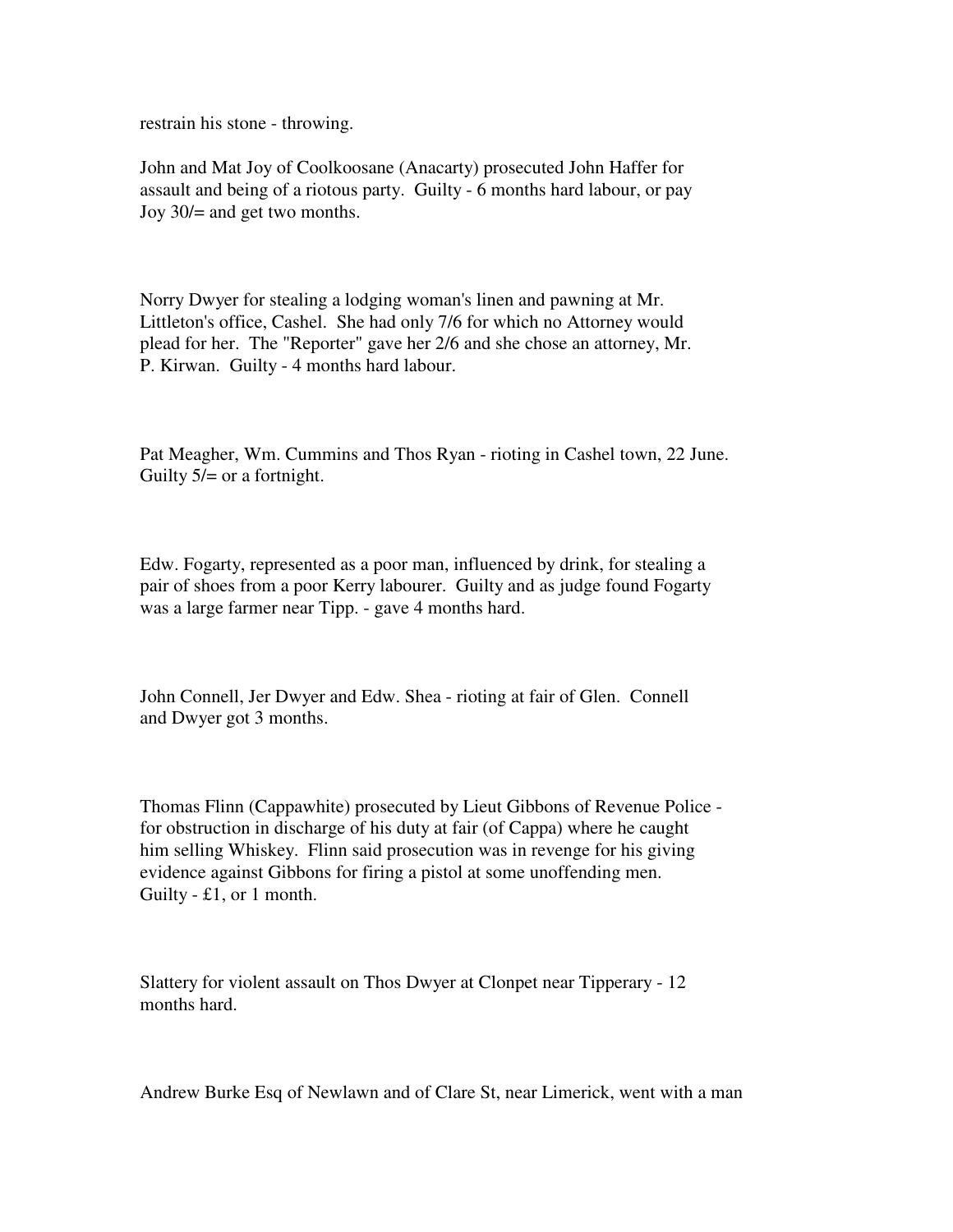restrain his stone - throwing.

John and Mat Joy of Coolkoosane (Anacarty) prosecuted John Haffer for assault and being of a riotous party. Guilty - 6 months hard labour, or pay Joy 30/= and get two months.

Norry Dwyer for stealing a lodging woman's linen and pawning at Mr. Littleton's office, Cashel. She had only 7/6 for which no Attorney would plead for her. The "Reporter" gave her 2/6 and she chose an attorney, Mr. P. Kirwan. Guilty - 4 months hard labour.

Pat Meagher, Wm. Cummins and Thos Ryan - rioting in Cashel town, 22 June. Guilty  $5/=\text{or a fortnight.}$ 

Edw. Fogarty, represented as a poor man, influenced by drink, for stealing a pair of shoes from a poor Kerry labourer. Guilty and as judge found Fogarty was a large farmer near Tipp. - gave 4 months hard.

John Connell, Jer Dwyer and Edw. Shea - rioting at fair of Glen. Connell and Dwyer got 3 months.

Thomas Flinn (Cappawhite) prosecuted by Lieut Gibbons of Revenue Police for obstruction in discharge of his duty at fair (of Cappa) where he caught him selling Whiskey. Flinn said prosecution was in revenge for his giving evidence against Gibbons for firing a pistol at some unoffending men. Guilty - £1, or 1 month.

Slattery for violent assault on Thos Dwyer at Clonpet near Tipperary - 12 months hard.

Andrew Burke Esq of Newlawn and of Clare St, near Limerick, went with a man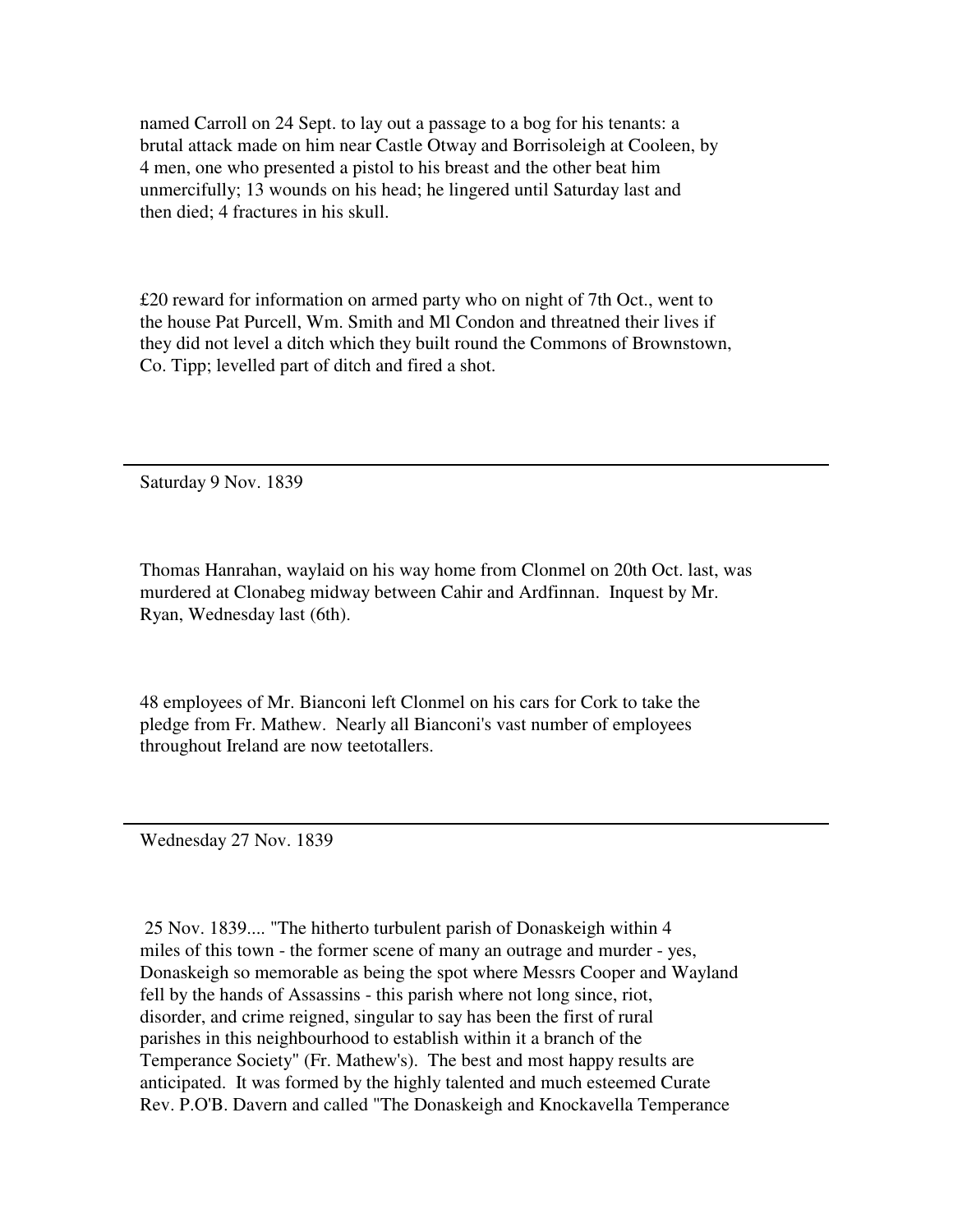named Carroll on 24 Sept. to lay out a passage to a bog for his tenants: a brutal attack made on him near Castle Otway and Borrisoleigh at Cooleen, by 4 men, one who presented a pistol to his breast and the other beat him unmercifully; 13 wounds on his head; he lingered until Saturday last and then died; 4 fractures in his skull.

£20 reward for information on armed party who on night of 7th Oct., went to the house Pat Purcell, Wm. Smith and Ml Condon and threatned their lives if they did not level a ditch which they built round the Commons of Brownstown, Co. Tipp; levelled part of ditch and fired a shot.

Saturday 9 Nov. 1839

Thomas Hanrahan, waylaid on his way home from Clonmel on 20th Oct. last, was murdered at Clonabeg midway between Cahir and Ardfinnan. Inquest by Mr. Ryan, Wednesday last (6th).

48 employees of Mr. Bianconi left Clonmel on his cars for Cork to take the pledge from Fr. Mathew. Nearly all Bianconi's vast number of employees throughout Ireland are now teetotallers.

Wednesday 27 Nov. 1839

 25 Nov. 1839.... "The hitherto turbulent parish of Donaskeigh within 4 miles of this town - the former scene of many an outrage and murder - yes, Donaskeigh so memorable as being the spot where Messrs Cooper and Wayland fell by the hands of Assassins - this parish where not long since, riot, disorder, and crime reigned, singular to say has been the first of rural parishes in this neighbourhood to establish within it a branch of the Temperance Society" (Fr. Mathew's). The best and most happy results are anticipated. It was formed by the highly talented and much esteemed Curate Rev. P.O'B. Davern and called "The Donaskeigh and Knockavella Temperance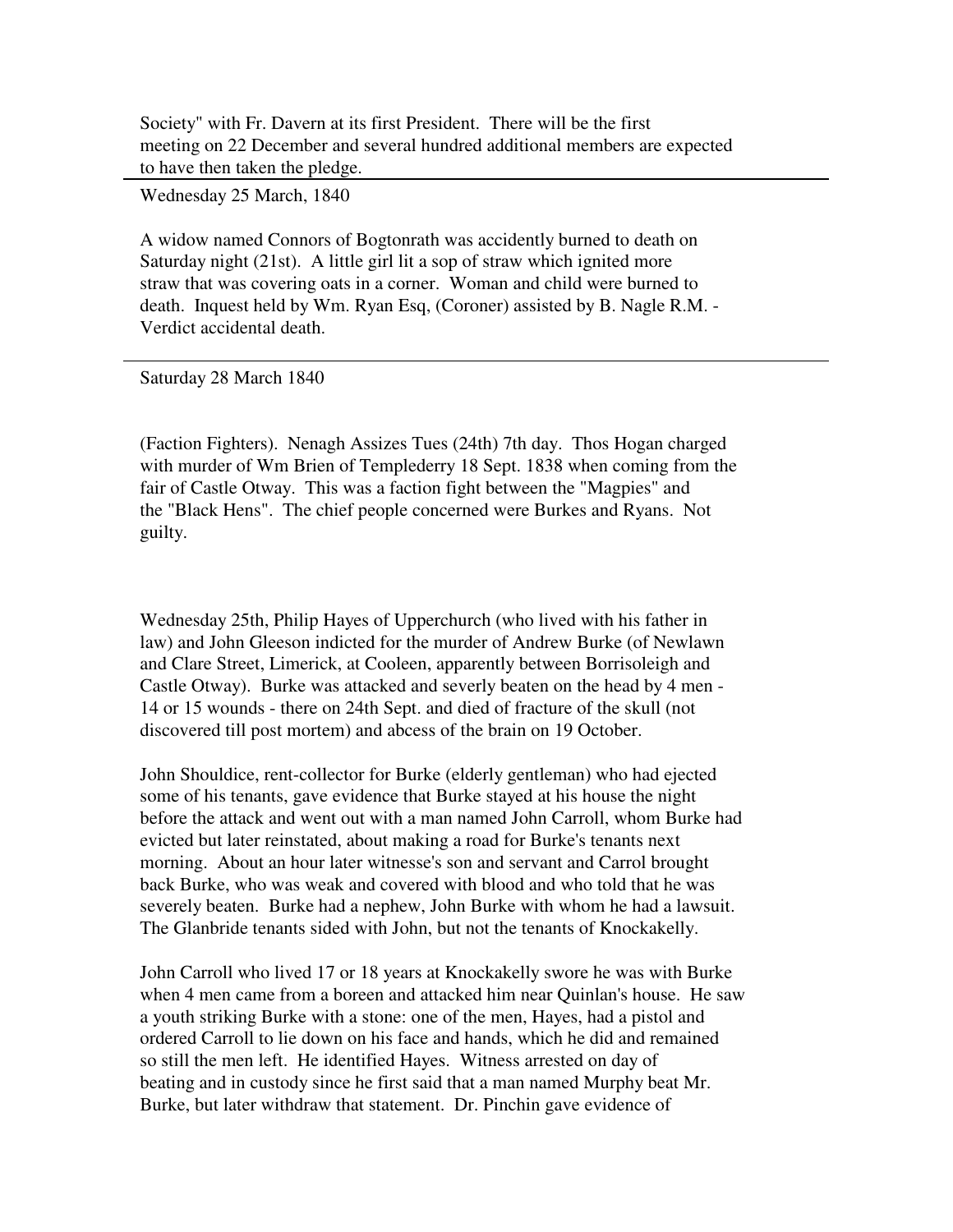Society" with Fr. Davern at its first President. There will be the first meeting on 22 December and several hundred additional members are expected to have then taken the pledge.

Wednesday 25 March, 1840

A widow named Connors of Bogtonrath was accidently burned to death on Saturday night (21st). A little girl lit a sop of straw which ignited more straw that was covering oats in a corner. Woman and child were burned to death. Inquest held by Wm. Ryan Esq, (Coroner) assisted by B. Nagle R.M. - Verdict accidental death.

Saturday 28 March 1840

(Faction Fighters). Nenagh Assizes Tues (24th) 7th day. Thos Hogan charged with murder of Wm Brien of Templederry 18 Sept. 1838 when coming from the fair of Castle Otway. This was a faction fight between the "Magpies" and the "Black Hens". The chief people concerned were Burkes and Ryans. Not guilty.

Wednesday 25th, Philip Hayes of Upperchurch (who lived with his father in law) and John Gleeson indicted for the murder of Andrew Burke (of Newlawn and Clare Street, Limerick, at Cooleen, apparently between Borrisoleigh and Castle Otway). Burke was attacked and severly beaten on the head by 4 men - 14 or 15 wounds - there on 24th Sept. and died of fracture of the skull (not discovered till post mortem) and abcess of the brain on 19 October.

John Shouldice, rent-collector for Burke (elderly gentleman) who had ejected some of his tenants, gave evidence that Burke stayed at his house the night before the attack and went out with a man named John Carroll, whom Burke had evicted but later reinstated, about making a road for Burke's tenants next morning. About an hour later witnesse's son and servant and Carrol brought back Burke, who was weak and covered with blood and who told that he was severely beaten. Burke had a nephew, John Burke with whom he had a lawsuit. The Glanbride tenants sided with John, but not the tenants of Knockakelly.

John Carroll who lived 17 or 18 years at Knockakelly swore he was with Burke when 4 men came from a boreen and attacked him near Quinlan's house. He saw a youth striking Burke with a stone: one of the men, Hayes, had a pistol and ordered Carroll to lie down on his face and hands, which he did and remained so still the men left. He identified Hayes. Witness arrested on day of beating and in custody since he first said that a man named Murphy beat Mr. Burke, but later withdraw that statement. Dr. Pinchin gave evidence of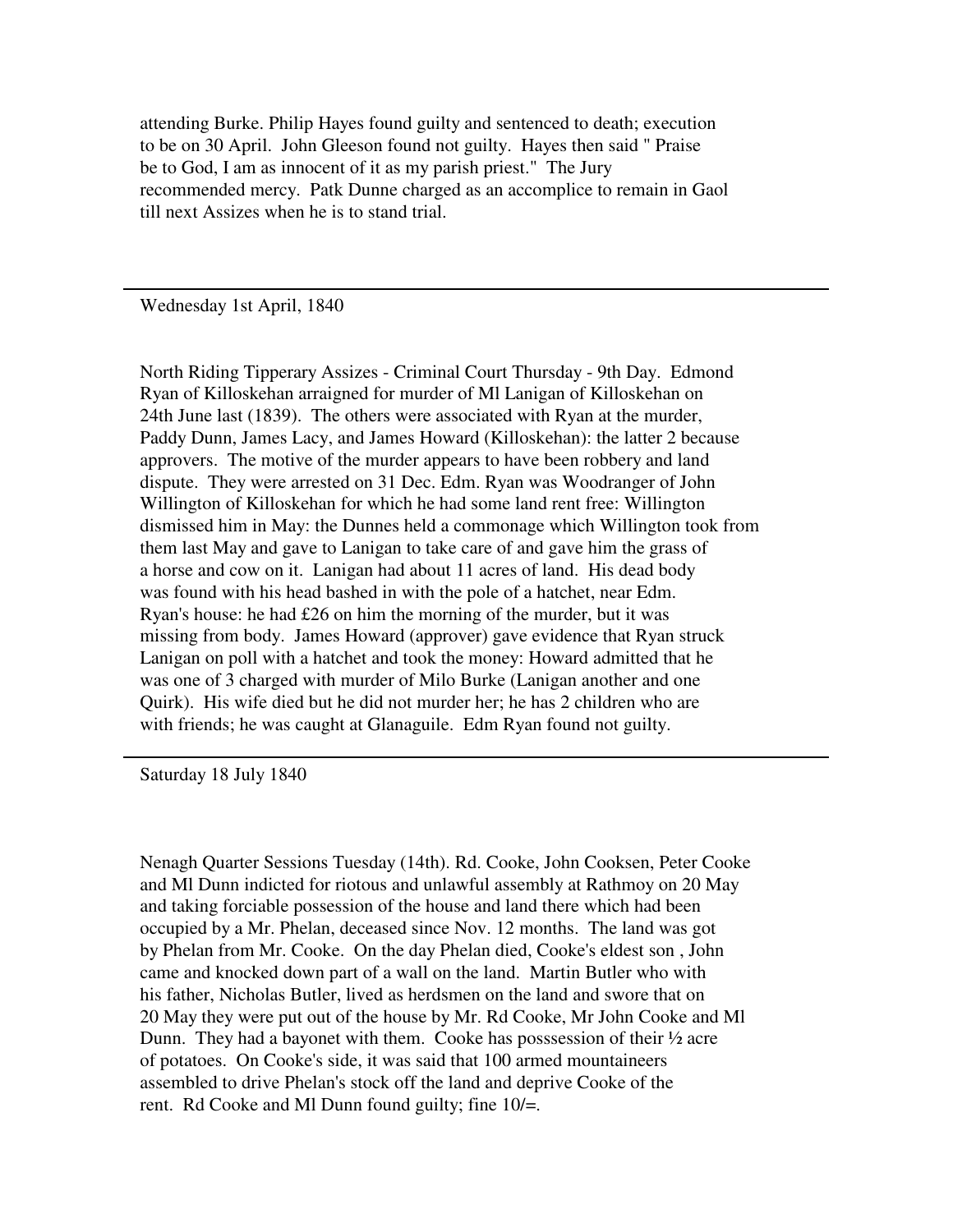attending Burke. Philip Hayes found guilty and sentenced to death; execution to be on 30 April. John Gleeson found not guilty. Hayes then said " Praise be to God, I am as innocent of it as my parish priest." The Jury recommended mercy. Patk Dunne charged as an accomplice to remain in Gaol till next Assizes when he is to stand trial.

Wednesday 1st April, 1840

North Riding Tipperary Assizes - Criminal Court Thursday - 9th Day. Edmond Ryan of Killoskehan arraigned for murder of Ml Lanigan of Killoskehan on 24th June last (1839). The others were associated with Ryan at the murder, Paddy Dunn, James Lacy, and James Howard (Killoskehan): the latter 2 because approvers. The motive of the murder appears to have been robbery and land dispute. They were arrested on 31 Dec. Edm. Ryan was Woodranger of John Willington of Killoskehan for which he had some land rent free: Willington dismissed him in May: the Dunnes held a commonage which Willington took from them last May and gave to Lanigan to take care of and gave him the grass of a horse and cow on it. Lanigan had about 11 acres of land. His dead body was found with his head bashed in with the pole of a hatchet, near Edm. Ryan's house: he had £26 on him the morning of the murder, but it was missing from body. James Howard (approver) gave evidence that Ryan struck Lanigan on poll with a hatchet and took the money: Howard admitted that he was one of 3 charged with murder of Milo Burke (Lanigan another and one Quirk). His wife died but he did not murder her; he has 2 children who are with friends; he was caught at Glanaguile. Edm Ryan found not guilty.

Saturday 18 July 1840

Nenagh Quarter Sessions Tuesday (14th). Rd. Cooke, John Cooksen, Peter Cooke and Ml Dunn indicted for riotous and unlawful assembly at Rathmoy on 20 May and taking forciable possession of the house and land there which had been occupied by a Mr. Phelan, deceased since Nov. 12 months. The land was got by Phelan from Mr. Cooke. On the day Phelan died, Cooke's eldest son , John came and knocked down part of a wall on the land. Martin Butler who with his father, Nicholas Butler, lived as herdsmen on the land and swore that on 20 May they were put out of the house by Mr. Rd Cooke, Mr John Cooke and Ml Dunn. They had a bayonet with them. Cooke has posssession of their ½ acre of potatoes. On Cooke's side, it was said that 100 armed mountaineers assembled to drive Phelan's stock off the land and deprive Cooke of the rent. Rd Cooke and Ml Dunn found guilty; fine 10/=.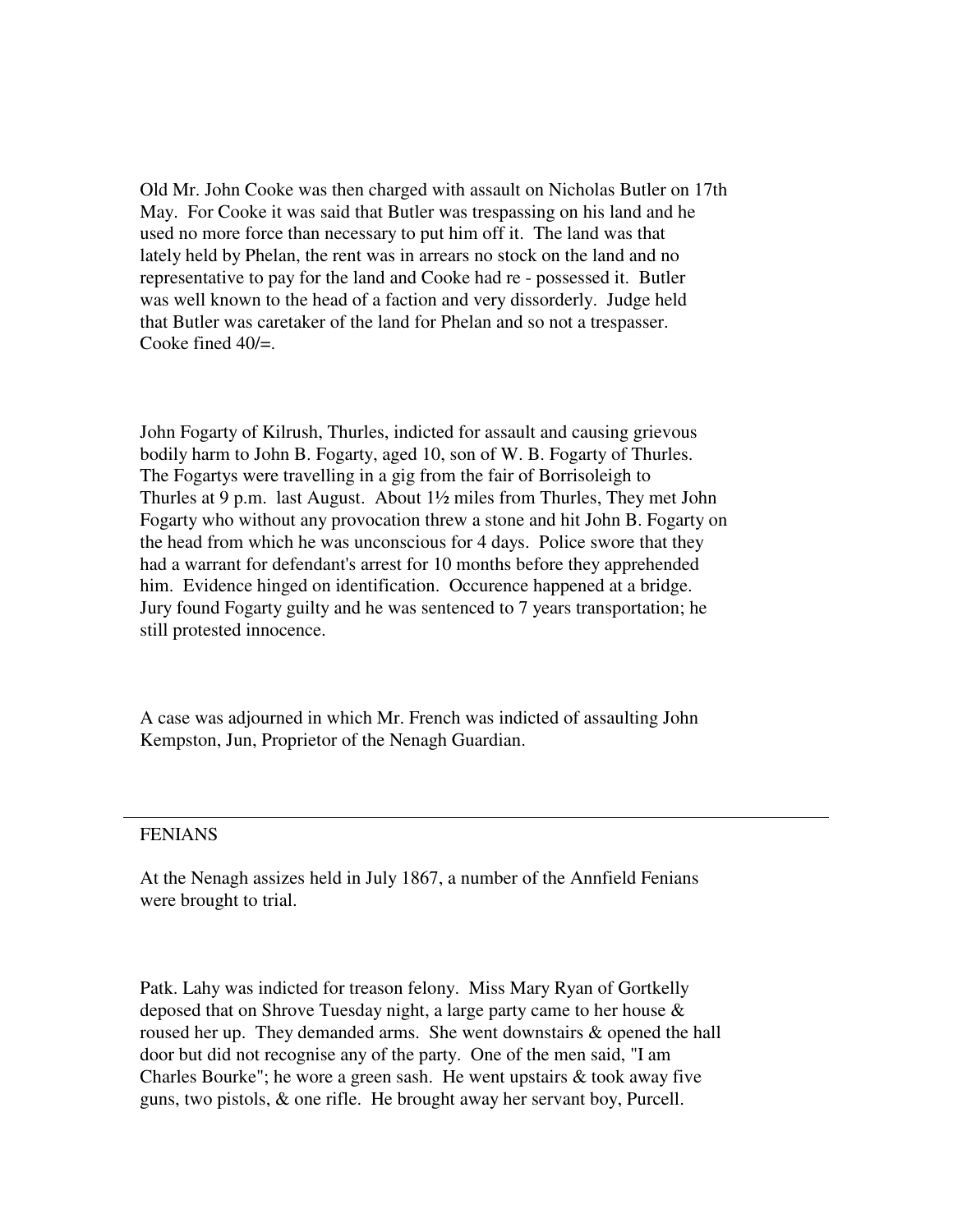Old Mr. John Cooke was then charged with assault on Nicholas Butler on 17th May. For Cooke it was said that Butler was trespassing on his land and he used no more force than necessary to put him off it. The land was that lately held by Phelan, the rent was in arrears no stock on the land and no representative to pay for the land and Cooke had re - possessed it. Butler was well known to the head of a faction and very dissorderly. Judge held that Butler was caretaker of the land for Phelan and so not a trespasser. Cooke fined 40/=.

John Fogarty of Kilrush, Thurles, indicted for assault and causing grievous bodily harm to John B. Fogarty, aged 10, son of W. B. Fogarty of Thurles. The Fogartys were travelling in a gig from the fair of Borrisoleigh to Thurles at 9 p.m. last August. About 1½ miles from Thurles, They met John Fogarty who without any provocation threw a stone and hit John B. Fogarty on the head from which he was unconscious for 4 days. Police swore that they had a warrant for defendant's arrest for 10 months before they apprehended him. Evidence hinged on identification. Occurence happened at a bridge. Jury found Fogarty guilty and he was sentenced to 7 years transportation; he still protested innocence.

A case was adjourned in which Mr. French was indicted of assaulting John Kempston, Jun, Proprietor of the Nenagh Guardian.

### FENIANS

At the Nenagh assizes held in July 1867, a number of the Annfield Fenians were brought to trial.

Patk. Lahy was indicted for treason felony. Miss Mary Ryan of Gortkelly deposed that on Shrove Tuesday night, a large party came to her house & roused her up. They demanded arms. She went downstairs & opened the hall door but did not recognise any of the party. One of the men said, "I am Charles Bourke"; he wore a green sash. He went upstairs & took away five guns, two pistols, & one rifle. He brought away her servant boy, Purcell.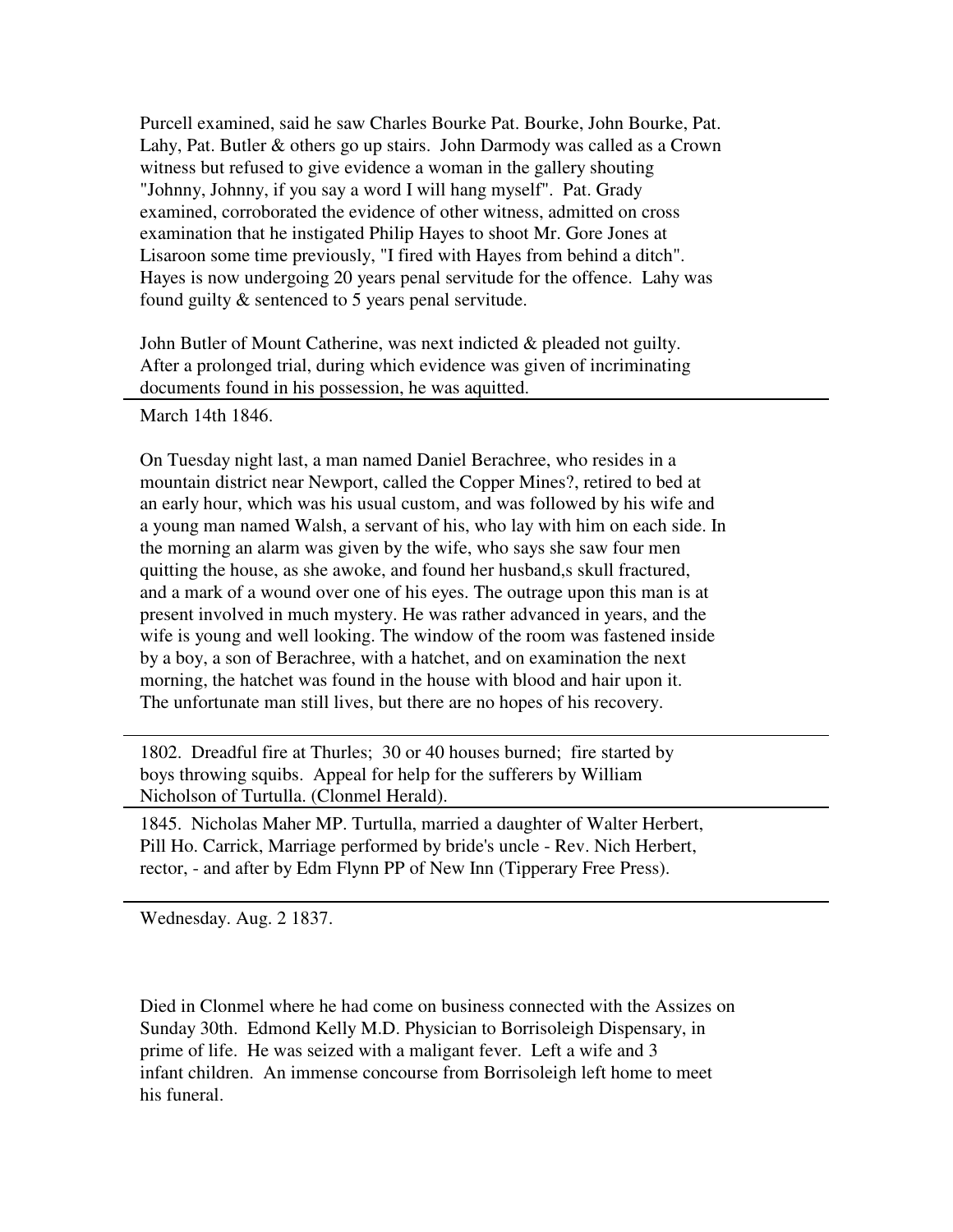Purcell examined, said he saw Charles Bourke Pat. Bourke, John Bourke, Pat. Lahy, Pat. Butler & others go up stairs. John Darmody was called as a Crown witness but refused to give evidence a woman in the gallery shouting "Johnny, Johnny, if you say a word I will hang myself". Pat. Grady examined, corroborated the evidence of other witness, admitted on cross examination that he instigated Philip Hayes to shoot Mr. Gore Jones at Lisaroon some time previously, "I fired with Hayes from behind a ditch". Hayes is now undergoing 20 years penal servitude for the offence. Lahy was found guilty & sentenced to 5 years penal servitude.

John Butler of Mount Catherine, was next indicted & pleaded not guilty. After a prolonged trial, during which evidence was given of incriminating documents found in his possession, he was aquitted.

March 14th 1846.

On Tuesday night last, a man named Daniel Berachree, who resides in a mountain district near Newport, called the Copper Mines?, retired to bed at an early hour, which was his usual custom, and was followed by his wife and a young man named Walsh, a servant of his, who lay with him on each side. In the morning an alarm was given by the wife, who says she saw four men quitting the house, as she awoke, and found her husband,s skull fractured, and a mark of a wound over one of his eyes. The outrage upon this man is at present involved in much mystery. He was rather advanced in years, and the wife is young and well looking. The window of the room was fastened inside by a boy, a son of Berachree, with a hatchet, and on examination the next morning, the hatchet was found in the house with blood and hair upon it. The unfortunate man still lives, but there are no hopes of his recovery.

1802. Dreadful fire at Thurles; 30 or 40 houses burned; fire started by boys throwing squibs. Appeal for help for the sufferers by William Nicholson of Turtulla. (Clonmel Herald).

1845. Nicholas Maher MP. Turtulla, married a daughter of Walter Herbert, Pill Ho. Carrick, Marriage performed by bride's uncle - Rev. Nich Herbert, rector, - and after by Edm Flynn PP of New Inn (Tipperary Free Press).

Wednesday. Aug. 2 1837.

Died in Clonmel where he had come on business connected with the Assizes on Sunday 30th. Edmond Kelly M.D. Physician to Borrisoleigh Dispensary, in prime of life. He was seized with a maligant fever. Left a wife and 3 infant children. An immense concourse from Borrisoleigh left home to meet his funeral.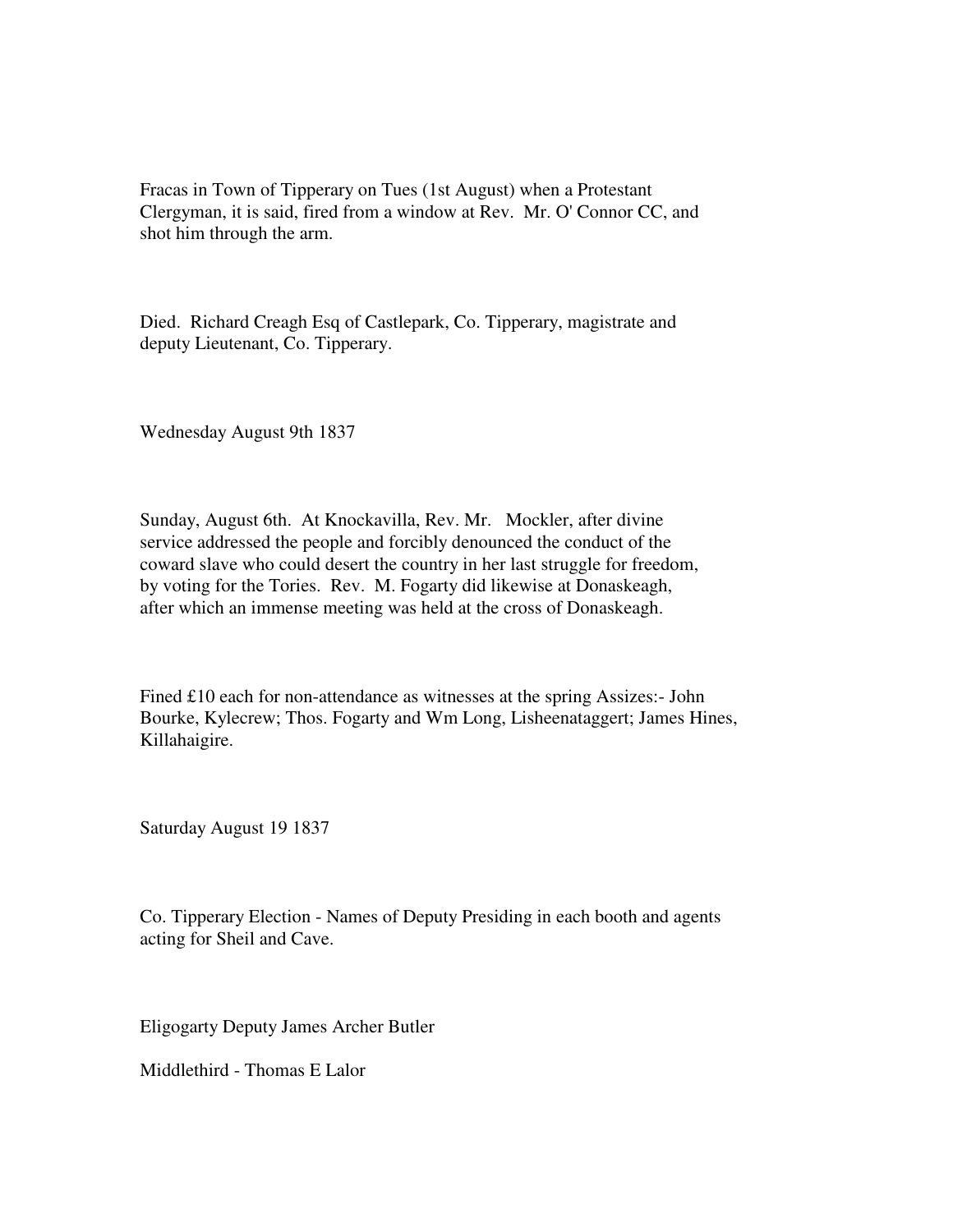Fracas in Town of Tipperary on Tues (1st August) when a Protestant Clergyman, it is said, fired from a window at Rev. Mr. O' Connor CC, and shot him through the arm.

Died. Richard Creagh Esq of Castlepark, Co. Tipperary, magistrate and deputy Lieutenant, Co. Tipperary.

Wednesday August 9th 1837

Sunday, August 6th. At Knockavilla, Rev. Mr. Mockler, after divine service addressed the people and forcibly denounced the conduct of the coward slave who could desert the country in her last struggle for freedom, by voting for the Tories. Rev. M. Fogarty did likewise at Donaskeagh, after which an immense meeting was held at the cross of Donaskeagh.

Fined £10 each for non-attendance as witnesses at the spring Assizes:- John Bourke, Kylecrew; Thos. Fogarty and Wm Long, Lisheenataggert; James Hines, Killahaigire.

Saturday August 19 1837

Co. Tipperary Election - Names of Deputy Presiding in each booth and agents acting for Sheil and Cave.

Eligogarty Deputy James Archer Butler

Middlethird - Thomas E Lalor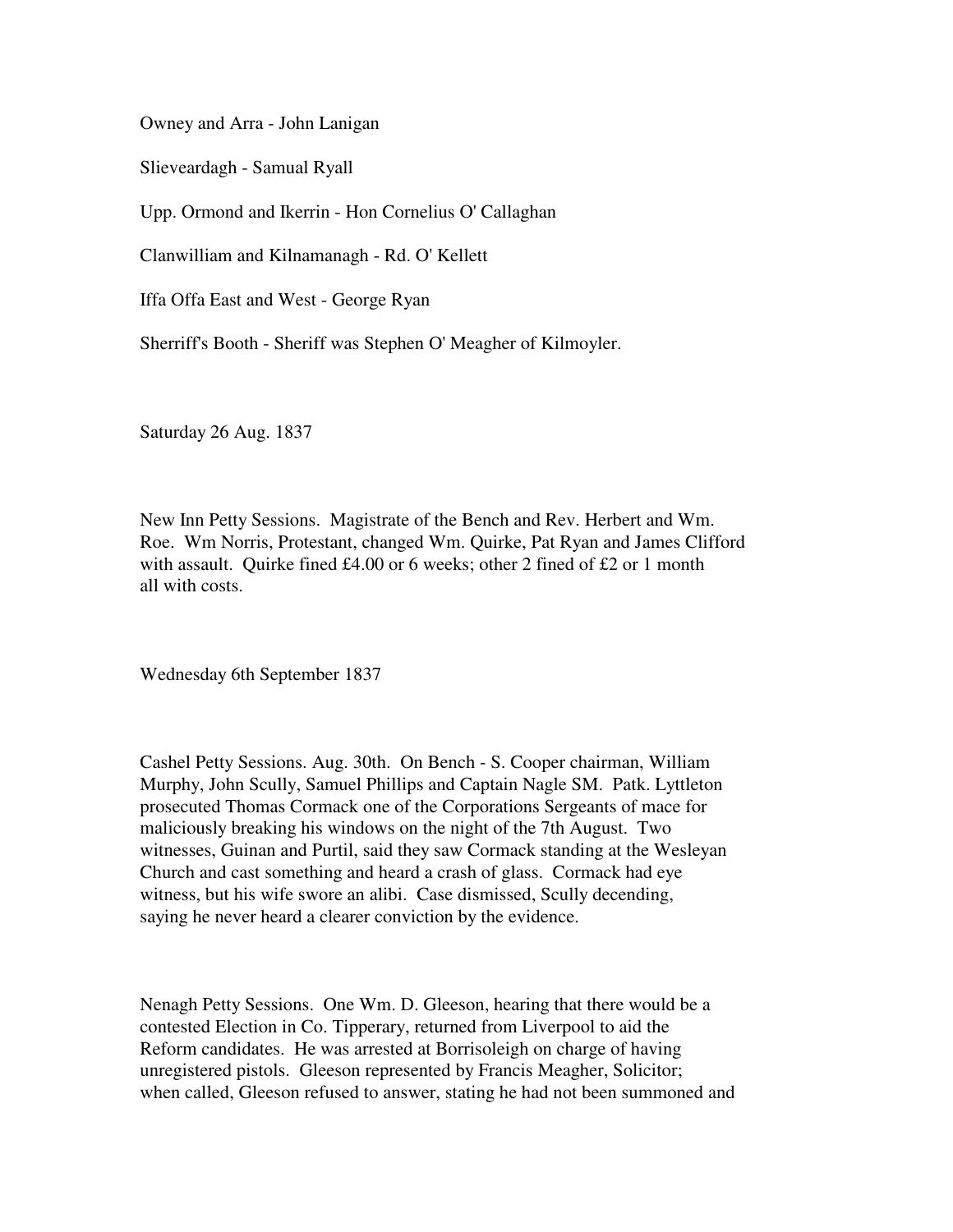Owney and Arra - John Lanigan

Slieveardagh - Samual Ryall

Upp. Ormond and Ikerrin - Hon Cornelius O' Callaghan

Clanwilliam and Kilnamanagh - Rd. O' Kellett

Iffa Offa East and West - George Ryan

Sherriff's Booth - Sheriff was Stephen O' Meagher of Kilmoyler.

Saturday 26 Aug. 1837

New Inn Petty Sessions. Magistrate of the Bench and Rev. Herbert and Wm. Roe. Wm Norris, Protestant, changed Wm. Quirke, Pat Ryan and James Clifford with assault. Quirke fined £4.00 or 6 weeks; other 2 fined of £2 or 1 month all with costs.

Wednesday 6th September 1837

Cashel Petty Sessions. Aug. 30th. On Bench - S. Cooper chairman, William Murphy, John Scully, Samuel Phillips and Captain Nagle SM. Patk. Lyttleton prosecuted Thomas Cormack one of the Corporations Sergeants of mace for maliciously breaking his windows on the night of the 7th August. Two witnesses, Guinan and Purtil, said they saw Cormack standing at the Wesleyan Church and cast something and heard a crash of glass. Cormack had eye witness, but his wife swore an alibi. Case dismissed, Scully decending, saying he never heard a clearer conviction by the evidence.

Nenagh Petty Sessions. One Wm. D. Gleeson, hearing that there would be a contested Election in Co. Tipperary, returned from Liverpool to aid the Reform candidates. He was arrested at Borrisoleigh on charge of having unregistered pistols. Gleeson represented by Francis Meagher, Solicitor; when called, Gleeson refused to answer, stating he had not been summoned and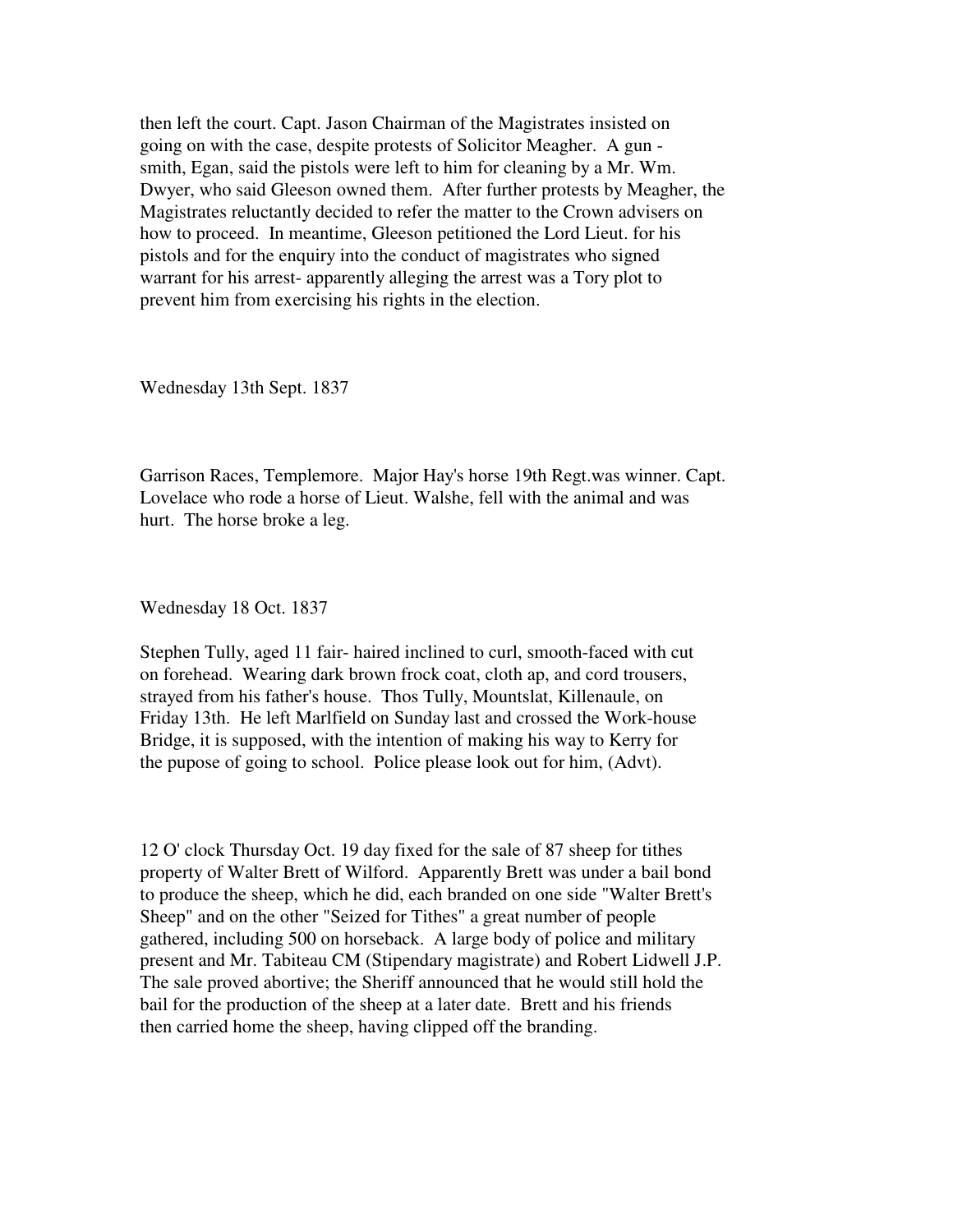then left the court. Capt. Jason Chairman of the Magistrates insisted on going on with the case, despite protests of Solicitor Meagher. A gun smith, Egan, said the pistols were left to him for cleaning by a Mr. Wm. Dwyer, who said Gleeson owned them. After further protests by Meagher, the Magistrates reluctantly decided to refer the matter to the Crown advisers on how to proceed. In meantime, Gleeson petitioned the Lord Lieut. for his pistols and for the enquiry into the conduct of magistrates who signed warrant for his arrest- apparently alleging the arrest was a Tory plot to prevent him from exercising his rights in the election.

Wednesday 13th Sept. 1837

Garrison Races, Templemore. Major Hay's horse 19th Regt.was winner. Capt. Lovelace who rode a horse of Lieut. Walshe, fell with the animal and was hurt. The horse broke a leg.

Wednesday 18 Oct. 1837

Stephen Tully, aged 11 fair- haired inclined to curl, smooth-faced with cut on forehead. Wearing dark brown frock coat, cloth ap, and cord trousers, strayed from his father's house. Thos Tully, Mountslat, Killenaule, on Friday 13th. He left Marlfield on Sunday last and crossed the Work-house Bridge, it is supposed, with the intention of making his way to Kerry for the pupose of going to school. Police please look out for him, (Advt).

12 O' clock Thursday Oct. 19 day fixed for the sale of 87 sheep for tithes property of Walter Brett of Wilford. Apparently Brett was under a bail bond to produce the sheep, which he did, each branded on one side "Walter Brett's Sheep" and on the other "Seized for Tithes" a great number of people gathered, including 500 on horseback. A large body of police and military present and Mr. Tabiteau CM (Stipendary magistrate) and Robert Lidwell J.P. The sale proved abortive; the Sheriff announced that he would still hold the bail for the production of the sheep at a later date. Brett and his friends then carried home the sheep, having clipped off the branding.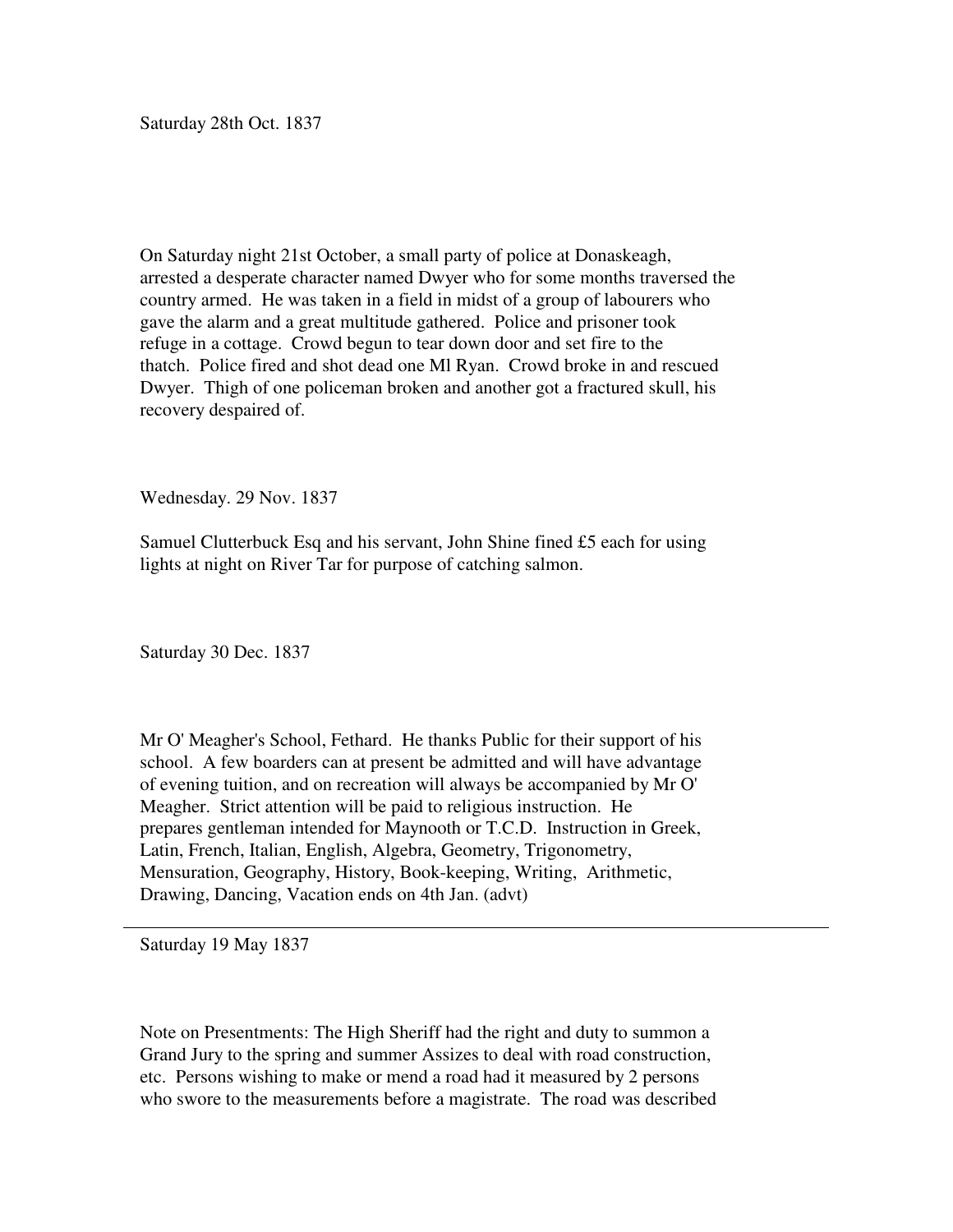Saturday 28th Oct. 1837

On Saturday night 21st October, a small party of police at Donaskeagh, arrested a desperate character named Dwyer who for some months traversed the country armed. He was taken in a field in midst of a group of labourers who gave the alarm and a great multitude gathered. Police and prisoner took refuge in a cottage. Crowd begun to tear down door and set fire to the thatch. Police fired and shot dead one Ml Ryan. Crowd broke in and rescued Dwyer. Thigh of one policeman broken and another got a fractured skull, his recovery despaired of.

Wednesday. 29 Nov. 1837

Samuel Clutterbuck Esq and his servant, John Shine fined £5 each for using lights at night on River Tar for purpose of catching salmon.

Saturday 30 Dec. 1837

Mr O' Meagher's School, Fethard. He thanks Public for their support of his school. A few boarders can at present be admitted and will have advantage of evening tuition, and on recreation will always be accompanied by Mr O' Meagher. Strict attention will be paid to religious instruction. He prepares gentleman intended for Maynooth or T.C.D. Instruction in Greek, Latin, French, Italian, English, Algebra, Geometry, Trigonometry, Mensuration, Geography, History, Book-keeping, Writing, Arithmetic, Drawing, Dancing, Vacation ends on 4th Jan. (advt)

Saturday 19 May 1837

Note on Presentments: The High Sheriff had the right and duty to summon a Grand Jury to the spring and summer Assizes to deal with road construction, etc. Persons wishing to make or mend a road had it measured by 2 persons who swore to the measurements before a magistrate. The road was described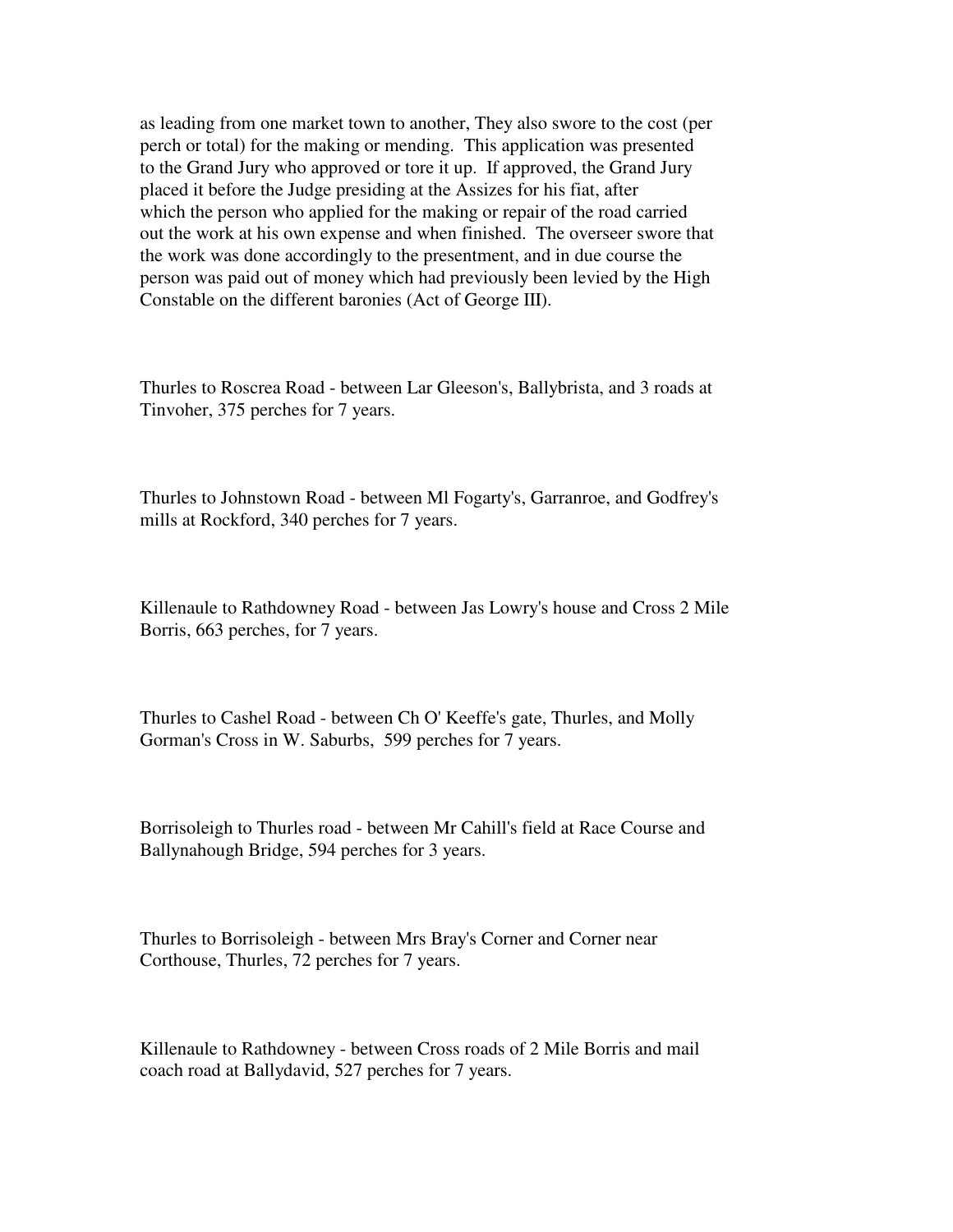as leading from one market town to another, They also swore to the cost (per perch or total) for the making or mending. This application was presented to the Grand Jury who approved or tore it up. If approved, the Grand Jury placed it before the Judge presiding at the Assizes for his fiat, after which the person who applied for the making or repair of the road carried out the work at his own expense and when finished. The overseer swore that the work was done accordingly to the presentment, and in due course the person was paid out of money which had previously been levied by the High Constable on the different baronies (Act of George III).

Thurles to Roscrea Road - between Lar Gleeson's, Ballybrista, and 3 roads at Tinvoher, 375 perches for 7 years.

Thurles to Johnstown Road - between Ml Fogarty's, Garranroe, and Godfrey's mills at Rockford, 340 perches for 7 years.

Killenaule to Rathdowney Road - between Jas Lowry's house and Cross 2 Mile Borris, 663 perches, for 7 years.

Thurles to Cashel Road - between Ch O' Keeffe's gate, Thurles, and Molly Gorman's Cross in W. Saburbs, 599 perches for 7 years.

Borrisoleigh to Thurles road - between Mr Cahill's field at Race Course and Ballynahough Bridge, 594 perches for 3 years.

Thurles to Borrisoleigh - between Mrs Bray's Corner and Corner near Corthouse, Thurles, 72 perches for 7 years.

Killenaule to Rathdowney - between Cross roads of 2 Mile Borris and mail coach road at Ballydavid, 527 perches for 7 years.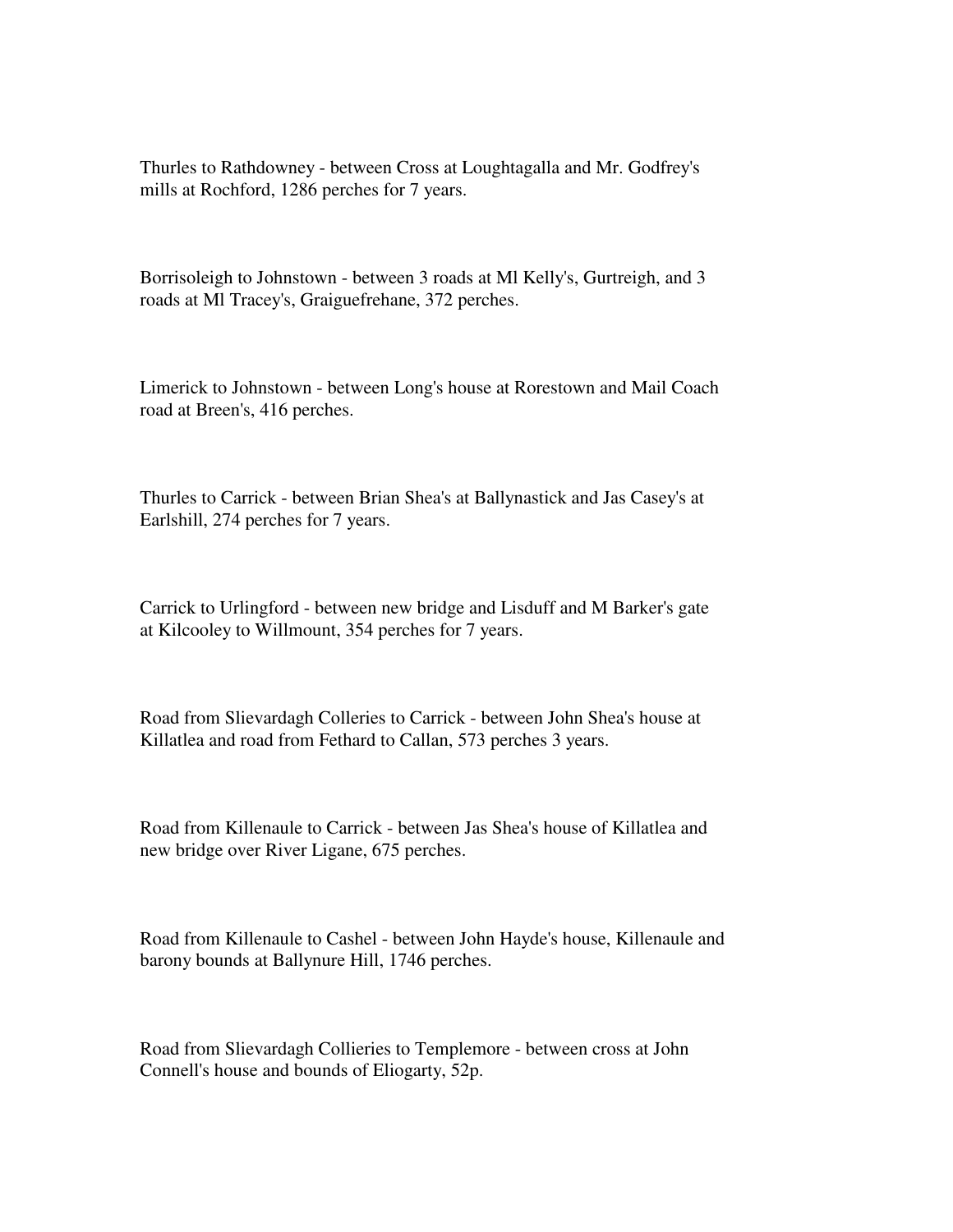Thurles to Rathdowney - between Cross at Loughtagalla and Mr. Godfrey's mills at Rochford, 1286 perches for 7 years.

Borrisoleigh to Johnstown - between 3 roads at Ml Kelly's, Gurtreigh, and 3 roads at Ml Tracey's, Graiguefrehane, 372 perches.

Limerick to Johnstown - between Long's house at Rorestown and Mail Coach road at Breen's, 416 perches.

Thurles to Carrick - between Brian Shea's at Ballynastick and Jas Casey's at Earlshill, 274 perches for 7 years.

Carrick to Urlingford - between new bridge and Lisduff and M Barker's gate at Kilcooley to Willmount, 354 perches for 7 years.

Road from Slievardagh Colleries to Carrick - between John Shea's house at Killatlea and road from Fethard to Callan, 573 perches 3 years.

Road from Killenaule to Carrick - between Jas Shea's house of Killatlea and new bridge over River Ligane, 675 perches.

Road from Killenaule to Cashel - between John Hayde's house, Killenaule and barony bounds at Ballynure Hill, 1746 perches.

Road from Slievardagh Collieries to Templemore - between cross at John Connell's house and bounds of Eliogarty, 52p.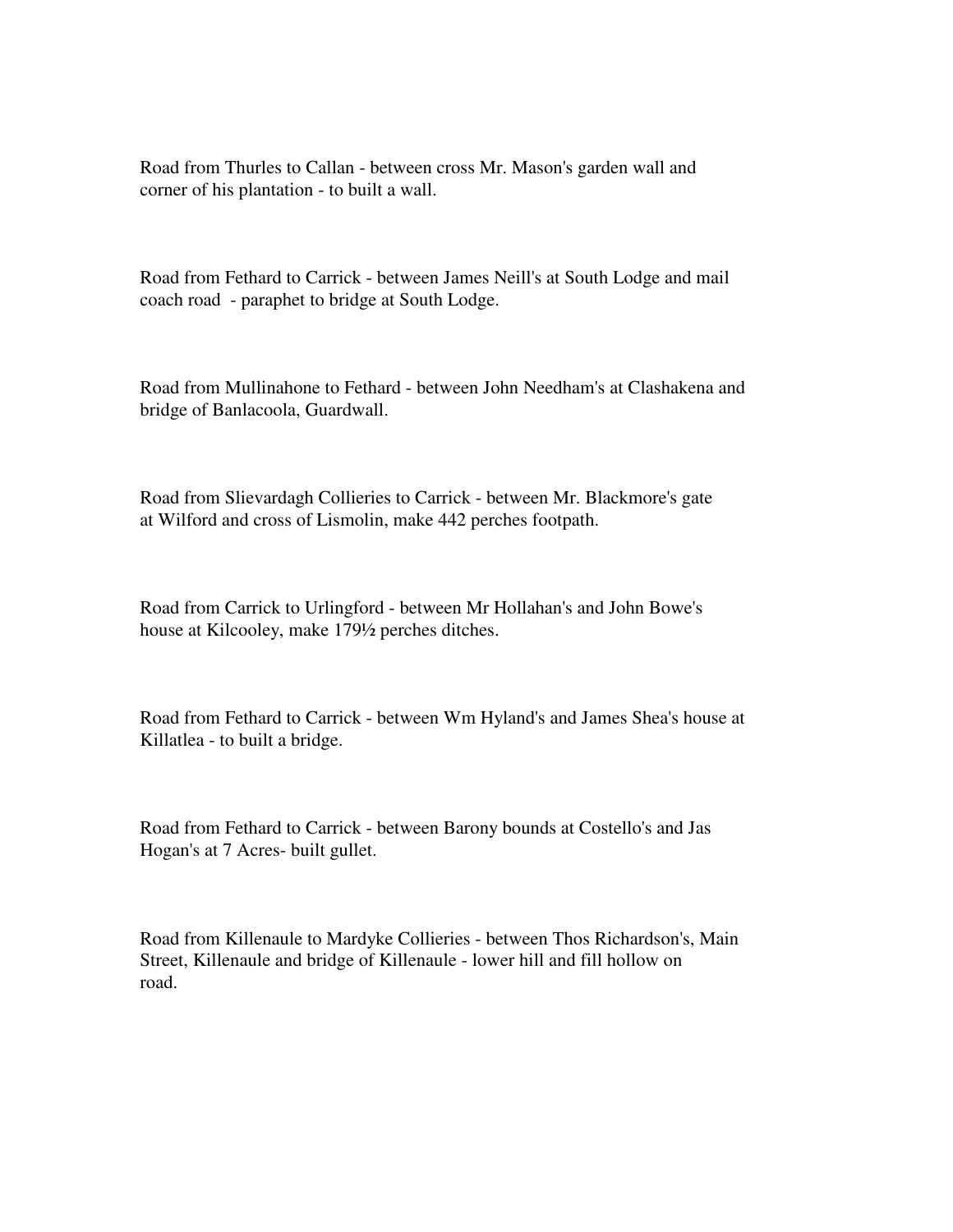Road from Thurles to Callan - between cross Mr. Mason's garden wall and corner of his plantation - to built a wall.

Road from Fethard to Carrick - between James Neill's at South Lodge and mail coach road - paraphet to bridge at South Lodge.

Road from Mullinahone to Fethard - between John Needham's at Clashakena and bridge of Banlacoola, Guardwall.

Road from Slievardagh Collieries to Carrick - between Mr. Blackmore's gate at Wilford and cross of Lismolin, make 442 perches footpath.

Road from Carrick to Urlingford - between Mr Hollahan's and John Bowe's house at Kilcooley, make 179½ perches ditches.

Road from Fethard to Carrick - between Wm Hyland's and James Shea's house at Killatlea - to built a bridge.

Road from Fethard to Carrick - between Barony bounds at Costello's and Jas Hogan's at 7 Acres- built gullet.

Road from Killenaule to Mardyke Collieries - between Thos Richardson's, Main Street, Killenaule and bridge of Killenaule - lower hill and fill hollow on road.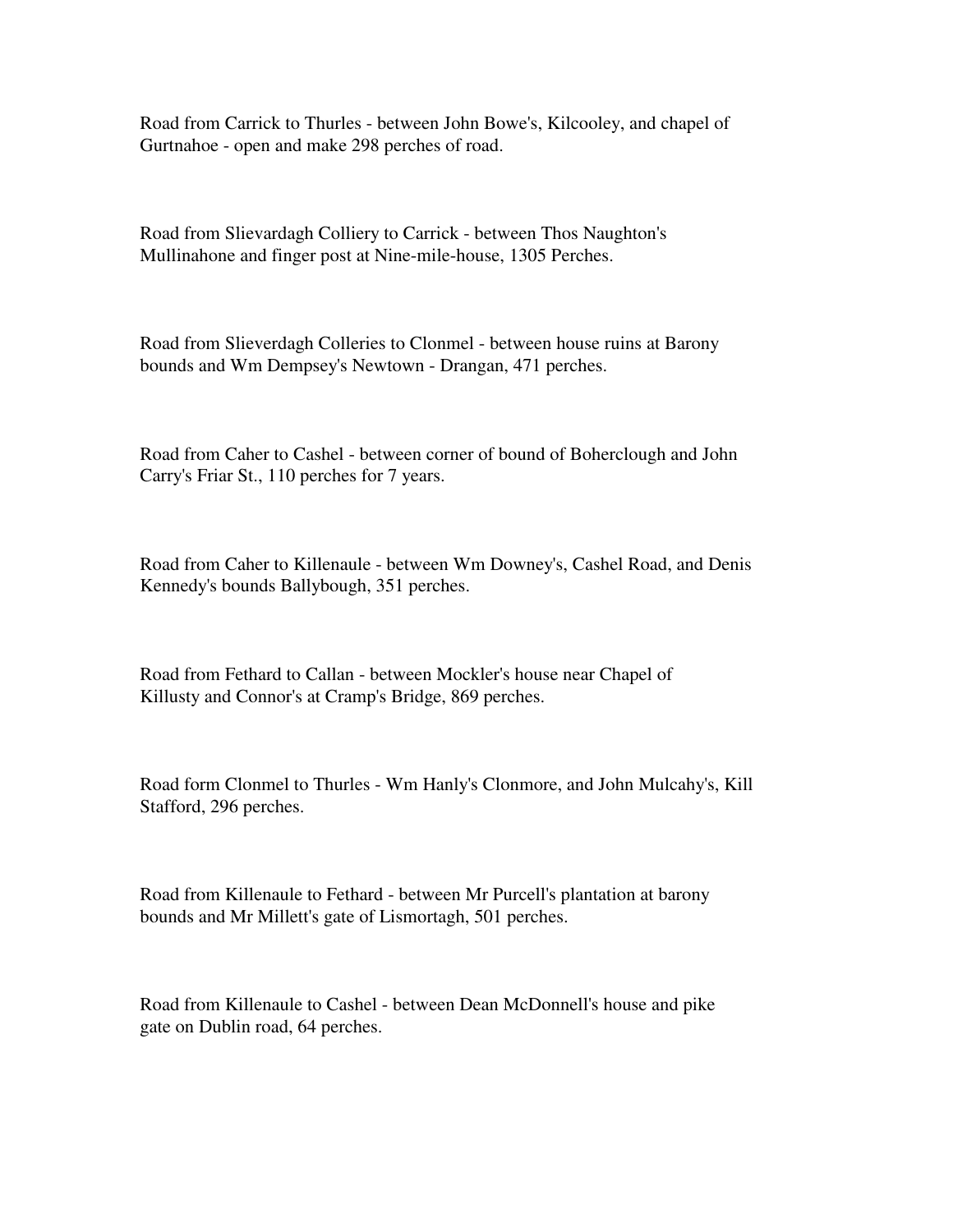Road from Carrick to Thurles - between John Bowe's, Kilcooley, and chapel of Gurtnahoe - open and make 298 perches of road.

Road from Slievardagh Colliery to Carrick - between Thos Naughton's Mullinahone and finger post at Nine-mile-house, 1305 Perches.

Road from Slieverdagh Colleries to Clonmel - between house ruins at Barony bounds and Wm Dempsey's Newtown - Drangan, 471 perches.

Road from Caher to Cashel - between corner of bound of Boherclough and John Carry's Friar St., 110 perches for 7 years.

Road from Caher to Killenaule - between Wm Downey's, Cashel Road, and Denis Kennedy's bounds Ballybough, 351 perches.

Road from Fethard to Callan - between Mockler's house near Chapel of Killusty and Connor's at Cramp's Bridge, 869 perches.

Road form Clonmel to Thurles - Wm Hanly's Clonmore, and John Mulcahy's, Kill Stafford, 296 perches.

Road from Killenaule to Fethard - between Mr Purcell's plantation at barony bounds and Mr Millett's gate of Lismortagh, 501 perches.

Road from Killenaule to Cashel - between Dean McDonnell's house and pike gate on Dublin road, 64 perches.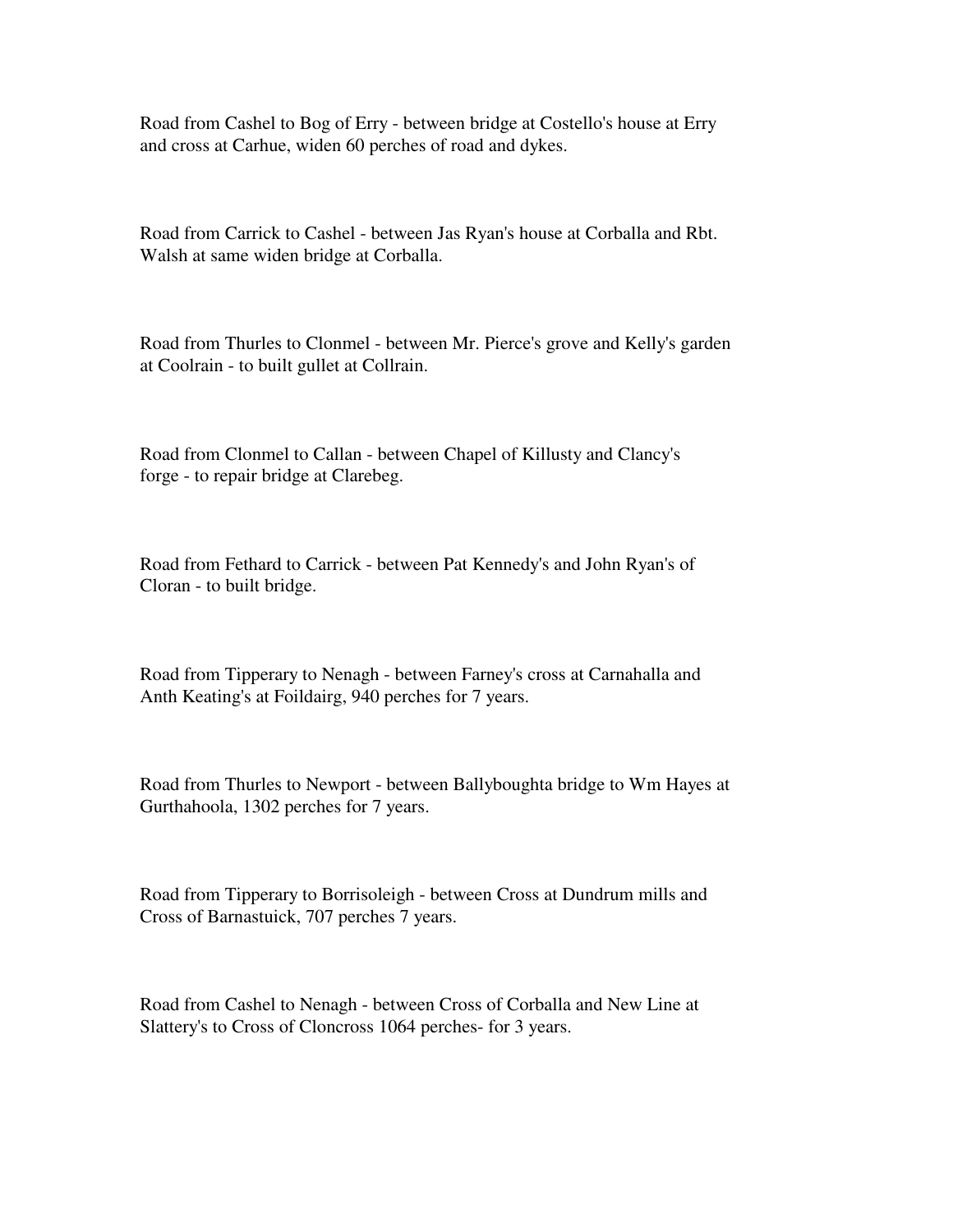Road from Cashel to Bog of Erry - between bridge at Costello's house at Erry and cross at Carhue, widen 60 perches of road and dykes.

Road from Carrick to Cashel - between Jas Ryan's house at Corballa and Rbt. Walsh at same widen bridge at Corballa.

Road from Thurles to Clonmel - between Mr. Pierce's grove and Kelly's garden at Coolrain - to built gullet at Collrain.

Road from Clonmel to Callan - between Chapel of Killusty and Clancy's forge - to repair bridge at Clarebeg.

Road from Fethard to Carrick - between Pat Kennedy's and John Ryan's of Cloran - to built bridge.

Road from Tipperary to Nenagh - between Farney's cross at Carnahalla and Anth Keating's at Foildairg, 940 perches for 7 years.

Road from Thurles to Newport - between Ballyboughta bridge to Wm Hayes at Gurthahoola, 1302 perches for 7 years.

Road from Tipperary to Borrisoleigh - between Cross at Dundrum mills and Cross of Barnastuick, 707 perches 7 years.

Road from Cashel to Nenagh - between Cross of Corballa and New Line at Slattery's to Cross of Cloncross 1064 perches- for 3 years.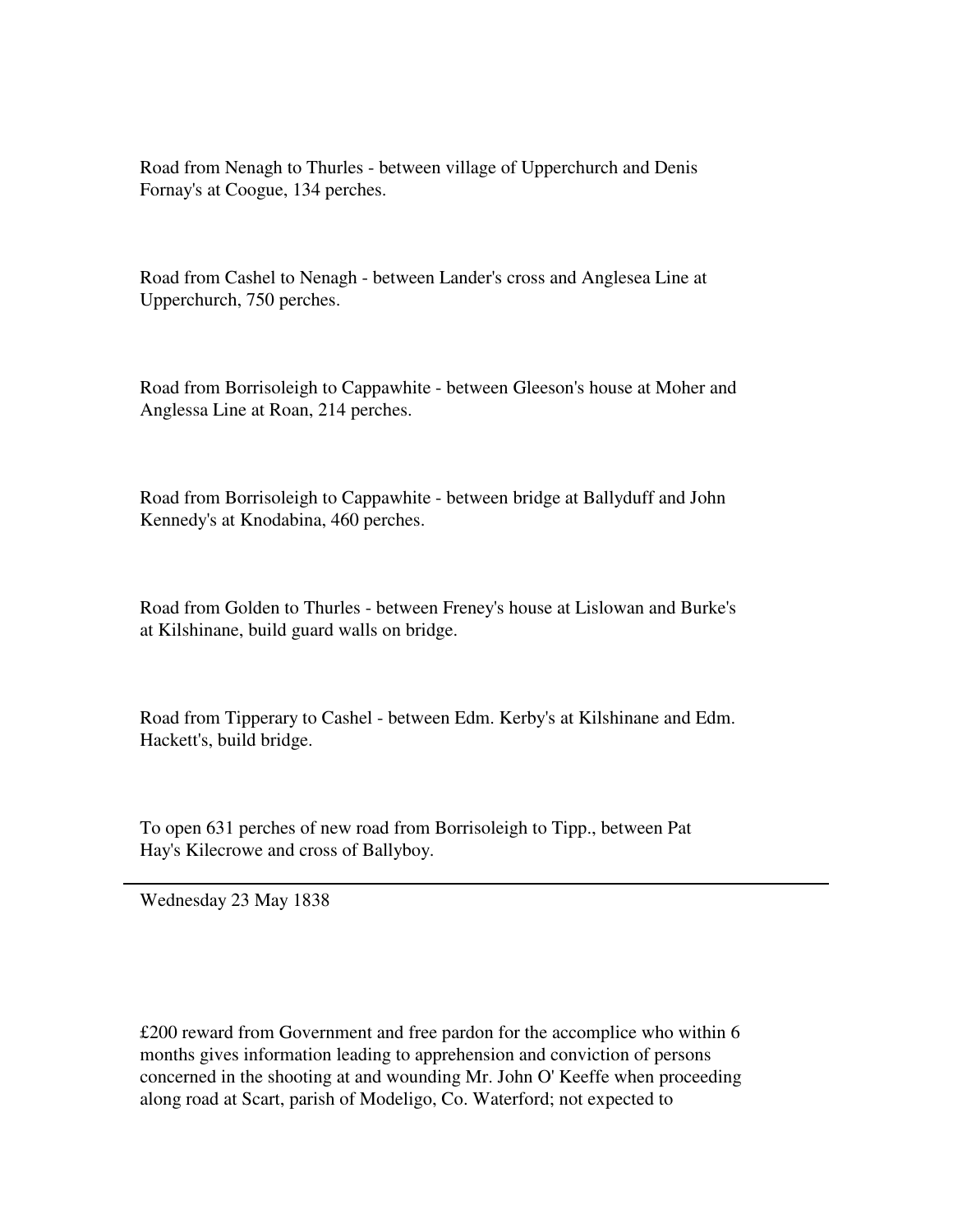Road from Nenagh to Thurles - between village of Upperchurch and Denis Fornay's at Coogue, 134 perches.

Road from Cashel to Nenagh - between Lander's cross and Anglesea Line at Upperchurch, 750 perches.

Road from Borrisoleigh to Cappawhite - between Gleeson's house at Moher and Anglessa Line at Roan, 214 perches.

Road from Borrisoleigh to Cappawhite - between bridge at Ballyduff and John Kennedy's at Knodabina, 460 perches.

Road from Golden to Thurles - between Freney's house at Lislowan and Burke's at Kilshinane, build guard walls on bridge.

Road from Tipperary to Cashel - between Edm. Kerby's at Kilshinane and Edm. Hackett's, build bridge.

To open 631 perches of new road from Borrisoleigh to Tipp., between Pat Hay's Kilecrowe and cross of Ballyboy.

Wednesday 23 May 1838

£200 reward from Government and free pardon for the accomplice who within 6 months gives information leading to apprehension and conviction of persons concerned in the shooting at and wounding Mr. John O' Keeffe when proceeding along road at Scart, parish of Modeligo, Co. Waterford; not expected to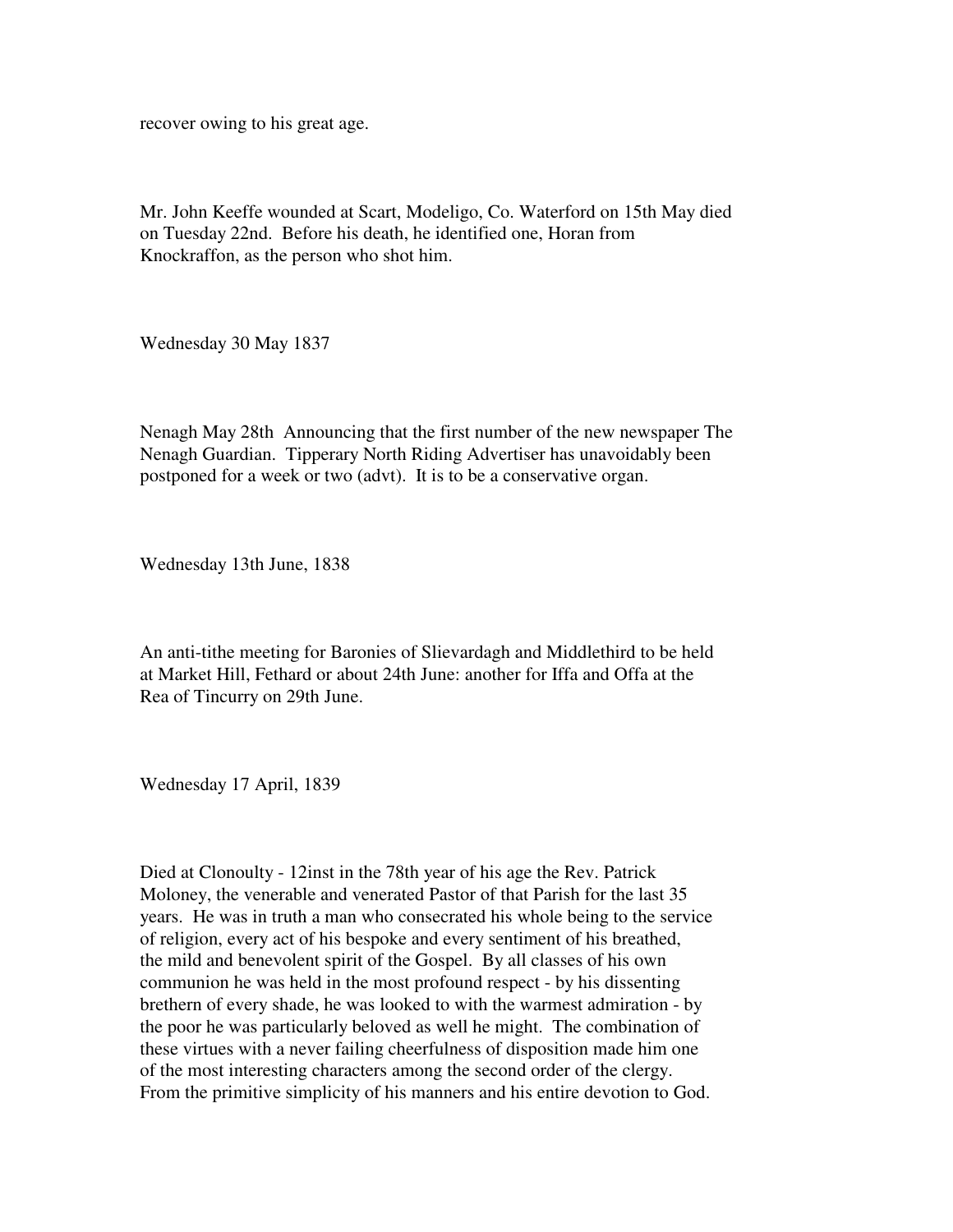recover owing to his great age.

Mr. John Keeffe wounded at Scart, Modeligo, Co. Waterford on 15th May died on Tuesday 22nd. Before his death, he identified one, Horan from Knockraffon, as the person who shot him.

Wednesday 30 May 1837

Nenagh May 28th Announcing that the first number of the new newspaper The Nenagh Guardian. Tipperary North Riding Advertiser has unavoidably been postponed for a week or two (advt). It is to be a conservative organ.

Wednesday 13th June, 1838

An anti-tithe meeting for Baronies of Slievardagh and Middlethird to be held at Market Hill, Fethard or about 24th June: another for Iffa and Offa at the Rea of Tincurry on 29th June.

Wednesday 17 April, 1839

Died at Clonoulty - 12inst in the 78th year of his age the Rev. Patrick Moloney, the venerable and venerated Pastor of that Parish for the last 35 years. He was in truth a man who consecrated his whole being to the service of religion, every act of his bespoke and every sentiment of his breathed, the mild and benevolent spirit of the Gospel. By all classes of his own communion he was held in the most profound respect - by his dissenting brethern of every shade, he was looked to with the warmest admiration - by the poor he was particularly beloved as well he might. The combination of these virtues with a never failing cheerfulness of disposition made him one of the most interesting characters among the second order of the clergy. From the primitive simplicity of his manners and his entire devotion to God.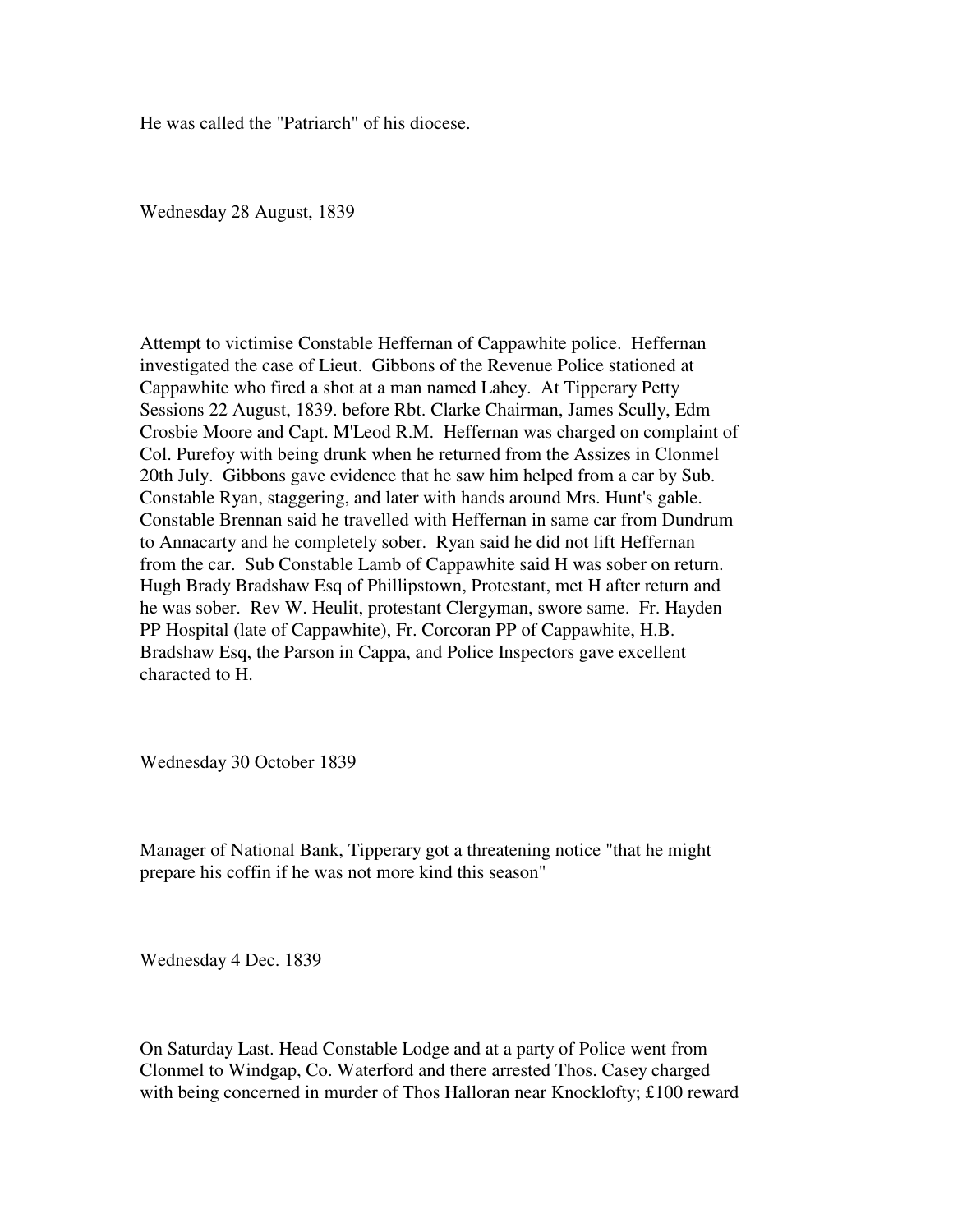He was called the "Patriarch" of his diocese.

Wednesday 28 August, 1839

Attempt to victimise Constable Heffernan of Cappawhite police. Heffernan investigated the case of Lieut. Gibbons of the Revenue Police stationed at Cappawhite who fired a shot at a man named Lahey. At Tipperary Petty Sessions 22 August, 1839. before Rbt. Clarke Chairman, James Scully, Edm Crosbie Moore and Capt. M'Leod R.M. Heffernan was charged on complaint of Col. Purefoy with being drunk when he returned from the Assizes in Clonmel 20th July. Gibbons gave evidence that he saw him helped from a car by Sub. Constable Ryan, staggering, and later with hands around Mrs. Hunt's gable. Constable Brennan said he travelled with Heffernan in same car from Dundrum to Annacarty and he completely sober. Ryan said he did not lift Heffernan from the car. Sub Constable Lamb of Cappawhite said H was sober on return. Hugh Brady Bradshaw Esq of Phillipstown, Protestant, met H after return and he was sober. Rev W. Heulit, protestant Clergyman, swore same. Fr. Hayden PP Hospital (late of Cappawhite), Fr. Corcoran PP of Cappawhite, H.B. Bradshaw Esq, the Parson in Cappa, and Police Inspectors gave excellent characted to H.

Wednesday 30 October 1839

Manager of National Bank, Tipperary got a threatening notice "that he might prepare his coffin if he was not more kind this season"

Wednesday 4 Dec. 1839

On Saturday Last. Head Constable Lodge and at a party of Police went from Clonmel to Windgap, Co. Waterford and there arrested Thos. Casey charged with being concerned in murder of Thos Halloran near Knocklofty; £100 reward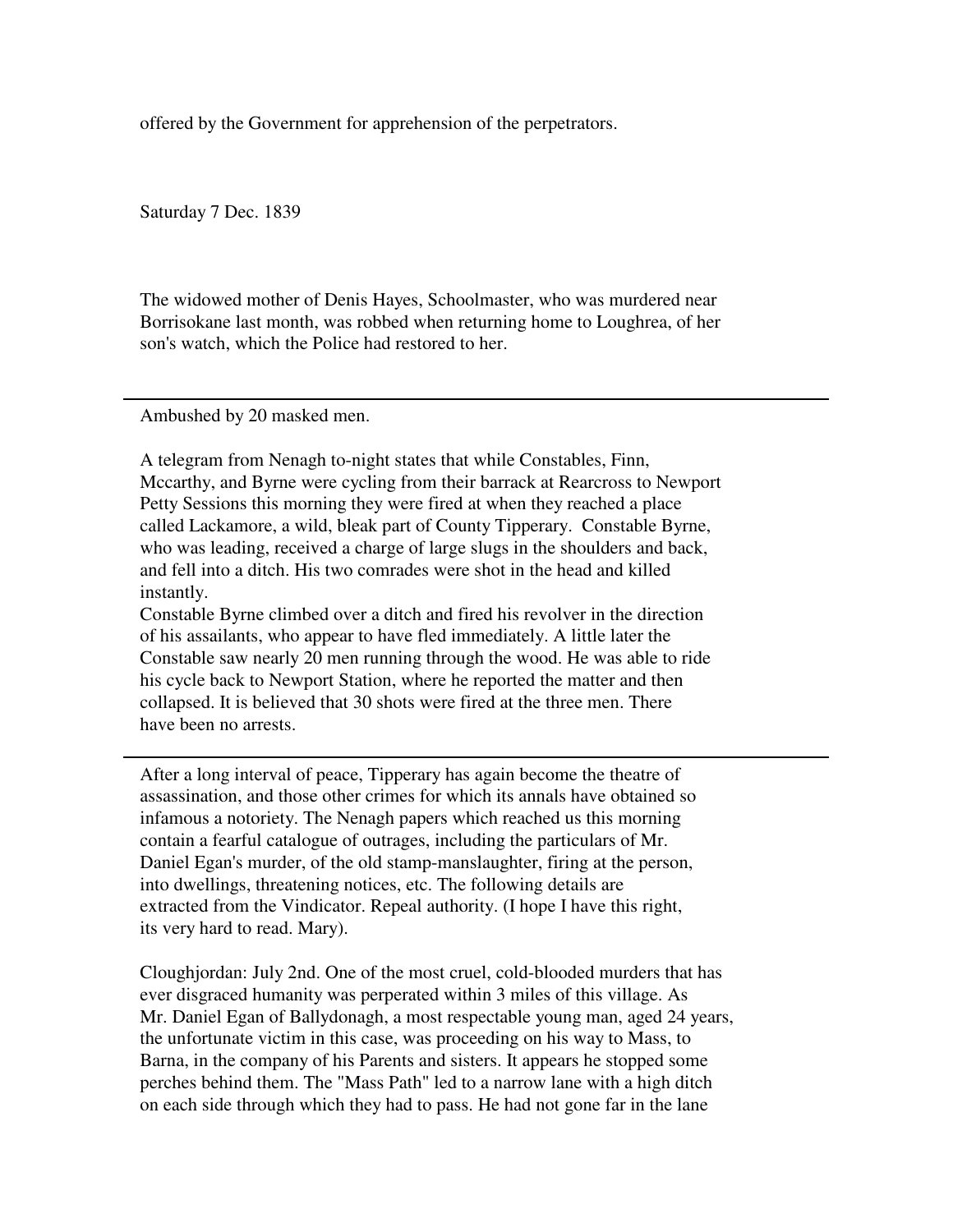offered by the Government for apprehension of the perpetrators.

Saturday 7 Dec. 1839

The widowed mother of Denis Hayes, Schoolmaster, who was murdered near Borrisokane last month, was robbed when returning home to Loughrea, of her son's watch, which the Police had restored to her.

Ambushed by 20 masked men.

A telegram from Nenagh to-night states that while Constables, Finn, Mccarthy, and Byrne were cycling from their barrack at Rearcross to Newport Petty Sessions this morning they were fired at when they reached a place called Lackamore, a wild, bleak part of County Tipperary. Constable Byrne, who was leading, received a charge of large slugs in the shoulders and back, and fell into a ditch. His two comrades were shot in the head and killed instantly.

Constable Byrne climbed over a ditch and fired his revolver in the direction of his assailants, who appear to have fled immediately. A little later the Constable saw nearly 20 men running through the wood. He was able to ride his cycle back to Newport Station, where he reported the matter and then collapsed. It is believed that 30 shots were fired at the three men. There have been no arrests.

After a long interval of peace, Tipperary has again become the theatre of assassination, and those other crimes for which its annals have obtained so infamous a notoriety. The Nenagh papers which reached us this morning contain a fearful catalogue of outrages, including the particulars of Mr. Daniel Egan's murder, of the old stamp-manslaughter, firing at the person, into dwellings, threatening notices, etc. The following details are extracted from the Vindicator. Repeal authority. (I hope I have this right, its very hard to read. Mary).

Cloughjordan: July 2nd. One of the most cruel, cold-blooded murders that has ever disgraced humanity was perperated within 3 miles of this village. As Mr. Daniel Egan of Ballydonagh, a most respectable young man, aged 24 years, the unfortunate victim in this case, was proceeding on his way to Mass, to Barna, in the company of his Parents and sisters. It appears he stopped some perches behind them. The "Mass Path" led to a narrow lane with a high ditch on each side through which they had to pass. He had not gone far in the lane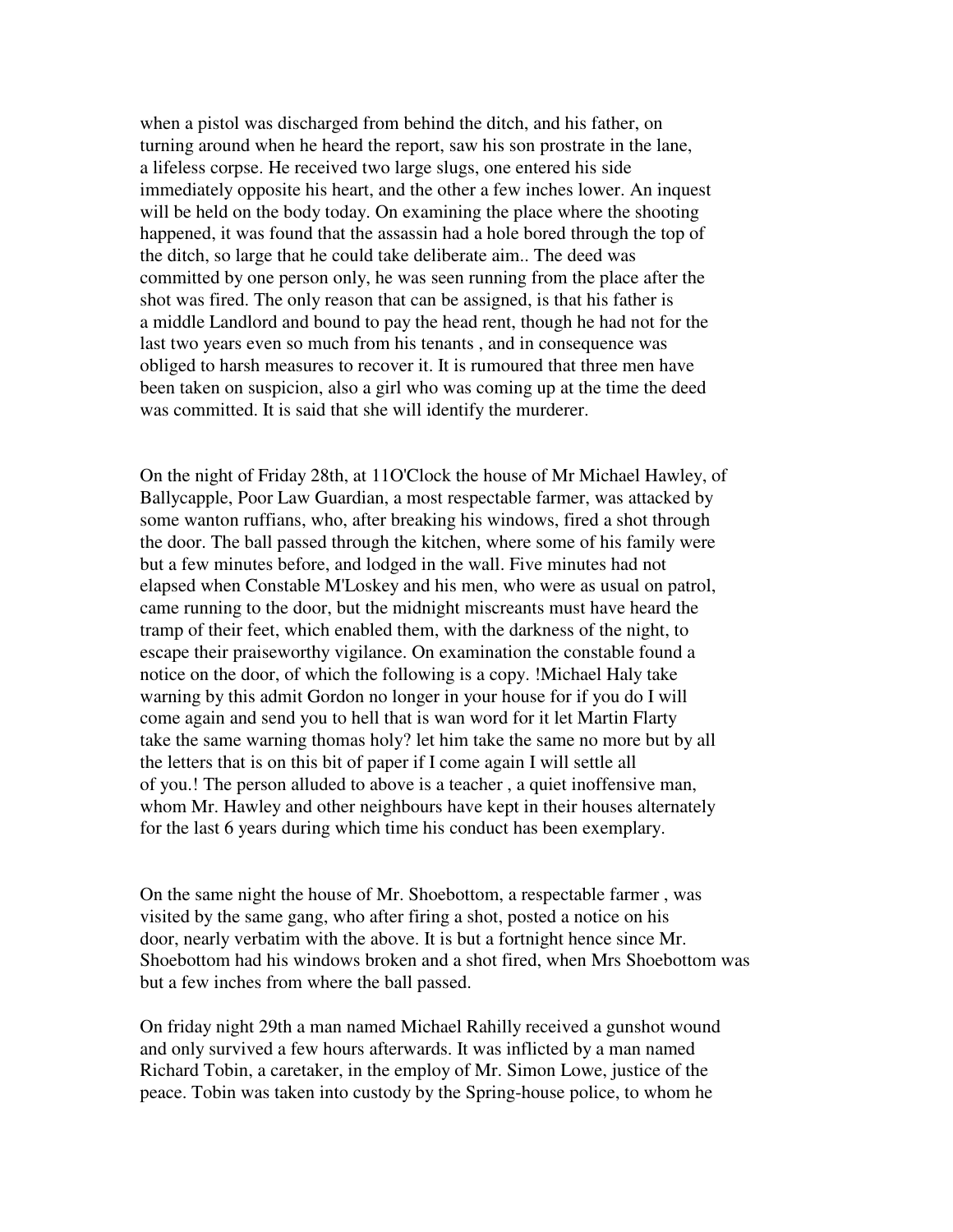when a pistol was discharged from behind the ditch, and his father, on turning around when he heard the report, saw his son prostrate in the lane, a lifeless corpse. He received two large slugs, one entered his side immediately opposite his heart, and the other a few inches lower. An inquest will be held on the body today. On examining the place where the shooting happened, it was found that the assassin had a hole bored through the top of the ditch, so large that he could take deliberate aim.. The deed was committed by one person only, he was seen running from the place after the shot was fired. The only reason that can be assigned, is that his father is a middle Landlord and bound to pay the head rent, though he had not for the last two years even so much from his tenants, and in consequence was obliged to harsh measures to recover it. It is rumoured that three men have been taken on suspicion, also a girl who was coming up at the time the deed was committed. It is said that she will identify the murderer.

On the night of Friday 28th, at 11O'Clock the house of Mr Michael Hawley, of Ballycapple, Poor Law Guardian, a most respectable farmer, was attacked by some wanton ruffians, who, after breaking his windows, fired a shot through the door. The ball passed through the kitchen, where some of his family were but a few minutes before, and lodged in the wall. Five minutes had not elapsed when Constable M'Loskey and his men, who were as usual on patrol, came running to the door, but the midnight miscreants must have heard the tramp of their feet, which enabled them, with the darkness of the night, to escape their praiseworthy vigilance. On examination the constable found a notice on the door, of which the following is a copy. !Michael Haly take warning by this admit Gordon no longer in your house for if you do I will come again and send you to hell that is wan word for it let Martin Flarty take the same warning thomas holy? let him take the same no more but by all the letters that is on this bit of paper if I come again I will settle all of you.! The person alluded to above is a teacher , a quiet inoffensive man, whom Mr. Hawley and other neighbours have kept in their houses alternately for the last 6 years during which time his conduct has been exemplary.

On the same night the house of Mr. Shoebottom, a respectable farmer , was visited by the same gang, who after firing a shot, posted a notice on his door, nearly verbatim with the above. It is but a fortnight hence since Mr. Shoebottom had his windows broken and a shot fired, when Mrs Shoebottom was but a few inches from where the ball passed.

On friday night 29th a man named Michael Rahilly received a gunshot wound and only survived a few hours afterwards. It was inflicted by a man named Richard Tobin, a caretaker, in the employ of Mr. Simon Lowe, justice of the peace. Tobin was taken into custody by the Spring-house police, to whom he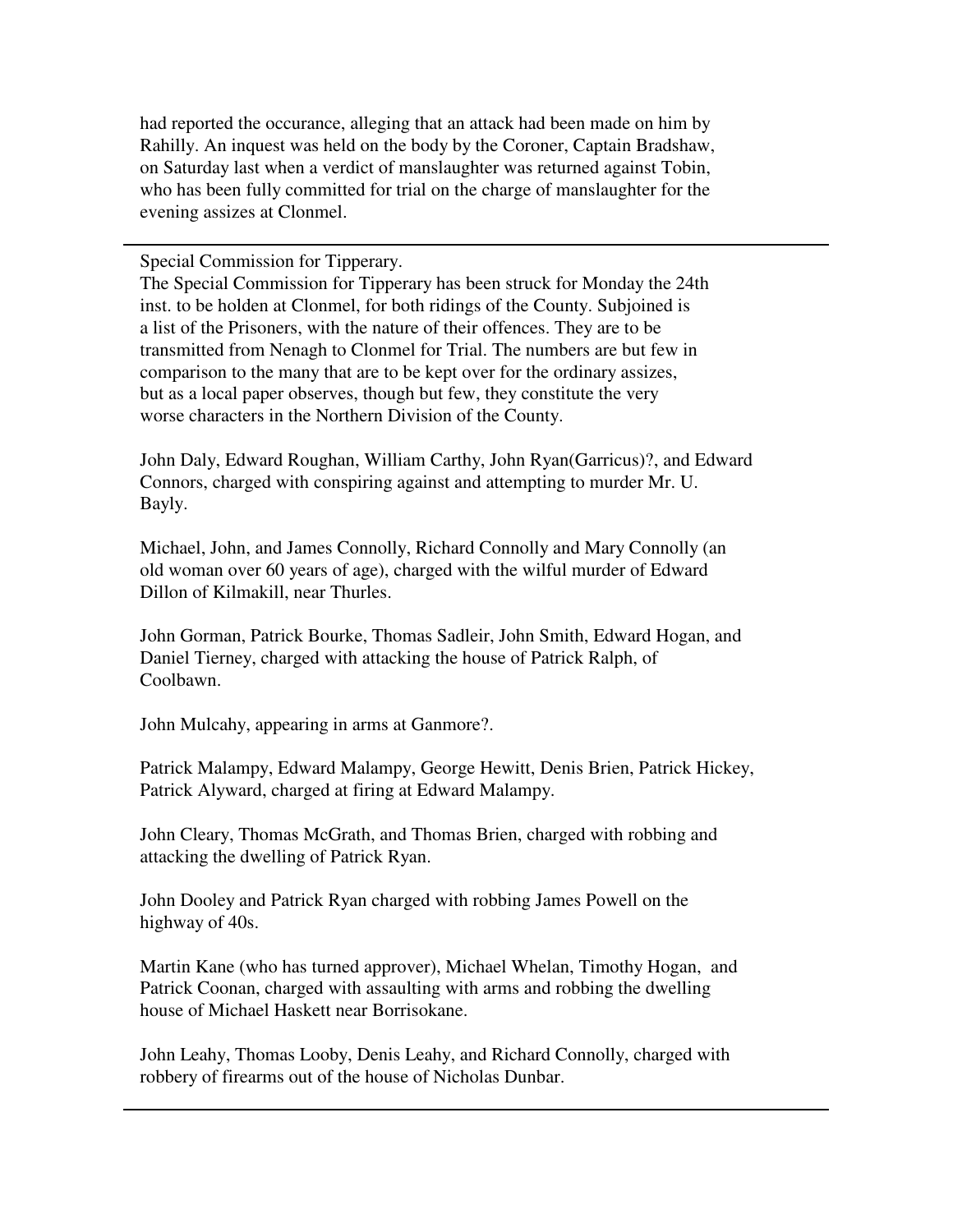had reported the occurance, alleging that an attack had been made on him by Rahilly. An inquest was held on the body by the Coroner, Captain Bradshaw, on Saturday last when a verdict of manslaughter was returned against Tobin, who has been fully committed for trial on the charge of manslaughter for the evening assizes at Clonmel.

Special Commission for Tipperary.

The Special Commission for Tipperary has been struck for Monday the 24th inst. to be holden at Clonmel, for both ridings of the County. Subjoined is a list of the Prisoners, with the nature of their offences. They are to be transmitted from Nenagh to Clonmel for Trial. The numbers are but few in comparison to the many that are to be kept over for the ordinary assizes, but as a local paper observes, though but few, they constitute the very worse characters in the Northern Division of the County.

John Daly, Edward Roughan, William Carthy, John Ryan(Garricus)?, and Edward Connors, charged with conspiring against and attempting to murder Mr. U. Bayly.

Michael, John, and James Connolly, Richard Connolly and Mary Connolly (an old woman over 60 years of age), charged with the wilful murder of Edward Dillon of Kilmakill, near Thurles.

John Gorman, Patrick Bourke, Thomas Sadleir, John Smith, Edward Hogan, and Daniel Tierney, charged with attacking the house of Patrick Ralph, of Coolbawn.

John Mulcahy, appearing in arms at Ganmore?.

Patrick Malampy, Edward Malampy, George Hewitt, Denis Brien, Patrick Hickey, Patrick Alyward, charged at firing at Edward Malampy.

John Cleary, Thomas McGrath, and Thomas Brien, charged with robbing and attacking the dwelling of Patrick Ryan.

John Dooley and Patrick Ryan charged with robbing James Powell on the highway of 40s.

Martin Kane (who has turned approver), Michael Whelan, Timothy Hogan, and Patrick Coonan, charged with assaulting with arms and robbing the dwelling house of Michael Haskett near Borrisokane.

John Leahy, Thomas Looby, Denis Leahy, and Richard Connolly, charged with robbery of firearms out of the house of Nicholas Dunbar.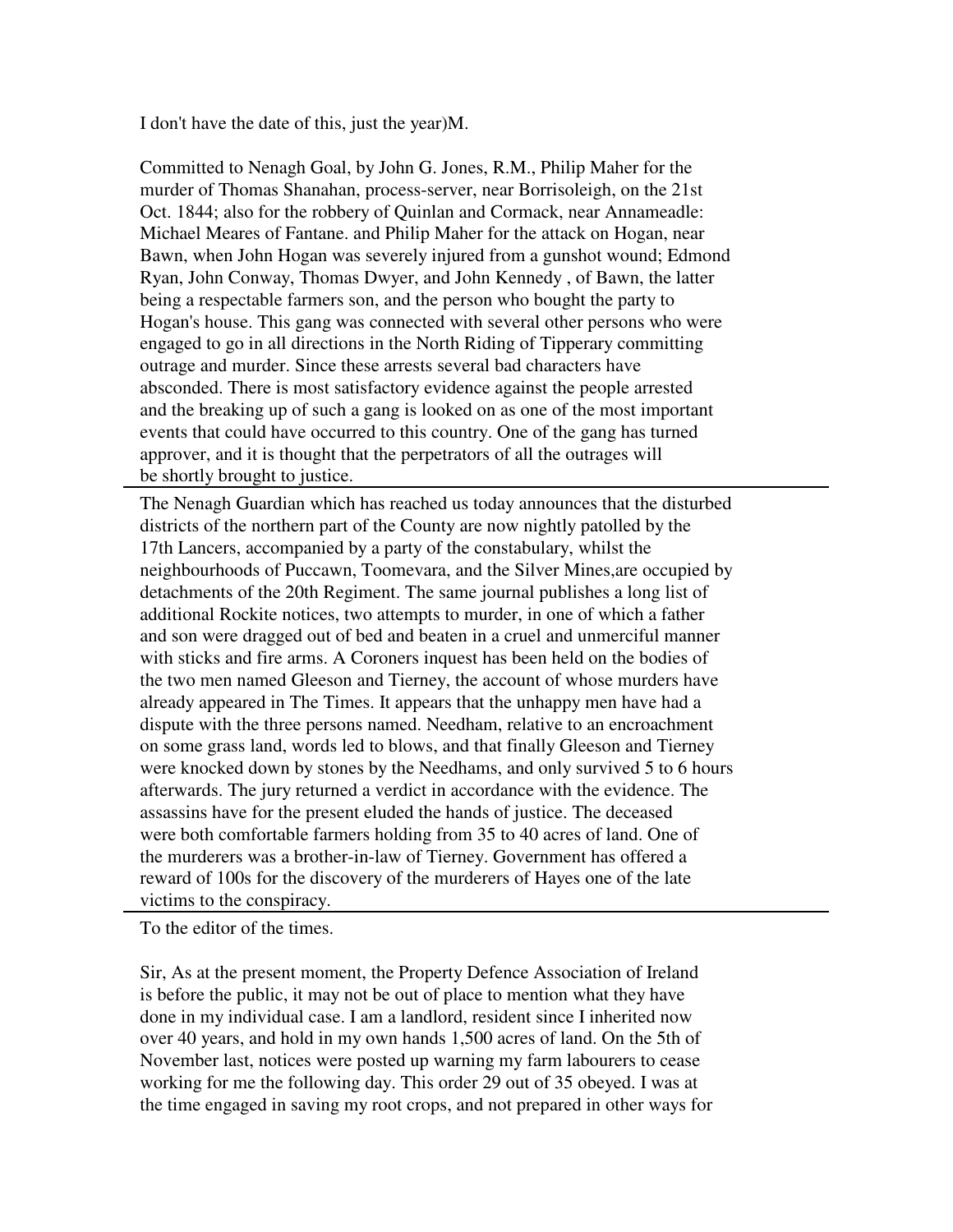I don't have the date of this, just the year)M.

Committed to Nenagh Goal, by John G. Jones, R.M., Philip Maher for the murder of Thomas Shanahan, process-server, near Borrisoleigh, on the 21st Oct. 1844; also for the robbery of Quinlan and Cormack, near Annameadle: Michael Meares of Fantane. and Philip Maher for the attack on Hogan, near Bawn, when John Hogan was severely injured from a gunshot wound; Edmond Ryan, John Conway, Thomas Dwyer, and John Kennedy , of Bawn, the latter being a respectable farmers son, and the person who bought the party to Hogan's house. This gang was connected with several other persons who were engaged to go in all directions in the North Riding of Tipperary committing outrage and murder. Since these arrests several bad characters have absconded. There is most satisfactory evidence against the people arrested and the breaking up of such a gang is looked on as one of the most important events that could have occurred to this country. One of the gang has turned approver, and it is thought that the perpetrators of all the outrages will be shortly brought to justice.

The Nenagh Guardian which has reached us today announces that the disturbed districts of the northern part of the County are now nightly patolled by the 17th Lancers, accompanied by a party of the constabulary, whilst the neighbourhoods of Puccawn, Toomevara, and the Silver Mines,are occupied by detachments of the 20th Regiment. The same journal publishes a long list of additional Rockite notices, two attempts to murder, in one of which a father and son were dragged out of bed and beaten in a cruel and unmerciful manner with sticks and fire arms. A Coroners inquest has been held on the bodies of the two men named Gleeson and Tierney, the account of whose murders have already appeared in The Times. It appears that the unhappy men have had a dispute with the three persons named. Needham, relative to an encroachment on some grass land, words led to blows, and that finally Gleeson and Tierney were knocked down by stones by the Needhams, and only survived 5 to 6 hours afterwards. The jury returned a verdict in accordance with the evidence. The assassins have for the present eluded the hands of justice. The deceased were both comfortable farmers holding from 35 to 40 acres of land. One of the murderers was a brother-in-law of Tierney. Government has offered a reward of 100s for the discovery of the murderers of Hayes one of the late victims to the conspiracy.

To the editor of the times.

Sir, As at the present moment, the Property Defence Association of Ireland is before the public, it may not be out of place to mention what they have done in my individual case. I am a landlord, resident since I inherited now over 40 years, and hold in my own hands 1,500 acres of land. On the 5th of November last, notices were posted up warning my farm labourers to cease working for me the following day. This order 29 out of 35 obeyed. I was at the time engaged in saving my root crops, and not prepared in other ways for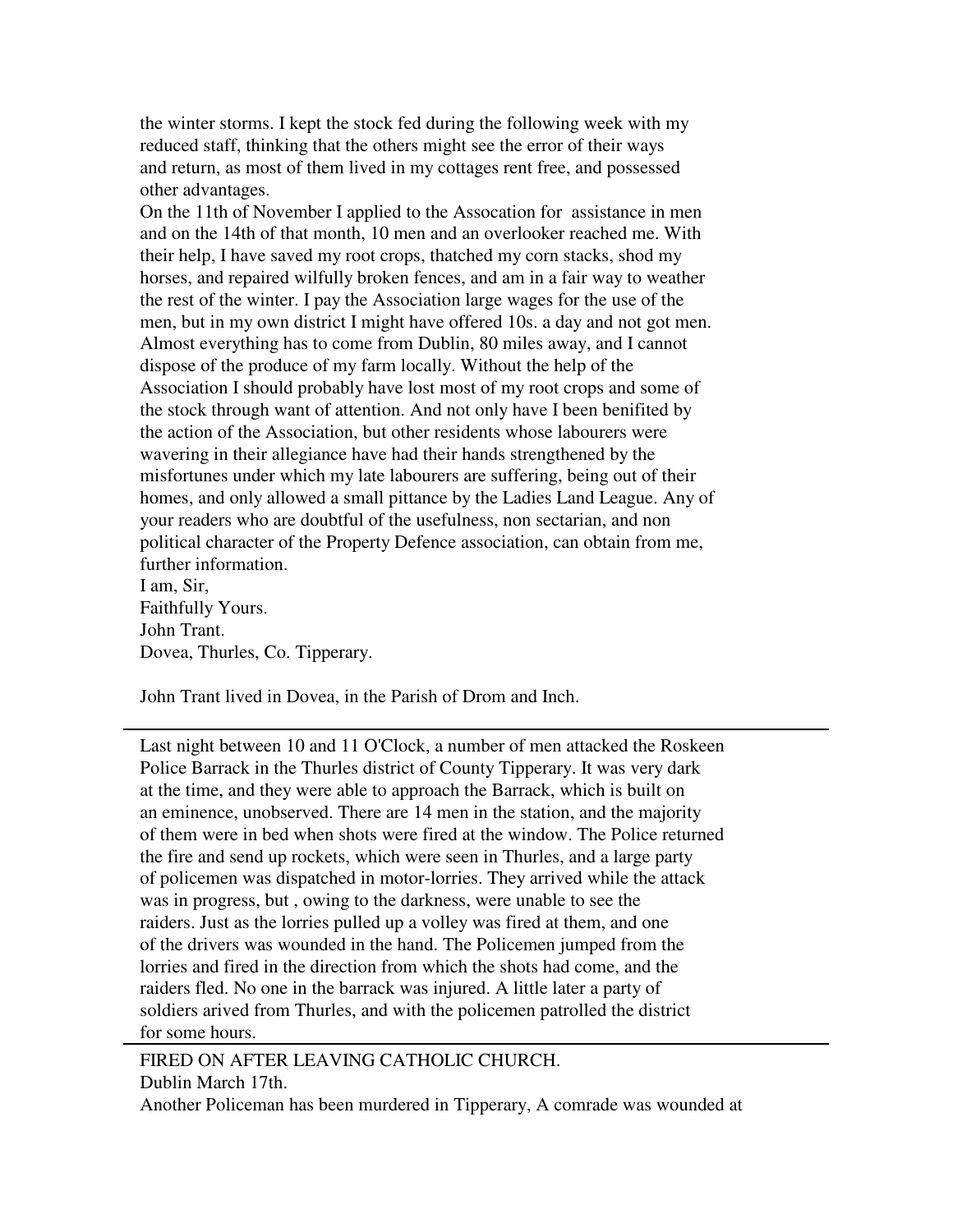the winter storms. I kept the stock fed during the following week with my reduced staff, thinking that the others might see the error of their ways and return, as most of them lived in my cottages rent free, and possessed other advantages.

On the 11th of November I applied to the Assocation for assistance in men and on the 14th of that month, 10 men and an overlooker reached me. With their help, I have saved my root crops, thatched my corn stacks, shod my horses, and repaired wilfully broken fences, and am in a fair way to weather the rest of the winter. I pay the Association large wages for the use of the men, but in my own district I might have offered 10s. a day and not got men. Almost everything has to come from Dublin, 80 miles away, and I cannot dispose of the produce of my farm locally. Without the help of the Association I should probably have lost most of my root crops and some of the stock through want of attention. And not only have I been benifited by the action of the Association, but other residents whose labourers were wavering in their allegiance have had their hands strengthened by the misfortunes under which my late labourers are suffering, being out of their homes, and only allowed a small pittance by the Ladies Land League. Any of your readers who are doubtful of the usefulness, non sectarian, and non political character of the Property Defence association, can obtain from me, further information. I am, Sir,

Faithfully Yours. John Trant. Dovea, Thurles, Co. Tipperary.

John Trant lived in Dovea, in the Parish of Drom and Inch.

Last night between 10 and 11 O'Clock, a number of men attacked the Roskeen Police Barrack in the Thurles district of County Tipperary. It was very dark at the time, and they were able to approach the Barrack, which is built on an eminence, unobserved. There are 14 men in the station, and the majority of them were in bed when shots were fired at the window. The Police returned the fire and send up rockets, which were seen in Thurles, and a large party of policemen was dispatched in motor-lorries. They arrived while the attack was in progress, but , owing to the darkness, were unable to see the raiders. Just as the lorries pulled up a volley was fired at them, and one of the drivers was wounded in the hand. The Policemen jumped from the lorries and fired in the direction from which the shots had come, and the raiders fled. No one in the barrack was injured. A little later a party of soldiers arived from Thurles, and with the policemen patrolled the district for some hours.

FIRED ON AFTER LEAVING CATHOLIC CHURCH. Dublin March 17th. Another Policeman has been murdered in Tipperary, A comrade was wounded at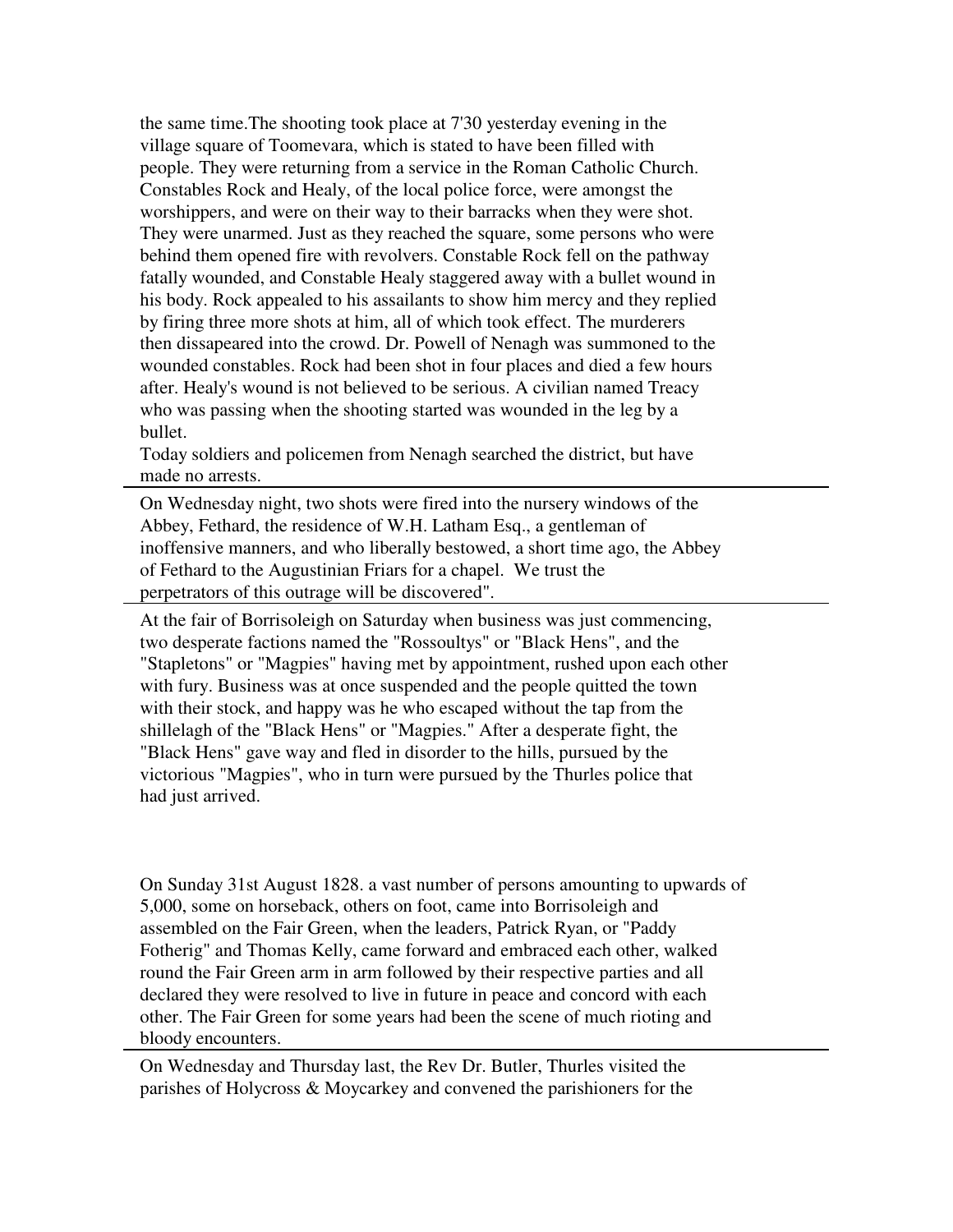the same time.The shooting took place at 7'30 yesterday evening in the village square of Toomevara, which is stated to have been filled with people. They were returning from a service in the Roman Catholic Church. Constables Rock and Healy, of the local police force, were amongst the worshippers, and were on their way to their barracks when they were shot. They were unarmed. Just as they reached the square, some persons who were behind them opened fire with revolvers. Constable Rock fell on the pathway fatally wounded, and Constable Healy staggered away with a bullet wound in his body. Rock appealed to his assailants to show him mercy and they replied by firing three more shots at him, all of which took effect. The murderers then dissapeared into the crowd. Dr. Powell of Nenagh was summoned to the wounded constables. Rock had been shot in four places and died a few hours after. Healy's wound is not believed to be serious. A civilian named Treacy who was passing when the shooting started was wounded in the leg by a bullet.

Today soldiers and policemen from Nenagh searched the district, but have made no arrests.

On Wednesday night, two shots were fired into the nursery windows of the Abbey, Fethard, the residence of W.H. Latham Esq., a gentleman of inoffensive manners, and who liberally bestowed, a short time ago, the Abbey of Fethard to the Augustinian Friars for a chapel. We trust the perpetrators of this outrage will be discovered".

At the fair of Borrisoleigh on Saturday when business was just commencing, two desperate factions named the "Rossoultys" or "Black Hens", and the "Stapletons" or "Magpies" having met by appointment, rushed upon each other with fury. Business was at once suspended and the people quitted the town with their stock, and happy was he who escaped without the tap from the shillelagh of the "Black Hens" or "Magpies." After a desperate fight, the "Black Hens" gave way and fled in disorder to the hills, pursued by the victorious "Magpies", who in turn were pursued by the Thurles police that had just arrived.

On Sunday 31st August 1828. a vast number of persons amounting to upwards of 5,000, some on horseback, others on foot, came into Borrisoleigh and assembled on the Fair Green, when the leaders, Patrick Ryan, or "Paddy Fotherig" and Thomas Kelly, came forward and embraced each other, walked round the Fair Green arm in arm followed by their respective parties and all declared they were resolved to live in future in peace and concord with each other. The Fair Green for some years had been the scene of much rioting and bloody encounters.

On Wednesday and Thursday last, the Rev Dr. Butler, Thurles visited the parishes of Holycross & Moycarkey and convened the parishioners for the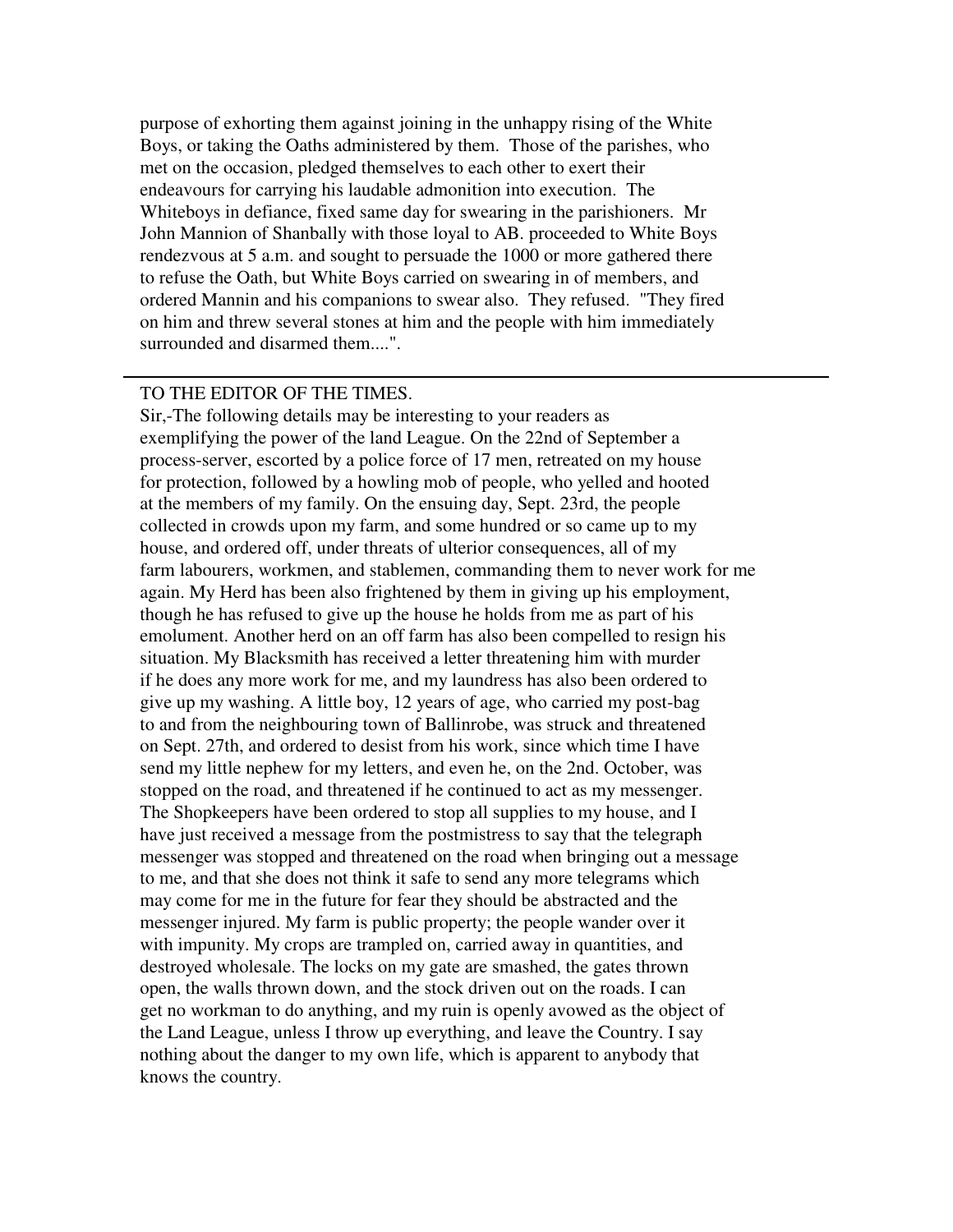purpose of exhorting them against joining in the unhappy rising of the White Boys, or taking the Oaths administered by them. Those of the parishes, who met on the occasion, pledged themselves to each other to exert their endeavours for carrying his laudable admonition into execution. The Whiteboys in defiance, fixed same day for swearing in the parishioners. Mr John Mannion of Shanbally with those loyal to AB. proceeded to White Boys rendezvous at 5 a.m. and sought to persuade the 1000 or more gathered there to refuse the Oath, but White Boys carried on swearing in of members, and ordered Mannin and his companions to swear also. They refused. "They fired on him and threw several stones at him and the people with him immediately surrounded and disarmed them....".

# TO THE EDITOR OF THE TIMES.

Sir,-The following details may be interesting to your readers as exemplifying the power of the land League. On the 22nd of September a process-server, escorted by a police force of 17 men, retreated on my house for protection, followed by a howling mob of people, who yelled and hooted at the members of my family. On the ensuing day, Sept. 23rd, the people collected in crowds upon my farm, and some hundred or so came up to my house, and ordered off, under threats of ulterior consequences, all of my farm labourers, workmen, and stablemen, commanding them to never work for me again. My Herd has been also frightened by them in giving up his employment, though he has refused to give up the house he holds from me as part of his emolument. Another herd on an off farm has also been compelled to resign his situation. My Blacksmith has received a letter threatening him with murder if he does any more work for me, and my laundress has also been ordered to give up my washing. A little boy, 12 years of age, who carried my post-bag to and from the neighbouring town of Ballinrobe, was struck and threatened on Sept. 27th, and ordered to desist from his work, since which time I have send my little nephew for my letters, and even he, on the 2nd. October, was stopped on the road, and threatened if he continued to act as my messenger. The Shopkeepers have been ordered to stop all supplies to my house, and I have just received a message from the postmistress to say that the telegraph messenger was stopped and threatened on the road when bringing out a message to me, and that she does not think it safe to send any more telegrams which may come for me in the future for fear they should be abstracted and the messenger injured. My farm is public property; the people wander over it with impunity. My crops are trampled on, carried away in quantities, and destroyed wholesale. The locks on my gate are smashed, the gates thrown open, the walls thrown down, and the stock driven out on the roads. I can get no workman to do anything, and my ruin is openly avowed as the object of the Land League, unless I throw up everything, and leave the Country. I say nothing about the danger to my own life, which is apparent to anybody that knows the country.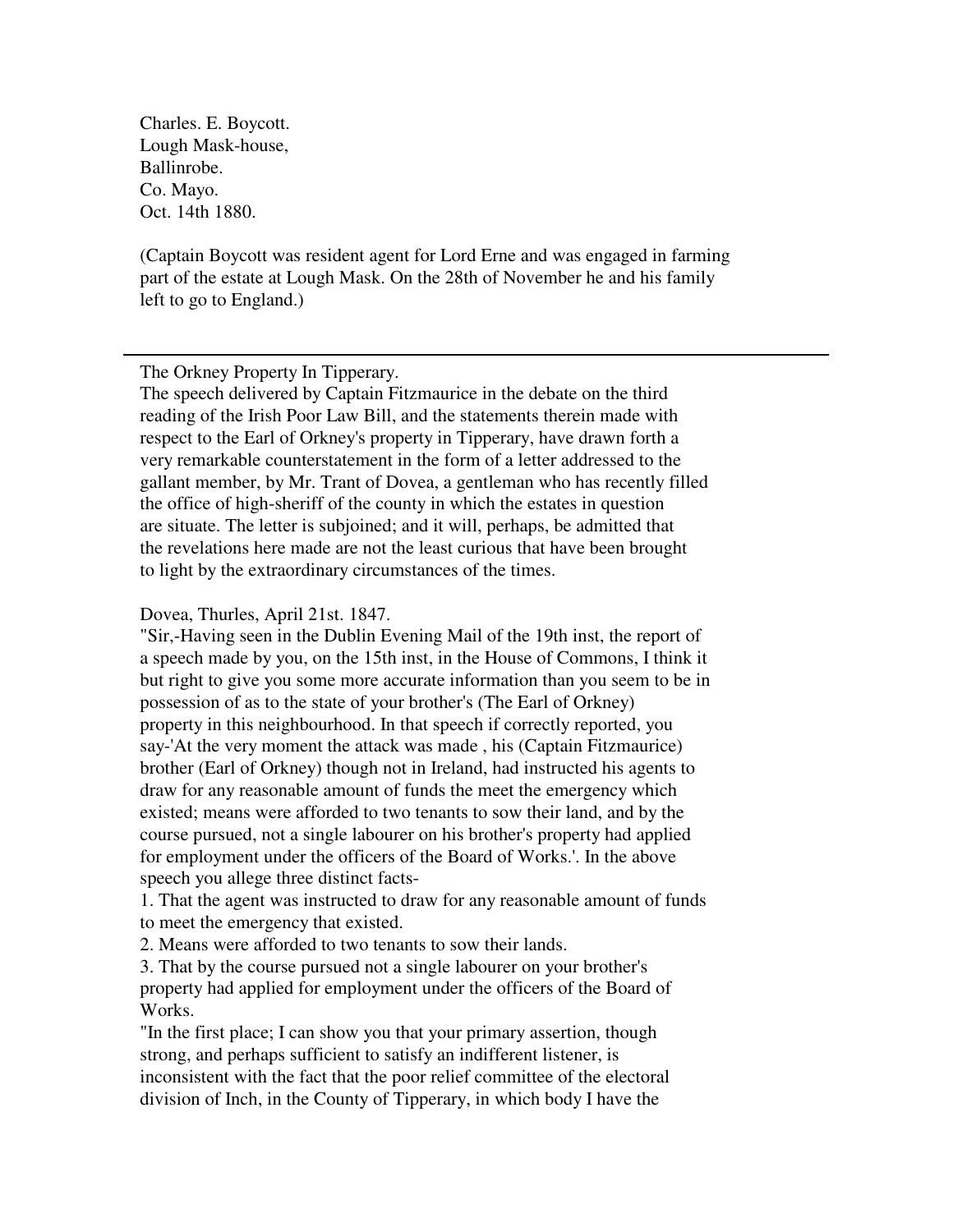Charles. E. Boycott. Lough Mask-house, Ballinrobe. Co. Mayo. Oct. 14th 1880.

(Captain Boycott was resident agent for Lord Erne and was engaged in farming part of the estate at Lough Mask. On the 28th of November he and his family left to go to England.)

The Orkney Property In Tipperary.

The speech delivered by Captain Fitzmaurice in the debate on the third reading of the Irish Poor Law Bill, and the statements therein made with respect to the Earl of Orkney's property in Tipperary, have drawn forth a very remarkable counterstatement in the form of a letter addressed to the gallant member, by Mr. Trant of Dovea, a gentleman who has recently filled the office of high-sheriff of the county in which the estates in question are situate. The letter is subjoined; and it will, perhaps, be admitted that the revelations here made are not the least curious that have been brought to light by the extraordinary circumstances of the times.

Dovea, Thurles, April 21st. 1847.

"Sir,-Having seen in the Dublin Evening Mail of the 19th inst, the report of a speech made by you, on the 15th inst, in the House of Commons, I think it but right to give you some more accurate information than you seem to be in possession of as to the state of your brother's (The Earl of Orkney) property in this neighbourhood. In that speech if correctly reported, you say-'At the very moment the attack was made , his (Captain Fitzmaurice) brother (Earl of Orkney) though not in Ireland, had instructed his agents to draw for any reasonable amount of funds the meet the emergency which existed; means were afforded to two tenants to sow their land, and by the course pursued, not a single labourer on his brother's property had applied for employment under the officers of the Board of Works.'. In the above speech you allege three distinct facts-

1. That the agent was instructed to draw for any reasonable amount of funds to meet the emergency that existed.

2. Means were afforded to two tenants to sow their lands.

3. That by the course pursued not a single labourer on your brother's property had applied for employment under the officers of the Board of Works.

"In the first place; I can show you that your primary assertion, though strong, and perhaps sufficient to satisfy an indifferent listener, is inconsistent with the fact that the poor relief committee of the electoral division of Inch, in the County of Tipperary, in which body I have the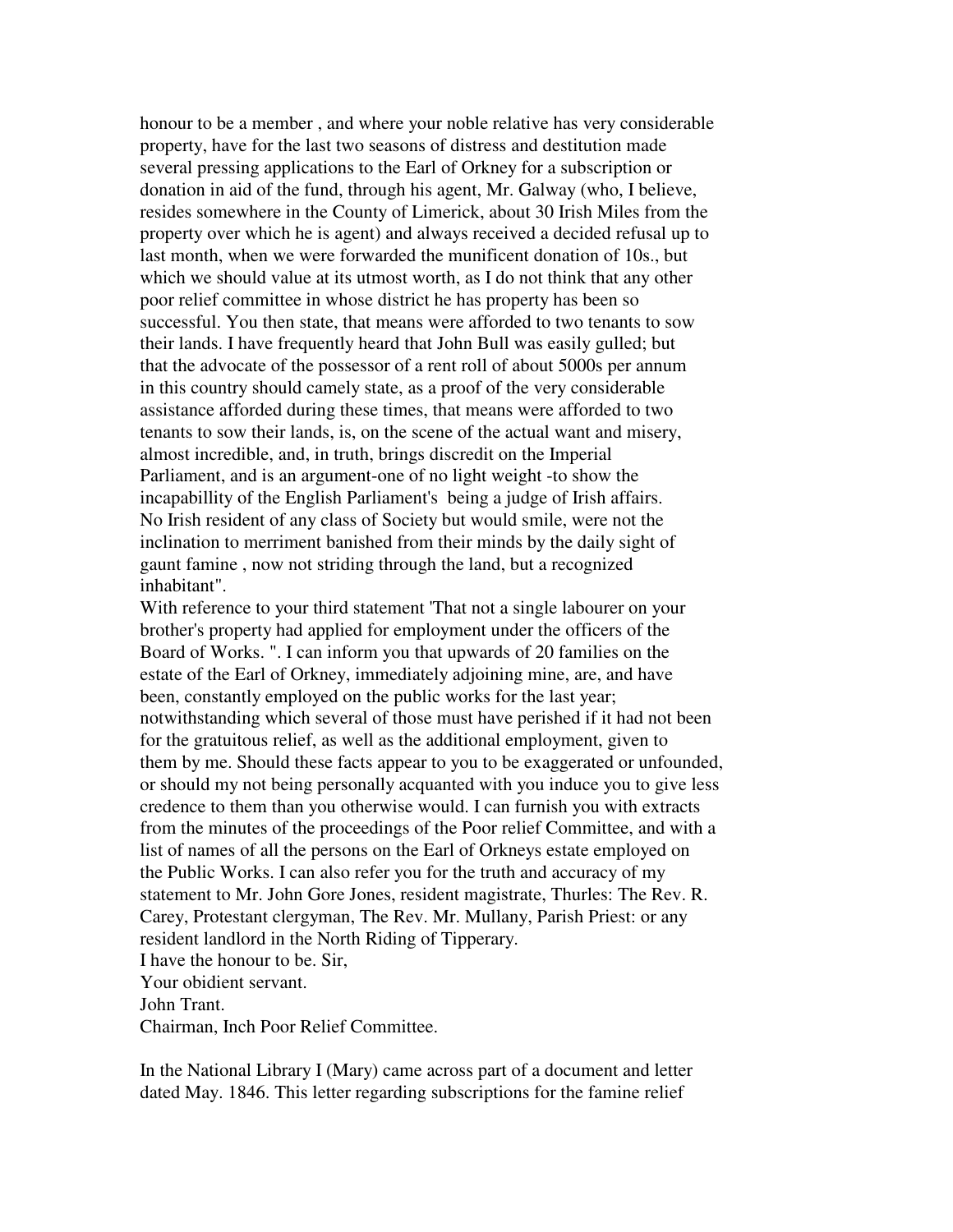honour to be a member , and where your noble relative has very considerable property, have for the last two seasons of distress and destitution made several pressing applications to the Earl of Orkney for a subscription or donation in aid of the fund, through his agent, Mr. Galway (who, I believe, resides somewhere in the County of Limerick, about 30 Irish Miles from the property over which he is agent) and always received a decided refusal up to last month, when we were forwarded the munificent donation of 10s., but which we should value at its utmost worth, as I do not think that any other poor relief committee in whose district he has property has been so successful. You then state, that means were afforded to two tenants to sow their lands. I have frequently heard that John Bull was easily gulled; but that the advocate of the possessor of a rent roll of about 5000s per annum in this country should camely state, as a proof of the very considerable assistance afforded during these times, that means were afforded to two tenants to sow their lands, is, on the scene of the actual want and misery, almost incredible, and, in truth, brings discredit on the Imperial Parliament, and is an argument-one of no light weight -to show the incapabillity of the English Parliament's being a judge of Irish affairs. No Irish resident of any class of Society but would smile, were not the inclination to merriment banished from their minds by the daily sight of gaunt famine , now not striding through the land, but a recognized inhabitant".

With reference to your third statement 'That not a single labourer on your brother's property had applied for employment under the officers of the Board of Works. ". I can inform you that upwards of 20 families on the estate of the Earl of Orkney, immediately adjoining mine, are, and have been, constantly employed on the public works for the last year; notwithstanding which several of those must have perished if it had not been for the gratuitous relief, as well as the additional employment, given to them by me. Should these facts appear to you to be exaggerated or unfounded, or should my not being personally acquanted with you induce you to give less credence to them than you otherwise would. I can furnish you with extracts from the minutes of the proceedings of the Poor relief Committee, and with a list of names of all the persons on the Earl of Orkneys estate employed on the Public Works. I can also refer you for the truth and accuracy of my statement to Mr. John Gore Jones, resident magistrate, Thurles: The Rev. R. Carey, Protestant clergyman, The Rev. Mr. Mullany, Parish Priest: or any resident landlord in the North Riding of Tipperary. I have the honour to be. Sir,

Your obidient servant.

John Trant.

Chairman, Inch Poor Relief Committee.

In the National Library I (Mary) came across part of a document and letter dated May. 1846. This letter regarding subscriptions for the famine relief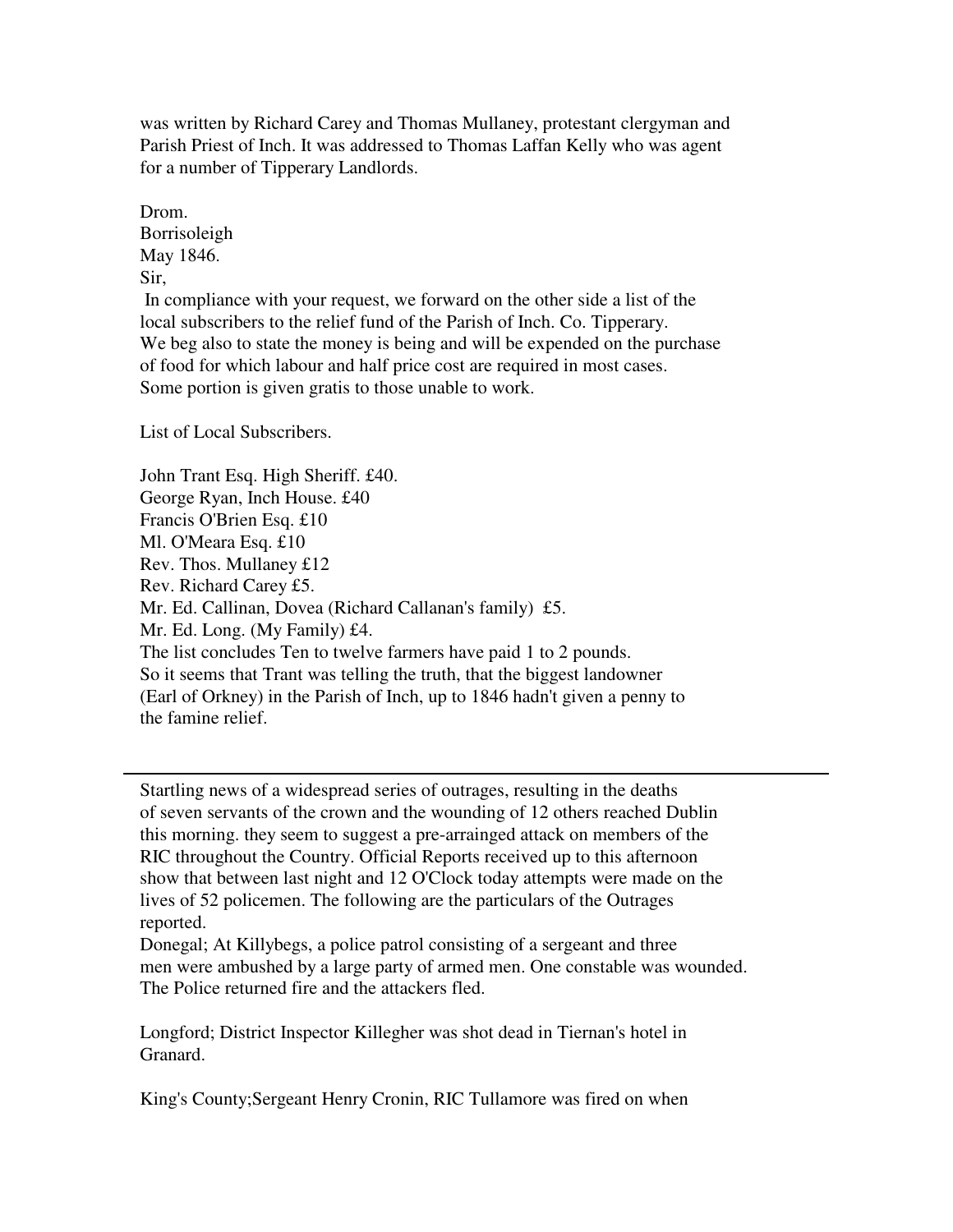was written by Richard Carey and Thomas Mullaney, protestant clergyman and Parish Priest of Inch. It was addressed to Thomas Laffan Kelly who was agent for a number of Tipperary Landlords.

Drom. Borrisoleigh May 1846. Sir, In compliance with your request, we forward on the other side a list of the local subscribers to the relief fund of the Parish of Inch. Co. Tipperary. We beg also to state the money is being and will be expended on the purchase of food for which labour and half price cost are required in most cases. Some portion is given gratis to those unable to work.

List of Local Subscribers.

John Trant Esq. High Sheriff. £40. George Ryan, Inch House. £40 Francis O'Brien Esq. £10 Ml. O'Meara Esq. £10 Rev. Thos. Mullaney £12 Rev. Richard Carey £5. Mr. Ed. Callinan, Dovea (Richard Callanan's family) £5. Mr. Ed. Long. (My Family) £4. The list concludes Ten to twelve farmers have paid 1 to 2 pounds. So it seems that Trant was telling the truth, that the biggest landowner (Earl of Orkney) in the Parish of Inch, up to 1846 hadn't given a penny to the famine relief.

Startling news of a widespread series of outrages, resulting in the deaths of seven servants of the crown and the wounding of 12 others reached Dublin this morning. they seem to suggest a pre-arrainged attack on members of the RIC throughout the Country. Official Reports received up to this afternoon show that between last night and 12 O'Clock today attempts were made on the lives of 52 policemen. The following are the particulars of the Outrages reported.

Donegal; At Killybegs, a police patrol consisting of a sergeant and three men were ambushed by a large party of armed men. One constable was wounded. The Police returned fire and the attackers fled.

Longford; District Inspector Killegher was shot dead in Tiernan's hotel in Granard.

King's County;Sergeant Henry Cronin, RIC Tullamore was fired on when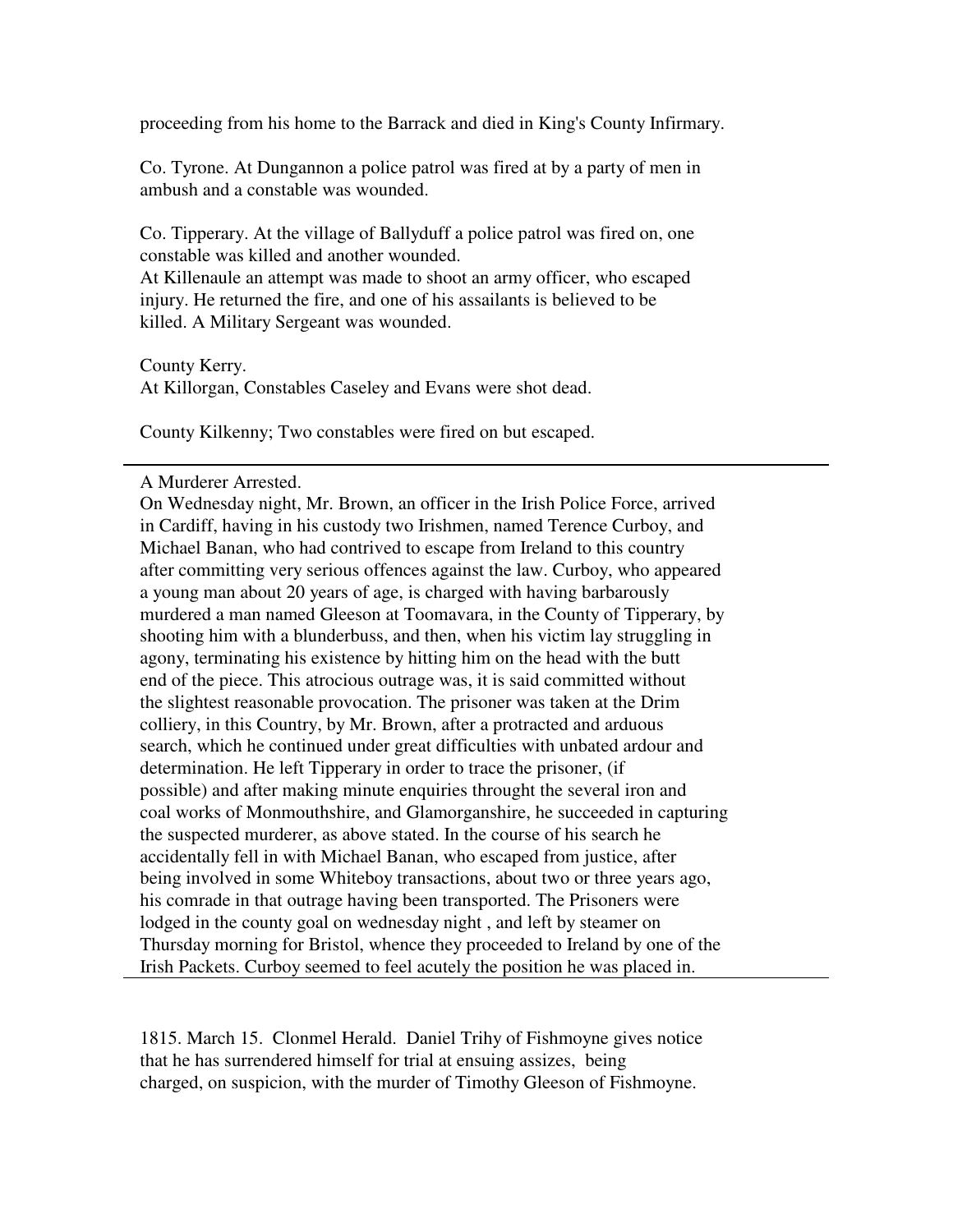proceeding from his home to the Barrack and died in King's County Infirmary.

Co. Tyrone. At Dungannon a police patrol was fired at by a party of men in ambush and a constable was wounded.

Co. Tipperary. At the village of Ballyduff a police patrol was fired on, one constable was killed and another wounded.

At Killenaule an attempt was made to shoot an army officer, who escaped injury. He returned the fire, and one of his assailants is believed to be killed. A Military Sergeant was wounded.

County Kerry. At Killorgan, Constables Caseley and Evans were shot dead.

County Kilkenny; Two constables were fired on but escaped.

## A Murderer Arrested.

On Wednesday night, Mr. Brown, an officer in the Irish Police Force, arrived in Cardiff, having in his custody two Irishmen, named Terence Curboy, and Michael Banan, who had contrived to escape from Ireland to this country after committing very serious offences against the law. Curboy, who appeared a young man about 20 years of age, is charged with having barbarously murdered a man named Gleeson at Toomavara, in the County of Tipperary, by shooting him with a blunderbuss, and then, when his victim lay struggling in agony, terminating his existence by hitting him on the head with the butt end of the piece. This atrocious outrage was, it is said committed without the slightest reasonable provocation. The prisoner was taken at the Drim colliery, in this Country, by Mr. Brown, after a protracted and arduous search, which he continued under great difficulties with unbated ardour and determination. He left Tipperary in order to trace the prisoner, (if possible) and after making minute enquiries throught the several iron and coal works of Monmouthshire, and Glamorganshire, he succeeded in capturing the suspected murderer, as above stated. In the course of his search he accidentally fell in with Michael Banan, who escaped from justice, after being involved in some Whiteboy transactions, about two or three years ago, his comrade in that outrage having been transported. The Prisoners were lodged in the county goal on wednesday night , and left by steamer on Thursday morning for Bristol, whence they proceeded to Ireland by one of the Irish Packets. Curboy seemed to feel acutely the position he was placed in.

1815. March 15. Clonmel Herald. Daniel Trihy of Fishmoyne gives notice that he has surrendered himself for trial at ensuing assizes, being charged, on suspicion, with the murder of Timothy Gleeson of Fishmoyne.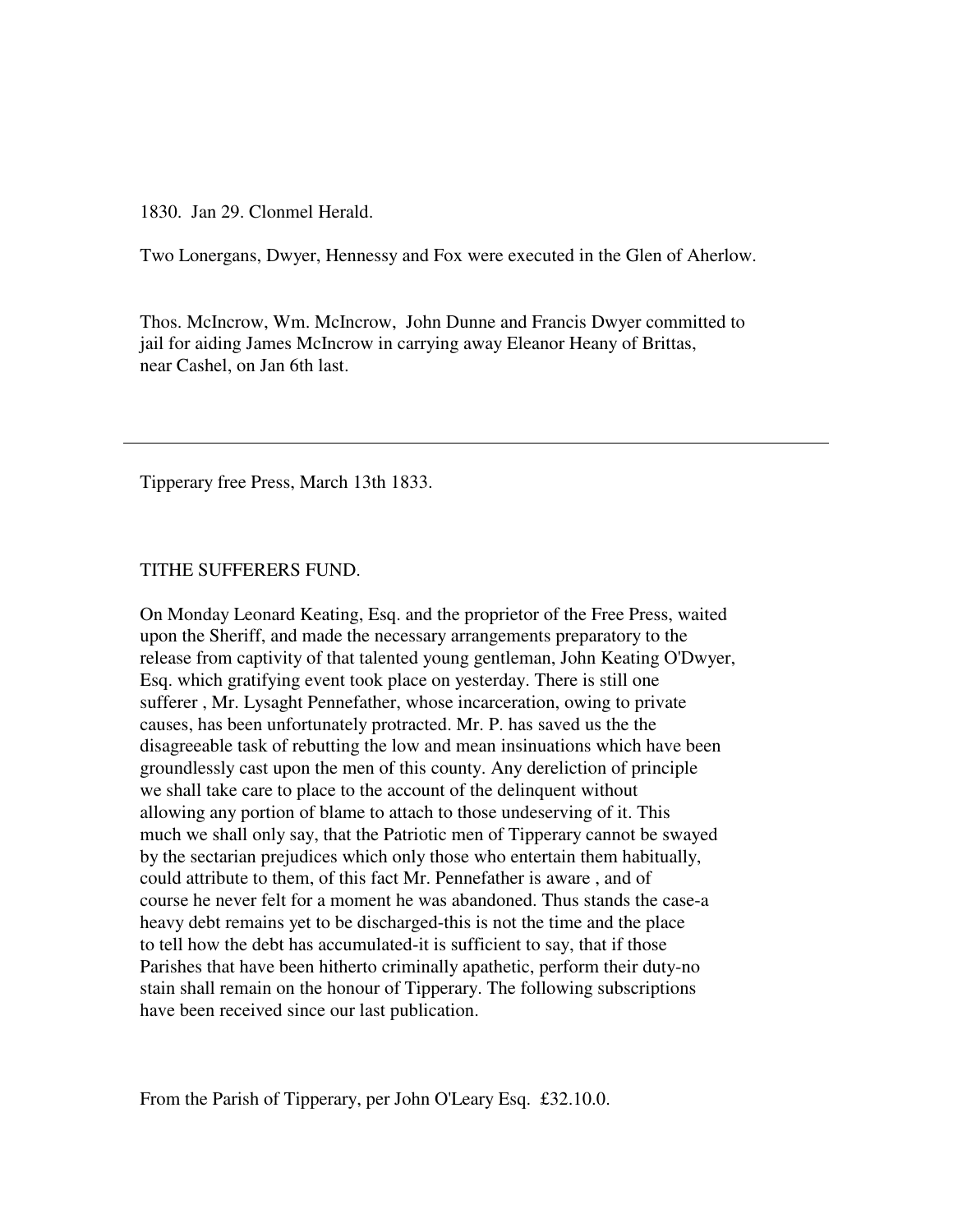1830. Jan 29. Clonmel Herald.

Two Lonergans, Dwyer, Hennessy and Fox were executed in the Glen of Aherlow.

Thos. McIncrow, Wm. McIncrow, John Dunne and Francis Dwyer committed to jail for aiding James McIncrow in carrying away Eleanor Heany of Brittas, near Cashel, on Jan 6th last.

Tipperary free Press, March 13th 1833.

#### TITHE SUFFERERS FUND.

On Monday Leonard Keating, Esq. and the proprietor of the Free Press, waited upon the Sheriff, and made the necessary arrangements preparatory to the release from captivity of that talented young gentleman, John Keating O'Dwyer, Esq. which gratifying event took place on yesterday. There is still one sufferer , Mr. Lysaght Pennefather, whose incarceration, owing to private causes, has been unfortunately protracted. Mr. P. has saved us the the disagreeable task of rebutting the low and mean insinuations which have been groundlessly cast upon the men of this county. Any dereliction of principle we shall take care to place to the account of the delinquent without allowing any portion of blame to attach to those undeserving of it. This much we shall only say, that the Patriotic men of Tipperary cannot be swayed by the sectarian prejudices which only those who entertain them habitually, could attribute to them, of this fact Mr. Pennefather is aware , and of course he never felt for a moment he was abandoned. Thus stands the case-a heavy debt remains yet to be discharged-this is not the time and the place to tell how the debt has accumulated-it is sufficient to say, that if those Parishes that have been hitherto criminally apathetic, perform their duty-no stain shall remain on the honour of Tipperary. The following subscriptions have been received since our last publication.

From the Parish of Tipperary, per John O'Leary Esq. £32.10.0.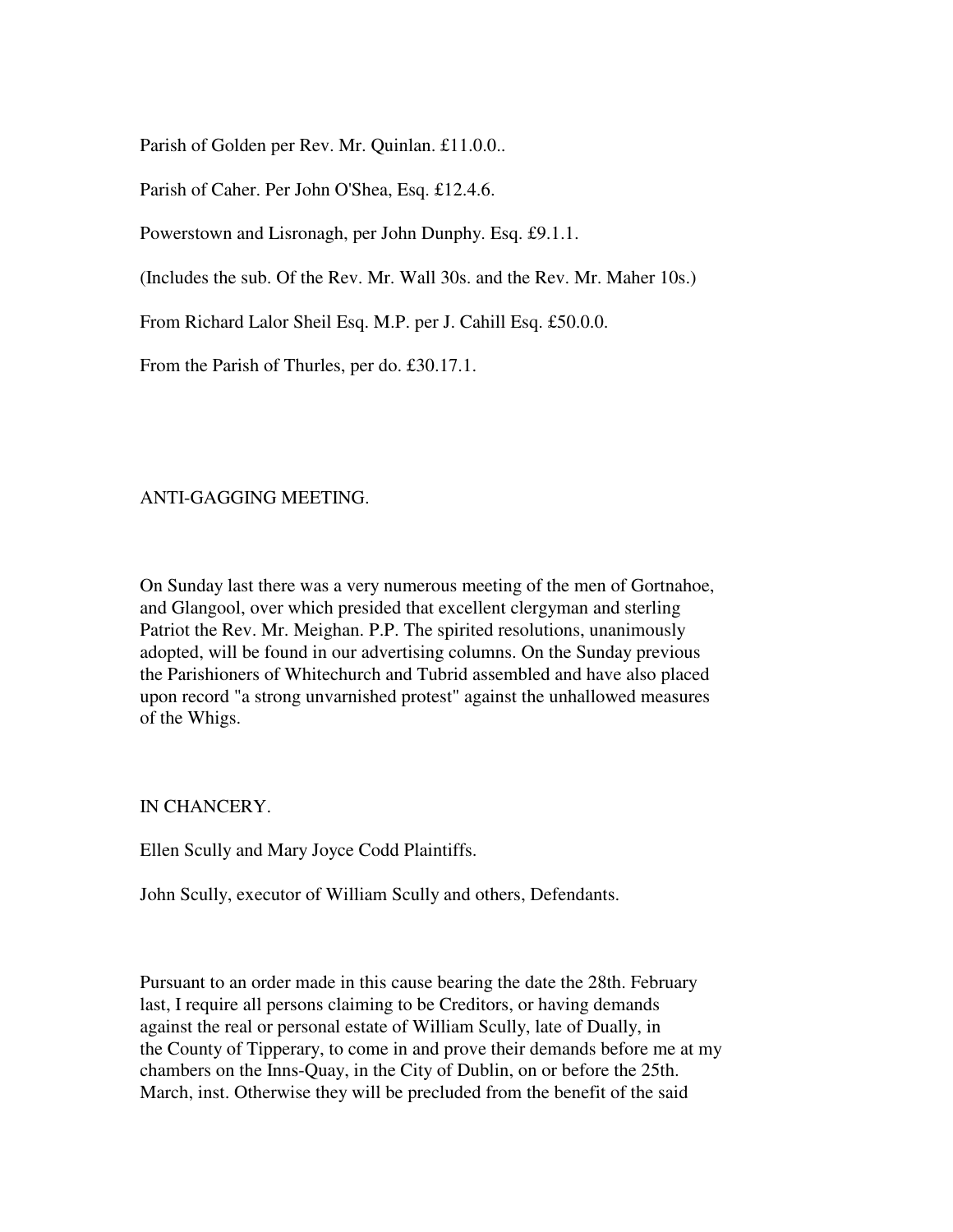Parish of Golden per Rev. Mr. Quinlan. £11.0.0..

Parish of Caher. Per John O'Shea, Esq. £12.4.6.

Powerstown and Lisronagh, per John Dunphy. Esq. £9.1.1.

(Includes the sub. Of the Rev. Mr. Wall 30s. and the Rev. Mr. Maher 10s.)

From Richard Lalor Sheil Esq. M.P. per J. Cahill Esq. £50.0.0.

From the Parish of Thurles, per do. £30.17.1.

# ANTI-GAGGING MEETING.

On Sunday last there was a very numerous meeting of the men of Gortnahoe, and Glangool, over which presided that excellent clergyman and sterling Patriot the Rev. Mr. Meighan. P.P. The spirited resolutions, unanimously adopted, will be found in our advertising columns. On the Sunday previous the Parishioners of Whitechurch and Tubrid assembled and have also placed upon record "a strong unvarnished protest" against the unhallowed measures of the Whigs.

IN CHANCERY.

Ellen Scully and Mary Joyce Codd Plaintiffs.

John Scully, executor of William Scully and others, Defendants.

Pursuant to an order made in this cause bearing the date the 28th. February last, I require all persons claiming to be Creditors, or having demands against the real or personal estate of William Scully, late of Dually, in the County of Tipperary, to come in and prove their demands before me at my chambers on the Inns-Quay, in the City of Dublin, on or before the 25th. March, inst. Otherwise they will be precluded from the benefit of the said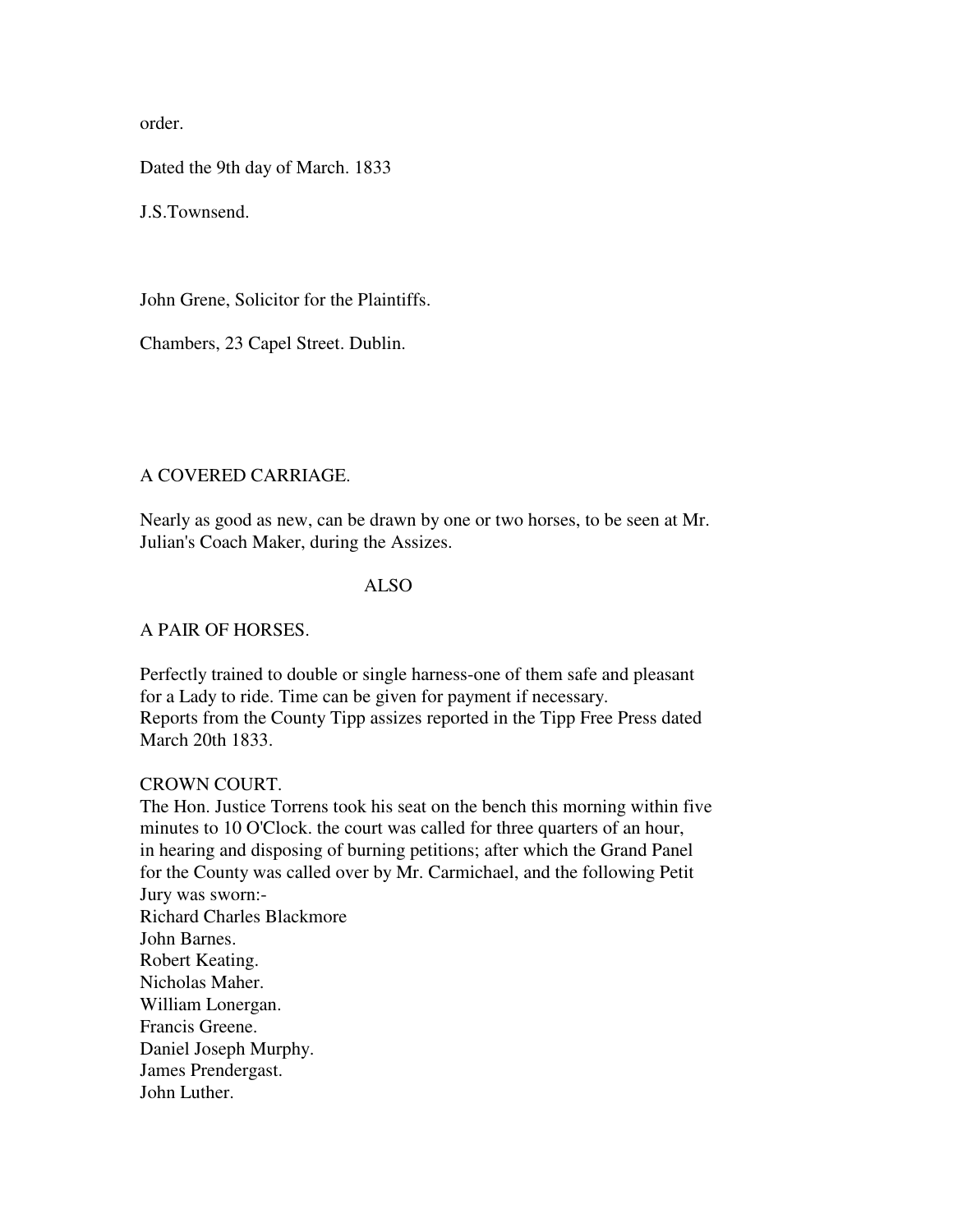order.

Dated the 9th day of March. 1833

J.S.Townsend.

John Grene, Solicitor for the Plaintiffs.

Chambers, 23 Capel Street. Dublin.

# A COVERED CARRIAGE.

Nearly as good as new, can be drawn by one or two horses, to be seen at Mr. Julian's Coach Maker, during the Assizes.

#### ALSO

# A PAIR OF HORSES.

Perfectly trained to double or single harness-one of them safe and pleasant for a Lady to ride. Time can be given for payment if necessary. Reports from the County Tipp assizes reported in the Tipp Free Press dated March 20th 1833.

# CROWN COURT.

The Hon. Justice Torrens took his seat on the bench this morning within five minutes to 10 O'Clock. the court was called for three quarters of an hour, in hearing and disposing of burning petitions; after which the Grand Panel for the County was called over by Mr. Carmichael, and the following Petit Jury was sworn:- Richard Charles Blackmore John Barnes. Robert Keating. Nicholas Maher. William Lonergan. Francis Greene. Daniel Joseph Murphy. James Prendergast. John Luther.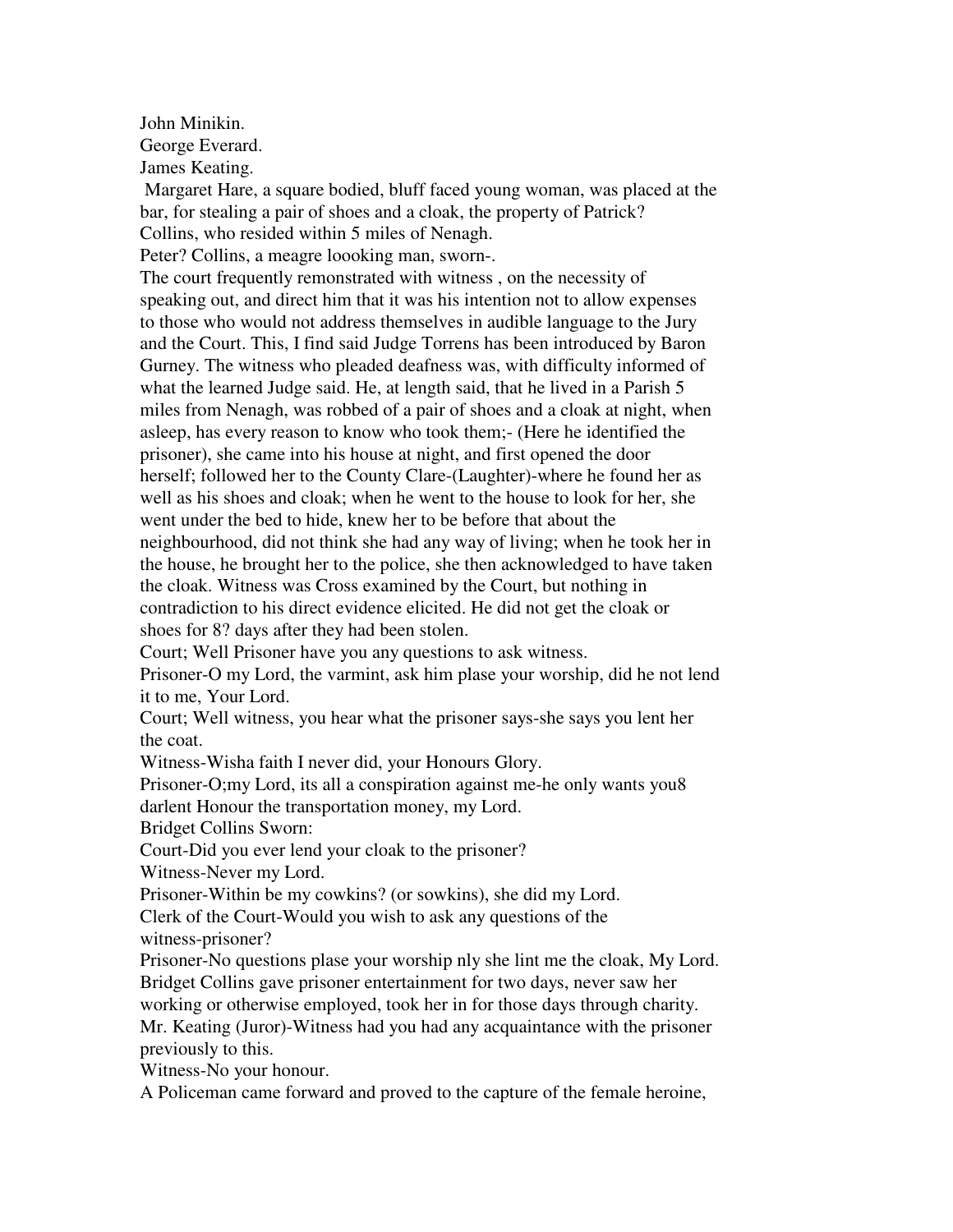John Minikin.

George Everard.

James Keating.

 Margaret Hare, a square bodied, bluff faced young woman, was placed at the bar, for stealing a pair of shoes and a cloak, the property of Patrick? Collins, who resided within 5 miles of Nenagh.

Peter? Collins, a meagre loooking man, sworn-.

The court frequently remonstrated with witness , on the necessity of speaking out, and direct him that it was his intention not to allow expenses to those who would not address themselves in audible language to the Jury and the Court. This, I find said Judge Torrens has been introduced by Baron Gurney. The witness who pleaded deafness was, with difficulty informed of what the learned Judge said. He, at length said, that he lived in a Parish 5 miles from Nenagh, was robbed of a pair of shoes and a cloak at night, when asleep, has every reason to know who took them;- (Here he identified the prisoner), she came into his house at night, and first opened the door herself; followed her to the County Clare-(Laughter)-where he found her as well as his shoes and cloak; when he went to the house to look for her, she went under the bed to hide, knew her to be before that about the neighbourhood, did not think she had any way of living; when he took her in the house, he brought her to the police, she then acknowledged to have taken the cloak. Witness was Cross examined by the Court, but nothing in contradiction to his direct evidence elicited. He did not get the cloak or shoes for 8? days after they had been stolen.

Court; Well Prisoner have you any questions to ask witness.

Prisoner-O my Lord, the varmint, ask him plase your worship, did he not lend it to me, Your Lord.

Court; Well witness, you hear what the prisoner says-she says you lent her the coat.

Witness-Wisha faith I never did, your Honours Glory.

Prisoner-O;my Lord, its all a conspiration against me-he only wants you8 darlent Honour the transportation money, my Lord.

Bridget Collins Sworn:

Court-Did you ever lend your cloak to the prisoner?

Witness-Never my Lord.

Prisoner-Within be my cowkins? (or sowkins), she did my Lord.

Clerk of the Court-Would you wish to ask any questions of the

witness-prisoner?

Prisoner-No questions plase your worship nly she lint me the cloak, My Lord. Bridget Collins gave prisoner entertainment for two days, never saw her

working or otherwise employed, took her in for those days through charity.

Mr. Keating (Juror)-Witness had you had any acquaintance with the prisoner previously to this.

Witness-No your honour.

A Policeman came forward and proved to the capture of the female heroine,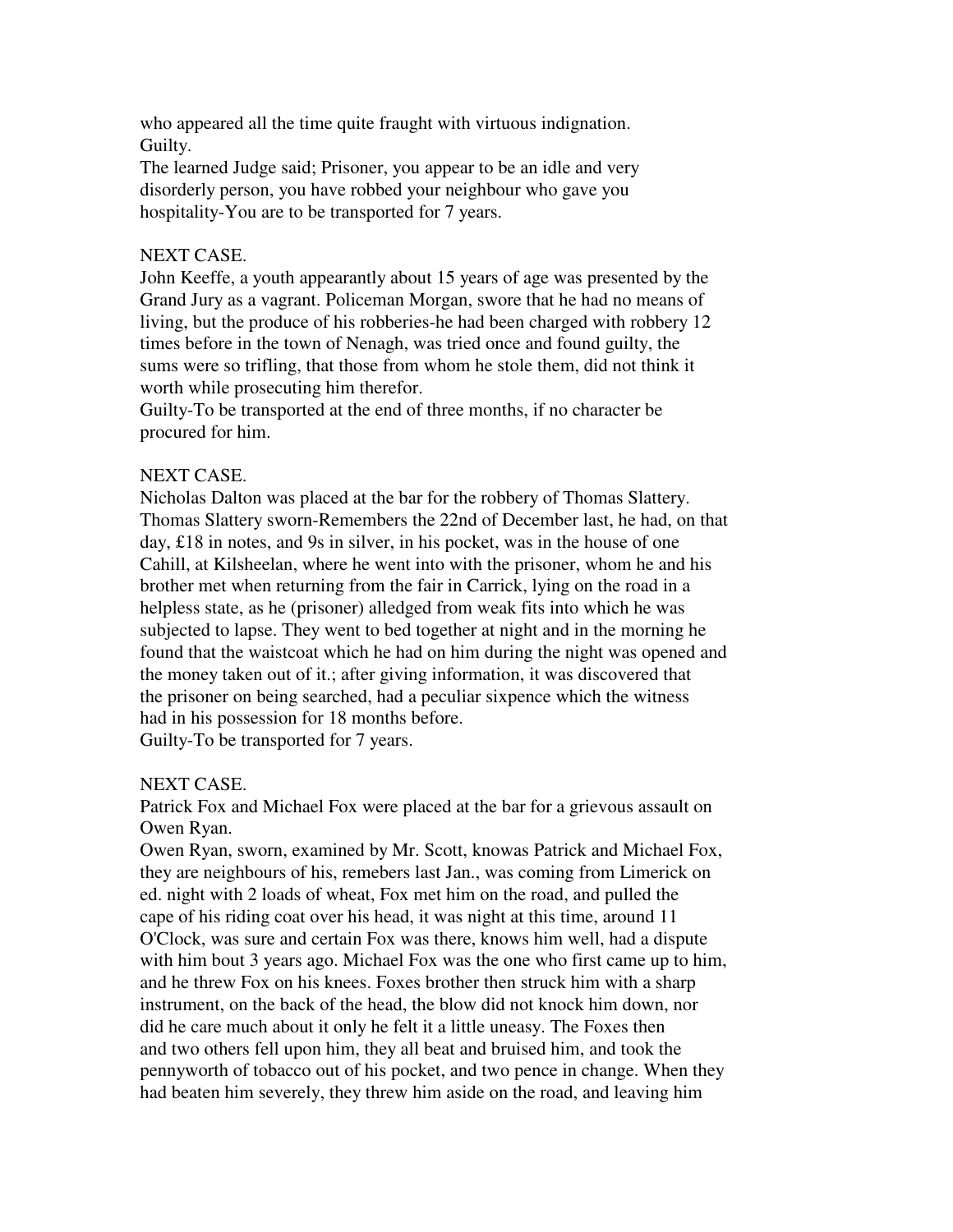who appeared all the time quite fraught with virtuous indignation. Guilty.

The learned Judge said; Prisoner, you appear to be an idle and very disorderly person, you have robbed your neighbour who gave you hospitality-You are to be transported for 7 years.

# NEXT CASE.

John Keeffe, a youth appearantly about 15 years of age was presented by the Grand Jury as a vagrant. Policeman Morgan, swore that he had no means of living, but the produce of his robberies-he had been charged with robbery 12 times before in the town of Nenagh, was tried once and found guilty, the sums were so trifling, that those from whom he stole them, did not think it worth while prosecuting him therefor.

Guilty-To be transported at the end of three months, if no character be procured for him.

# NEXT CASE.

Nicholas Dalton was placed at the bar for the robbery of Thomas Slattery. Thomas Slattery sworn-Remembers the 22nd of December last, he had, on that day, £18 in notes, and 9s in silver, in his pocket, was in the house of one Cahill, at Kilsheelan, where he went into with the prisoner, whom he and his brother met when returning from the fair in Carrick, lying on the road in a helpless state, as he (prisoner) alledged from weak fits into which he was subjected to lapse. They went to bed together at night and in the morning he found that the waistcoat which he had on him during the night was opened and the money taken out of it.; after giving information, it was discovered that the prisoner on being searched, had a peculiar sixpence which the witness had in his possession for 18 months before.

Guilty-To be transported for 7 years.

# NEXT CASE.

Patrick Fox and Michael Fox were placed at the bar for a grievous assault on Owen Ryan.

Owen Ryan, sworn, examined by Mr. Scott, knowas Patrick and Michael Fox, they are neighbours of his, remebers last Jan., was coming from Limerick on ed. night with 2 loads of wheat, Fox met him on the road, and pulled the cape of his riding coat over his head, it was night at this time, around 11 O'Clock, was sure and certain Fox was there, knows him well, had a dispute with him bout 3 years ago. Michael Fox was the one who first came up to him, and he threw Fox on his knees. Foxes brother then struck him with a sharp instrument, on the back of the head, the blow did not knock him down, nor did he care much about it only he felt it a little uneasy. The Foxes then and two others fell upon him, they all beat and bruised him, and took the pennyworth of tobacco out of his pocket, and two pence in change. When they had beaten him severely, they threw him aside on the road, and leaving him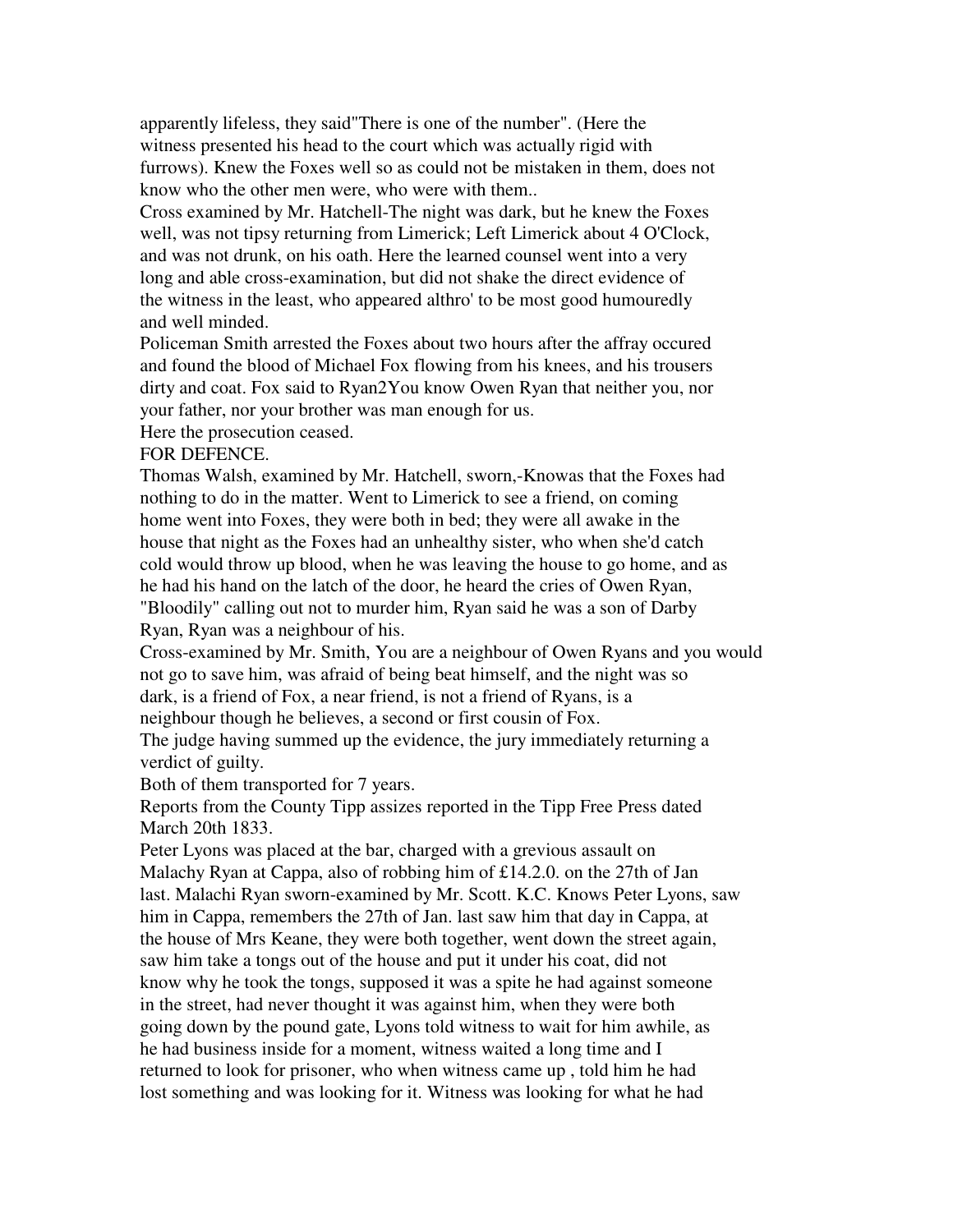apparently lifeless, they said"There is one of the number". (Here the witness presented his head to the court which was actually rigid with furrows). Knew the Foxes well so as could not be mistaken in them, does not know who the other men were, who were with them..

Cross examined by Mr. Hatchell-The night was dark, but he knew the Foxes well, was not tipsy returning from Limerick; Left Limerick about 4 O'Clock, and was not drunk, on his oath. Here the learned counsel went into a very long and able cross-examination, but did not shake the direct evidence of the witness in the least, who appeared althro' to be most good humouredly and well minded.

Policeman Smith arrested the Foxes about two hours after the affray occured and found the blood of Michael Fox flowing from his knees, and his trousers dirty and coat. Fox said to Ryan2You know Owen Ryan that neither you, nor your father, nor your brother was man enough for us.

Here the prosecution ceased.

FOR DEFENCE.

Thomas Walsh, examined by Mr. Hatchell, sworn,-Knowas that the Foxes had nothing to do in the matter. Went to Limerick to see a friend, on coming home went into Foxes, they were both in bed; they were all awake in the house that night as the Foxes had an unhealthy sister, who when she'd catch cold would throw up blood, when he was leaving the house to go home, and as he had his hand on the latch of the door, he heard the cries of Owen Ryan, "Bloodily" calling out not to murder him, Ryan said he was a son of Darby Ryan, Ryan was a neighbour of his.

Cross-examined by Mr. Smith, You are a neighbour of Owen Ryans and you would not go to save him, was afraid of being beat himself, and the night was so dark, is a friend of Fox, a near friend, is not a friend of Ryans, is a neighbour though he believes, a second or first cousin of Fox.

The judge having summed up the evidence, the jury immediately returning a verdict of guilty.

Both of them transported for 7 years.

Reports from the County Tipp assizes reported in the Tipp Free Press dated March 20th 1833.

Peter Lyons was placed at the bar, charged with a grevious assault on Malachy Ryan at Cappa, also of robbing him of £14.2.0. on the 27th of Jan last. Malachi Ryan sworn-examined by Mr. Scott. K.C. Knows Peter Lyons, saw him in Cappa, remembers the 27th of Jan. last saw him that day in Cappa, at the house of Mrs Keane, they were both together, went down the street again, saw him take a tongs out of the house and put it under his coat, did not know why he took the tongs, supposed it was a spite he had against someone in the street, had never thought it was against him, when they were both going down by the pound gate, Lyons told witness to wait for him awhile, as he had business inside for a moment, witness waited a long time and I returned to look for prisoner, who when witness came up , told him he had lost something and was looking for it. Witness was looking for what he had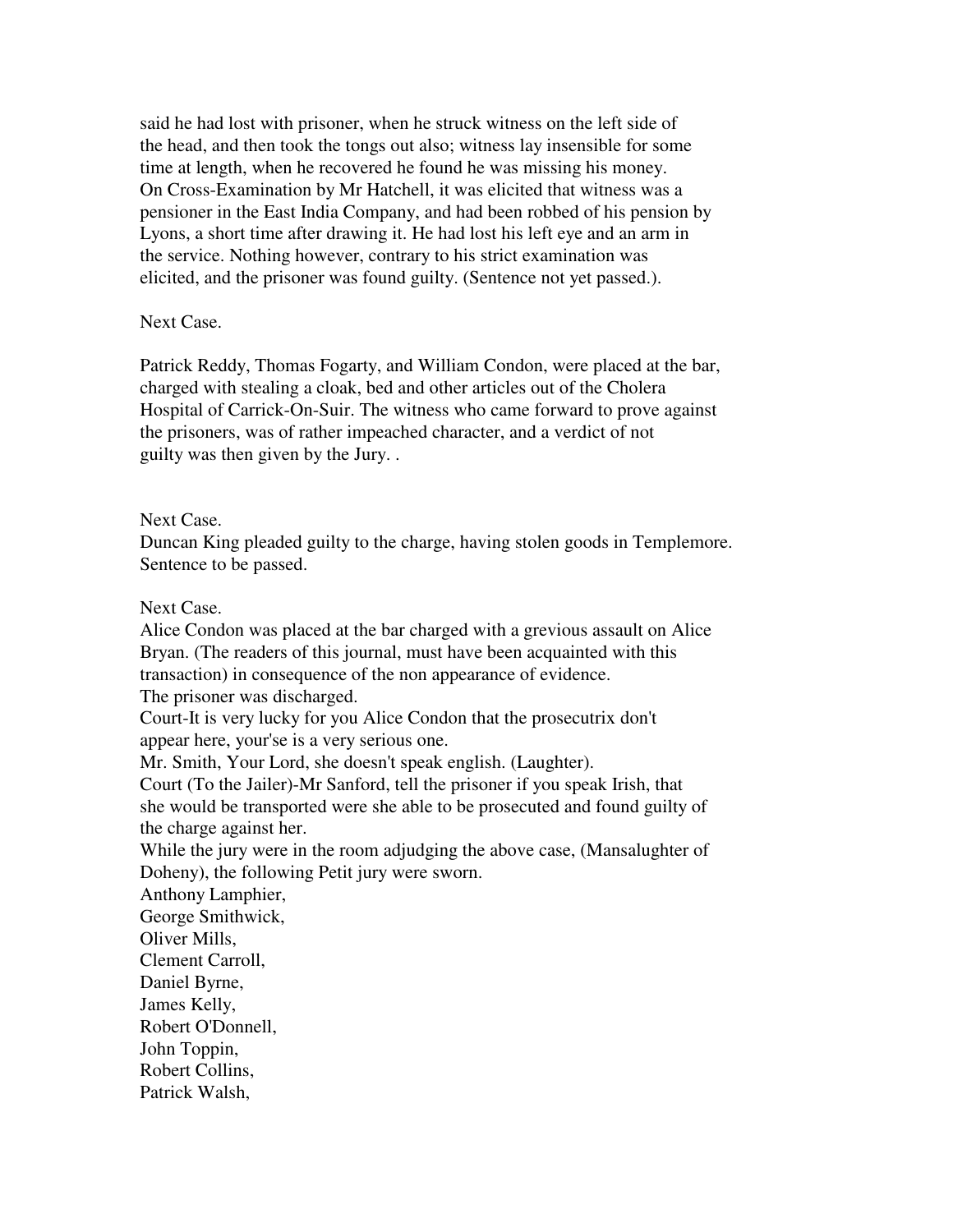said he had lost with prisoner, when he struck witness on the left side of the head, and then took the tongs out also; witness lay insensible for some time at length, when he recovered he found he was missing his money. On Cross-Examination by Mr Hatchell, it was elicited that witness was a pensioner in the East India Company, and had been robbed of his pension by Lyons, a short time after drawing it. He had lost his left eye and an arm in the service. Nothing however, contrary to his strict examination was elicited, and the prisoner was found guilty. (Sentence not yet passed.).

#### Next Case.

Patrick Reddy, Thomas Fogarty, and William Condon, were placed at the bar, charged with stealing a cloak, bed and other articles out of the Cholera Hospital of Carrick-On-Suir. The witness who came forward to prove against the prisoners, was of rather impeached character, and a verdict of not guilty was then given by the Jury. .

#### Next Case.

Duncan King pleaded guilty to the charge, having stolen goods in Templemore. Sentence to be passed.

#### Next Case.

Alice Condon was placed at the bar charged with a grevious assault on Alice Bryan. (The readers of this journal, must have been acquainted with this transaction) in consequence of the non appearance of evidence. The prisoner was discharged. Court-It is very lucky for you Alice Condon that the prosecutrix don't appear here, your'se is a very serious one. Mr. Smith, Your Lord, she doesn't speak english. (Laughter). Court (To the Jailer)-Mr Sanford, tell the prisoner if you speak Irish, that she would be transported were she able to be prosecuted and found guilty of the charge against her.

While the jury were in the room adjudging the above case, (Mansalughter of Doheny), the following Petit jury were sworn.

Anthony Lamphier, George Smithwick, Oliver Mills, Clement Carroll, Daniel Byrne, James Kelly, Robert O'Donnell, John Toppin, Robert Collins, Patrick Walsh,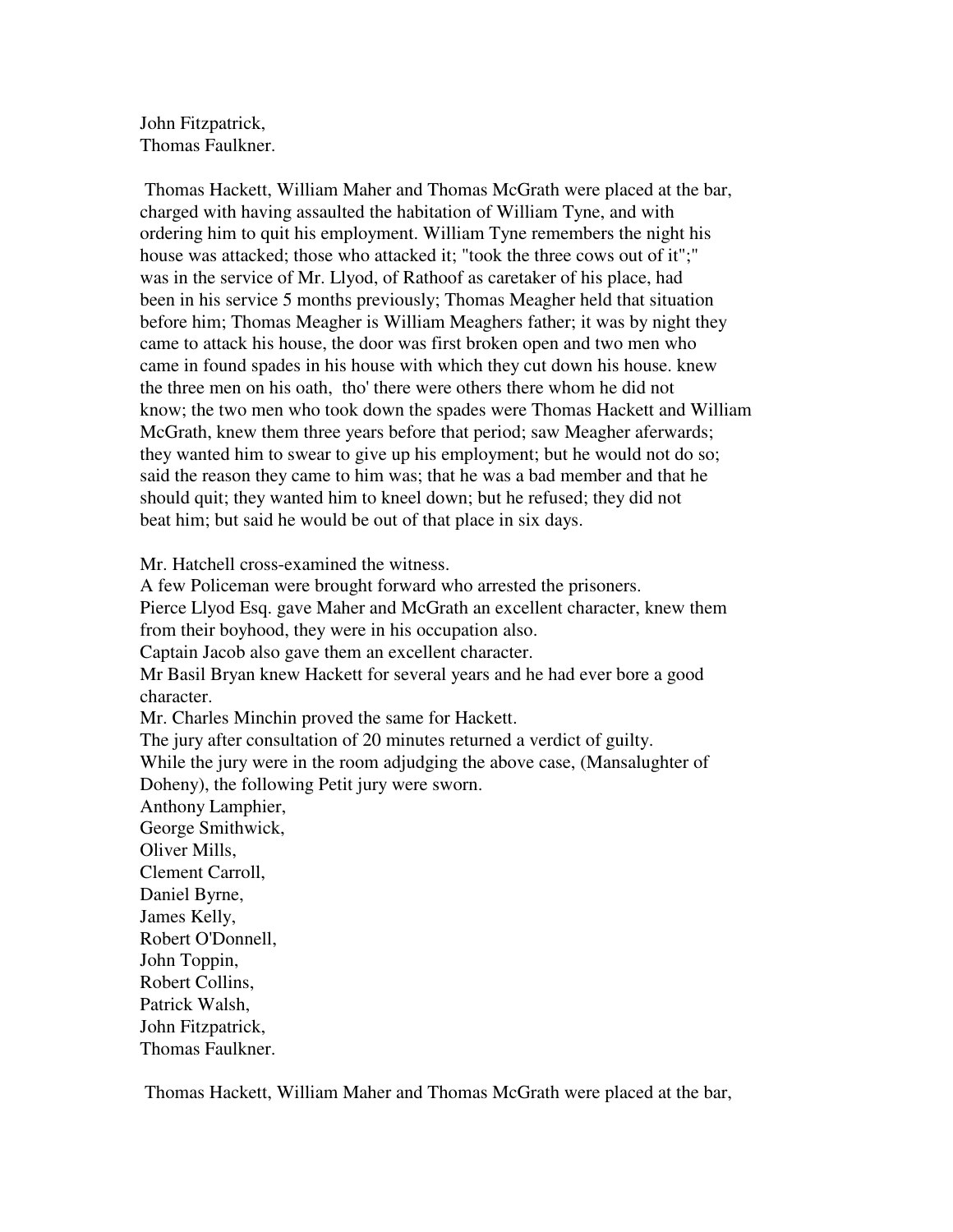John Fitzpatrick, Thomas Faulkner.

 Thomas Hackett, William Maher and Thomas McGrath were placed at the bar, charged with having assaulted the habitation of William Tyne, and with ordering him to quit his employment. William Tyne remembers the night his house was attacked; those who attacked it; "took the three cows out of it";" was in the service of Mr. Llyod, of Rathoof as caretaker of his place, had been in his service 5 months previously; Thomas Meagher held that situation before him; Thomas Meagher is William Meaghers father; it was by night they came to attack his house, the door was first broken open and two men who came in found spades in his house with which they cut down his house. knew the three men on his oath, tho' there were others there whom he did not know; the two men who took down the spades were Thomas Hackett and William McGrath, knew them three years before that period; saw Meagher aferwards; they wanted him to swear to give up his employment; but he would not do so; said the reason they came to him was; that he was a bad member and that he should quit; they wanted him to kneel down; but he refused; they did not beat him; but said he would be out of that place in six days.

Mr. Hatchell cross-examined the witness.

A few Policeman were brought forward who arrested the prisoners. Pierce Llyod Esq. gave Maher and McGrath an excellent character, knew them from their boyhood, they were in his occupation also. Captain Jacob also gave them an excellent character. Mr Basil Bryan knew Hackett for several years and he had ever bore a good character. Mr. Charles Minchin proved the same for Hackett. The jury after consultation of 20 minutes returned a verdict of guilty. While the jury were in the room adjudging the above case, (Mansalughter of Doheny), the following Petit jury were sworn. Anthony Lamphier, George Smithwick, Oliver Mills, Clement Carroll, Daniel Byrne, James Kelly, Robert O'Donnell, John Toppin, Robert Collins, Patrick Walsh, John Fitzpatrick, Thomas Faulkner.

Thomas Hackett, William Maher and Thomas McGrath were placed at the bar,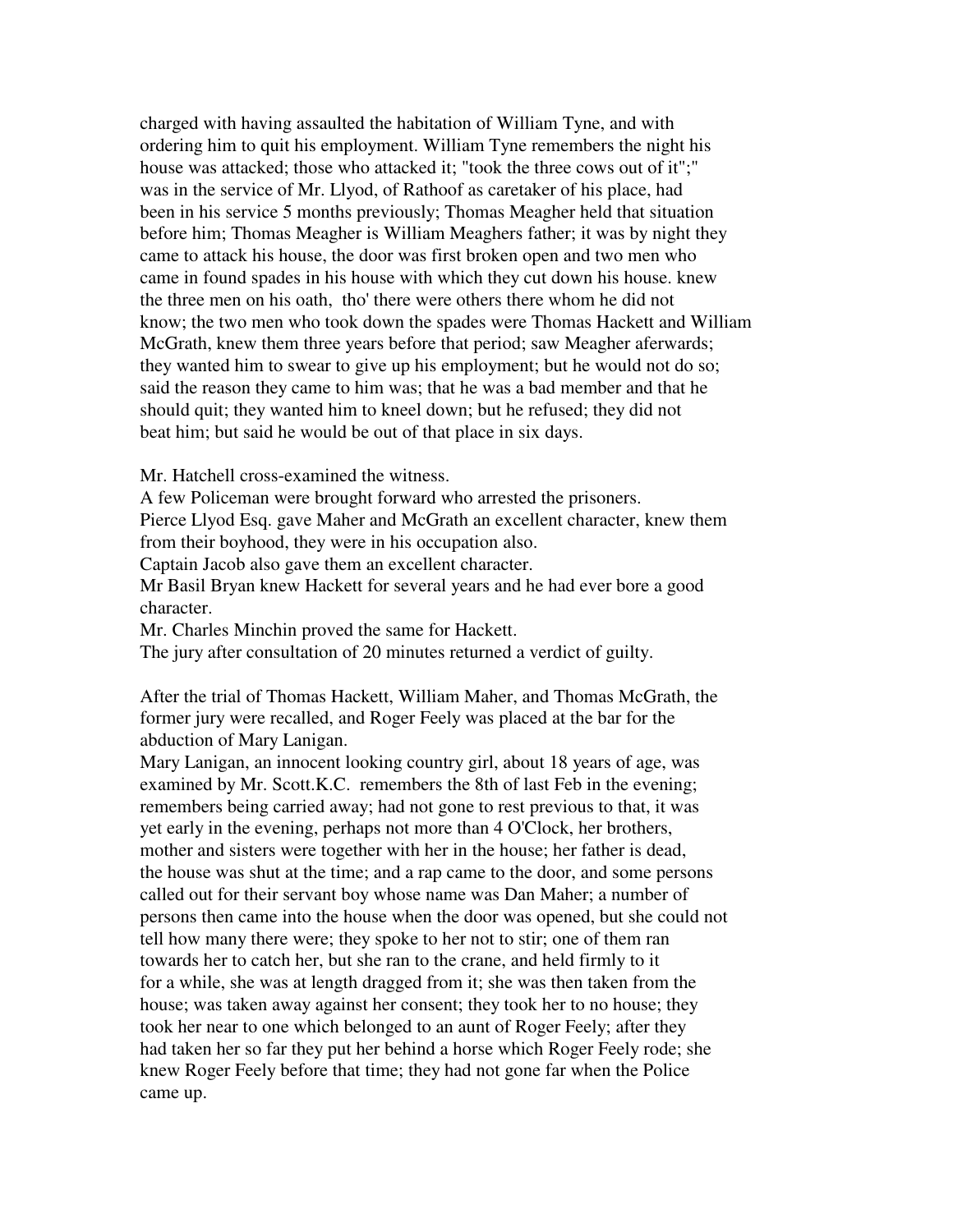charged with having assaulted the habitation of William Tyne, and with ordering him to quit his employment. William Tyne remembers the night his house was attacked; those who attacked it; "took the three cows out of it";" was in the service of Mr. Llyod, of Rathoof as caretaker of his place, had been in his service 5 months previously; Thomas Meagher held that situation before him; Thomas Meagher is William Meaghers father; it was by night they came to attack his house, the door was first broken open and two men who came in found spades in his house with which they cut down his house. knew the three men on his oath, tho' there were others there whom he did not know; the two men who took down the spades were Thomas Hackett and William McGrath, knew them three years before that period; saw Meagher aferwards; they wanted him to swear to give up his employment; but he would not do so; said the reason they came to him was; that he was a bad member and that he should quit; they wanted him to kneel down; but he refused; they did not beat him; but said he would be out of that place in six days.

Mr. Hatchell cross-examined the witness.

A few Policeman were brought forward who arrested the prisoners.

Pierce Llyod Esq. gave Maher and McGrath an excellent character, knew them from their boyhood, they were in his occupation also.

Captain Jacob also gave them an excellent character.

Mr Basil Bryan knew Hackett for several years and he had ever bore a good character.

Mr. Charles Minchin proved the same for Hackett.

The jury after consultation of 20 minutes returned a verdict of guilty.

After the trial of Thomas Hackett, William Maher, and Thomas McGrath, the former jury were recalled, and Roger Feely was placed at the bar for the abduction of Mary Lanigan.

Mary Lanigan, an innocent looking country girl, about 18 years of age, was examined by Mr. Scott.K.C. remembers the 8th of last Feb in the evening; remembers being carried away; had not gone to rest previous to that, it was yet early in the evening, perhaps not more than 4 O'Clock, her brothers, mother and sisters were together with her in the house; her father is dead, the house was shut at the time; and a rap came to the door, and some persons called out for their servant boy whose name was Dan Maher; a number of persons then came into the house when the door was opened, but she could not tell how many there were; they spoke to her not to stir; one of them ran towards her to catch her, but she ran to the crane, and held firmly to it for a while, she was at length dragged from it; she was then taken from the house; was taken away against her consent; they took her to no house; they took her near to one which belonged to an aunt of Roger Feely; after they had taken her so far they put her behind a horse which Roger Feely rode; she knew Roger Feely before that time; they had not gone far when the Police came up.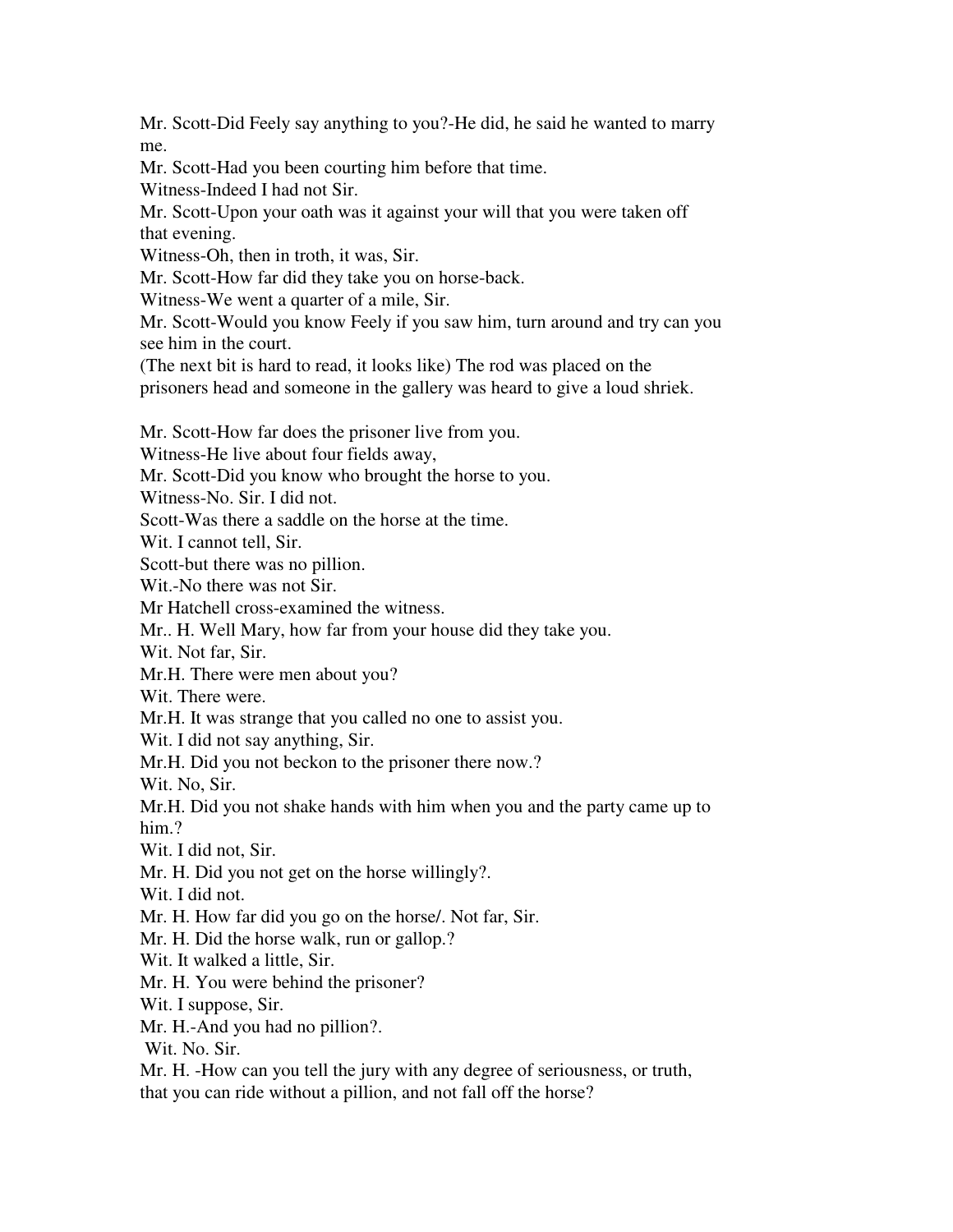Mr. Scott-Did Feely say anything to you?-He did, he said he wanted to marry me.

Mr. Scott-Had you been courting him before that time.

Witness-Indeed I had not Sir.

Mr. Scott-Upon your oath was it against your will that you were taken off that evening.

Witness-Oh, then in troth, it was, Sir.

Mr. Scott-How far did they take you on horse-back.

Witness-We went a quarter of a mile, Sir.

Mr. Scott-Would you know Feely if you saw him, turn around and try can you see him in the court.

(The next bit is hard to read, it looks like) The rod was placed on the

prisoners head and someone in the gallery was heard to give a loud shriek.

Mr. Scott-How far does the prisoner live from you.

Witness-He live about four fields away,

Mr. Scott-Did you know who brought the horse to you.

Witness-No. Sir. I did not.

Scott-Was there a saddle on the horse at the time.

Wit. I cannot tell. Sir.

Scott-but there was no pillion.

Wit.-No there was not Sir.

Mr Hatchell cross-examined the witness.

Mr.. H. Well Mary, how far from your house did they take you.

Wit. Not far, Sir.

Mr.H. There were men about you?

Wit. There were.

Mr.H. It was strange that you called no one to assist you.

Wit. I did not say anything, Sir.

Mr.H. Did you not beckon to the prisoner there now.?

Wit. No, Sir.

Mr.H. Did you not shake hands with him when you and the party came up to him.?

Wit. I did not, Sir.

Mr. H. Did you not get on the horse willingly?.

Wit. I did not.

Mr. H. How far did you go on the horse/. Not far, Sir.

Mr. H. Did the horse walk, run or gallop.?

Wit. It walked a little, Sir.

Mr. H. You were behind the prisoner?

Wit. I suppose, Sir.

Mr. H.-And you had no pillion?.

Wit. No. Sir.

Mr. H. -How can you tell the jury with any degree of seriousness, or truth, that you can ride without a pillion, and not fall off the horse?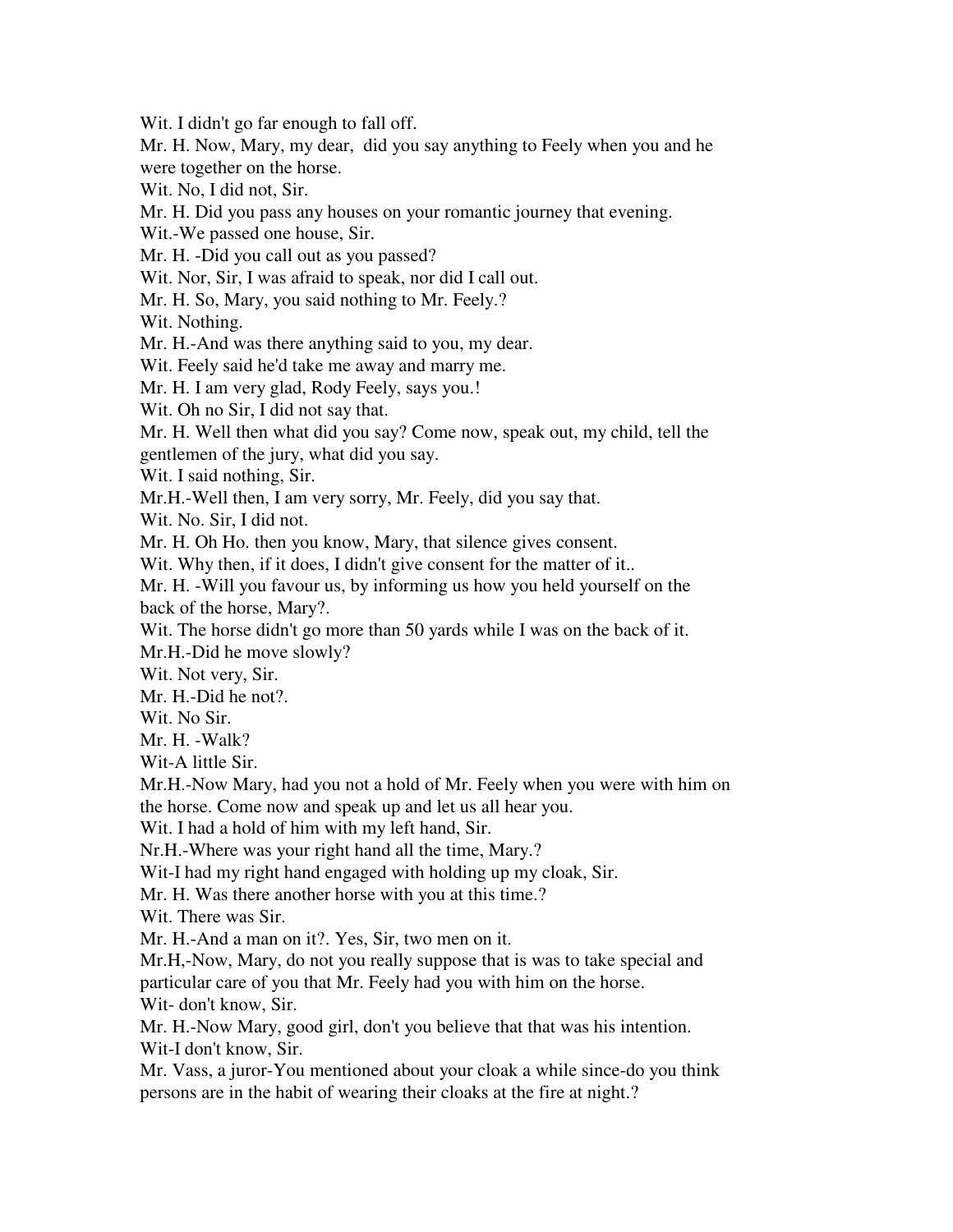Wit. I didn't go far enough to fall off.

Mr. H. Now, Mary, my dear, did you say anything to Feely when you and he were together on the horse.

Wit. No, I did not, Sir.

Mr. H. Did you pass any houses on your romantic journey that evening.

Wit.-We passed one house, Sir.

Mr. H. -Did you call out as you passed?

Wit. Nor, Sir, I was afraid to speak, nor did I call out.

Mr. H. So, Mary, you said nothing to Mr. Feely.?

Wit. Nothing.

Mr. H.-And was there anything said to you, my dear.

Wit. Feely said he'd take me away and marry me.

Mr. H. I am very glad, Rody Feely, says you.!

Wit. Oh no Sir, I did not say that.

Mr. H. Well then what did you say? Come now, speak out, my child, tell the gentlemen of the jury, what did you say.

Wit. I said nothing, Sir.

Mr.H.-Well then, I am very sorry, Mr. Feely, did you say that.

Wit. No. Sir, I did not.

Mr. H. Oh Ho. then you know, Mary, that silence gives consent.

Wit. Why then, if it does, I didn't give consent for the matter of it..

Mr. H. -Will you favour us, by informing us how you held yourself on the back of the horse, Mary?.

Wit. The horse didn't go more than 50 yards while I was on the back of it. Mr.H.-Did he move slowly?

Wit. Not very, Sir.

Mr. H.-Did he not?.

Wit. No Sir.

Mr. H. -Walk?

Wit-A little Sir.

Mr.H.-Now Mary, had you not a hold of Mr. Feely when you were with him on the horse. Come now and speak up and let us all hear you.

Wit. I had a hold of him with my left hand, Sir.

Nr.H.-Where was your right hand all the time, Mary.?

Wit-I had my right hand engaged with holding up my cloak, Sir.

Mr. H. Was there another horse with you at this time.?

Wit. There was Sir.

Mr. H.-And a man on it?. Yes, Sir, two men on it.

Mr.H,-Now, Mary, do not you really suppose that is was to take special and particular care of you that Mr. Feely had you with him on the horse.

Wit- don't know, Sir.

Mr. H.-Now Mary, good girl, don't you believe that that was his intention. Wit-I don't know, Sir.

Mr. Vass, a juror-You mentioned about your cloak a while since-do you think persons are in the habit of wearing their cloaks at the fire at night.?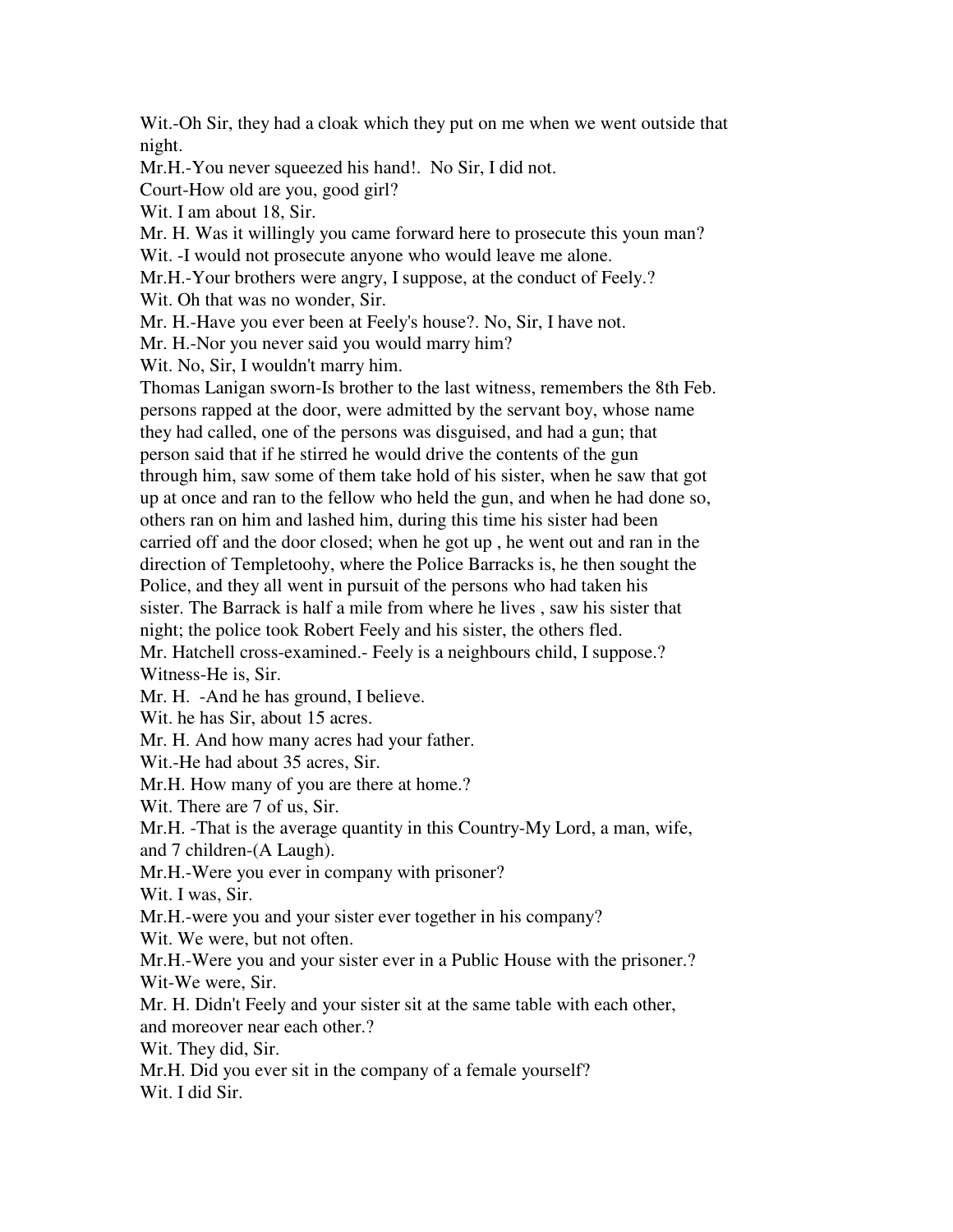Wit.-Oh Sir, they had a cloak which they put on me when we went outside that night.

Mr.H.-You never squeezed his hand!. No Sir, I did not.

Court-How old are you, good girl?

Wit. I am about 18, Sir.

Mr. H. Was it willingly you came forward here to prosecute this youn man? Wit. -I would not prosecute anyone who would leave me alone.

Mr.H.-Your brothers were angry, I suppose, at the conduct of Feely.?

Wit. Oh that was no wonder, Sir.

Mr. H.-Have you ever been at Feely's house?. No, Sir, I have not.

Mr. H.-Nor you never said you would marry him?

Wit. No, Sir, I wouldn't marry him.

Thomas Lanigan sworn-Is brother to the last witness, remembers the 8th Feb. persons rapped at the door, were admitted by the servant boy, whose name they had called, one of the persons was disguised, and had a gun; that person said that if he stirred he would drive the contents of the gun through him, saw some of them take hold of his sister, when he saw that got up at once and ran to the fellow who held the gun, and when he had done so, others ran on him and lashed him, during this time his sister had been carried off and the door closed; when he got up , he went out and ran in the direction of Templetoohy, where the Police Barracks is, he then sought the Police, and they all went in pursuit of the persons who had taken his sister. The Barrack is half a mile from where he lives , saw his sister that night; the police took Robert Feely and his sister, the others fled. Mr. Hatchell cross-examined.- Feely is a neighbours child, I suppose.?

Witness-He is, Sir.

Mr. H. -And he has ground, I believe.

Wit. he has Sir, about 15 acres.

Mr. H. And how many acres had your father.

Wit.-He had about 35 acres, Sir.

Mr.H. How many of you are there at home.?

Wit. There are 7 of us, Sir.

Mr.H. -That is the average quantity in this Country-My Lord, a man, wife,

and 7 children-(A Laugh).

Mr.H.-Were you ever in company with prisoner?

Wit. I was, Sir.

Mr.H.-were you and your sister ever together in his company?

Wit. We were, but not often.

Mr.H.-Were you and your sister ever in a Public House with the prisoner.? Wit-We were, Sir.

Mr. H. Didn't Feely and your sister sit at the same table with each other,

and moreover near each other.?

Wit. They did, Sir.

Mr.H. Did you ever sit in the company of a female yourself?

Wit. I did Sir.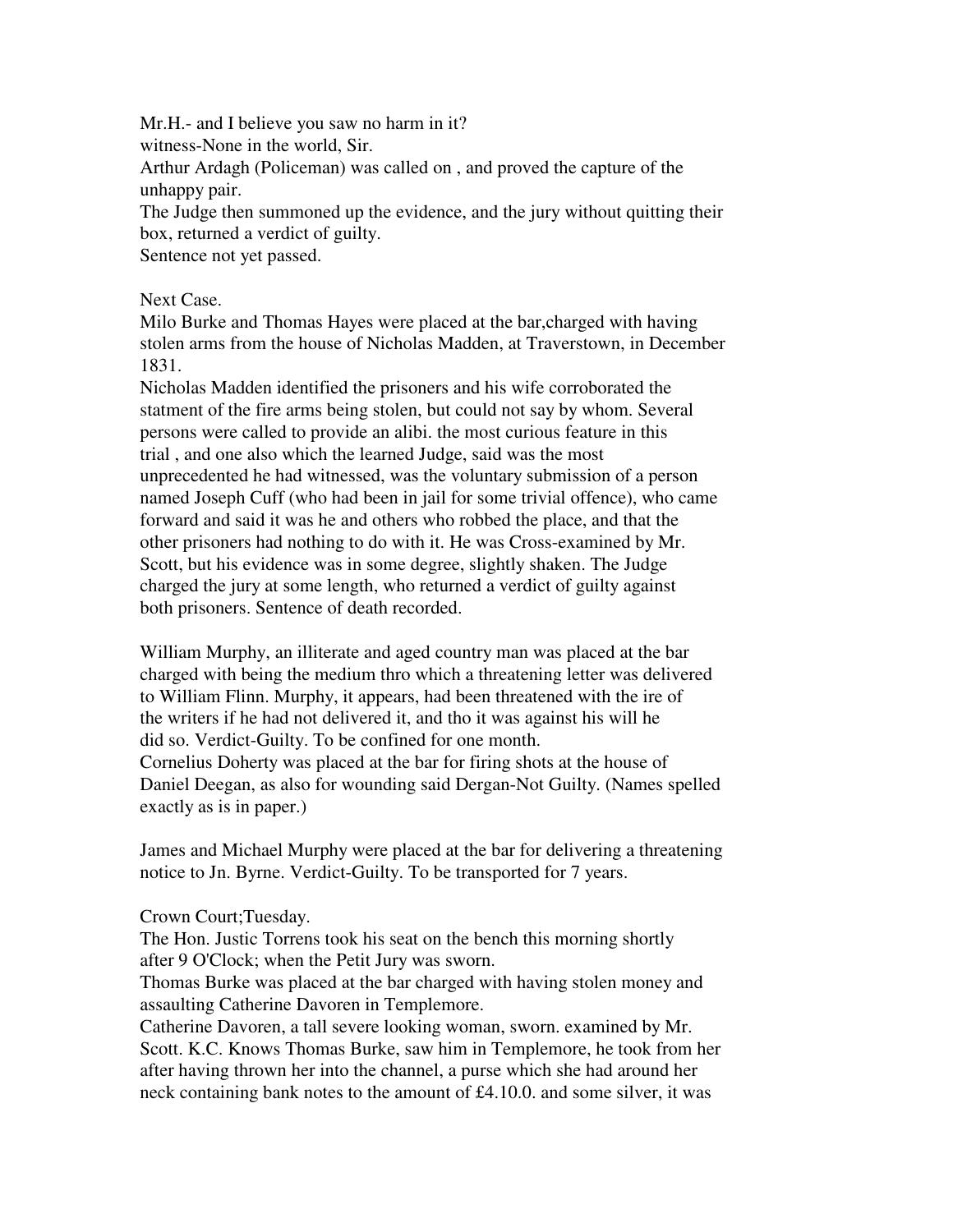Mr.H.- and I believe you saw no harm in it? witness-None in the world, Sir. Arthur Ardagh (Policeman) was called on , and proved the capture of the unhappy pair. The Judge then summoned up the evidence, and the jury without quitting their

box, returned a verdict of guilty.

Sentence not yet passed.

#### Next Case.

Milo Burke and Thomas Hayes were placed at the bar,charged with having stolen arms from the house of Nicholas Madden, at Traverstown, in December 1831.

Nicholas Madden identified the prisoners and his wife corroborated the statment of the fire arms being stolen, but could not say by whom. Several persons were called to provide an alibi. the most curious feature in this trial , and one also which the learned Judge, said was the most unprecedented he had witnessed, was the voluntary submission of a person named Joseph Cuff (who had been in jail for some trivial offence), who came forward and said it was he and others who robbed the place, and that the other prisoners had nothing to do with it. He was Cross-examined by Mr. Scott, but his evidence was in some degree, slightly shaken. The Judge charged the jury at some length, who returned a verdict of guilty against both prisoners. Sentence of death recorded.

William Murphy, an illiterate and aged country man was placed at the bar charged with being the medium thro which a threatening letter was delivered to William Flinn. Murphy, it appears, had been threatened with the ire of the writers if he had not delivered it, and tho it was against his will he did so. Verdict-Guilty. To be confined for one month. Cornelius Doherty was placed at the bar for firing shots at the house of Daniel Deegan, as also for wounding said Dergan-Not Guilty. (Names spelled exactly as is in paper.)

James and Michael Murphy were placed at the bar for delivering a threatening notice to Jn. Byrne. Verdict-Guilty. To be transported for 7 years.

# Crown Court;Tuesday.

The Hon. Justic Torrens took his seat on the bench this morning shortly after 9 O'Clock; when the Petit Jury was sworn.

Thomas Burke was placed at the bar charged with having stolen money and assaulting Catherine Davoren in Templemore.

Catherine Davoren, a tall severe looking woman, sworn. examined by Mr. Scott. K.C. Knows Thomas Burke, saw him in Templemore, he took from her after having thrown her into the channel, a purse which she had around her neck containing bank notes to the amount of £4.10.0. and some silver, it was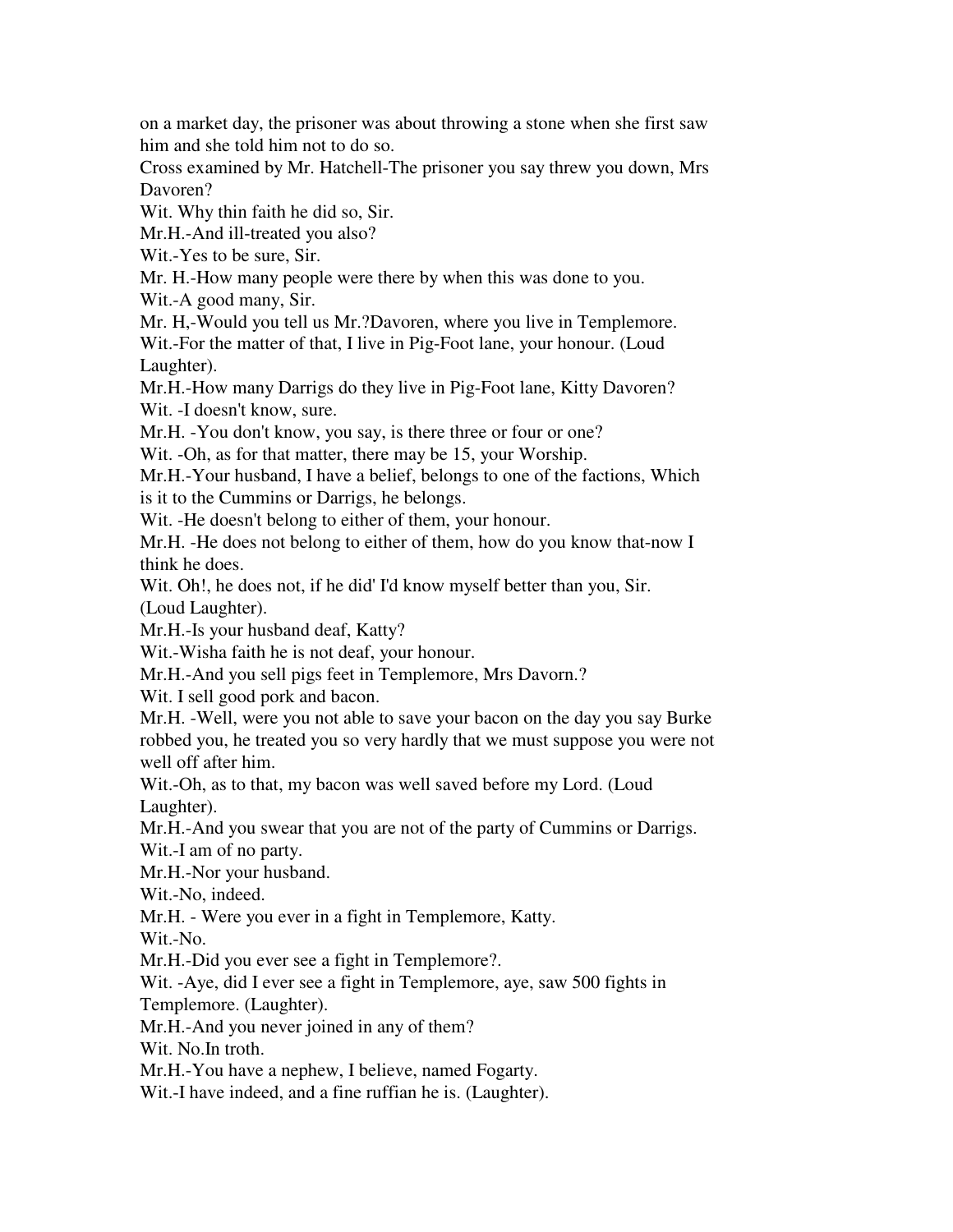on a market day, the prisoner was about throwing a stone when she first saw him and she told him not to do so.

Cross examined by Mr. Hatchell-The prisoner you say threw you down, Mrs Davoren?

Wit. Why thin faith he did so, Sir.

Mr.H.-And ill-treated you also?

Wit.-Yes to be sure, Sir.

Mr. H.-How many people were there by when this was done to you.

Wit.-A good many, Sir.

Mr. H,-Would you tell us Mr.?Davoren, where you live in Templemore.

Wit.-For the matter of that, I live in Pig-Foot lane, your honour. (Loud Laughter).

Mr.H.-How many Darrigs do they live in Pig-Foot lane, Kitty Davoren? Wit. -I doesn't know, sure.

Mr.H. -You don't know, you say, is there three or four or one?

Wit. -Oh, as for that matter, there may be 15, your Worship.

Mr.H.-Your husband, I have a belief, belongs to one of the factions, Which is it to the Cummins or Darrigs, he belongs.

Wit. -He doesn't belong to either of them, your honour.

Mr.H. -He does not belong to either of them, how do you know that-now I think he does.

Wit. Oh!, he does not, if he did' I'd know myself better than you, Sir. (Loud Laughter).

Mr.H.-Is your husband deaf, Katty?

Wit.-Wisha faith he is not deaf, your honour.

Mr.H.-And you sell pigs feet in Templemore, Mrs Davorn.?

Wit. I sell good pork and bacon.

Mr.H. -Well, were you not able to save your bacon on the day you say Burke robbed you, he treated you so very hardly that we must suppose you were not well off after him.

Wit.-Oh, as to that, my bacon was well saved before my Lord. (Loud Laughter).

Mr.H.-And you swear that you are not of the party of Cummins or Darrigs. Wit.-I am of no party.

Mr.H.-Nor your husband.

Wit.-No, indeed.

Mr.H. - Were you ever in a fight in Templemore, Katty.

Wit.-No.

Mr.H.-Did you ever see a fight in Templemore?.

Wit. -Aye, did I ever see a fight in Templemore, aye, saw 500 fights in Templemore. (Laughter).

Mr.H.-And you never joined in any of them?

Wit. No.In troth.

Mr.H.-You have a nephew, I believe, named Fogarty.

Wit.-I have indeed, and a fine ruffian he is. (Laughter).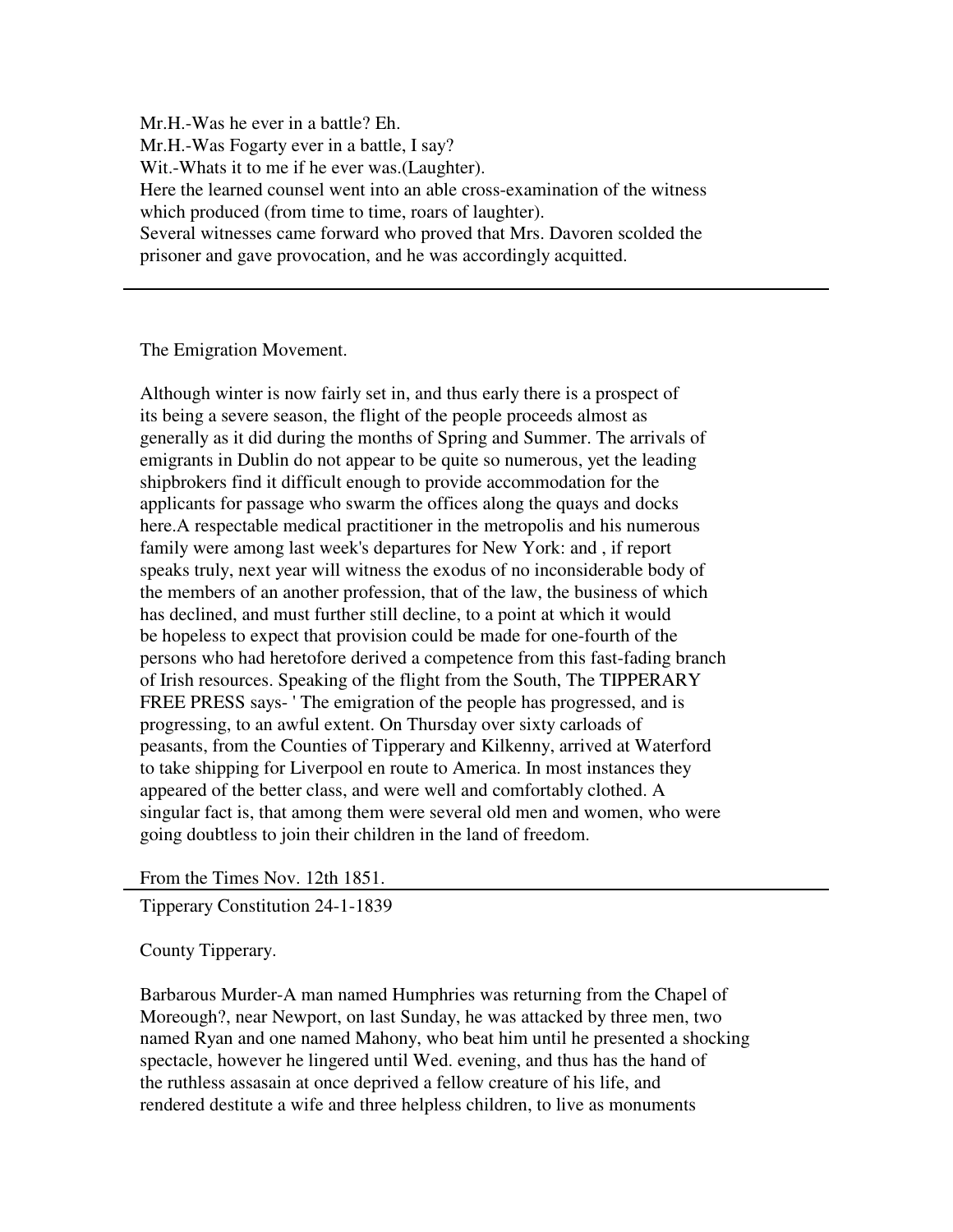Mr.H.-Was he ever in a battle? Eh. Mr.H.-Was Fogarty ever in a battle, I say? Wit.-Whats it to me if he ever was.(Laughter). Here the learned counsel went into an able cross-examination of the witness which produced (from time to time, roars of laughter). Several witnesses came forward who proved that Mrs. Davoren scolded the prisoner and gave provocation, and he was accordingly acquitted.

The Emigration Movement.

Although winter is now fairly set in, and thus early there is a prospect of its being a severe season, the flight of the people proceeds almost as generally as it did during the months of Spring and Summer. The arrivals of emigrants in Dublin do not appear to be quite so numerous, yet the leading shipbrokers find it difficult enough to provide accommodation for the applicants for passage who swarm the offices along the quays and docks here.A respectable medical practitioner in the metropolis and his numerous family were among last week's departures for New York: and , if report speaks truly, next year will witness the exodus of no inconsiderable body of the members of an another profession, that of the law, the business of which has declined, and must further still decline, to a point at which it would be hopeless to expect that provision could be made for one-fourth of the persons who had heretofore derived a competence from this fast-fading branch of Irish resources. Speaking of the flight from the South, The TIPPERARY FREE PRESS says- ' The emigration of the people has progressed, and is progressing, to an awful extent. On Thursday over sixty carloads of peasants, from the Counties of Tipperary and Kilkenny, arrived at Waterford to take shipping for Liverpool en route to America. In most instances they appeared of the better class, and were well and comfortably clothed. A singular fact is, that among them were several old men and women, who were going doubtless to join their children in the land of freedom.

From the Times Nov. 12th 1851.

Tipperary Constitution 24-1-1839

County Tipperary.

Barbarous Murder-A man named Humphries was returning from the Chapel of Moreough?, near Newport, on last Sunday, he was attacked by three men, two named Ryan and one named Mahony, who beat him until he presented a shocking spectacle, however he lingered until Wed. evening, and thus has the hand of the ruthless assasain at once deprived a fellow creature of his life, and rendered destitute a wife and three helpless children, to live as monuments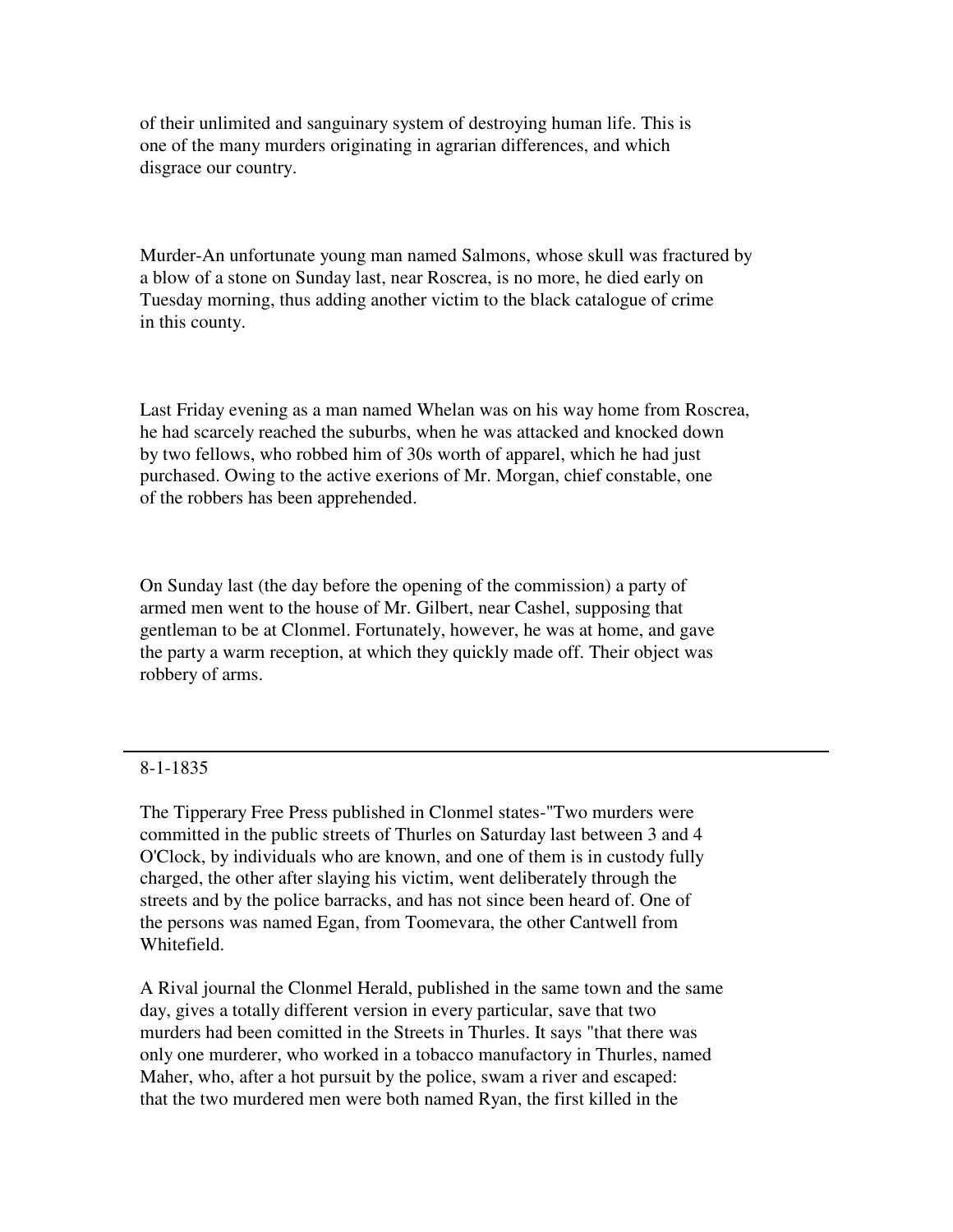of their unlimited and sanguinary system of destroying human life. This is one of the many murders originating in agrarian differences, and which disgrace our country.

Murder-An unfortunate young man named Salmons, whose skull was fractured by a blow of a stone on Sunday last, near Roscrea, is no more, he died early on Tuesday morning, thus adding another victim to the black catalogue of crime in this county.

Last Friday evening as a man named Whelan was on his way home from Roscrea, he had scarcely reached the suburbs, when he was attacked and knocked down by two fellows, who robbed him of 30s worth of apparel, which he had just purchased. Owing to the active exerions of Mr. Morgan, chief constable, one of the robbers has been apprehended.

On Sunday last (the day before the opening of the commission) a party of armed men went to the house of Mr. Gilbert, near Cashel, supposing that gentleman to be at Clonmel. Fortunately, however, he was at home, and gave the party a warm reception, at which they quickly made off. Their object was robbery of arms.

#### 8-1-1835

The Tipperary Free Press published in Clonmel states-"Two murders were committed in the public streets of Thurles on Saturday last between 3 and 4 O'Clock, by individuals who are known, and one of them is in custody fully charged, the other after slaying his victim, went deliberately through the streets and by the police barracks, and has not since been heard of. One of the persons was named Egan, from Toomevara, the other Cantwell from Whitefield.

A Rival journal the Clonmel Herald, published in the same town and the same day, gives a totally different version in every particular, save that two murders had been comitted in the Streets in Thurles. It says "that there was only one murderer, who worked in a tobacco manufactory in Thurles, named Maher, who, after a hot pursuit by the police, swam a river and escaped: that the two murdered men were both named Ryan, the first killed in the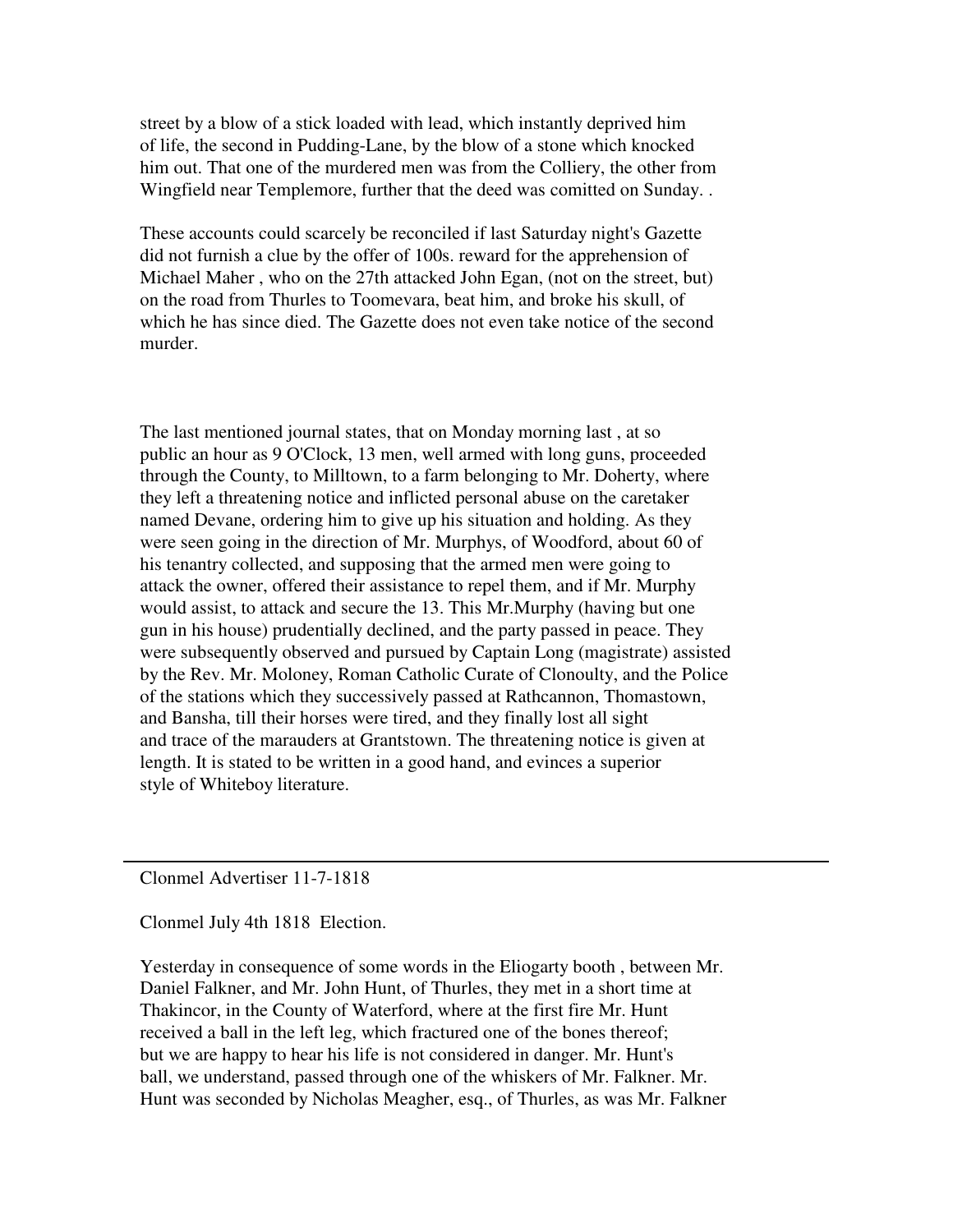street by a blow of a stick loaded with lead, which instantly deprived him of life, the second in Pudding-Lane, by the blow of a stone which knocked him out. That one of the murdered men was from the Colliery, the other from Wingfield near Templemore, further that the deed was comitted on Sunday. .

These accounts could scarcely be reconciled if last Saturday night's Gazette did not furnish a clue by the offer of 100s. reward for the apprehension of Michael Maher , who on the 27th attacked John Egan, (not on the street, but) on the road from Thurles to Toomevara, beat him, and broke his skull, of which he has since died. The Gazette does not even take notice of the second murder.

The last mentioned journal states, that on Monday morning last , at so public an hour as 9 O'Clock, 13 men, well armed with long guns, proceeded through the County, to Milltown, to a farm belonging to Mr. Doherty, where they left a threatening notice and inflicted personal abuse on the caretaker named Devane, ordering him to give up his situation and holding. As they were seen going in the direction of Mr. Murphys, of Woodford, about 60 of his tenantry collected, and supposing that the armed men were going to attack the owner, offered their assistance to repel them, and if Mr. Murphy would assist, to attack and secure the 13. This Mr.Murphy (having but one gun in his house) prudentially declined, and the party passed in peace. They were subsequently observed and pursued by Captain Long (magistrate) assisted by the Rev. Mr. Moloney, Roman Catholic Curate of Clonoulty, and the Police of the stations which they successively passed at Rathcannon, Thomastown, and Bansha, till their horses were tired, and they finally lost all sight and trace of the marauders at Grantstown. The threatening notice is given at length. It is stated to be written in a good hand, and evinces a superior style of Whiteboy literature.

Clonmel Advertiser 11-7-1818

Clonmel July 4th 1818 Election.

Yesterday in consequence of some words in the Eliogarty booth , between Mr. Daniel Falkner, and Mr. John Hunt, of Thurles, they met in a short time at Thakincor, in the County of Waterford, where at the first fire Mr. Hunt received a ball in the left leg, which fractured one of the bones thereof; but we are happy to hear his life is not considered in danger. Mr. Hunt's ball, we understand, passed through one of the whiskers of Mr. Falkner. Mr. Hunt was seconded by Nicholas Meagher, esq., of Thurles, as was Mr. Falkner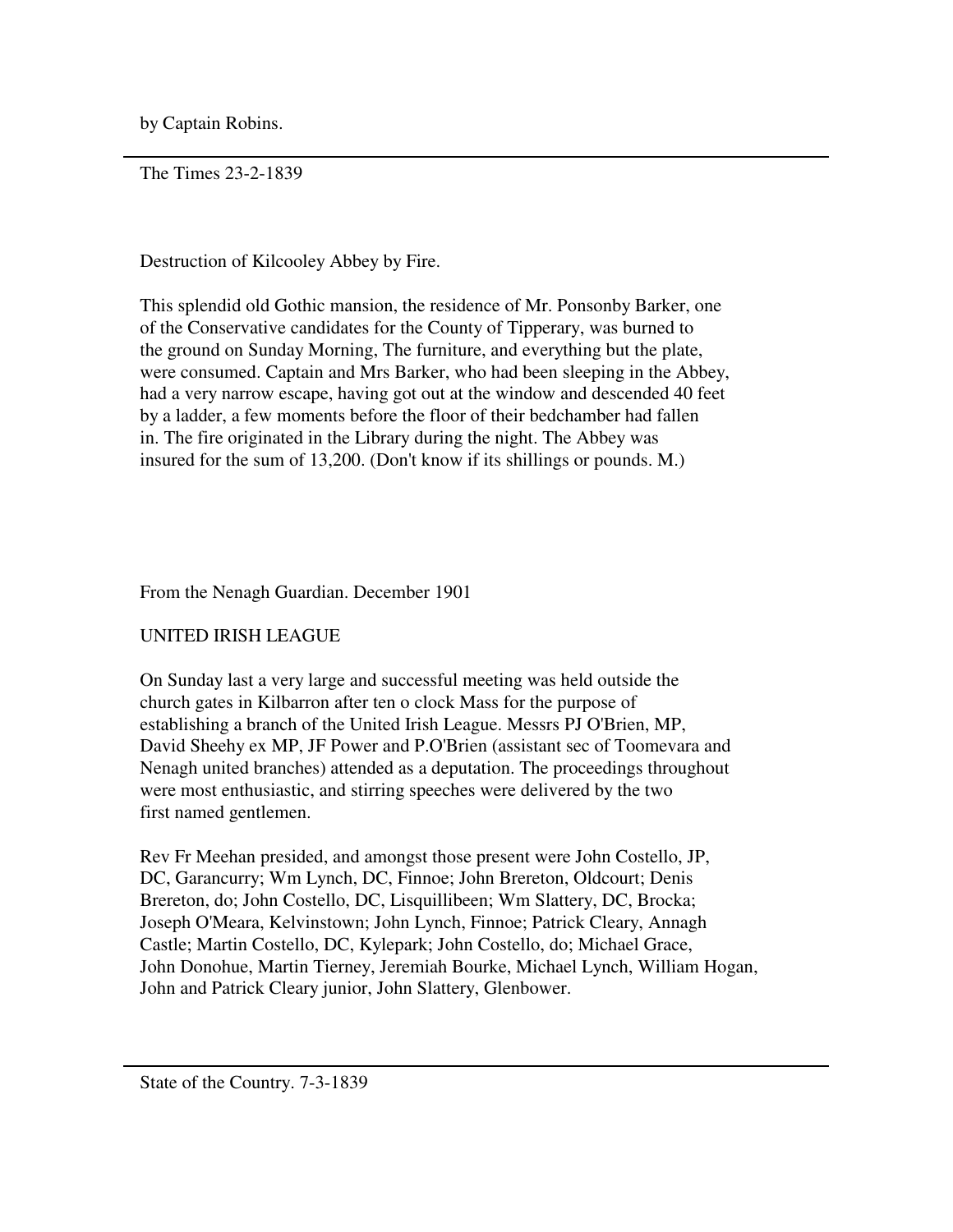by Captain Robins.

The Times 23-2-1839

Destruction of Kilcooley Abbey by Fire.

This splendid old Gothic mansion, the residence of Mr. Ponsonby Barker, one of the Conservative candidates for the County of Tipperary, was burned to the ground on Sunday Morning, The furniture, and everything but the plate, were consumed. Captain and Mrs Barker, who had been sleeping in the Abbey, had a very narrow escape, having got out at the window and descended 40 feet by a ladder, a few moments before the floor of their bedchamber had fallen in. The fire originated in the Library during the night. The Abbey was insured for the sum of 13,200. (Don't know if its shillings or pounds. M.)

From the Nenagh Guardian. December 1901

# UNITED IRISH LEAGUE

On Sunday last a very large and successful meeting was held outside the church gates in Kilbarron after ten o clock Mass for the purpose of establishing a branch of the United Irish League. Messrs PJ O'Brien, MP, David Sheehy ex MP, JF Power and P.O'Brien (assistant sec of Toomevara and Nenagh united branches) attended as a deputation. The proceedings throughout were most enthusiastic, and stirring speeches were delivered by the two first named gentlemen.

Rev Fr Meehan presided, and amongst those present were John Costello, JP, DC, Garancurry; Wm Lynch, DC, Finnoe; John Brereton, Oldcourt; Denis Brereton, do; John Costello, DC, Lisquillibeen; Wm Slattery, DC, Brocka; Joseph O'Meara, Kelvinstown; John Lynch, Finnoe; Patrick Cleary, Annagh Castle; Martin Costello, DC, Kylepark; John Costello, do; Michael Grace, John Donohue, Martin Tierney, Jeremiah Bourke, Michael Lynch, William Hogan, John and Patrick Cleary junior, John Slattery, Glenbower.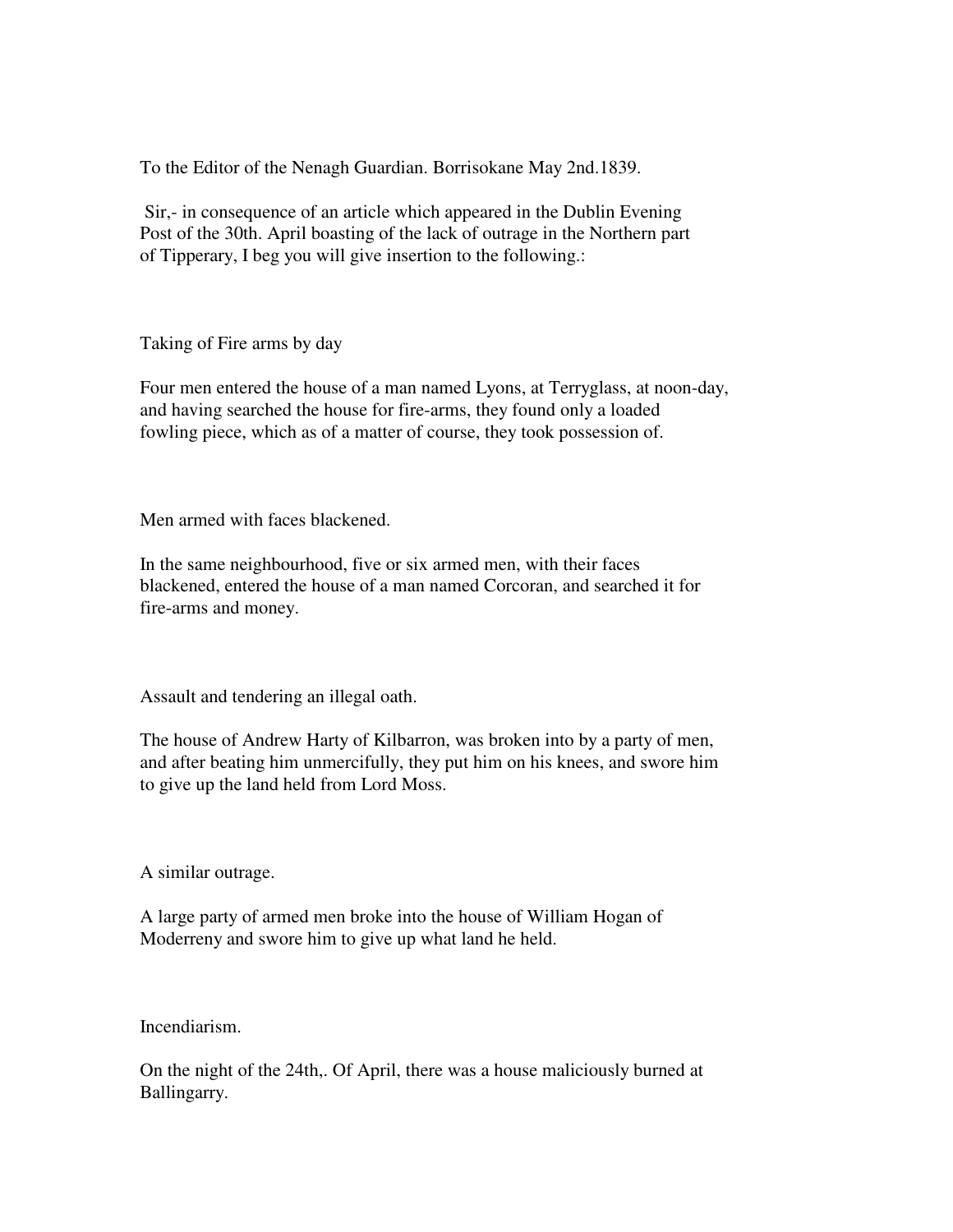To the Editor of the Nenagh Guardian. Borrisokane May 2nd.1839.

 Sir,- in consequence of an article which appeared in the Dublin Evening Post of the 30th. April boasting of the lack of outrage in the Northern part of Tipperary, I beg you will give insertion to the following.:

Taking of Fire arms by day

Four men entered the house of a man named Lyons, at Terryglass, at noon-day, and having searched the house for fire-arms, they found only a loaded fowling piece, which as of a matter of course, they took possession of.

Men armed with faces blackened.

In the same neighbourhood, five or six armed men, with their faces blackened, entered the house of a man named Corcoran, and searched it for fire-arms and money.

Assault and tendering an illegal oath.

The house of Andrew Harty of Kilbarron, was broken into by a party of men, and after beating him unmercifully, they put him on his knees, and swore him to give up the land held from Lord Moss.

A similar outrage.

A large party of armed men broke into the house of William Hogan of Moderreny and swore him to give up what land he held.

Incendiarism.

On the night of the 24th,. Of April, there was a house maliciously burned at Ballingarry.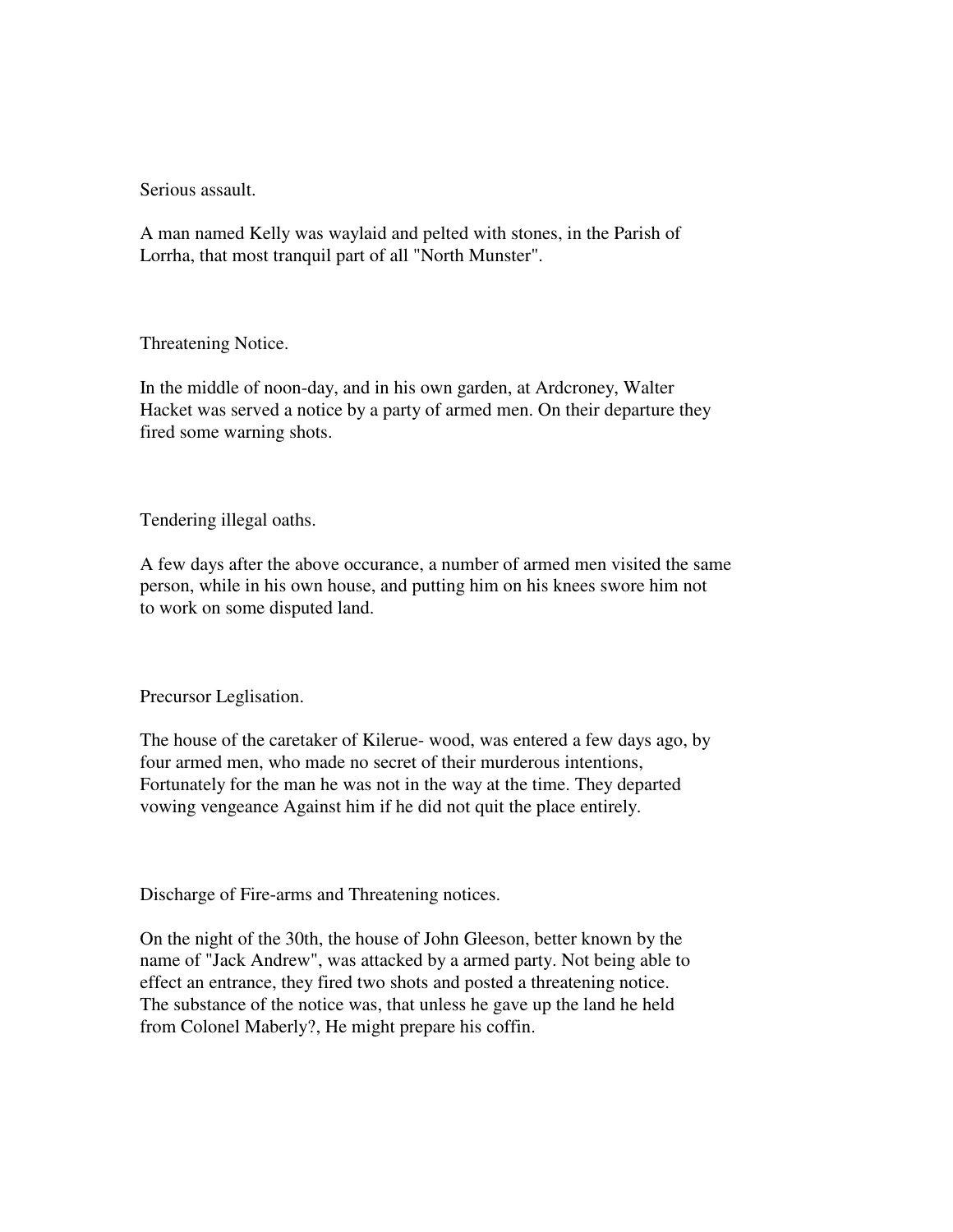Serious assault.

A man named Kelly was waylaid and pelted with stones, in the Parish of Lorrha, that most tranquil part of all "North Munster".

Threatening Notice.

In the middle of noon-day, and in his own garden, at Ardcroney, Walter Hacket was served a notice by a party of armed men. On their departure they fired some warning shots.

Tendering illegal oaths.

A few days after the above occurance, a number of armed men visited the same person, while in his own house, and putting him on his knees swore him not to work on some disputed land.

Precursor Leglisation.

The house of the caretaker of Kilerue- wood, was entered a few days ago, by four armed men, who made no secret of their murderous intentions, Fortunately for the man he was not in the way at the time. They departed vowing vengeance Against him if he did not quit the place entirely.

Discharge of Fire-arms and Threatening notices.

On the night of the 30th, the house of John Gleeson, better known by the name of "Jack Andrew", was attacked by a armed party. Not being able to effect an entrance, they fired two shots and posted a threatening notice. The substance of the notice was, that unless he gave up the land he held from Colonel Maberly?, He might prepare his coffin.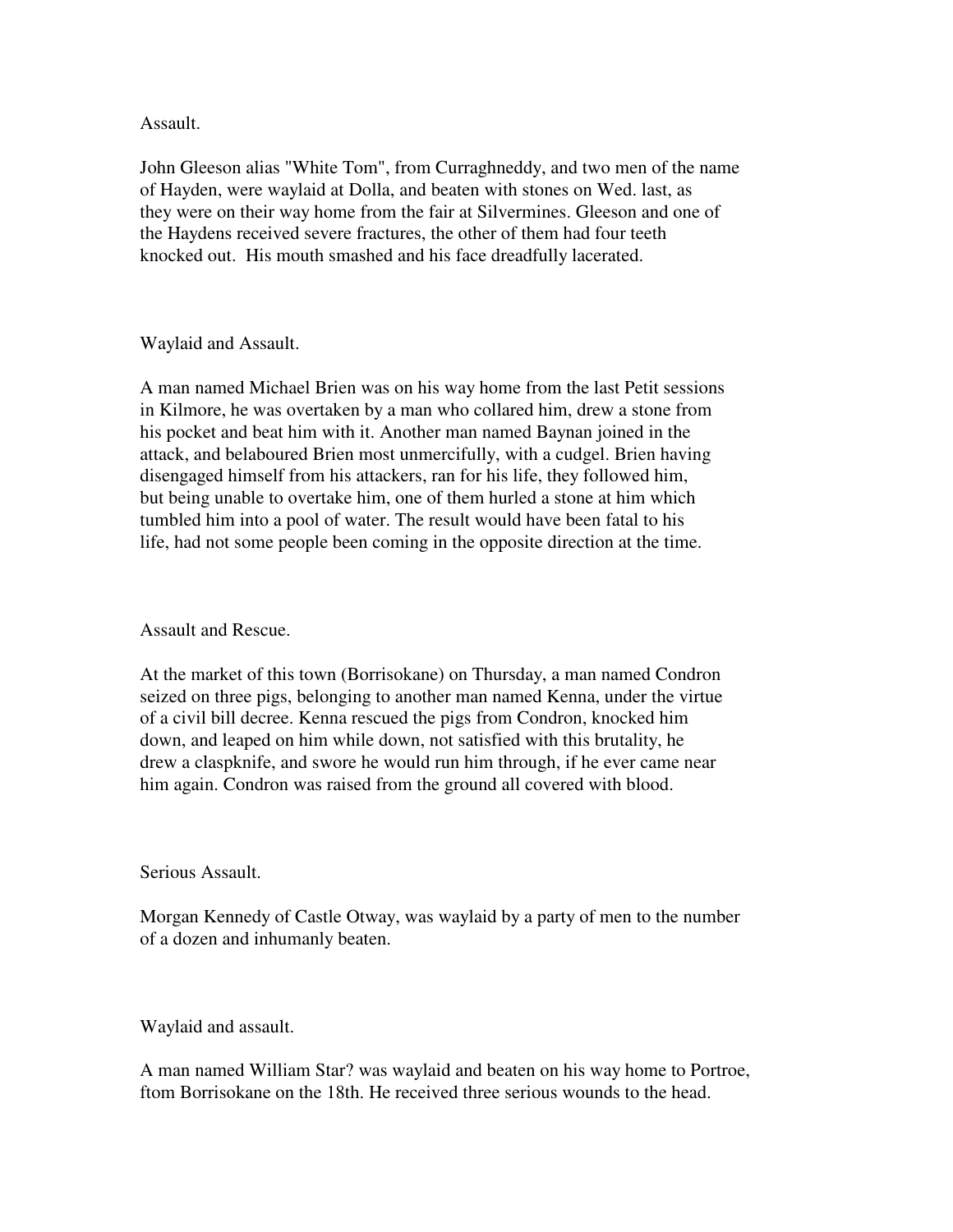Assault.

John Gleeson alias "White Tom", from Curraghneddy, and two men of the name of Hayden, were waylaid at Dolla, and beaten with stones on Wed. last, as they were on their way home from the fair at Silvermines. Gleeson and one of the Haydens received severe fractures, the other of them had four teeth knocked out. His mouth smashed and his face dreadfully lacerated.

#### Waylaid and Assault.

A man named Michael Brien was on his way home from the last Petit sessions in Kilmore, he was overtaken by a man who collared him, drew a stone from his pocket and beat him with it. Another man named Baynan joined in the attack, and belaboured Brien most unmercifully, with a cudgel. Brien having disengaged himself from his attackers, ran for his life, they followed him, but being unable to overtake him, one of them hurled a stone at him which tumbled him into a pool of water. The result would have been fatal to his life, had not some people been coming in the opposite direction at the time.

# Assault and Rescue.

At the market of this town (Borrisokane) on Thursday, a man named Condron seized on three pigs, belonging to another man named Kenna, under the virtue of a civil bill decree. Kenna rescued the pigs from Condron, knocked him down, and leaped on him while down, not satisfied with this brutality, he drew a claspknife, and swore he would run him through, if he ever came near him again. Condron was raised from the ground all covered with blood.

#### Serious Assault.

Morgan Kennedy of Castle Otway, was waylaid by a party of men to the number of a dozen and inhumanly beaten.

#### Waylaid and assault.

A man named William Star? was waylaid and beaten on his way home to Portroe, ftom Borrisokane on the 18th. He received three serious wounds to the head.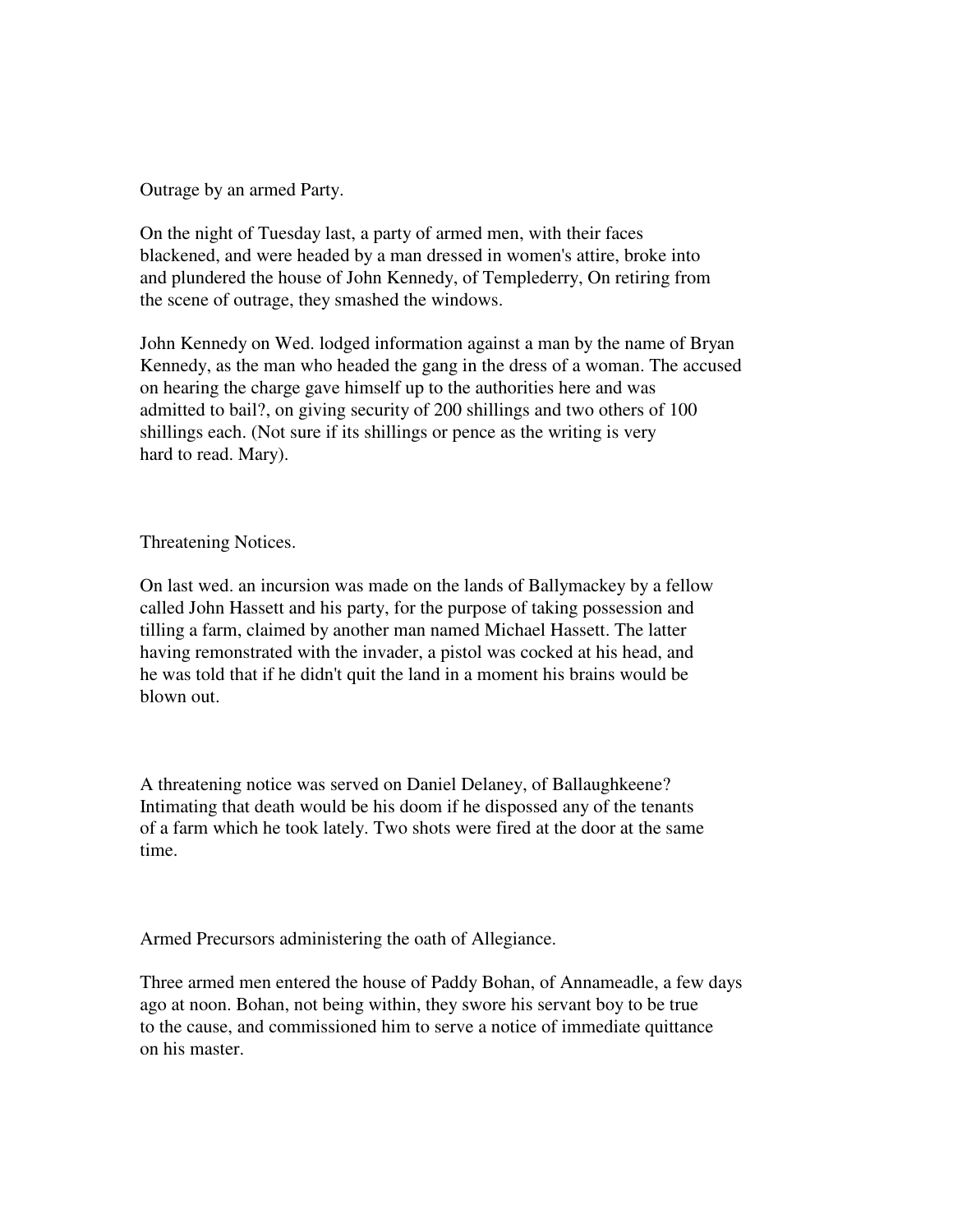Outrage by an armed Party.

On the night of Tuesday last, a party of armed men, with their faces blackened, and were headed by a man dressed in women's attire, broke into and plundered the house of John Kennedy, of Templederry, On retiring from the scene of outrage, they smashed the windows.

John Kennedy on Wed. lodged information against a man by the name of Bryan Kennedy, as the man who headed the gang in the dress of a woman. The accused on hearing the charge gave himself up to the authorities here and was admitted to bail?, on giving security of 200 shillings and two others of 100 shillings each. (Not sure if its shillings or pence as the writing is very hard to read. Mary).

#### Threatening Notices.

On last wed. an incursion was made on the lands of Ballymackey by a fellow called John Hassett and his party, for the purpose of taking possession and tilling a farm, claimed by another man named Michael Hassett. The latter having remonstrated with the invader, a pistol was cocked at his head, and he was told that if he didn't quit the land in a moment his brains would be blown out.

A threatening notice was served on Daniel Delaney, of Ballaughkeene? Intimating that death would be his doom if he dispossed any of the tenants of a farm which he took lately. Two shots were fired at the door at the same time.

Armed Precursors administering the oath of Allegiance.

Three armed men entered the house of Paddy Bohan, of Annameadle, a few days ago at noon. Bohan, not being within, they swore his servant boy to be true to the cause, and commissioned him to serve a notice of immediate quittance on his master.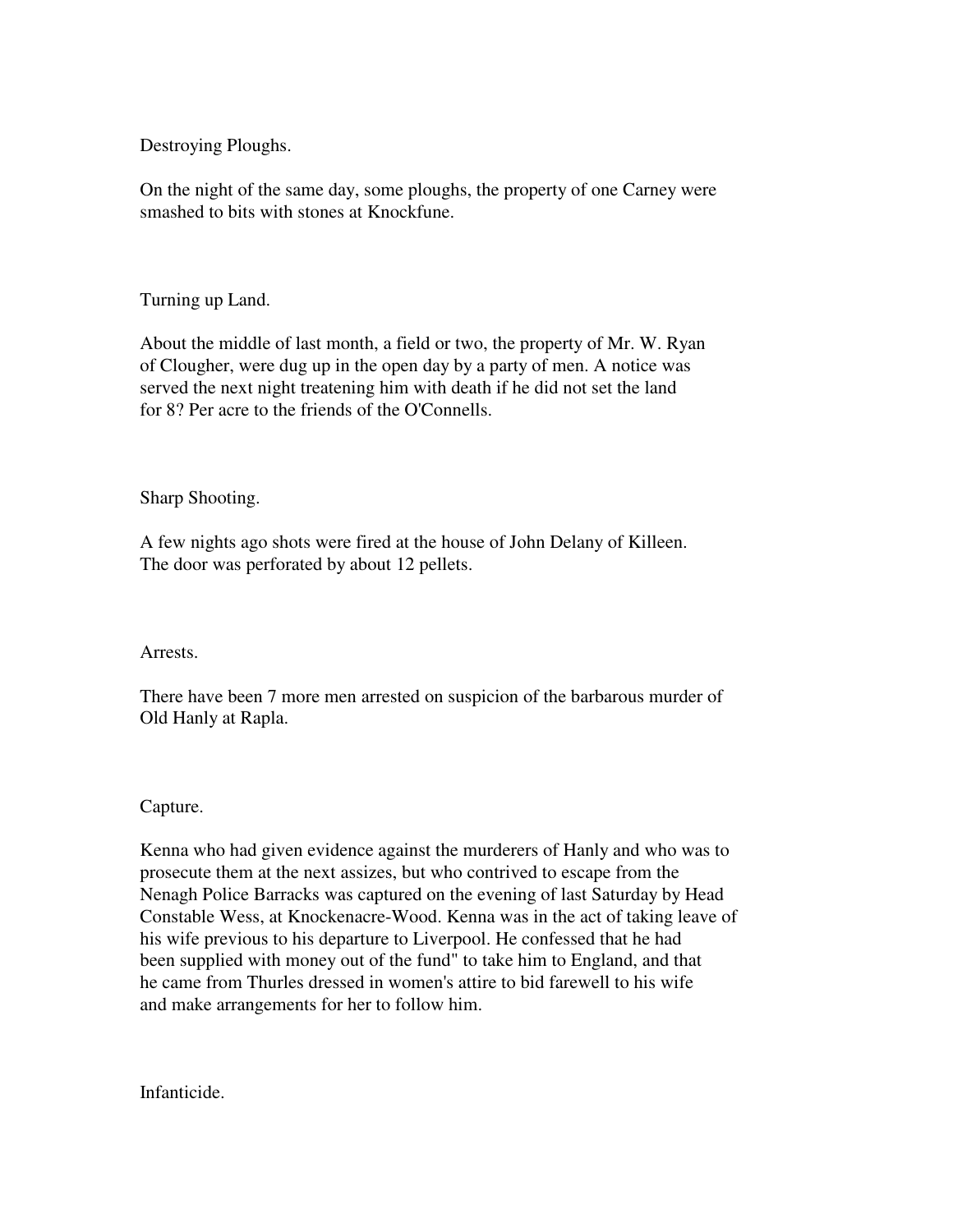Destroying Ploughs.

On the night of the same day, some ploughs, the property of one Carney were smashed to bits with stones at Knockfune.

Turning up Land.

About the middle of last month, a field or two, the property of Mr. W. Ryan of Clougher, were dug up in the open day by a party of men. A notice was served the next night treatening him with death if he did not set the land for 8? Per acre to the friends of the O'Connells.

Sharp Shooting.

A few nights ago shots were fired at the house of John Delany of Killeen. The door was perforated by about 12 pellets.

Arrests.

There have been 7 more men arrested on suspicion of the barbarous murder of Old Hanly at Rapla.

Capture.

Kenna who had given evidence against the murderers of Hanly and who was to prosecute them at the next assizes, but who contrived to escape from the Nenagh Police Barracks was captured on the evening of last Saturday by Head Constable Wess, at Knockenacre-Wood. Kenna was in the act of taking leave of his wife previous to his departure to Liverpool. He confessed that he had been supplied with money out of the fund" to take him to England, and that he came from Thurles dressed in women's attire to bid farewell to his wife and make arrangements for her to follow him.

Infanticide.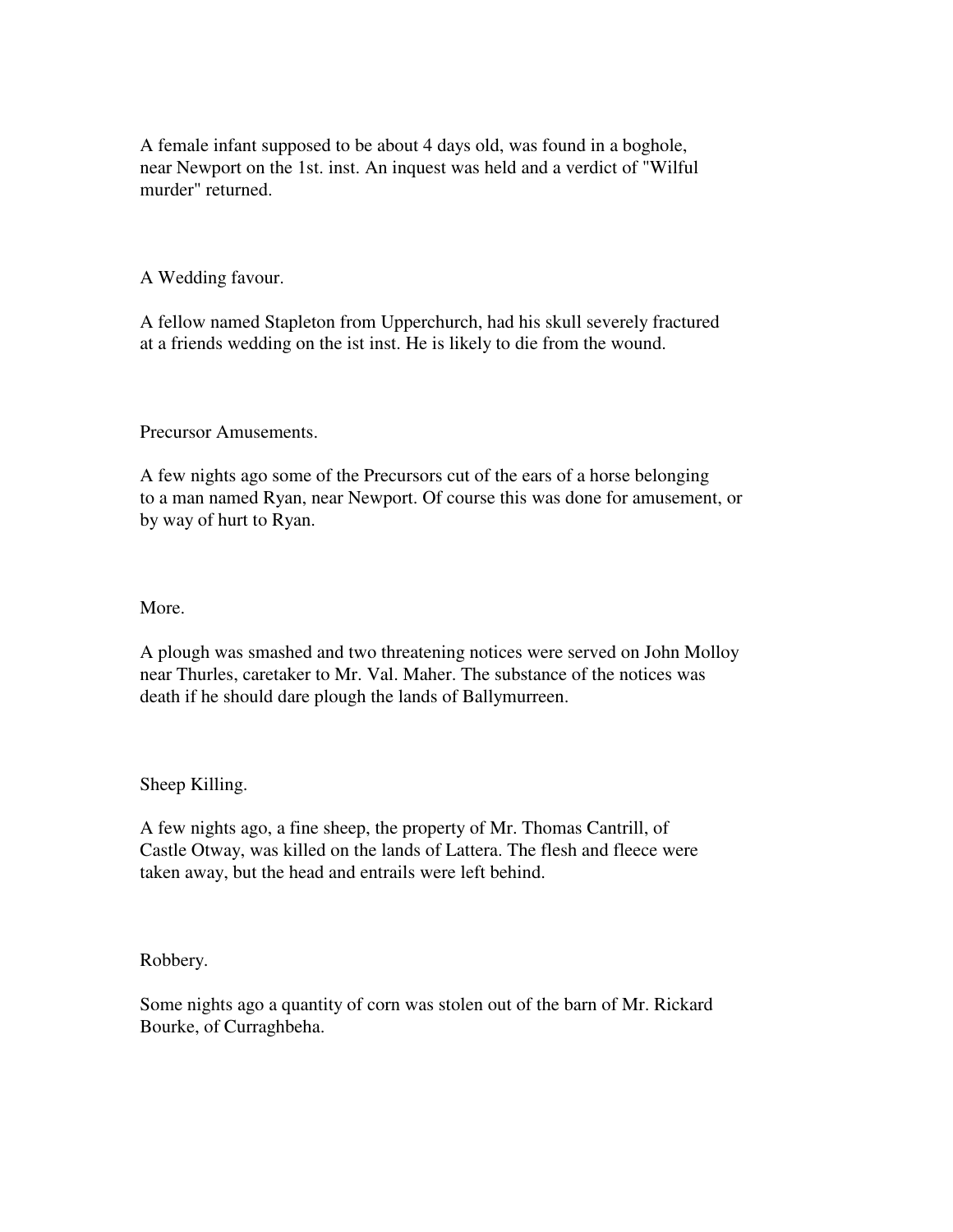A female infant supposed to be about 4 days old, was found in a boghole, near Newport on the 1st. inst. An inquest was held and a verdict of "Wilful murder" returned.

A Wedding favour.

A fellow named Stapleton from Upperchurch, had his skull severely fractured at a friends wedding on the ist inst. He is likely to die from the wound.

Precursor Amusements.

A few nights ago some of the Precursors cut of the ears of a horse belonging to a man named Ryan, near Newport. Of course this was done for amusement, or by way of hurt to Ryan.

More.

A plough was smashed and two threatening notices were served on John Molloy near Thurles, caretaker to Mr. Val. Maher. The substance of the notices was death if he should dare plough the lands of Ballymurreen.

Sheep Killing.

A few nights ago, a fine sheep, the property of Mr. Thomas Cantrill, of Castle Otway, was killed on the lands of Lattera. The flesh and fleece were taken away, but the head and entrails were left behind.

Robbery.

Some nights ago a quantity of corn was stolen out of the barn of Mr. Rickard Bourke, of Curraghbeha.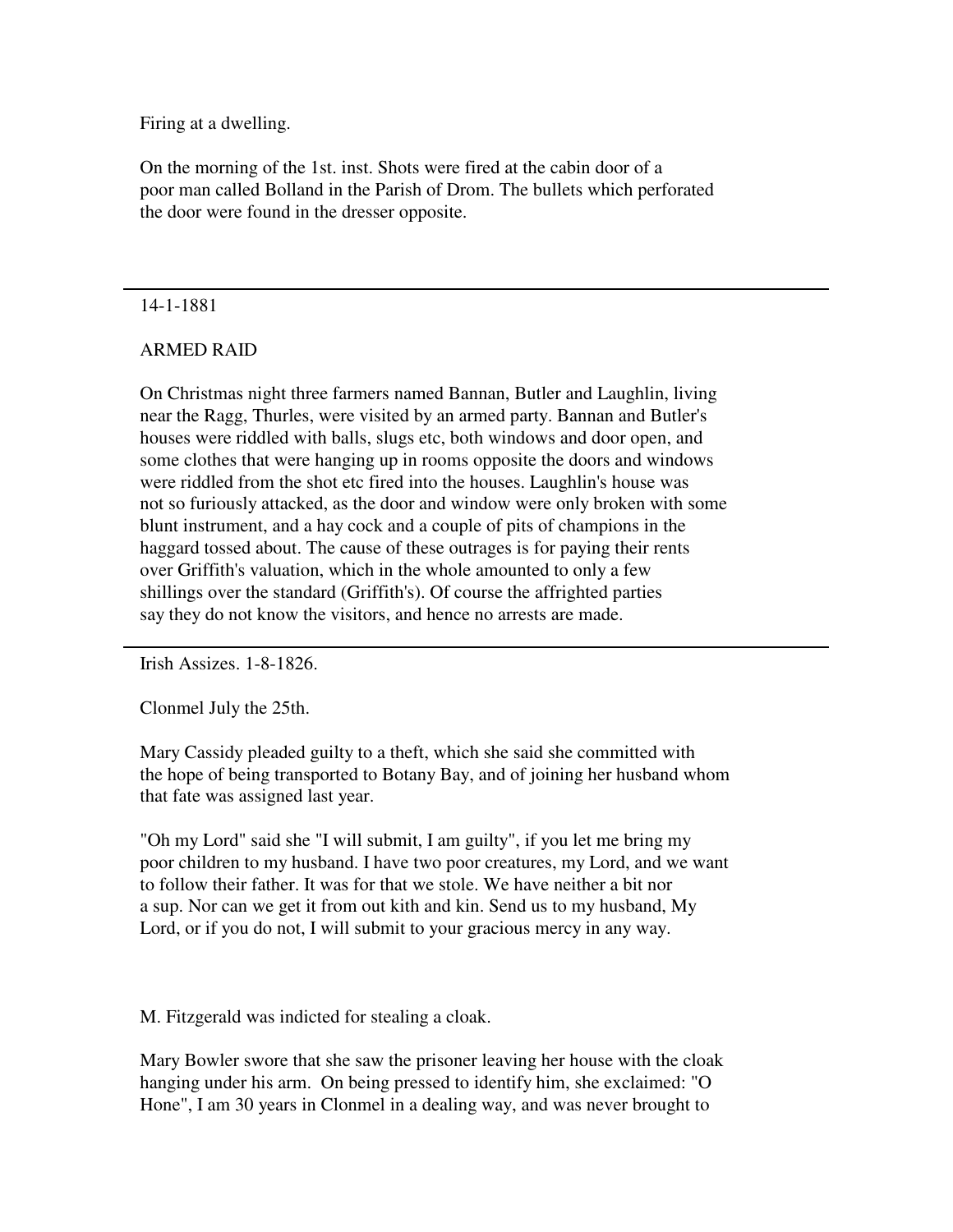Firing at a dwelling.

On the morning of the 1st. inst. Shots were fired at the cabin door of a poor man called Bolland in the Parish of Drom. The bullets which perforated the door were found in the dresser opposite.

#### 14-1-1881

# ARMED RAID

On Christmas night three farmers named Bannan, Butler and Laughlin, living near the Ragg, Thurles, were visited by an armed party. Bannan and Butler's houses were riddled with balls, slugs etc, both windows and door open, and some clothes that were hanging up in rooms opposite the doors and windows were riddled from the shot etc fired into the houses. Laughlin's house was not so furiously attacked, as the door and window were only broken with some blunt instrument, and a hay cock and a couple of pits of champions in the haggard tossed about. The cause of these outrages is for paying their rents over Griffith's valuation, which in the whole amounted to only a few shillings over the standard (Griffith's). Of course the affrighted parties say they do not know the visitors, and hence no arrests are made.

Irish Assizes. 1-8-1826.

Clonmel July the 25th.

Mary Cassidy pleaded guilty to a theft, which she said she committed with the hope of being transported to Botany Bay, and of joining her husband whom that fate was assigned last year.

"Oh my Lord" said she "I will submit, I am guilty", if you let me bring my poor children to my husband. I have two poor creatures, my Lord, and we want to follow their father. It was for that we stole. We have neither a bit nor a sup. Nor can we get it from out kith and kin. Send us to my husband, My Lord, or if you do not, I will submit to your gracious mercy in any way.

M. Fitzgerald was indicted for stealing a cloak.

Mary Bowler swore that she saw the prisoner leaving her house with the cloak hanging under his arm. On being pressed to identify him, she exclaimed: "O Hone", I am 30 years in Clonmel in a dealing way, and was never brought to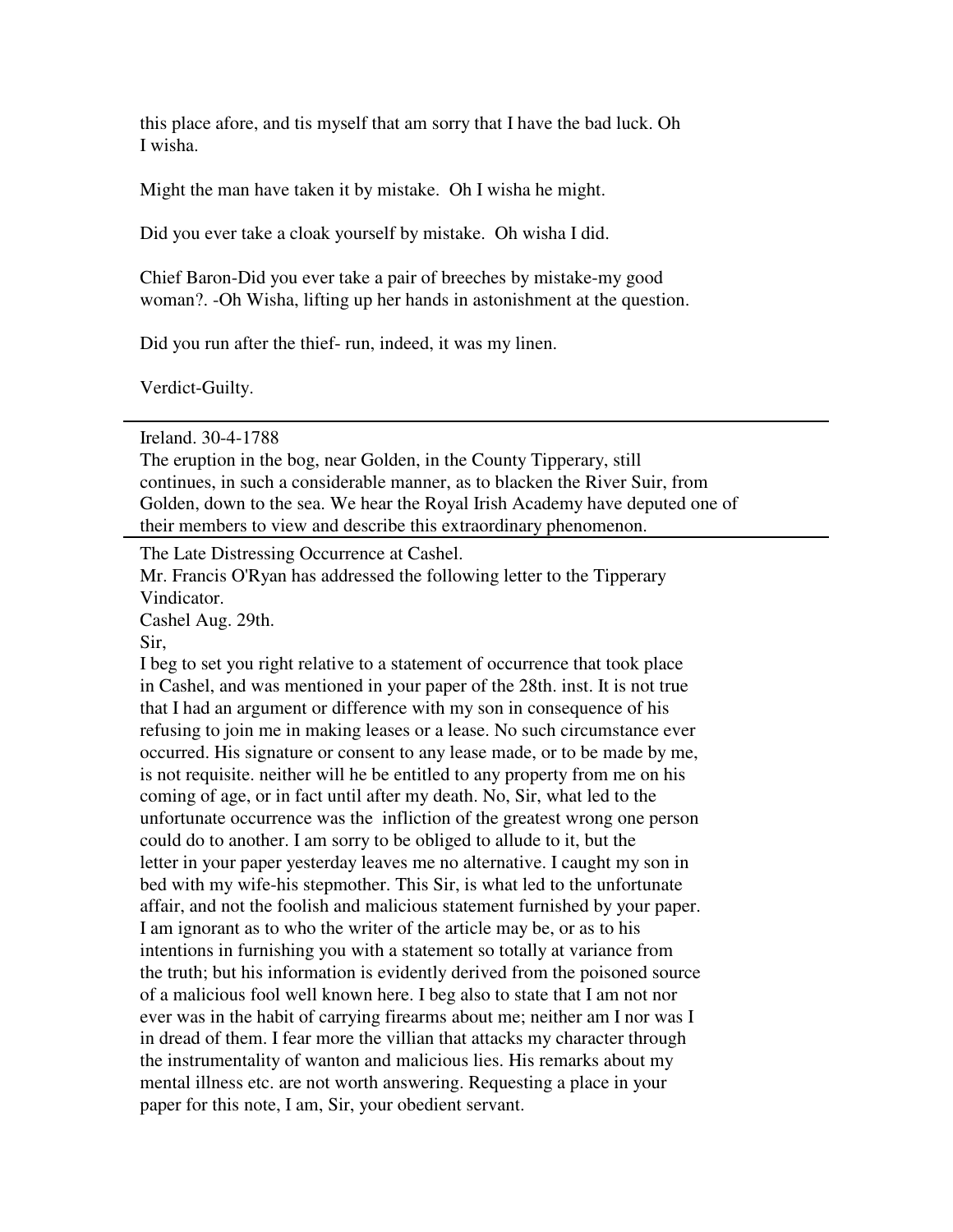this place afore, and tis myself that am sorry that I have the bad luck. Oh I wisha.

Might the man have taken it by mistake. Oh I wisha he might.

Did you ever take a cloak yourself by mistake. Oh wisha I did.

Chief Baron-Did you ever take a pair of breeches by mistake-my good woman?. -Oh Wisha, lifting up her hands in astonishment at the question.

Did you run after the thief- run, indeed, it was my linen.

Verdict-Guilty.

Ireland. 30-4-1788

The eruption in the bog, near Golden, in the County Tipperary, still continues, in such a considerable manner, as to blacken the River Suir, from Golden, down to the sea. We hear the Royal Irish Academy have deputed one of their members to view and describe this extraordinary phenomenon.

The Late Distressing Occurrence at Cashel.

Mr. Francis O'Ryan has addressed the following letter to the Tipperary Vindicator.

Cashel Aug. 29th.

Sir,

I beg to set you right relative to a statement of occurrence that took place in Cashel, and was mentioned in your paper of the 28th. inst. It is not true that I had an argument or difference with my son in consequence of his refusing to join me in making leases or a lease. No such circumstance ever occurred. His signature or consent to any lease made, or to be made by me, is not requisite. neither will he be entitled to any property from me on his coming of age, or in fact until after my death. No, Sir, what led to the unfortunate occurrence was the infliction of the greatest wrong one person could do to another. I am sorry to be obliged to allude to it, but the letter in your paper yesterday leaves me no alternative. I caught my son in bed with my wife-his stepmother. This Sir, is what led to the unfortunate affair, and not the foolish and malicious statement furnished by your paper. I am ignorant as to who the writer of the article may be, or as to his intentions in furnishing you with a statement so totally at variance from the truth; but his information is evidently derived from the poisoned source of a malicious fool well known here. I beg also to state that I am not nor ever was in the habit of carrying firearms about me; neither am I nor was I in dread of them. I fear more the villian that attacks my character through the instrumentality of wanton and malicious lies. His remarks about my mental illness etc. are not worth answering. Requesting a place in your paper for this note, I am, Sir, your obedient servant.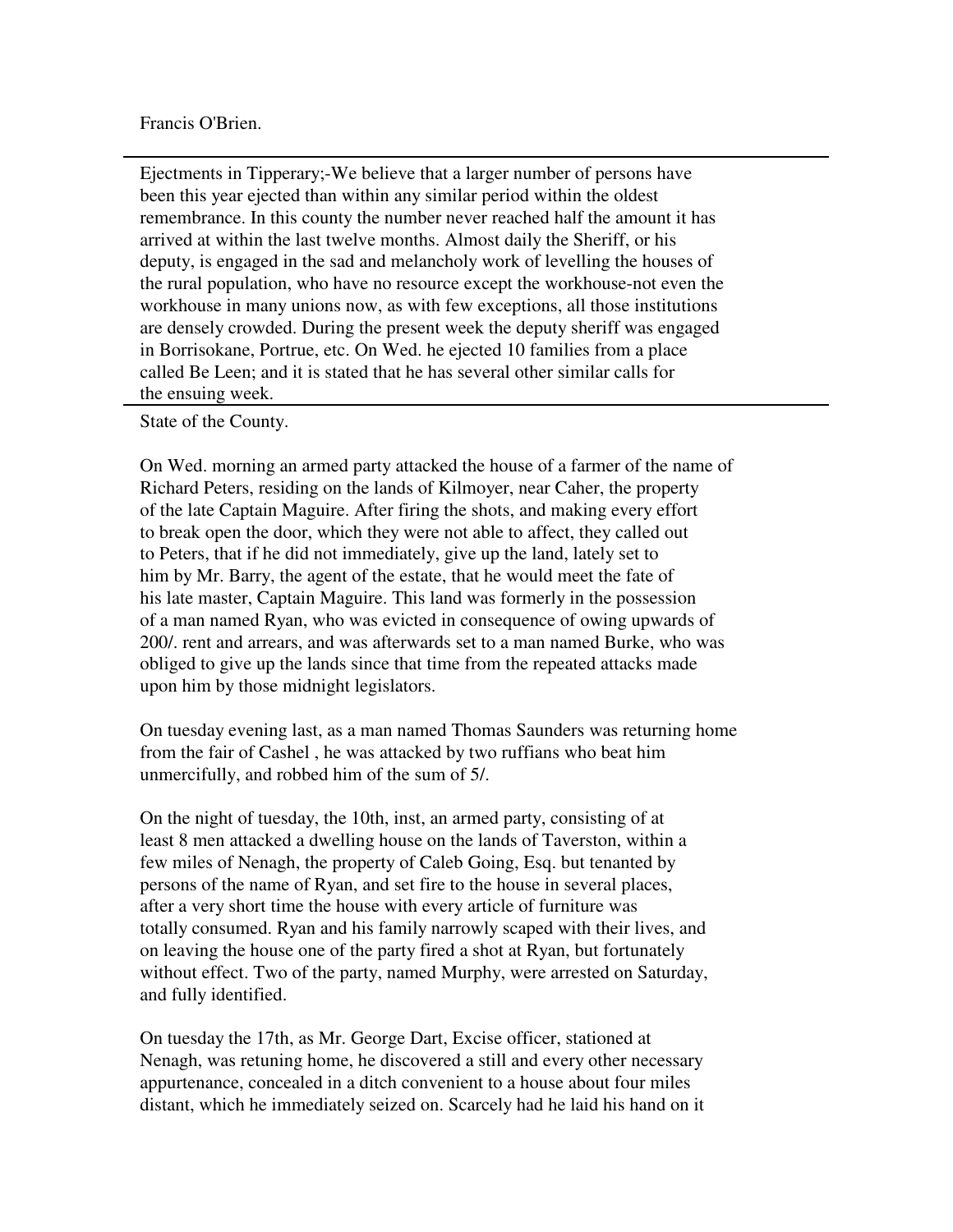#### Francis O'Brien.

Ejectments in Tipperary;-We believe that a larger number of persons have been this year ejected than within any similar period within the oldest remembrance. In this county the number never reached half the amount it has arrived at within the last twelve months. Almost daily the Sheriff, or his deputy, is engaged in the sad and melancholy work of levelling the houses of the rural population, who have no resource except the workhouse-not even the workhouse in many unions now, as with few exceptions, all those institutions are densely crowded. During the present week the deputy sheriff was engaged in Borrisokane, Portrue, etc. On Wed. he ejected 10 families from a place called Be Leen; and it is stated that he has several other similar calls for the ensuing week.

State of the County.

On Wed. morning an armed party attacked the house of a farmer of the name of Richard Peters, residing on the lands of Kilmoyer, near Caher, the property of the late Captain Maguire. After firing the shots, and making every effort to break open the door, which they were not able to affect, they called out to Peters, that if he did not immediately, give up the land, lately set to him by Mr. Barry, the agent of the estate, that he would meet the fate of his late master, Captain Maguire. This land was formerly in the possession of a man named Ryan, who was evicted in consequence of owing upwards of 200/. rent and arrears, and was afterwards set to a man named Burke, who was obliged to give up the lands since that time from the repeated attacks made upon him by those midnight legislators.

On tuesday evening last, as a man named Thomas Saunders was returning home from the fair of Cashel , he was attacked by two ruffians who beat him unmercifully, and robbed him of the sum of 5/.

On the night of tuesday, the 10th, inst, an armed party, consisting of at least 8 men attacked a dwelling house on the lands of Taverston, within a few miles of Nenagh, the property of Caleb Going, Esq. but tenanted by persons of the name of Ryan, and set fire to the house in several places, after a very short time the house with every article of furniture was totally consumed. Ryan and his family narrowly scaped with their lives, and on leaving the house one of the party fired a shot at Ryan, but fortunately without effect. Two of the party, named Murphy, were arrested on Saturday, and fully identified.

On tuesday the 17th, as Mr. George Dart, Excise officer, stationed at Nenagh, was retuning home, he discovered a still and every other necessary appurtenance, concealed in a ditch convenient to a house about four miles distant, which he immediately seized on. Scarcely had he laid his hand on it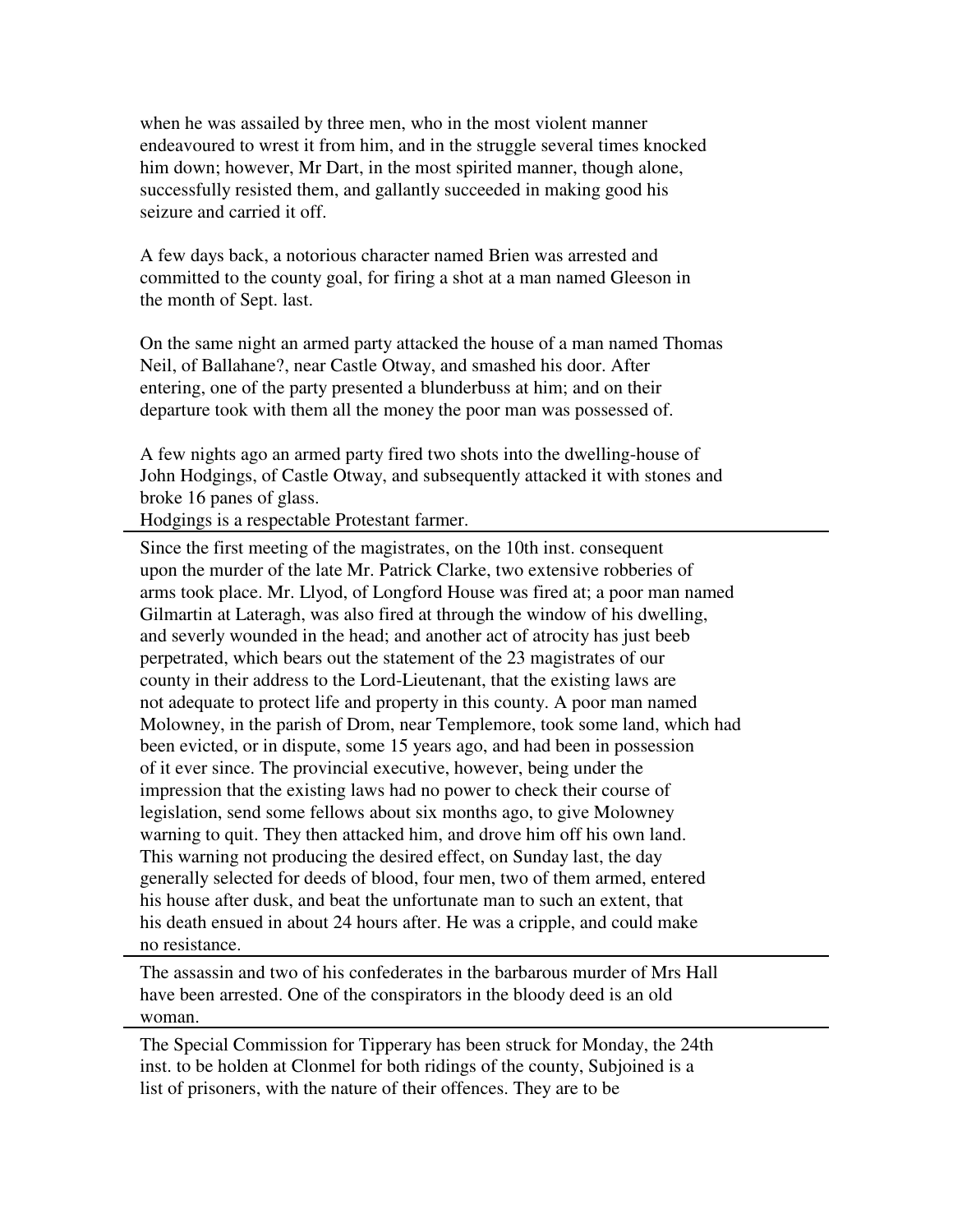when he was assailed by three men, who in the most violent manner endeavoured to wrest it from him, and in the struggle several times knocked him down; however, Mr Dart, in the most spirited manner, though alone, successfully resisted them, and gallantly succeeded in making good his seizure and carried it off.

A few days back, a notorious character named Brien was arrested and committed to the county goal, for firing a shot at a man named Gleeson in the month of Sept. last.

On the same night an armed party attacked the house of a man named Thomas Neil, of Ballahane?, near Castle Otway, and smashed his door. After entering, one of the party presented a blunderbuss at him; and on their departure took with them all the money the poor man was possessed of.

A few nights ago an armed party fired two shots into the dwelling-house of John Hodgings, of Castle Otway, and subsequently attacked it with stones and broke 16 panes of glass.

Hodgings is a respectable Protestant farmer.

Since the first meeting of the magistrates, on the 10th inst. consequent upon the murder of the late Mr. Patrick Clarke, two extensive robberies of arms took place. Mr. Llyod, of Longford House was fired at; a poor man named Gilmartin at Lateragh, was also fired at through the window of his dwelling, and severly wounded in the head; and another act of atrocity has just beeb perpetrated, which bears out the statement of the 23 magistrates of our county in their address to the Lord-Lieutenant, that the existing laws are not adequate to protect life and property in this county. A poor man named Molowney, in the parish of Drom, near Templemore, took some land, which had been evicted, or in dispute, some 15 years ago, and had been in possession of it ever since. The provincial executive, however, being under the impression that the existing laws had no power to check their course of legislation, send some fellows about six months ago, to give Molowney warning to quit. They then attacked him, and drove him off his own land. This warning not producing the desired effect, on Sunday last, the day generally selected for deeds of blood, four men, two of them armed, entered his house after dusk, and beat the unfortunate man to such an extent, that his death ensued in about 24 hours after. He was a cripple, and could make no resistance.

The assassin and two of his confederates in the barbarous murder of Mrs Hall have been arrested. One of the conspirators in the bloody deed is an old woman.

The Special Commission for Tipperary has been struck for Monday, the 24th inst. to be holden at Clonmel for both ridings of the county, Subjoined is a list of prisoners, with the nature of their offences. They are to be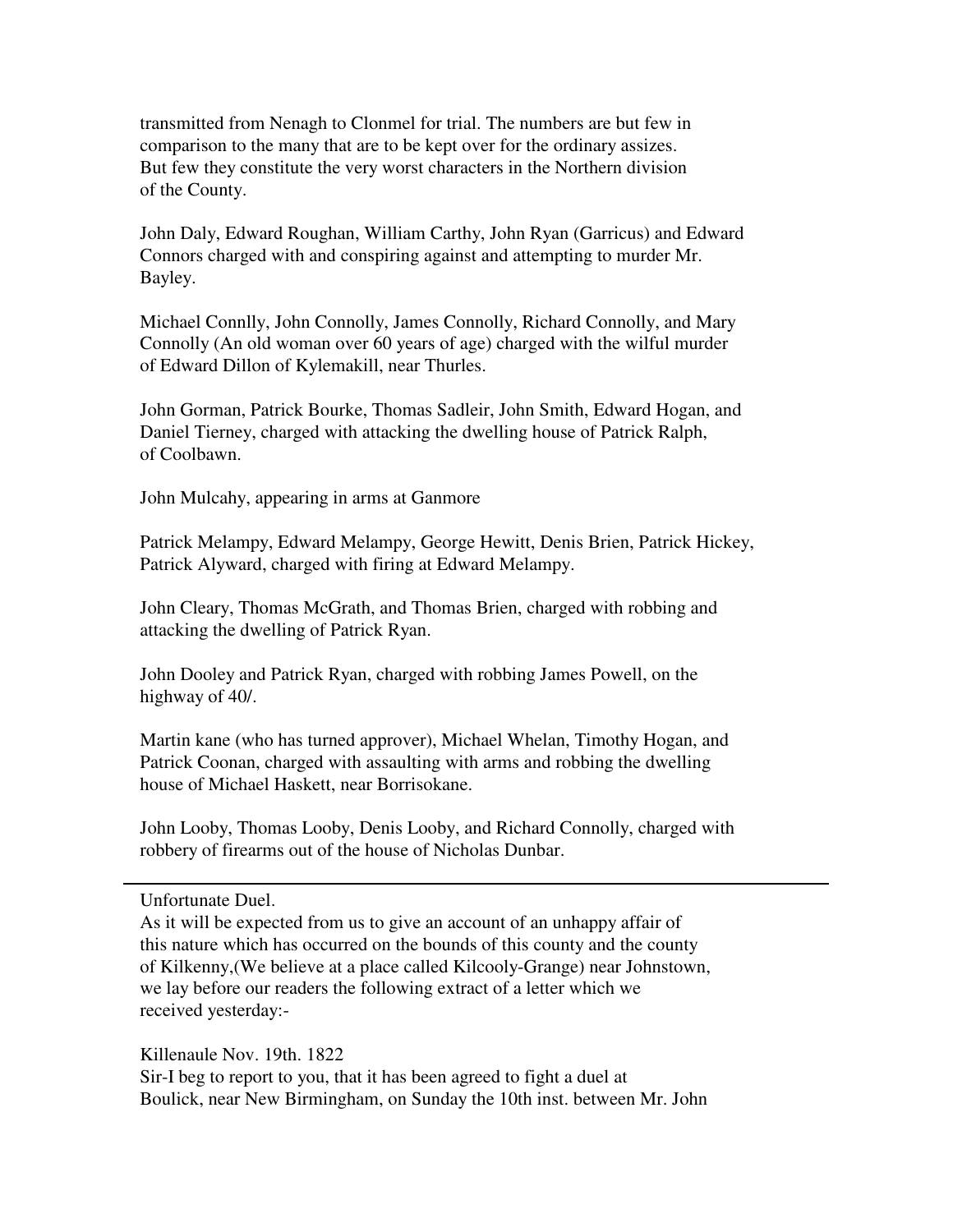transmitted from Nenagh to Clonmel for trial. The numbers are but few in comparison to the many that are to be kept over for the ordinary assizes. But few they constitute the very worst characters in the Northern division of the County.

John Daly, Edward Roughan, William Carthy, John Ryan (Garricus) and Edward Connors charged with and conspiring against and attempting to murder Mr. Bayley.

Michael Connlly, John Connolly, James Connolly, Richard Connolly, and Mary Connolly (An old woman over 60 years of age) charged with the wilful murder of Edward Dillon of Kylemakill, near Thurles.

John Gorman, Patrick Bourke, Thomas Sadleir, John Smith, Edward Hogan, and Daniel Tierney, charged with attacking the dwelling house of Patrick Ralph, of Coolbawn.

John Mulcahy, appearing in arms at Ganmore

Patrick Melampy, Edward Melampy, George Hewitt, Denis Brien, Patrick Hickey, Patrick Alyward, charged with firing at Edward Melampy.

John Cleary, Thomas McGrath, and Thomas Brien, charged with robbing and attacking the dwelling of Patrick Ryan.

John Dooley and Patrick Ryan, charged with robbing James Powell, on the highway of 40/.

Martin kane (who has turned approver), Michael Whelan, Timothy Hogan, and Patrick Coonan, charged with assaulting with arms and robbing the dwelling house of Michael Haskett, near Borrisokane.

John Looby, Thomas Looby, Denis Looby, and Richard Connolly, charged with robbery of firearms out of the house of Nicholas Dunbar.

Unfortunate Duel.

As it will be expected from us to give an account of an unhappy affair of this nature which has occurred on the bounds of this county and the county of Kilkenny,(We believe at a place called Kilcooly-Grange) near Johnstown, we lay before our readers the following extract of a letter which we received yesterday:-

Killenaule Nov. 19th. 1822

Sir-I beg to report to you, that it has been agreed to fight a duel at Boulick, near New Birmingham, on Sunday the 10th inst. between Mr. John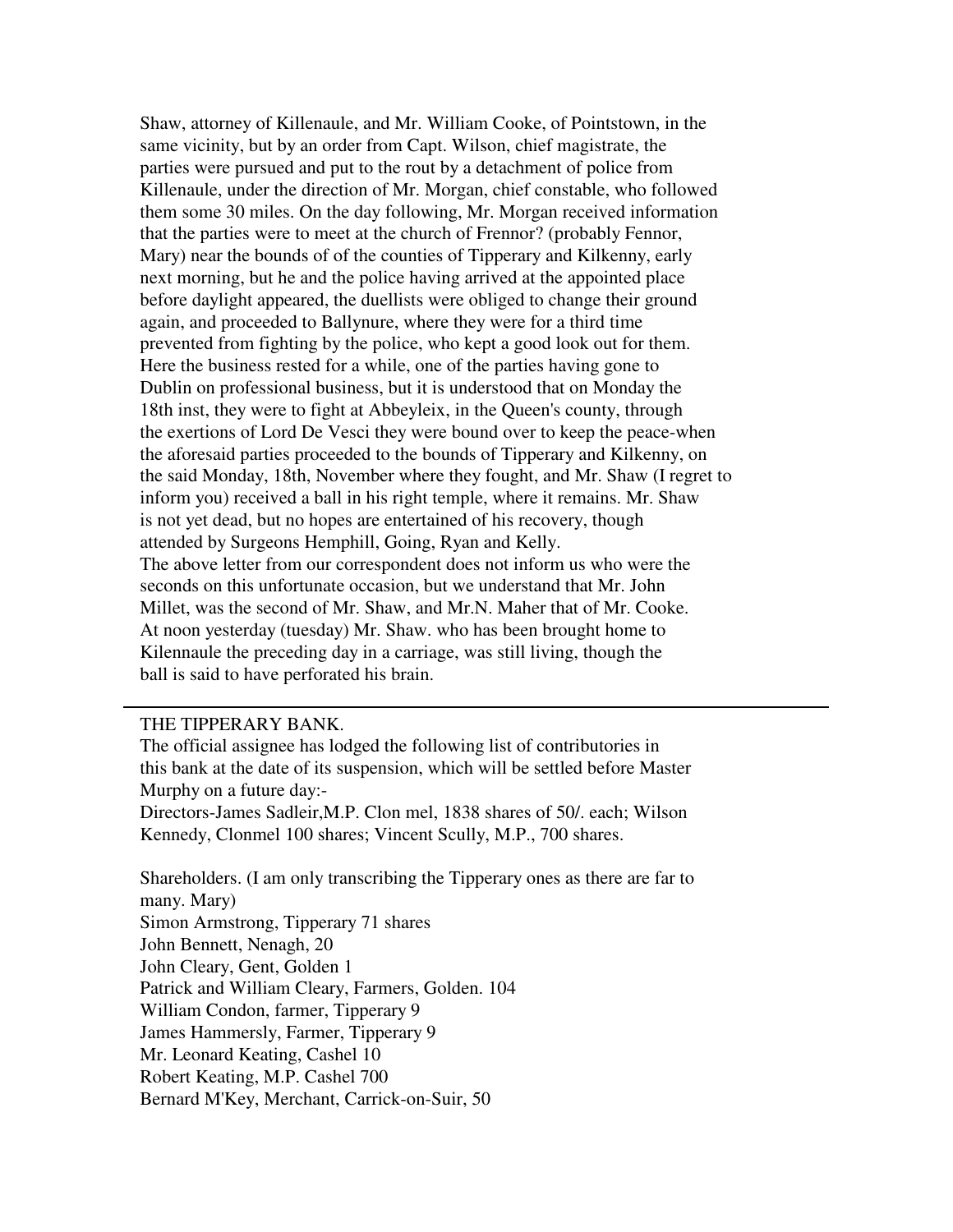Shaw, attorney of Killenaule, and Mr. William Cooke, of Pointstown, in the same vicinity, but by an order from Capt. Wilson, chief magistrate, the parties were pursued and put to the rout by a detachment of police from Killenaule, under the direction of Mr. Morgan, chief constable, who followed them some 30 miles. On the day following, Mr. Morgan received information that the parties were to meet at the church of Frennor? (probably Fennor, Mary) near the bounds of of the counties of Tipperary and Kilkenny, early next morning, but he and the police having arrived at the appointed place before daylight appeared, the duellists were obliged to change their ground again, and proceeded to Ballynure, where they were for a third time prevented from fighting by the police, who kept a good look out for them. Here the business rested for a while, one of the parties having gone to Dublin on professional business, but it is understood that on Monday the 18th inst, they were to fight at Abbeyleix, in the Queen's county, through the exertions of Lord De Vesci they were bound over to keep the peace-when the aforesaid parties proceeded to the bounds of Tipperary and Kilkenny, on the said Monday, 18th, November where they fought, and Mr. Shaw (I regret to inform you) received a ball in his right temple, where it remains. Mr. Shaw is not yet dead, but no hopes are entertained of his recovery, though attended by Surgeons Hemphill, Going, Ryan and Kelly. The above letter from our correspondent does not inform us who were the seconds on this unfortunate occasion, but we understand that Mr. John Millet, was the second of Mr. Shaw, and Mr.N. Maher that of Mr. Cooke. At noon yesterday (tuesday) Mr. Shaw. who has been brought home to Kilennaule the preceding day in a carriage, was still living, though the ball is said to have perforated his brain.

#### THE TIPPERARY BANK.

The official assignee has lodged the following list of contributories in this bank at the date of its suspension, which will be settled before Master Murphy on a future day:-

Directors-James Sadleir,M.P. Clon mel, 1838 shares of 50/. each; Wilson Kennedy, Clonmel 100 shares; Vincent Scully, M.P., 700 shares.

Shareholders. (I am only transcribing the Tipperary ones as there are far to many. Mary) Simon Armstrong, Tipperary 71 shares John Bennett, Nenagh, 20 John Cleary, Gent, Golden 1 Patrick and William Cleary, Farmers, Golden. 104 William Condon, farmer, Tipperary 9 James Hammersly, Farmer, Tipperary 9 Mr. Leonard Keating, Cashel 10 Robert Keating, M.P. Cashel 700 Bernard M'Key, Merchant, Carrick-on-Suir, 50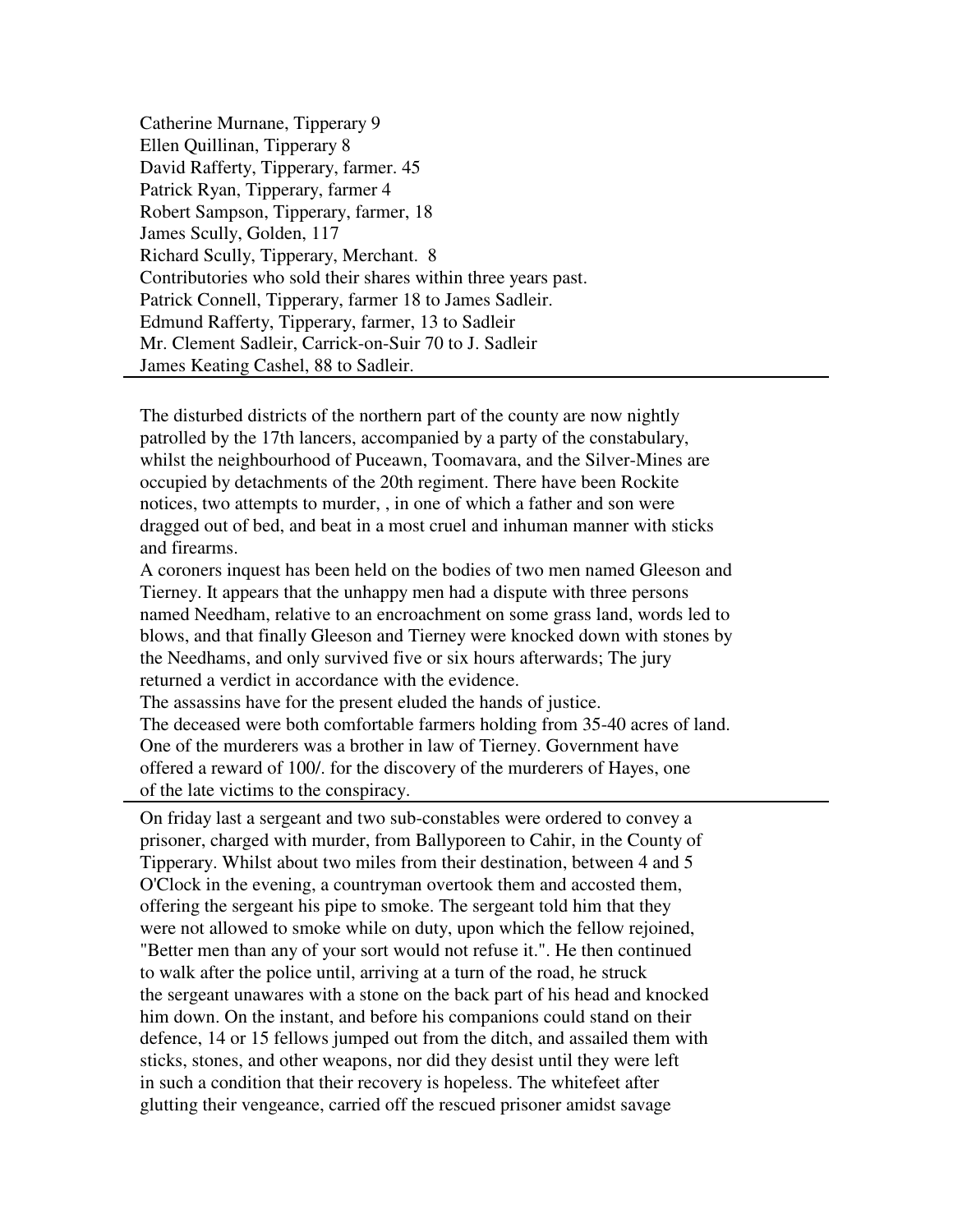Catherine Murnane, Tipperary 9 Ellen Quillinan, Tipperary 8 David Rafferty, Tipperary, farmer. 45 Patrick Ryan, Tipperary, farmer 4 Robert Sampson, Tipperary, farmer, 18 James Scully, Golden, 117 Richard Scully, Tipperary, Merchant. 8 Contributories who sold their shares within three years past. Patrick Connell, Tipperary, farmer 18 to James Sadleir. Edmund Rafferty, Tipperary, farmer, 13 to Sadleir Mr. Clement Sadleir, Carrick-on-Suir 70 to J. Sadleir James Keating Cashel, 88 to Sadleir.

The disturbed districts of the northern part of the county are now nightly patrolled by the 17th lancers, accompanied by a party of the constabulary, whilst the neighbourhood of Puceawn, Toomavara, and the Silver-Mines are occupied by detachments of the 20th regiment. There have been Rockite notices, two attempts to murder, , in one of which a father and son were dragged out of bed, and beat in a most cruel and inhuman manner with sticks and firearms.

A coroners inquest has been held on the bodies of two men named Gleeson and Tierney. It appears that the unhappy men had a dispute with three persons named Needham, relative to an encroachment on some grass land, words led to blows, and that finally Gleeson and Tierney were knocked down with stones by the Needhams, and only survived five or six hours afterwards; The jury returned a verdict in accordance with the evidence.

The assassins have for the present eluded the hands of justice. The deceased were both comfortable farmers holding from 35-40 acres of land. One of the murderers was a brother in law of Tierney. Government have offered a reward of 100/. for the discovery of the murderers of Hayes, one of the late victims to the conspiracy.

On friday last a sergeant and two sub-constables were ordered to convey a prisoner, charged with murder, from Ballyporeen to Cahir, in the County of Tipperary. Whilst about two miles from their destination, between 4 and 5 O'Clock in the evening, a countryman overtook them and accosted them, offering the sergeant his pipe to smoke. The sergeant told him that they were not allowed to smoke while on duty, upon which the fellow rejoined, "Better men than any of your sort would not refuse it.". He then continued to walk after the police until, arriving at a turn of the road, he struck the sergeant unawares with a stone on the back part of his head and knocked him down. On the instant, and before his companions could stand on their defence, 14 or 15 fellows jumped out from the ditch, and assailed them with sticks, stones, and other weapons, nor did they desist until they were left in such a condition that their recovery is hopeless. The whitefeet after glutting their vengeance, carried off the rescued prisoner amidst savage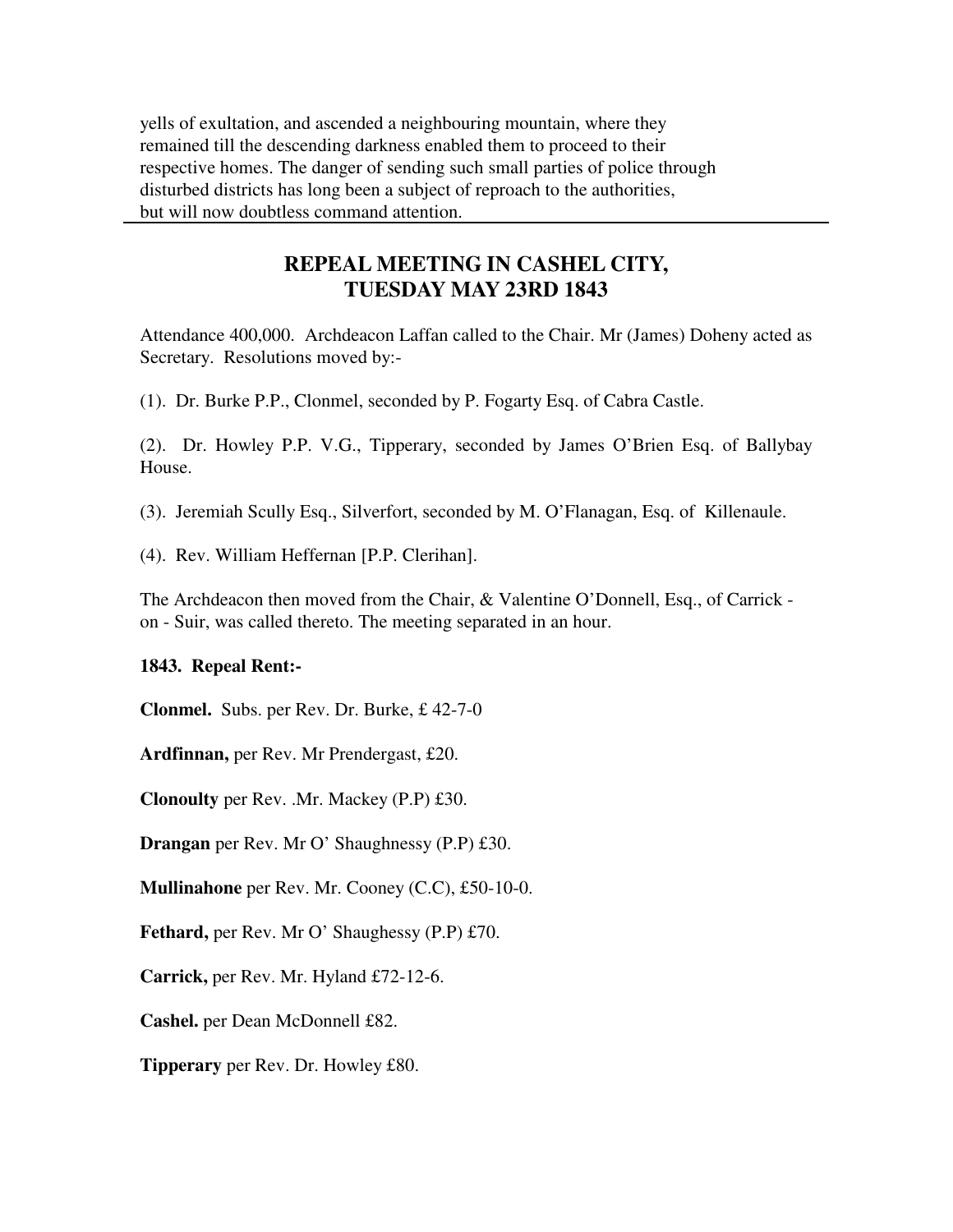yells of exultation, and ascended a neighbouring mountain, where they remained till the descending darkness enabled them to proceed to their respective homes. The danger of sending such small parties of police through disturbed districts has long been a subject of reproach to the authorities, but will now doubtless command attention.

# **REPEAL MEETING IN CASHEL CITY, TUESDAY MAY 23RD 1843**

Attendance 400,000. Archdeacon Laffan called to the Chair. Mr (James) Doheny acted as Secretary. Resolutions moved by:-

(1). Dr. Burke P.P., Clonmel, seconded by P. Fogarty Esq. of Cabra Castle.

(2). Dr. Howley P.P. V.G., Tipperary, seconded by James O'Brien Esq. of Ballybay House.

(3). Jeremiah Scully Esq., Silverfort, seconded by M. O'Flanagan, Esq. of Killenaule.

(4). Rev. William Heffernan [P.P. Clerihan].

The Archdeacon then moved from the Chair, & Valentine O'Donnell, Esq., of Carrick on - Suir, was called thereto. The meeting separated in an hour.

# **1843. Repeal Rent:-**

**Clonmel.** Subs. per Rev. Dr. Burke, £ 42-7-0

**Ardfinnan,** per Rev. Mr Prendergast, £20.

**Clonoulty** per Rev. .Mr. Mackey (P.P) £30.

**Drangan** per Rev. Mr O' Shaughnessy (P.P) £30.

**Mullinahone** per Rev. Mr. Cooney (C.C), £50-10-0.

**Fethard,** per Rev. Mr O' Shaughessy (P.P) £70.

**Carrick,** per Rev. Mr. Hyland £72-12-6.

**Cashel.** per Dean McDonnell £82.

**Tipperary** per Rev. Dr. Howley £80.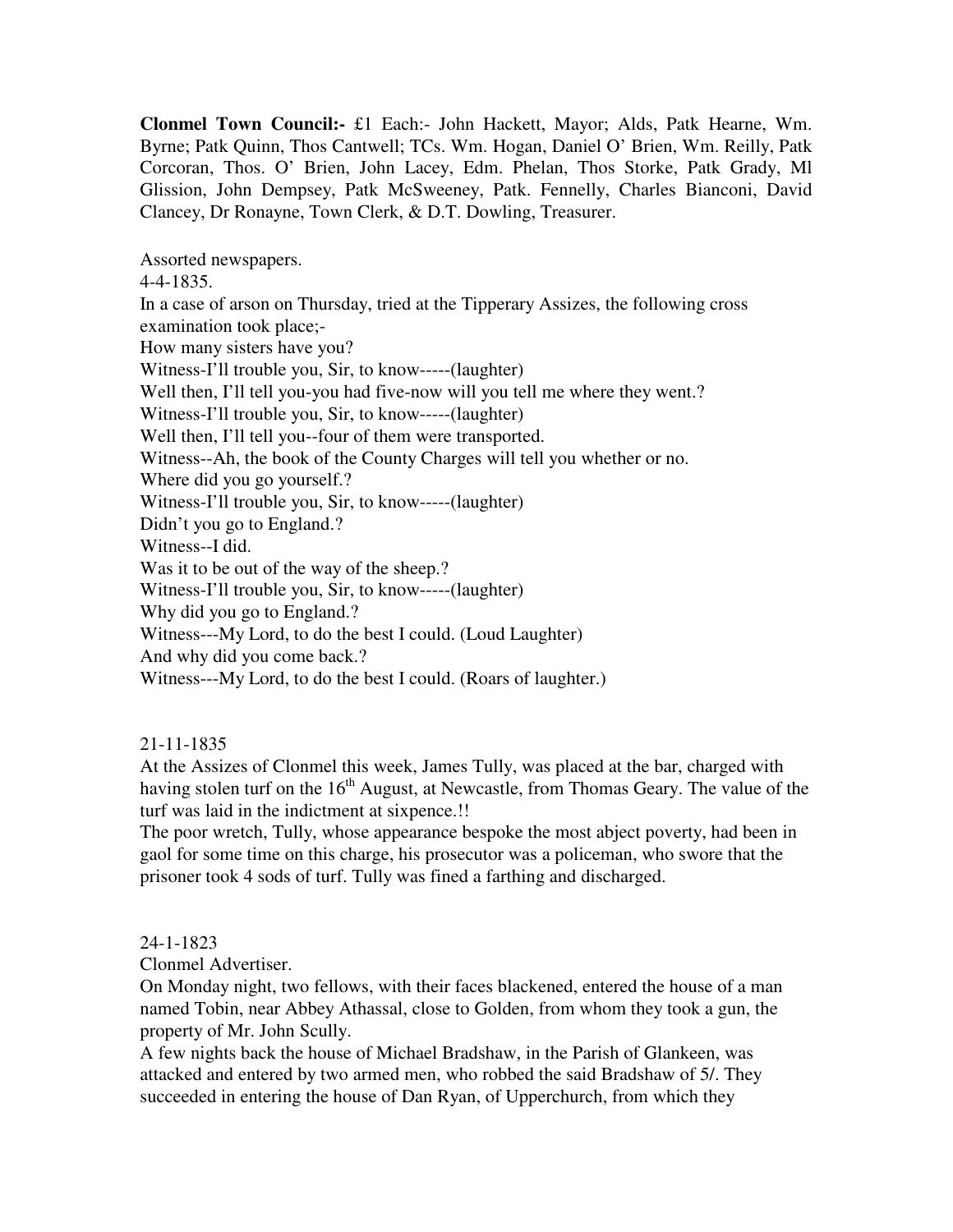**Clonmel Town Council:-** £1 Each:- John Hackett, Mayor; Alds, Patk Hearne, Wm. Byrne; Patk Quinn, Thos Cantwell; TCs. Wm. Hogan, Daniel O' Brien, Wm. Reilly, Patk Corcoran, Thos. O' Brien, John Lacey, Edm. Phelan, Thos Storke, Patk Grady, Ml Glission, John Dempsey, Patk McSweeney, Patk. Fennelly, Charles Bianconi, David Clancey, Dr Ronayne, Town Clerk, & D.T. Dowling, Treasurer.

Assorted newspapers.

4-4-1835.

In a case of arson on Thursday, tried at the Tipperary Assizes, the following cross examination took place;- How many sisters have you? Witness-I'll trouble you, Sir, to know-----(laughter) Well then, I'll tell you-you had five-now will you tell me where they went.? Witness-I'll trouble you, Sir, to know-----(laughter) Well then, I'll tell you--four of them were transported. Witness--Ah, the book of the County Charges will tell you whether or no. Where did you go yourself.? Witness-I'll trouble you, Sir, to know-----(laughter) Didn't you go to England.? Witness--I did. Was it to be out of the way of the sheep.? Witness-I'll trouble you, Sir, to know-----(laughter) Why did you go to England.? Witness---My Lord, to do the best I could. (Loud Laughter) And why did you come back.? Witness---My Lord, to do the best I could. (Roars of laughter.)

# 21-11-1835

At the Assizes of Clonmel this week, James Tully, was placed at the bar, charged with having stolen turf on the  $16<sup>th</sup>$  August, at Newcastle, from Thomas Geary. The value of the turf was laid in the indictment at sixpence.!!

The poor wretch, Tully, whose appearance bespoke the most abject poverty, had been in gaol for some time on this charge, his prosecutor was a policeman, who swore that the prisoner took 4 sods of turf. Tully was fined a farthing and discharged.

# 24-1-1823

Clonmel Advertiser.

On Monday night, two fellows, with their faces blackened, entered the house of a man named Tobin, near Abbey Athassal, close to Golden, from whom they took a gun, the property of Mr. John Scully.

A few nights back the house of Michael Bradshaw, in the Parish of Glankeen, was attacked and entered by two armed men, who robbed the said Bradshaw of 5/. They succeeded in entering the house of Dan Ryan, of Upperchurch, from which they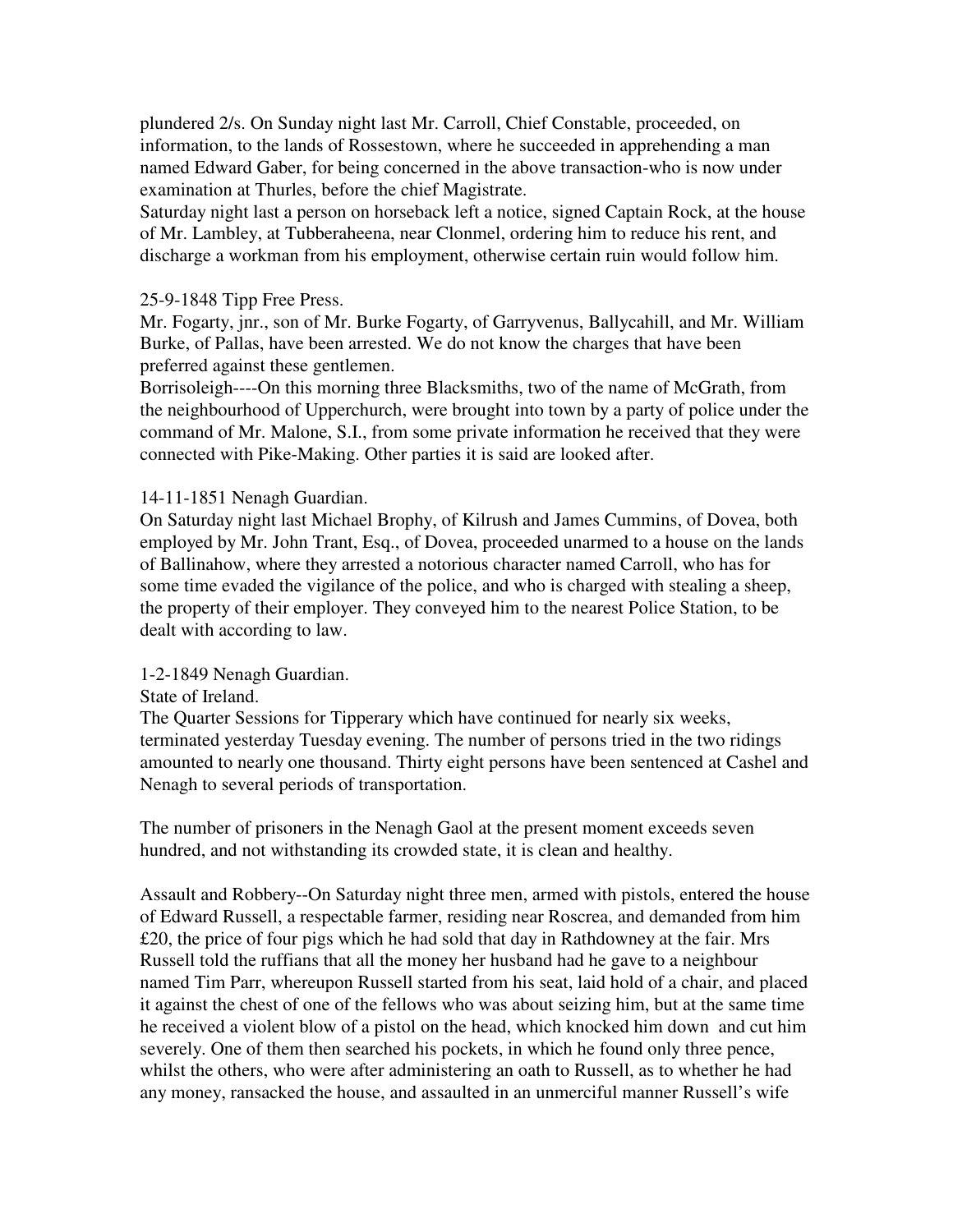plundered 2/s. On Sunday night last Mr. Carroll, Chief Constable, proceeded, on information, to the lands of Rossestown, where he succeeded in apprehending a man named Edward Gaber, for being concerned in the above transaction-who is now under examination at Thurles, before the chief Magistrate.

Saturday night last a person on horseback left a notice, signed Captain Rock, at the house of Mr. Lambley, at Tubberaheena, near Clonmel, ordering him to reduce his rent, and discharge a workman from his employment, otherwise certain ruin would follow him.

#### 25-9-1848 Tipp Free Press.

Mr. Fogarty, jnr., son of Mr. Burke Fogarty, of Garryvenus, Ballycahill, and Mr. William Burke, of Pallas, have been arrested. We do not know the charges that have been preferred against these gentlemen.

Borrisoleigh----On this morning three Blacksmiths, two of the name of McGrath, from the neighbourhood of Upperchurch, were brought into town by a party of police under the command of Mr. Malone, S.I., from some private information he received that they were connected with Pike-Making. Other parties it is said are looked after.

#### 14-11-1851 Nenagh Guardian.

On Saturday night last Michael Brophy, of Kilrush and James Cummins, of Dovea, both employed by Mr. John Trant, Esq., of Dovea, proceeded unarmed to a house on the lands of Ballinahow, where they arrested a notorious character named Carroll, who has for some time evaded the vigilance of the police, and who is charged with stealing a sheep, the property of their employer. They conveyed him to the nearest Police Station, to be dealt with according to law.

#### 1-2-1849 Nenagh Guardian.

#### State of Ireland.

The Quarter Sessions for Tipperary which have continued for nearly six weeks, terminated yesterday Tuesday evening. The number of persons tried in the two ridings amounted to nearly one thousand. Thirty eight persons have been sentenced at Cashel and Nenagh to several periods of transportation.

The number of prisoners in the Nenagh Gaol at the present moment exceeds seven hundred, and not withstanding its crowded state, it is clean and healthy.

Assault and Robbery--On Saturday night three men, armed with pistols, entered the house of Edward Russell, a respectable farmer, residing near Roscrea, and demanded from him £20, the price of four pigs which he had sold that day in Rathdowney at the fair. Mrs Russell told the ruffians that all the money her husband had he gave to a neighbour named Tim Parr, whereupon Russell started from his seat, laid hold of a chair, and placed it against the chest of one of the fellows who was about seizing him, but at the same time he received a violent blow of a pistol on the head, which knocked him down and cut him severely. One of them then searched his pockets, in which he found only three pence, whilst the others, who were after administering an oath to Russell, as to whether he had any money, ransacked the house, and assaulted in an unmerciful manner Russell's wife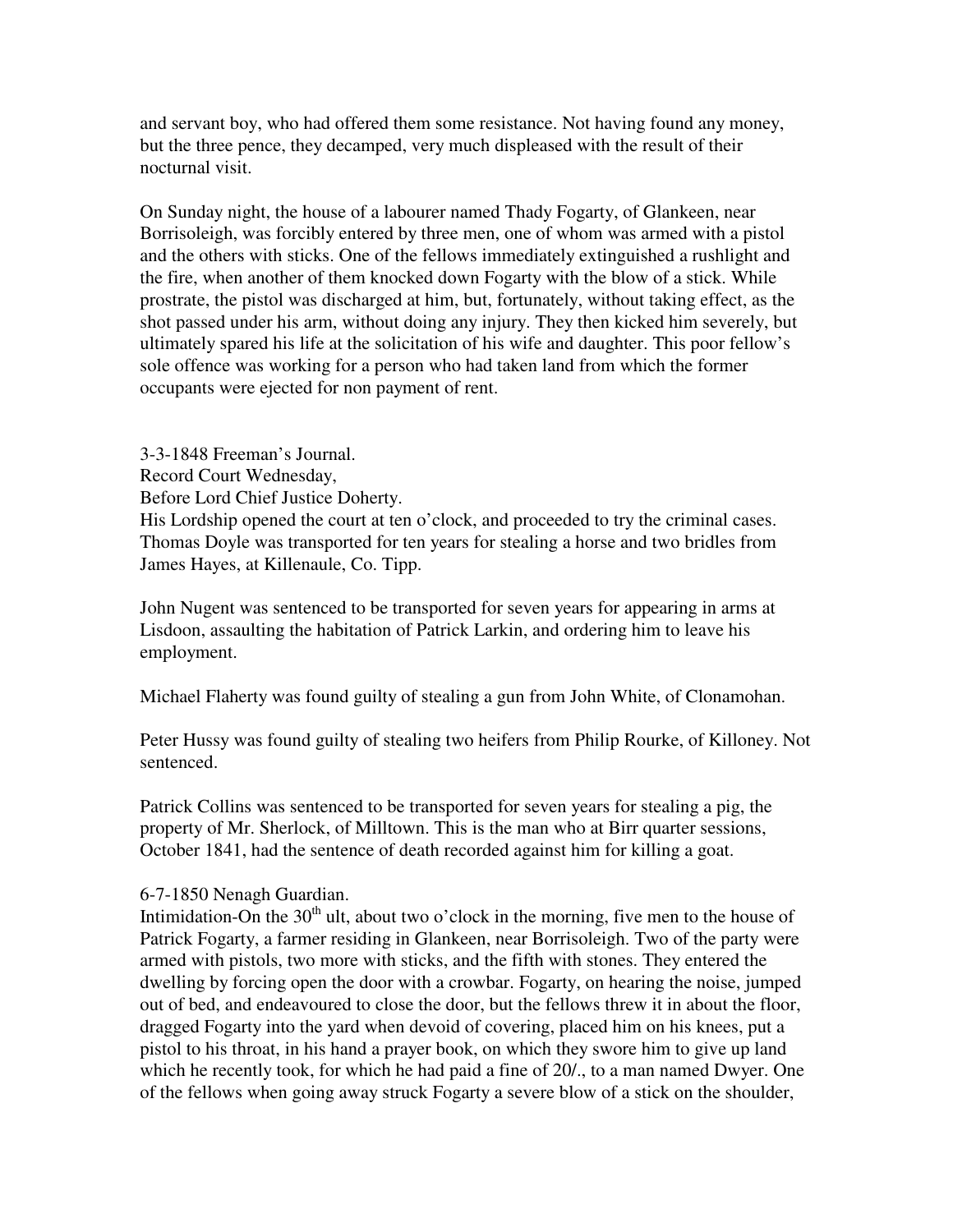and servant boy, who had offered them some resistance. Not having found any money, but the three pence, they decamped, very much displeased with the result of their nocturnal visit.

On Sunday night, the house of a labourer named Thady Fogarty, of Glankeen, near Borrisoleigh, was forcibly entered by three men, one of whom was armed with a pistol and the others with sticks. One of the fellows immediately extinguished a rushlight and the fire, when another of them knocked down Fogarty with the blow of a stick. While prostrate, the pistol was discharged at him, but, fortunately, without taking effect, as the shot passed under his arm, without doing any injury. They then kicked him severely, but ultimately spared his life at the solicitation of his wife and daughter. This poor fellow's sole offence was working for a person who had taken land from which the former occupants were ejected for non payment of rent.

3-3-1848 Freeman's Journal. Record Court Wednesday, Before Lord Chief Justice Doherty.

His Lordship opened the court at ten o'clock, and proceeded to try the criminal cases. Thomas Doyle was transported for ten years for stealing a horse and two bridles from James Hayes, at Killenaule, Co. Tipp.

John Nugent was sentenced to be transported for seven years for appearing in arms at Lisdoon, assaulting the habitation of Patrick Larkin, and ordering him to leave his employment.

Michael Flaherty was found guilty of stealing a gun from John White, of Clonamohan.

Peter Hussy was found guilty of stealing two heifers from Philip Rourke, of Killoney. Not sentenced.

Patrick Collins was sentenced to be transported for seven years for stealing a pig, the property of Mr. Sherlock, of Milltown. This is the man who at Birr quarter sessions, October 1841, had the sentence of death recorded against him for killing a goat.

# 6-7-1850 Nenagh Guardian.

Intimidation-On the  $30<sup>th</sup>$  ult, about two o'clock in the morning, five men to the house of Patrick Fogarty, a farmer residing in Glankeen, near Borrisoleigh. Two of the party were armed with pistols, two more with sticks, and the fifth with stones. They entered the dwelling by forcing open the door with a crowbar. Fogarty, on hearing the noise, jumped out of bed, and endeavoured to close the door, but the fellows threw it in about the floor, dragged Fogarty into the yard when devoid of covering, placed him on his knees, put a pistol to his throat, in his hand a prayer book, on which they swore him to give up land which he recently took, for which he had paid a fine of 20/., to a man named Dwyer. One of the fellows when going away struck Fogarty a severe blow of a stick on the shoulder,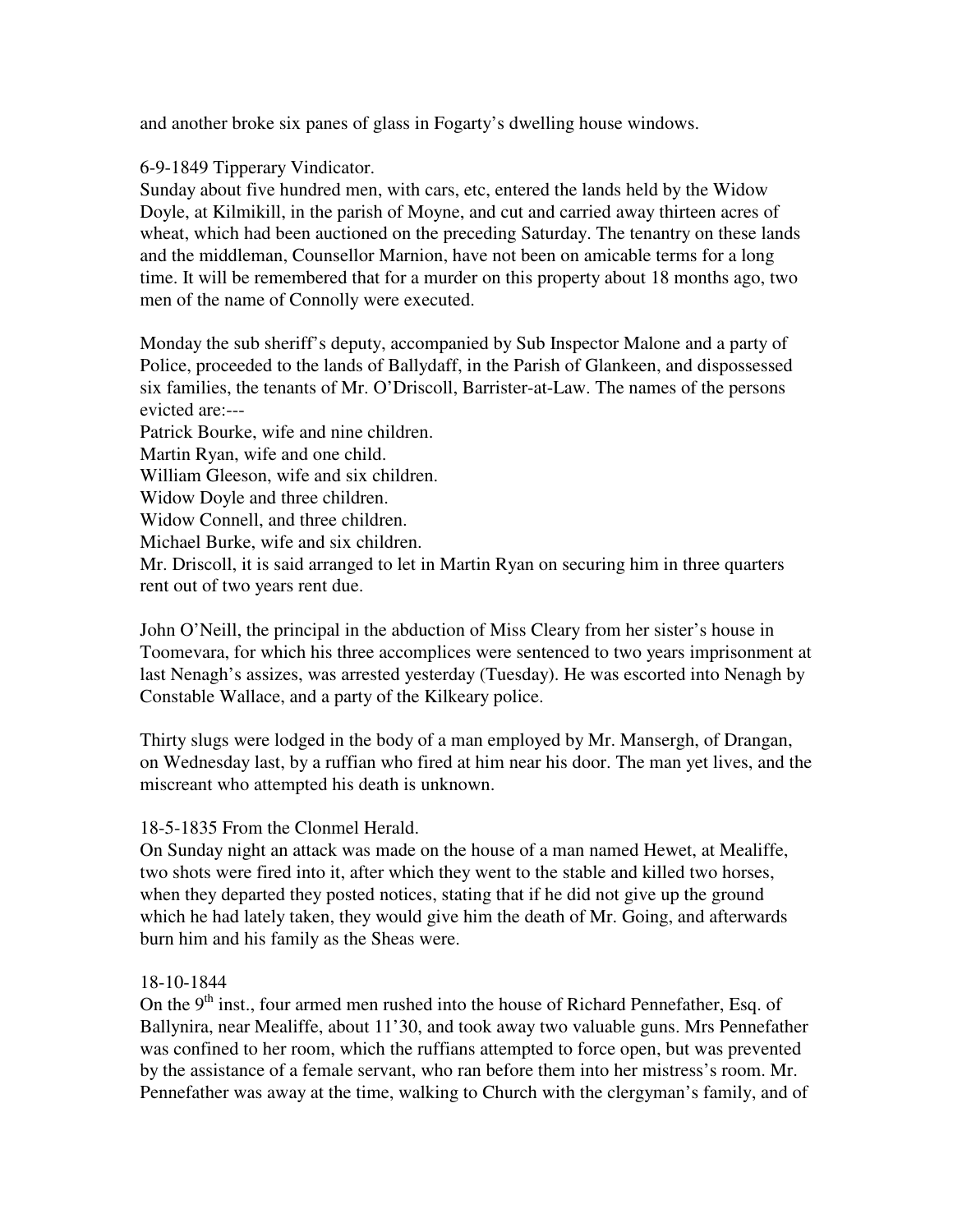and another broke six panes of glass in Fogarty's dwelling house windows.

6-9-1849 Tipperary Vindicator.

Sunday about five hundred men, with cars, etc, entered the lands held by the Widow Doyle, at Kilmikill, in the parish of Moyne, and cut and carried away thirteen acres of wheat, which had been auctioned on the preceding Saturday. The tenantry on these lands and the middleman, Counsellor Marnion, have not been on amicable terms for a long time. It will be remembered that for a murder on this property about 18 months ago, two men of the name of Connolly were executed.

Monday the sub sheriff's deputy, accompanied by Sub Inspector Malone and a party of Police, proceeded to the lands of Ballydaff, in the Parish of Glankeen, and dispossessed six families, the tenants of Mr. O'Driscoll, Barrister-at-Law. The names of the persons evicted are:---

Patrick Bourke, wife and nine children.

Martin Ryan, wife and one child.

William Gleeson, wife and six children.

Widow Doyle and three children.

Widow Connell, and three children.

Michael Burke, wife and six children.

Mr. Driscoll, it is said arranged to let in Martin Ryan on securing him in three quarters rent out of two years rent due.

John O'Neill, the principal in the abduction of Miss Cleary from her sister's house in Toomevara, for which his three accomplices were sentenced to two years imprisonment at last Nenagh's assizes, was arrested yesterday (Tuesday). He was escorted into Nenagh by Constable Wallace, and a party of the Kilkeary police.

Thirty slugs were lodged in the body of a man employed by Mr. Mansergh, of Drangan, on Wednesday last, by a ruffian who fired at him near his door. The man yet lives, and the miscreant who attempted his death is unknown.

# 18-5-1835 From the Clonmel Herald.

On Sunday night an attack was made on the house of a man named Hewet, at Mealiffe, two shots were fired into it, after which they went to the stable and killed two horses, when they departed they posted notices, stating that if he did not give up the ground which he had lately taken, they would give him the death of Mr. Going, and afterwards burn him and his family as the Sheas were.

# 18-10-1844

On the 9<sup>th</sup> inst., four armed men rushed into the house of Richard Pennefather, Esq. of Ballynira, near Mealiffe, about 11'30, and took away two valuable guns. Mrs Pennefather was confined to her room, which the ruffians attempted to force open, but was prevented by the assistance of a female servant, who ran before them into her mistress's room. Mr. Pennefather was away at the time, walking to Church with the clergyman's family, and of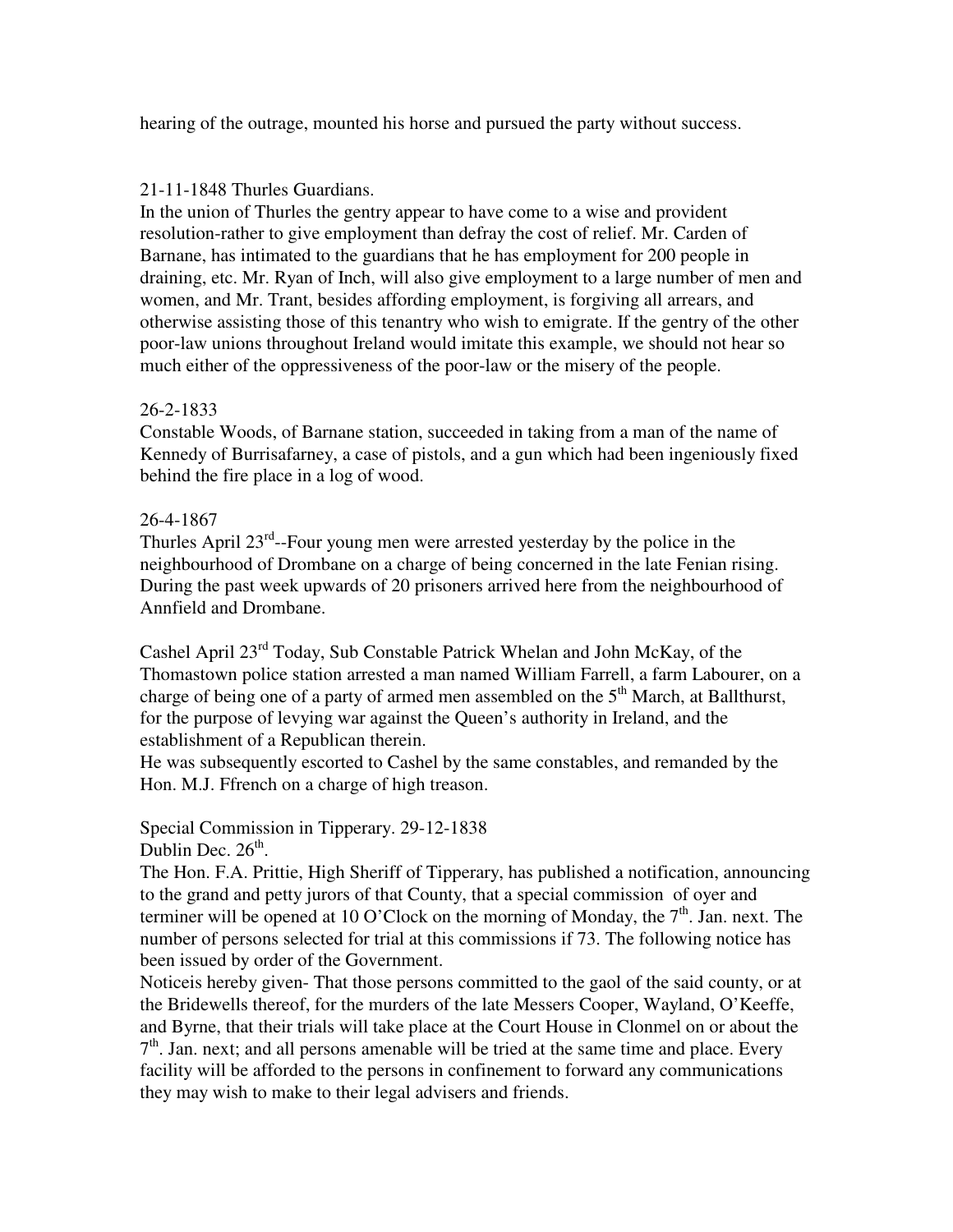hearing of the outrage, mounted his horse and pursued the party without success.

# 21-11-1848 Thurles Guardians.

In the union of Thurles the gentry appear to have come to a wise and provident resolution-rather to give employment than defray the cost of relief. Mr. Carden of Barnane, has intimated to the guardians that he has employment for 200 people in draining, etc. Mr. Ryan of Inch, will also give employment to a large number of men and women, and Mr. Trant, besides affording employment, is forgiving all arrears, and otherwise assisting those of this tenantry who wish to emigrate. If the gentry of the other poor-law unions throughout Ireland would imitate this example, we should not hear so much either of the oppressiveness of the poor-law or the misery of the people.

# 26-2-1833

Constable Woods, of Barnane station, succeeded in taking from a man of the name of Kennedy of Burrisafarney, a case of pistols, and a gun which had been ingeniously fixed behind the fire place in a log of wood.

# 26-4-1867

Thurles April  $23^{rd}$ --Four young men were arrested yesterday by the police in the neighbourhood of Drombane on a charge of being concerned in the late Fenian rising. During the past week upwards of 20 prisoners arrived here from the neighbourhood of Annfield and Drombane.

Cashel April 23rd Today, Sub Constable Patrick Whelan and John McKay, of the Thomastown police station arrested a man named William Farrell, a farm Labourer, on a charge of being one of a party of armed men assembled on the  $5<sup>th</sup>$  March, at Ballthurst, for the purpose of levying war against the Queen's authority in Ireland, and the establishment of a Republican therein.

He was subsequently escorted to Cashel by the same constables, and remanded by the Hon. M.J. Ffrench on a charge of high treason.

Special Commission in Tipperary. 29-12-1838 Dublin Dec.  $26<sup>th</sup>$ .

The Hon. F.A. Prittie, High Sheriff of Tipperary, has published a notification, announcing to the grand and petty jurors of that County, that a special commission of oyer and terminer will be opened at 10 O'Clock on the morning of Monday, the  $7<sup>th</sup>$ . Jan. next. The number of persons selected for trial at this commissions if 73. The following notice has been issued by order of the Government.

Noticeis hereby given- That those persons committed to the gaol of the said county, or at the Bridewells thereof, for the murders of the late Messers Cooper, Wayland, O'Keeffe, and Byrne, that their trials will take place at the Court House in Clonmel on or about the  $7<sup>th</sup>$ . Jan. next; and all persons amenable will be tried at the same time and place. Every facility will be afforded to the persons in confinement to forward any communications they may wish to make to their legal advisers and friends.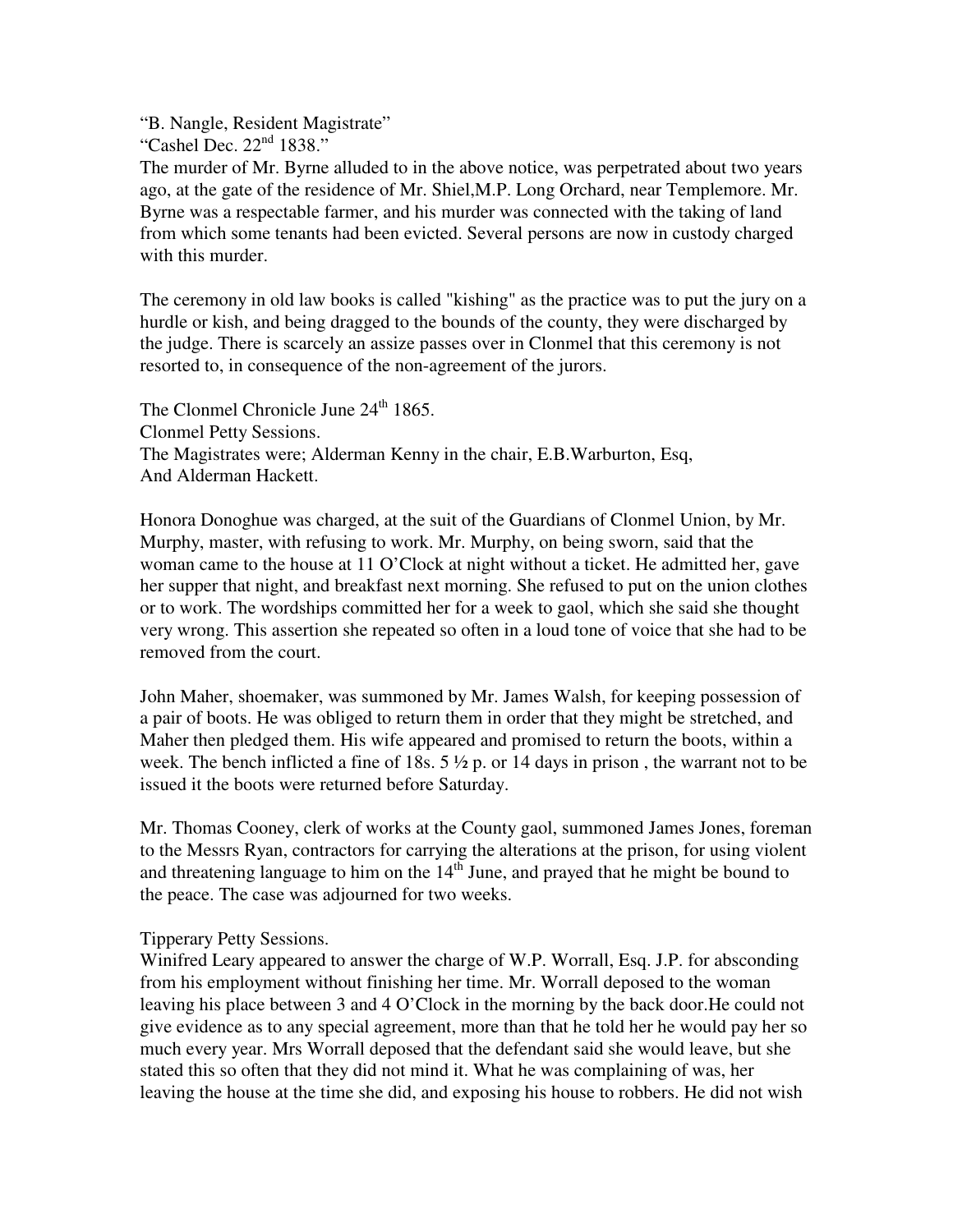"B. Nangle, Resident Magistrate"

"Cashel Dec.  $22<sup>nd</sup> 1838."$ 

The murder of Mr. Byrne alluded to in the above notice, was perpetrated about two years ago, at the gate of the residence of Mr. Shiel,M.P. Long Orchard, near Templemore. Mr. Byrne was a respectable farmer, and his murder was connected with the taking of land from which some tenants had been evicted. Several persons are now in custody charged with this murder.

The ceremony in old law books is called "kishing" as the practice was to put the jury on a hurdle or kish, and being dragged to the bounds of the county, they were discharged by the judge. There is scarcely an assize passes over in Clonmel that this ceremony is not resorted to, in consequence of the non-agreement of the jurors.

The Clonmel Chronicle June 24<sup>th</sup> 1865. Clonmel Petty Sessions. The Magistrates were; Alderman Kenny in the chair, E.B.Warburton, Esq, And Alderman Hackett.

Honora Donoghue was charged, at the suit of the Guardians of Clonmel Union, by Mr. Murphy, master, with refusing to work. Mr. Murphy, on being sworn, said that the woman came to the house at 11 O'Clock at night without a ticket. He admitted her, gave her supper that night, and breakfast next morning. She refused to put on the union clothes or to work. The wordships committed her for a week to gaol, which she said she thought very wrong. This assertion she repeated so often in a loud tone of voice that she had to be removed from the court.

John Maher, shoemaker, was summoned by Mr. James Walsh, for keeping possession of a pair of boots. He was obliged to return them in order that they might be stretched, and Maher then pledged them. His wife appeared and promised to return the boots, within a week. The bench inflicted a fine of 18s.  $5\frac{1}{2}$  p. or 14 days in prison, the warrant not to be issued it the boots were returned before Saturday.

Mr. Thomas Cooney, clerk of works at the County gaol, summoned James Jones, foreman to the Messrs Ryan, contractors for carrying the alterations at the prison, for using violent and threatening language to him on the  $14<sup>th</sup>$  June, and prayed that he might be bound to the peace. The case was adjourned for two weeks.

## Tipperary Petty Sessions.

Winifred Leary appeared to answer the charge of W.P. Worrall, Esq. J.P. for absconding from his employment without finishing her time. Mr. Worrall deposed to the woman leaving his place between 3 and 4 O'Clock in the morning by the back door.He could not give evidence as to any special agreement, more than that he told her he would pay her so much every year. Mrs Worrall deposed that the defendant said she would leave, but she stated this so often that they did not mind it. What he was complaining of was, her leaving the house at the time she did, and exposing his house to robbers. He did not wish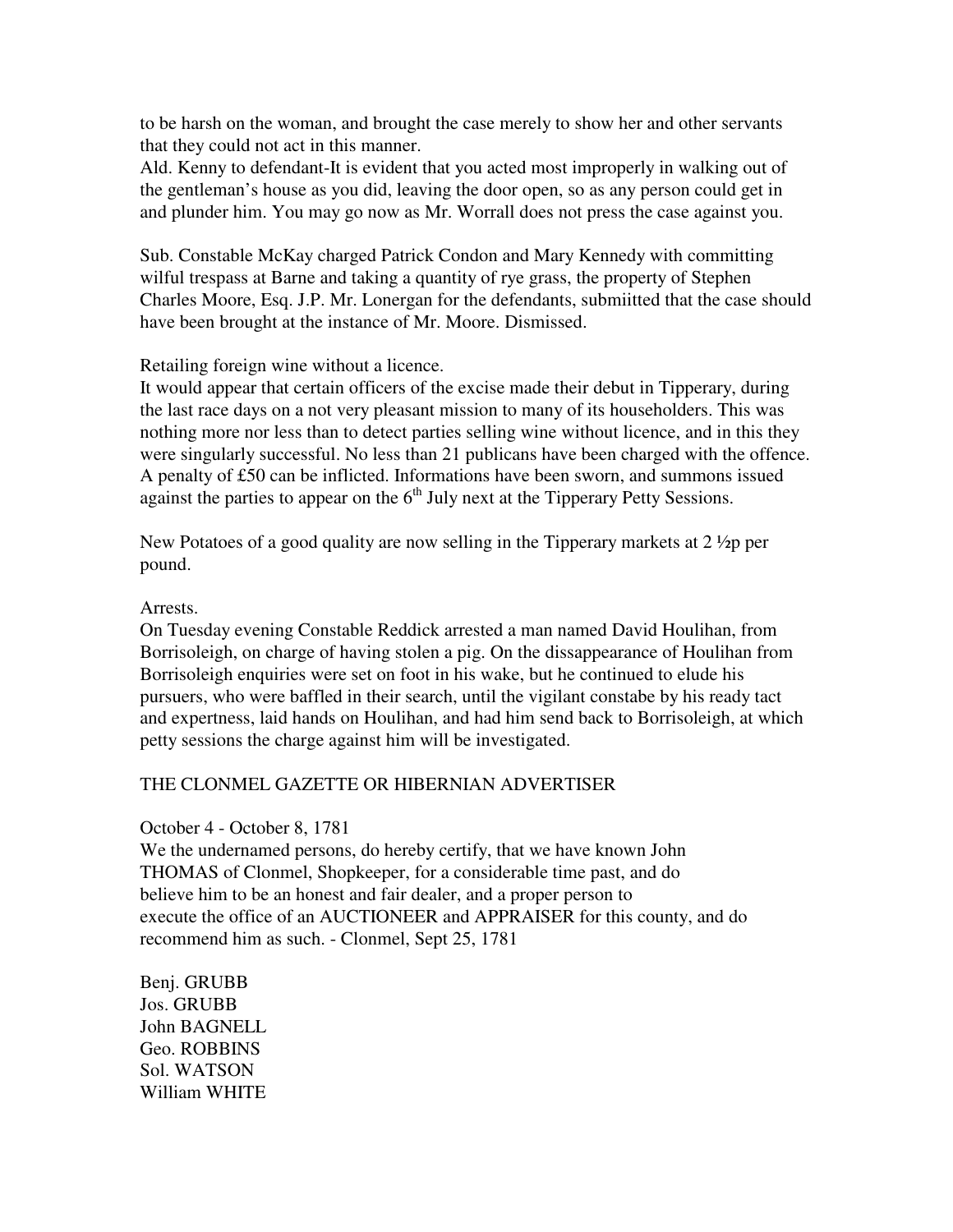to be harsh on the woman, and brought the case merely to show her and other servants that they could not act in this manner.

Ald. Kenny to defendant-It is evident that you acted most improperly in walking out of the gentleman's house as you did, leaving the door open, so as any person could get in and plunder him. You may go now as Mr. Worrall does not press the case against you.

Sub. Constable McKay charged Patrick Condon and Mary Kennedy with committing wilful trespass at Barne and taking a quantity of rye grass, the property of Stephen Charles Moore, Esq. J.P. Mr. Lonergan for the defendants, submiitted that the case should have been brought at the instance of Mr. Moore. Dismissed.

Retailing foreign wine without a licence.

It would appear that certain officers of the excise made their debut in Tipperary, during the last race days on a not very pleasant mission to many of its householders. This was nothing more nor less than to detect parties selling wine without licence, and in this they were singularly successful. No less than 21 publicans have been charged with the offence. A penalty of £50 can be inflicted. Informations have been sworn, and summons issued against the parties to appear on the  $6<sup>th</sup>$  July next at the Tipperary Petty Sessions.

New Potatoes of a good quality are now selling in the Tipperary markets at  $2 \frac{1}{2}$  per pound.

### Arrests.

On Tuesday evening Constable Reddick arrested a man named David Houlihan, from Borrisoleigh, on charge of having stolen a pig. On the dissappearance of Houlihan from Borrisoleigh enquiries were set on foot in his wake, but he continued to elude his pursuers, who were baffled in their search, until the vigilant constabe by his ready tact and expertness, laid hands on Houlihan, and had him send back to Borrisoleigh, at which petty sessions the charge against him will be investigated.

## THE CLONMEL GAZETTE OR HIBERNIAN ADVERTISER

## October 4 - October 8, 1781

We the undernamed persons, do hereby certify, that we have known John THOMAS of Clonmel, Shopkeeper, for a considerable time past, and do believe him to be an honest and fair dealer, and a proper person to execute the office of an AUCTIONEER and APPRAISER for this county, and do recommend him as such. - Clonmel, Sept 25, 1781

Benj. GRUBB Jos. GRUBB John BAGNELL Geo. ROBBINS Sol. WATSON William WHITE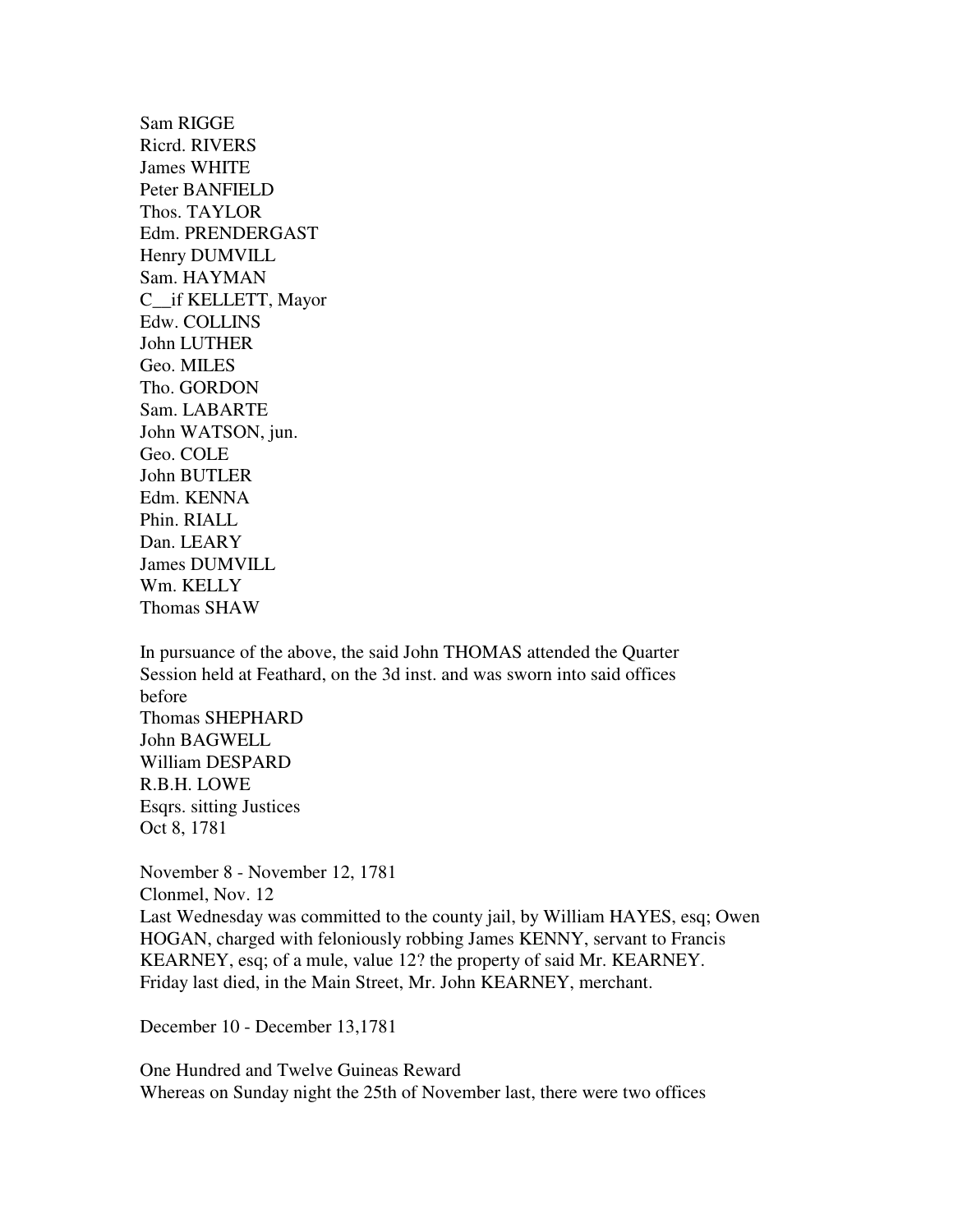Sam RIGGE Ricrd. RIVERS James WHITE Peter BANFIELD Thos. TAYLOR Edm. PRENDERGAST Henry DUMVILL Sam. HAYMAN C\_\_if KELLETT, Mayor Edw. COLLINS John LUTHER Geo. MILES Tho. GORDON Sam. LABARTE John WATSON, jun. Geo. COLE John BUTLER Edm. KENNA Phin. RIALL Dan. LEARY James DUMVILL Wm. KELLY Thomas SHAW

In pursuance of the above, the said John THOMAS attended the Quarter Session held at Feathard, on the 3d inst. and was sworn into said offices before Thomas SHEPHARD John BAGWELL William DESPARD R.B.H. LOWE Esqrs. sitting Justices Oct 8, 1781

November 8 - November 12, 1781 Clonmel, Nov. 12 Last Wednesday was committed to the county jail, by William HAYES, esq; Owen HOGAN, charged with feloniously robbing James KENNY, servant to Francis KEARNEY, esq; of a mule, value 12? the property of said Mr. KEARNEY. Friday last died, in the Main Street, Mr. John KEARNEY, merchant.

December 10 - December 13,1781

One Hundred and Twelve Guineas Reward Whereas on Sunday night the 25th of November last, there were two offices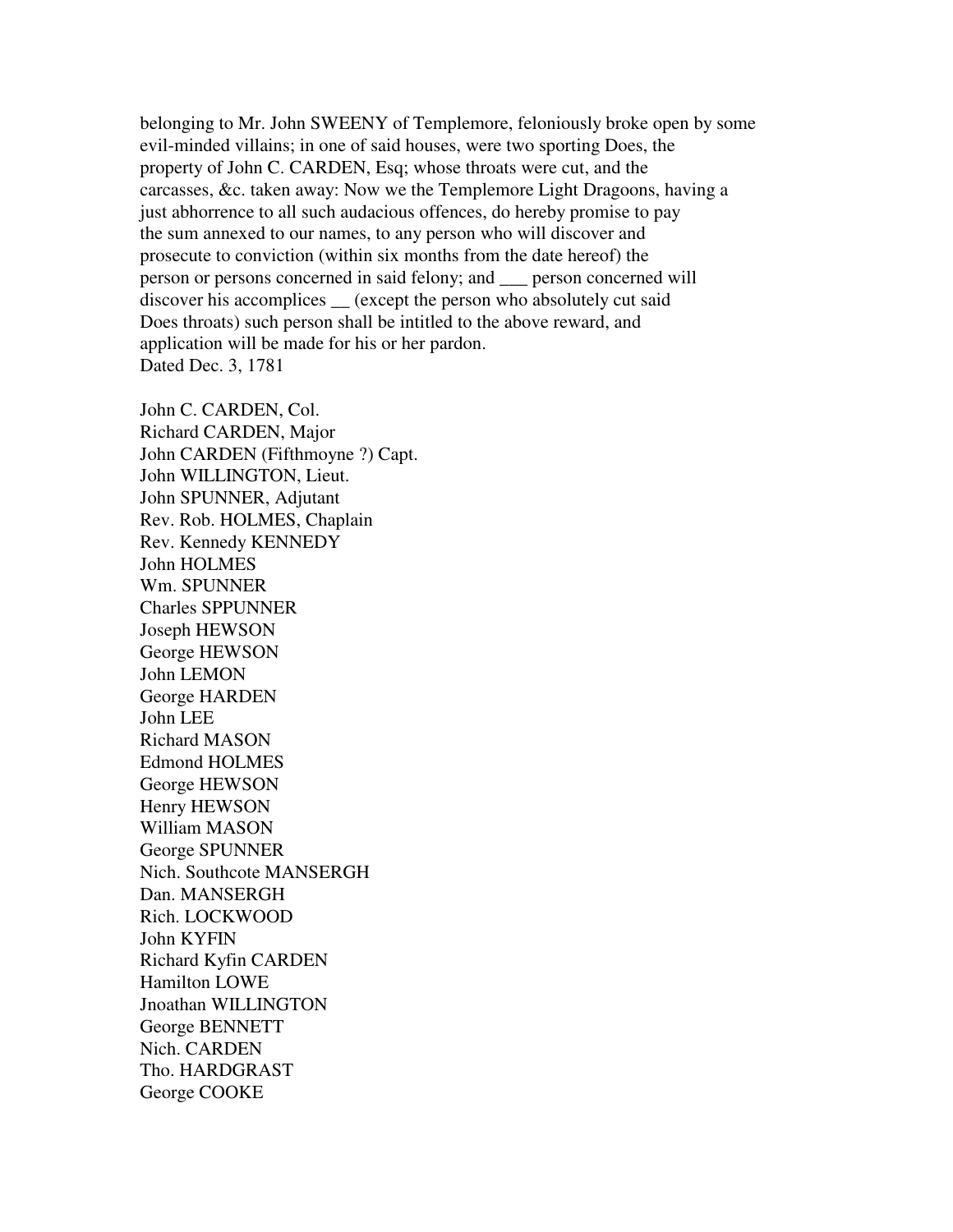belonging to Mr. John SWEENY of Templemore, feloniously broke open by some evil-minded villains; in one of said houses, were two sporting Does, the property of John C. CARDEN, Esq; whose throats were cut, and the carcasses, &c. taken away: Now we the Templemore Light Dragoons, having a just abhorrence to all such audacious offences, do hereby promise to pay the sum annexed to our names, to any person who will discover and prosecute to conviction (within six months from the date hereof) the person or persons concerned in said felony; and \_\_\_ person concerned will discover his accomplices (except the person who absolutely cut said Does throats) such person shall be intitled to the above reward, and application will be made for his or her pardon. Dated Dec. 3, 1781

John C. CARDEN, Col. Richard CARDEN, Major John CARDEN (Fifthmoyne ?) Capt. John WILLINGTON, Lieut. John SPUNNER, Adjutant Rev. Rob. HOLMES, Chaplain Rev. Kennedy KENNEDY John HOLMES Wm. SPUNNER Charles SPPUNNER Joseph HEWSON George HEWSON John LEMON George HARDEN John LEE Richard MASON Edmond HOLMES George HEWSON Henry HEWSON William MASON George SPUNNER Nich. Southcote MANSERGH Dan. MANSERGH Rich. LOCKWOOD John KYFIN Richard Kyfin CARDEN Hamilton LOWE Jnoathan WILLINGTON George BENNETT Nich. CARDEN Tho. HARDGRAST George COOKE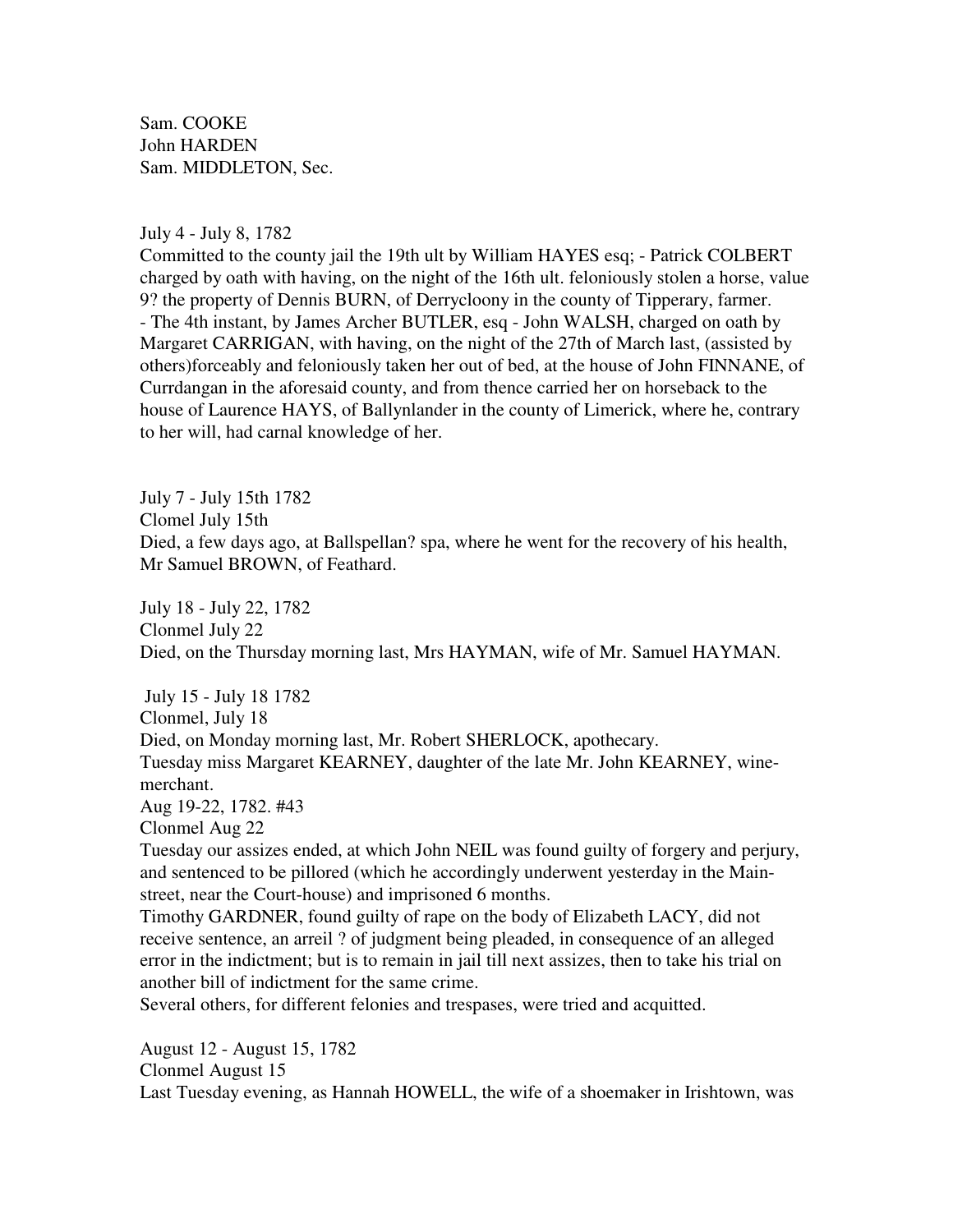Sam. COOKE John HARDEN Sam. MIDDLETON, Sec.

July 4 - July 8, 1782

Committed to the county jail the 19th ult by William HAYES esq; - Patrick COLBERT charged by oath with having, on the night of the 16th ult. feloniously stolen a horse, value 9? the property of Dennis BURN, of Derrycloony in the county of Tipperary, farmer. - The 4th instant, by James Archer BUTLER, esq - John WALSH, charged on oath by Margaret CARRIGAN, with having, on the night of the 27th of March last, (assisted by others)forceably and feloniously taken her out of bed, at the house of John FINNANE, of Currdangan in the aforesaid county, and from thence carried her on horseback to the house of Laurence HAYS, of Ballynlander in the county of Limerick, where he, contrary to her will, had carnal knowledge of her.

July 7 - July 15th 1782 Clomel July 15th Died, a few days ago, at Ballspellan? spa, where he went for the recovery of his health, Mr Samuel BROWN, of Feathard.

July 18 - July 22, 1782 Clonmel July 22 Died, on the Thursday morning last, Mrs HAYMAN, wife of Mr. Samuel HAYMAN.

 July 15 - July 18 1782 Clonmel, July 18 Died, on Monday morning last, Mr. Robert SHERLOCK, apothecary. Tuesday miss Margaret KEARNEY, daughter of the late Mr. John KEARNEY, winemerchant.

Aug 19-22, 1782. #43

Clonmel Aug 22

Tuesday our assizes ended, at which John NEIL was found guilty of forgery and perjury, and sentenced to be pillored (which he accordingly underwent yesterday in the Mainstreet, near the Court-house) and imprisoned 6 months.

Timothy GARDNER, found guilty of rape on the body of Elizabeth LACY, did not receive sentence, an arreil ? of judgment being pleaded, in consequence of an alleged error in the indictment; but is to remain in jail till next assizes, then to take his trial on another bill of indictment for the same crime.

Several others, for different felonies and trespases, were tried and acquitted.

August 12 - August 15, 1782 Clonmel August 15 Last Tuesday evening, as Hannah HOWELL, the wife of a shoemaker in Irishtown, was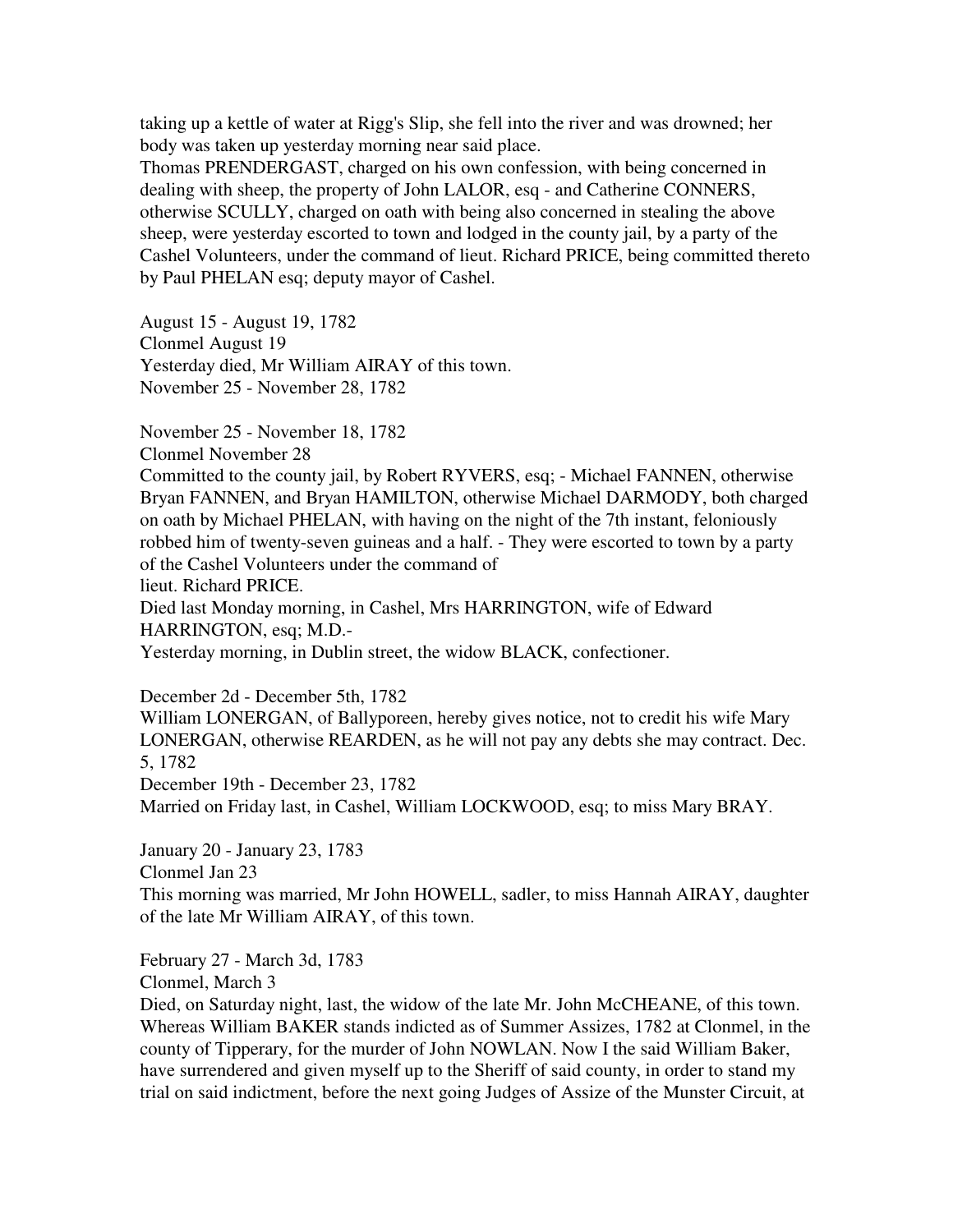taking up a kettle of water at Rigg's Slip, she fell into the river and was drowned; her body was taken up yesterday morning near said place.

Thomas PRENDERGAST, charged on his own confession, with being concerned in dealing with sheep, the property of John LALOR, esq - and Catherine CONNERS, otherwise SCULLY, charged on oath with being also concerned in stealing the above sheep, were yesterday escorted to town and lodged in the county jail, by a party of the Cashel Volunteers, under the command of lieut. Richard PRICE, being committed thereto by Paul PHELAN esq; deputy mayor of Cashel.

August 15 - August 19, 1782 Clonmel August 19 Yesterday died, Mr William AIRAY of this town. November 25 - November 28, 1782

November 25 - November 18, 1782

Clonmel November 28

Committed to the county jail, by Robert RYVERS, esq; - Michael FANNEN, otherwise Bryan FANNEN, and Bryan HAMILTON, otherwise Michael DARMODY, both charged on oath by Michael PHELAN, with having on the night of the 7th instant, feloniously robbed him of twenty-seven guineas and a half. - They were escorted to town by a party of the Cashel Volunteers under the command of

lieut. Richard PRICE.

Died last Monday morning, in Cashel, Mrs HARRINGTON, wife of Edward HARRINGTON, esq; M.D.-

Yesterday morning, in Dublin street, the widow BLACK, confectioner.

December 2d - December 5th, 1782

William LONERGAN, of Ballyporeen, hereby gives notice, not to credit his wife Mary LONERGAN, otherwise REARDEN, as he will not pay any debts she may contract. Dec. 5, 1782

December 19th - December 23, 1782

Married on Friday last, in Cashel, William LOCKWOOD, esq; to miss Mary BRAY.

January 20 - January 23, 1783

Clonmel Jan 23

This morning was married, Mr John HOWELL, sadler, to miss Hannah AIRAY, daughter of the late Mr William AIRAY, of this town.

February 27 - March 3d, 1783

Clonmel, March 3

Died, on Saturday night, last, the widow of the late Mr. John McCHEANE, of this town. Whereas William BAKER stands indicted as of Summer Assizes, 1782 at Clonmel, in the county of Tipperary, for the murder of John NOWLAN. Now I the said William Baker, have surrendered and given myself up to the Sheriff of said county, in order to stand my trial on said indictment, before the next going Judges of Assize of the Munster Circuit, at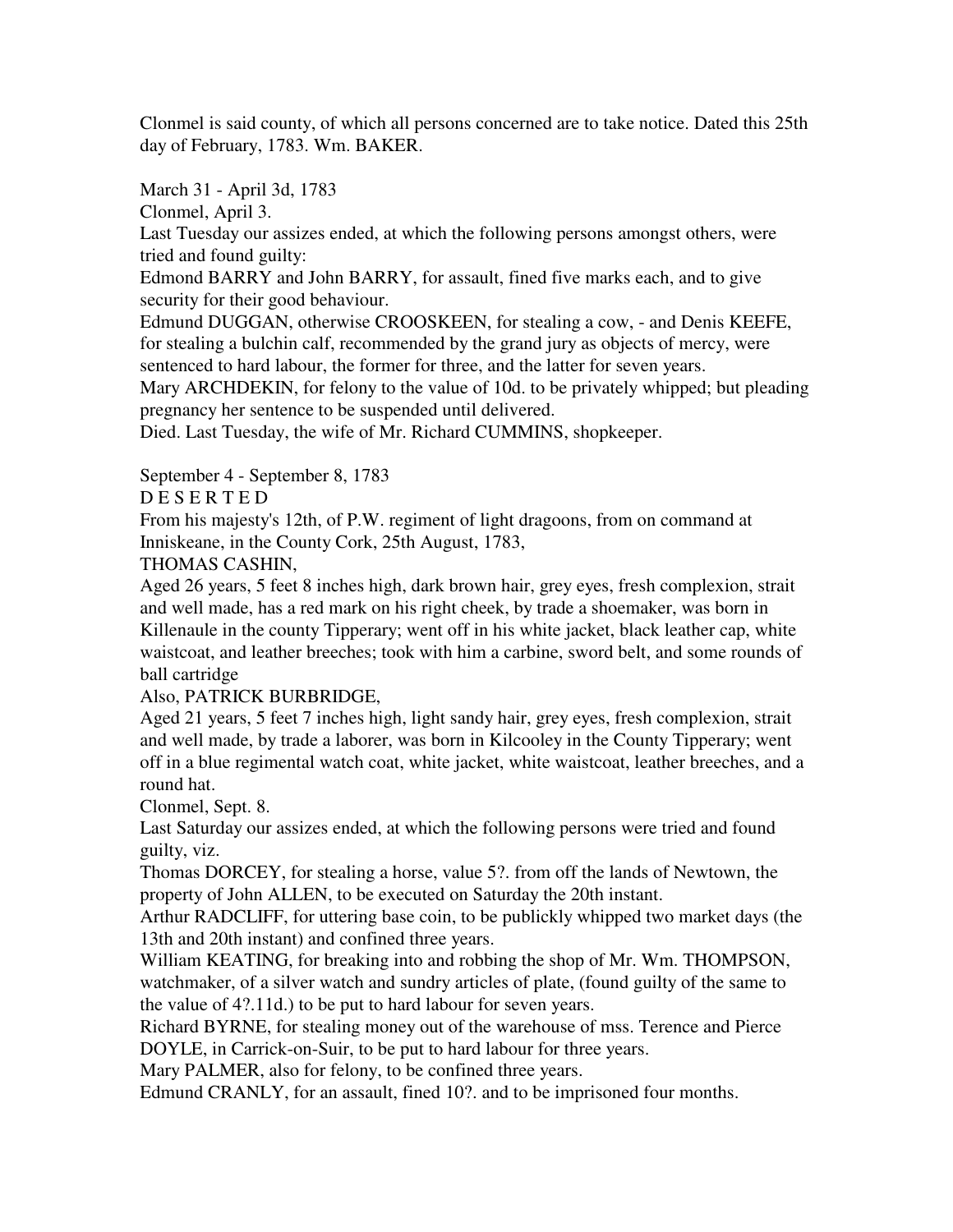Clonmel is said county, of which all persons concerned are to take notice. Dated this 25th day of February, 1783. Wm. BAKER.

March 31 - April 3d, 1783

Clonmel, April 3.

Last Tuesday our assizes ended, at which the following persons amongst others, were tried and found guilty:

Edmond BARRY and John BARRY, for assault, fined five marks each, and to give security for their good behaviour.

Edmund DUGGAN, otherwise CROOSKEEN, for stealing a cow, - and Denis KEEFE, for stealing a bulchin calf, recommended by the grand jury as objects of mercy, were sentenced to hard labour, the former for three, and the latter for seven years.

Mary ARCHDEKIN, for felony to the value of 10d. to be privately whipped; but pleading pregnancy her sentence to be suspended until delivered.

Died. Last Tuesday, the wife of Mr. Richard CUMMINS, shopkeeper.

September 4 - September 8, 1783

D E S E R T E D

From his majesty's 12th, of P.W. regiment of light dragoons, from on command at Inniskeane, in the County Cork, 25th August, 1783,

# THOMAS CASHIN,

Aged 26 years, 5 feet 8 inches high, dark brown hair, grey eyes, fresh complexion, strait and well made, has a red mark on his right cheek, by trade a shoemaker, was born in Killenaule in the county Tipperary; went off in his white jacket, black leather cap, white waistcoat, and leather breeches; took with him a carbine, sword belt, and some rounds of ball cartridge

Also, PATRICK BURBRIDGE,

Aged 21 years, 5 feet 7 inches high, light sandy hair, grey eyes, fresh complexion, strait and well made, by trade a laborer, was born in Kilcooley in the County Tipperary; went off in a blue regimental watch coat, white jacket, white waistcoat, leather breeches, and a round hat.

Clonmel, Sept. 8.

Last Saturday our assizes ended, at which the following persons were tried and found guilty, viz.

Thomas DORCEY, for stealing a horse, value 5?. from off the lands of Newtown, the property of John ALLEN, to be executed on Saturday the 20th instant.

Arthur RADCLIFF, for uttering base coin, to be publickly whipped two market days (the 13th and 20th instant) and confined three years.

William KEATING, for breaking into and robbing the shop of Mr. Wm. THOMPSON, watchmaker, of a silver watch and sundry articles of plate, (found guilty of the same to the value of 4?.11d.) to be put to hard labour for seven years.

Richard BYRNE, for stealing money out of the warehouse of mss. Terence and Pierce DOYLE, in Carrick-on-Suir, to be put to hard labour for three years.

Mary PALMER, also for felony, to be confined three years.

Edmund CRANLY, for an assault, fined 10?. and to be imprisoned four months.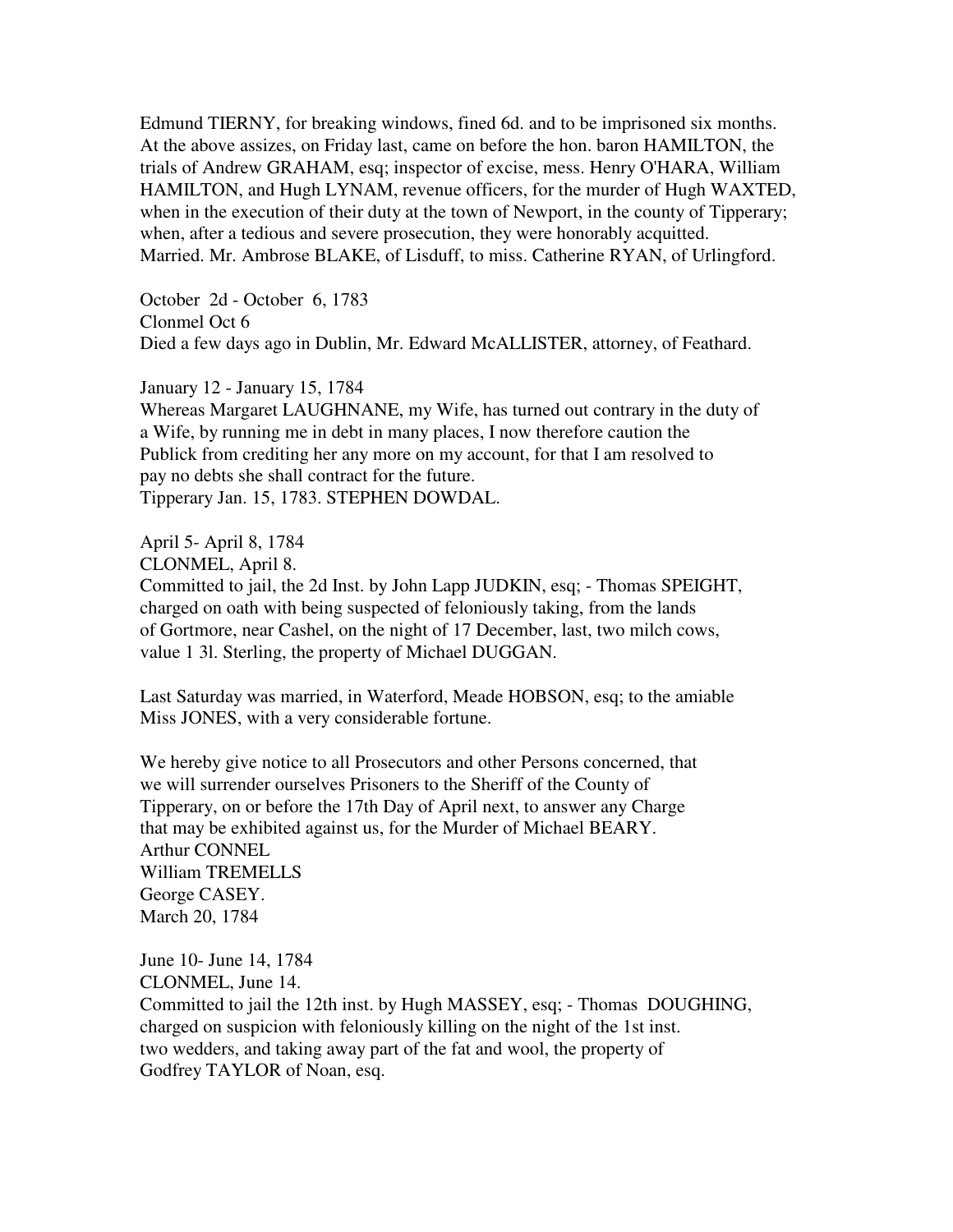Edmund TIERNY, for breaking windows, fined 6d. and to be imprisoned six months. At the above assizes, on Friday last, came on before the hon. baron HAMILTON, the trials of Andrew GRAHAM, esq; inspector of excise, mess. Henry O'HARA, William HAMILTON, and Hugh LYNAM, revenue officers, for the murder of Hugh WAXTED, when in the execution of their duty at the town of Newport, in the county of Tipperary; when, after a tedious and severe prosecution, they were honorably acquitted. Married. Mr. Ambrose BLAKE, of Lisduff, to miss. Catherine RYAN, of Urlingford.

October 2d - October 6, 1783 Clonmel Oct 6 Died a few days ago in Dublin, Mr. Edward McALLISTER, attorney, of Feathard.

January 12 - January 15, 1784 Whereas Margaret LAUGHNANE, my Wife, has turned out contrary in the duty of a Wife, by running me in debt in many places, I now therefore caution the Publick from crediting her any more on my account, for that I am resolved to pay no debts she shall contract for the future. Tipperary Jan. 15, 1783. STEPHEN DOWDAL.

April 5- April 8, 1784

CLONMEL, April 8.

Committed to jail, the 2d Inst. by John Lapp JUDKIN, esq; - Thomas SPEIGHT, charged on oath with being suspected of feloniously taking, from the lands of Gortmore, near Cashel, on the night of 17 December, last, two milch cows, value 1 3l. Sterling, the property of Michael DUGGAN.

Last Saturday was married, in Waterford, Meade HOBSON, esq; to the amiable Miss JONES, with a very considerable fortune.

We hereby give notice to all Prosecutors and other Persons concerned, that we will surrender ourselves Prisoners to the Sheriff of the County of Tipperary, on or before the 17th Day of April next, to answer any Charge that may be exhibited against us, for the Murder of Michael BEARY. Arthur CONNEL William TREMELLS George CASEY. March 20, 1784

June 10- June 14, 1784 CLONMEL, June 14. Committed to jail the 12th inst. by Hugh MASSEY, esq; - Thomas DOUGHING, charged on suspicion with feloniously killing on the night of the 1st inst. two wedders, and taking away part of the fat and wool, the property of Godfrey TAYLOR of Noan, esq.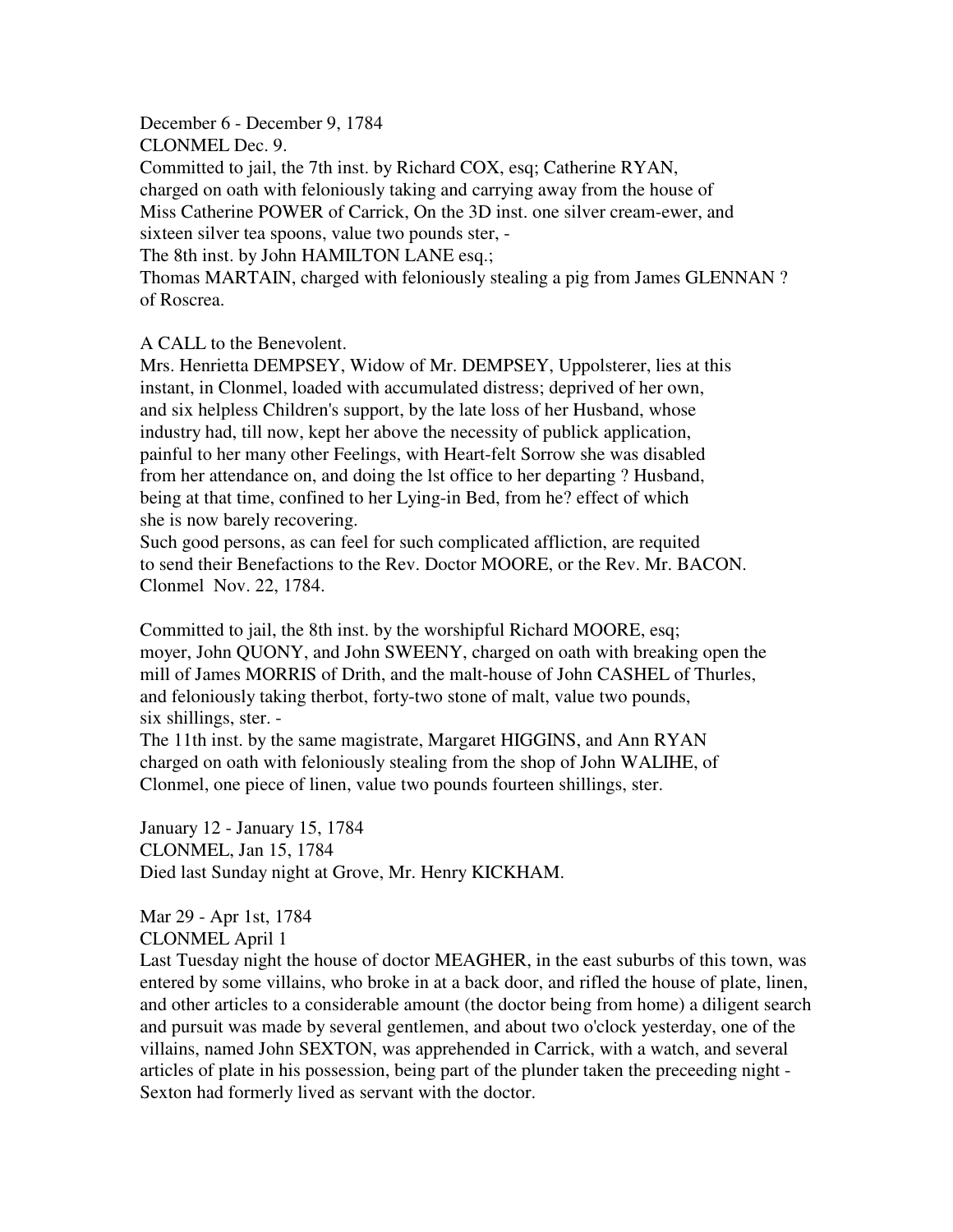December 6 - December 9, 1784 CLONMEL Dec. 9. Committed to jail, the 7th inst. by Richard COX, esq; Catherine RYAN, charged on oath with feloniously taking and carrying away from the house of Miss Catherine POWER of Carrick, On the 3D inst. one silver cream-ewer, and sixteen silver tea spoons, value two pounds ster, - The 8th inst. by John HAMILTON LANE esq.;

Thomas MARTAIN, charged with feloniously stealing a pig from James GLENNAN ? of Roscrea.

## A CALL to the Benevolent.

Mrs. Henrietta DEMPSEY, Widow of Mr. DEMPSEY, Uppolsterer, lies at this instant, in Clonmel, loaded with accumulated distress; deprived of her own, and six helpless Children's support, by the late loss of her Husband, whose industry had, till now, kept her above the necessity of publick application, painful to her many other Feelings, with Heart-felt Sorrow she was disabled from her attendance on, and doing the lst office to her departing ? Husband, being at that time, confined to her Lying-in Bed, from he? effect of which she is now barely recovering.

Such good persons, as can feel for such complicated affliction, are requited to send their Benefactions to the Rev. Doctor MOORE, or the Rev. Mr. BACON. Clonmel Nov. 22, 1784.

Committed to jail, the 8th inst. by the worshipful Richard MOORE, esq; moyer, John QUONY, and John SWEENY, charged on oath with breaking open the mill of James MORRIS of Drith, and the malt-house of John CASHEL of Thurles, and feloniously taking therbot, forty-two stone of malt, value two pounds, six shillings, ster. -

The 11th inst. by the same magistrate, Margaret HIGGINS, and Ann RYAN charged on oath with feloniously stealing from the shop of John WALIHE, of Clonmel, one piece of linen, value two pounds fourteen shillings, ster.

January 12 - January 15, 1784 CLONMEL, Jan 15, 1784 Died last Sunday night at Grove, Mr. Henry KICKHAM.

Mar 29 - Apr 1st, 1784 CLONMEL April 1

Last Tuesday night the house of doctor MEAGHER, in the east suburbs of this town, was entered by some villains, who broke in at a back door, and rifled the house of plate, linen, and other articles to a considerable amount (the doctor being from home) a diligent search and pursuit was made by several gentlemen, and about two o'clock yesterday, one of the villains, named John SEXTON, was apprehended in Carrick, with a watch, and several articles of plate in his possession, being part of the plunder taken the preceeding night - Sexton had formerly lived as servant with the doctor.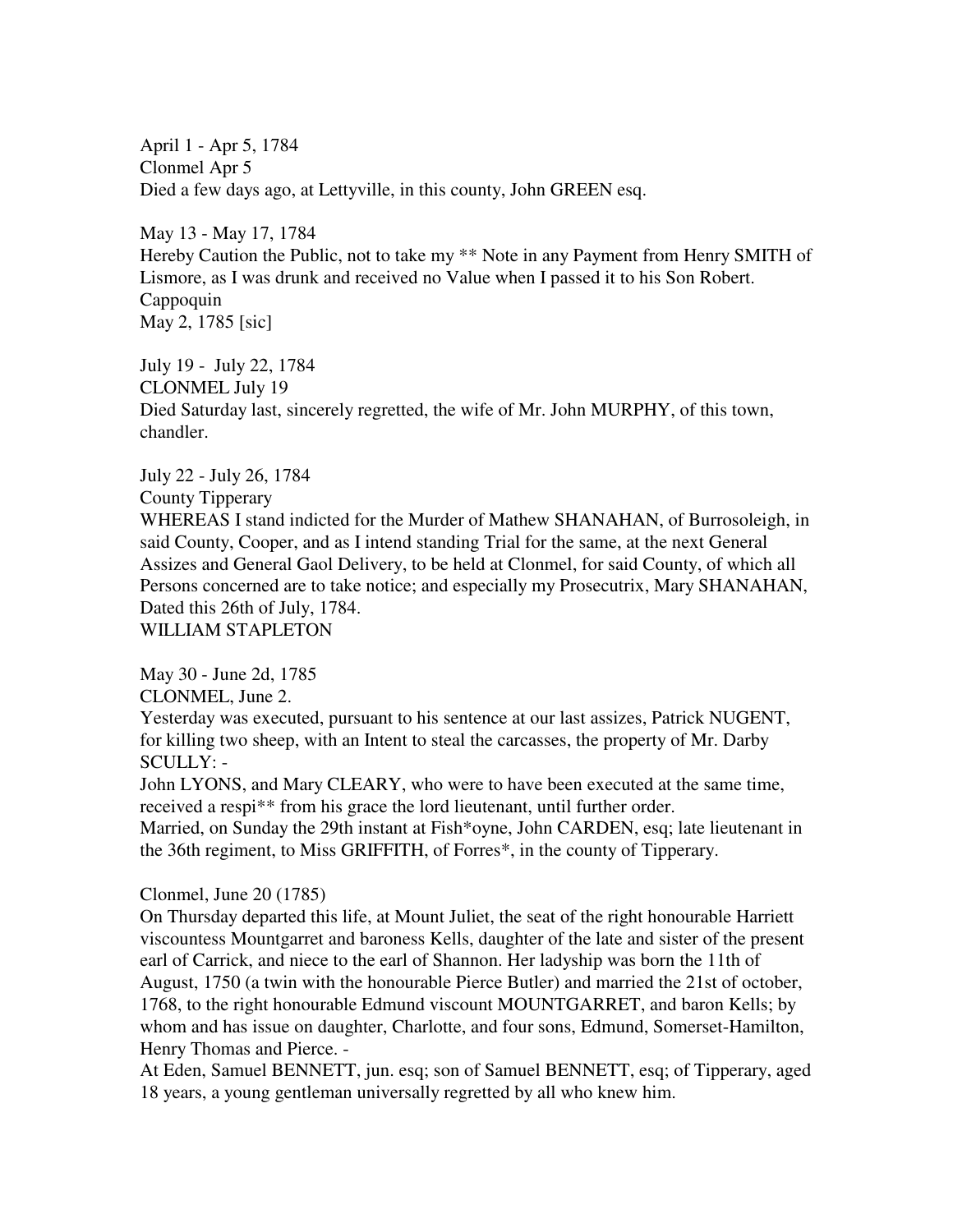April 1 - Apr 5, 1784 Clonmel Apr 5 Died a few days ago, at Lettyville, in this county, John GREEN esq.

May 13 - May 17, 1784 Hereby Caution the Public, not to take my \*\* Note in any Payment from Henry SMITH of Lismore, as I was drunk and received no Value when I passed it to his Son Robert. Cappoquin May 2, 1785 [sic]

July 19 - July 22, 1784 CLONMEL July 19 Died Saturday last, sincerely regretted, the wife of Mr. John MURPHY, of this town, chandler.

July 22 - July 26, 1784

County Tipperary

WHEREAS I stand indicted for the Murder of Mathew SHANAHAN, of Burrosoleigh, in said County, Cooper, and as I intend standing Trial for the same, at the next General Assizes and General Gaol Delivery, to be held at Clonmel, for said County, of which all Persons concerned are to take notice; and especially my Prosecutrix, Mary SHANAHAN, Dated this 26th of July, 1784.

WILLIAM STAPLETON

May 30 - June 2d, 1785

CLONMEL, June 2.

Yesterday was executed, pursuant to his sentence at our last assizes, Patrick NUGENT, for killing two sheep, with an Intent to steal the carcasses, the property of Mr. Darby SCULLY: -

John LYONS, and Mary CLEARY, who were to have been executed at the same time, received a respi\*\* from his grace the lord lieutenant, until further order.

Married, on Sunday the 29th instant at Fish\*oyne, John CARDEN, esq; late lieutenant in the 36th regiment, to Miss GRIFFITH, of Forres\*, in the county of Tipperary.

Clonmel, June 20 (1785)

On Thursday departed this life, at Mount Juliet, the seat of the right honourable Harriett viscountess Mountgarret and baroness Kells, daughter of the late and sister of the present earl of Carrick, and niece to the earl of Shannon. Her ladyship was born the 11th of August, 1750 (a twin with the honourable Pierce Butler) and married the 21st of october, 1768, to the right honourable Edmund viscount MOUNTGARRET, and baron Kells; by whom and has issue on daughter, Charlotte, and four sons, Edmund, Somerset-Hamilton, Henry Thomas and Pierce. -

At Eden, Samuel BENNETT, jun. esq; son of Samuel BENNETT, esq; of Tipperary, aged 18 years, a young gentleman universally regretted by all who knew him.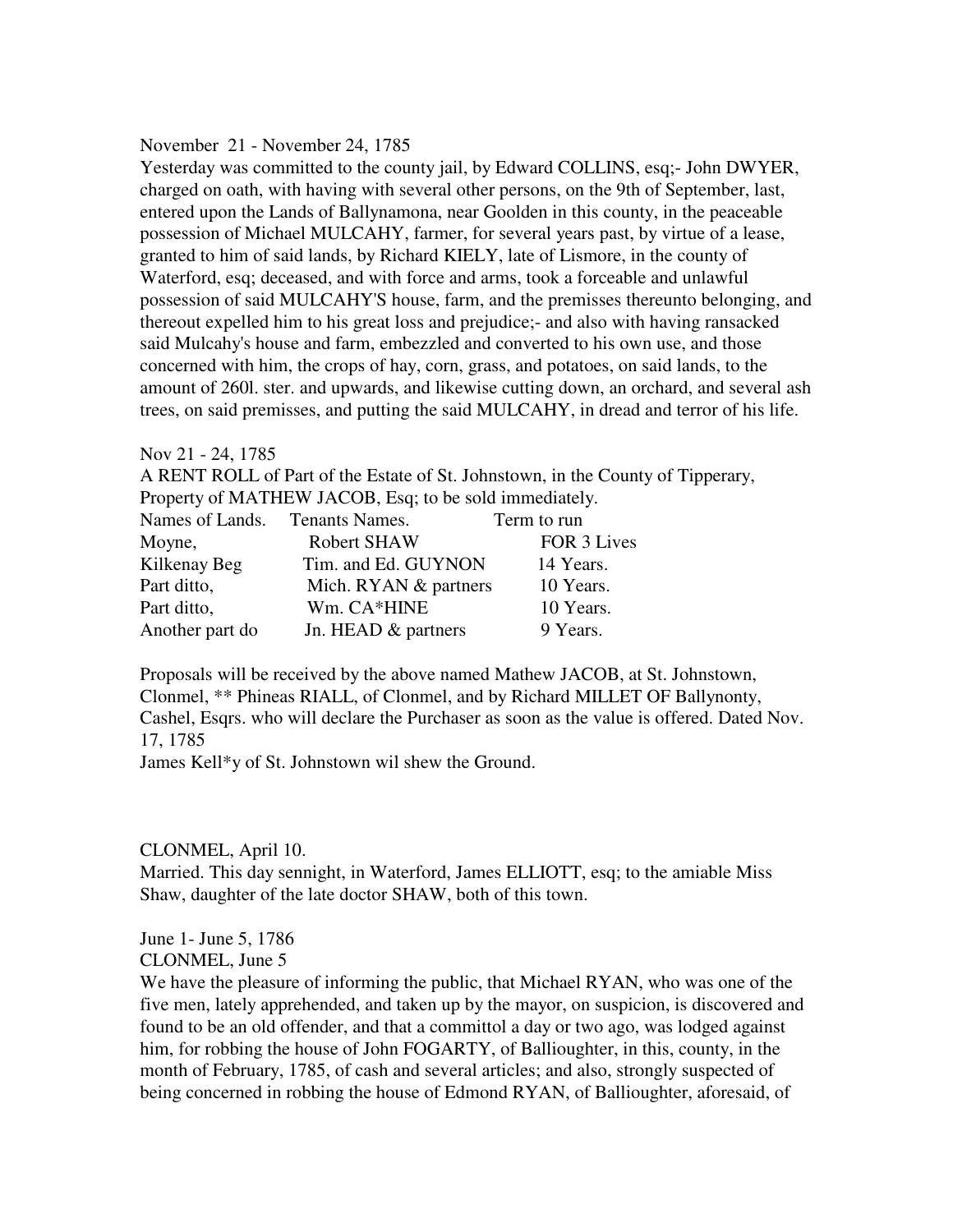### November 21 - November 24, 1785

Yesterday was committed to the county jail, by Edward COLLINS, esq;- John DWYER, charged on oath, with having with several other persons, on the 9th of September, last, entered upon the Lands of Ballynamona, near Goolden in this county, in the peaceable possession of Michael MULCAHY, farmer, for several years past, by virtue of a lease, granted to him of said lands, by Richard KIELY, late of Lismore, in the county of Waterford, esq; deceased, and with force and arms, took a forceable and unlawful possession of said MULCAHY'S house, farm, and the premisses thereunto belonging, and thereout expelled him to his great loss and prejudice;- and also with having ransacked said Mulcahy's house and farm, embezzled and converted to his own use, and those concerned with him, the crops of hay, corn, grass, and potatoes, on said lands, to the amount of 260l. ster. and upwards, and likewise cutting down, an orchard, and several ash trees, on said premisses, and putting the said MULCAHY, in dread and terror of his life.

### Nov 21 - 24, 1785

A RENT ROLL of Part of the Estate of St. Johnstown, in the County of Tipperary, Property of MATHEW JACOB, Esq; to be sold immediately.

| Names of Lands. Tenants Names. |                         | Term to run |
|--------------------------------|-------------------------|-------------|
| Moyne,                         | <b>Robert SHAW</b>      | FOR 3 Lives |
| Kilkenay Beg                   | Tim. and Ed. GUYNON     | 14 Years.   |
| Part ditto,                    | Mich. $RYAN$ & partners | 10 Years.   |
| Part ditto,                    | Wm. CA*HINE             | 10 Years.   |
| Another part do                | Jn. HEAD & partners     | 9 Years.    |

Proposals will be received by the above named Mathew JACOB, at St. Johnstown, Clonmel, \*\* Phineas RIALL, of Clonmel, and by Richard MILLET OF Ballynonty, Cashel, Esqrs. who will declare the Purchaser as soon as the value is offered. Dated Nov. 17, 1785

James Kell\*y of St. Johnstown wil shew the Ground.

## CLONMEL, April 10.

Married. This day sennight, in Waterford, James ELLIOTT, esq; to the amiable Miss Shaw, daughter of the late doctor SHAW, both of this town.

June 1- June 5, 1786 CLONMEL, June 5

We have the pleasure of informing the public, that Michael RYAN, who was one of the five men, lately apprehended, and taken up by the mayor, on suspicion, is discovered and found to be an old offender, and that a committol a day or two ago, was lodged against him, for robbing the house of John FOGARTY, of Ballioughter, in this, county, in the month of February, 1785, of cash and several articles; and also, strongly suspected of being concerned in robbing the house of Edmond RYAN, of Ballioughter, aforesaid, of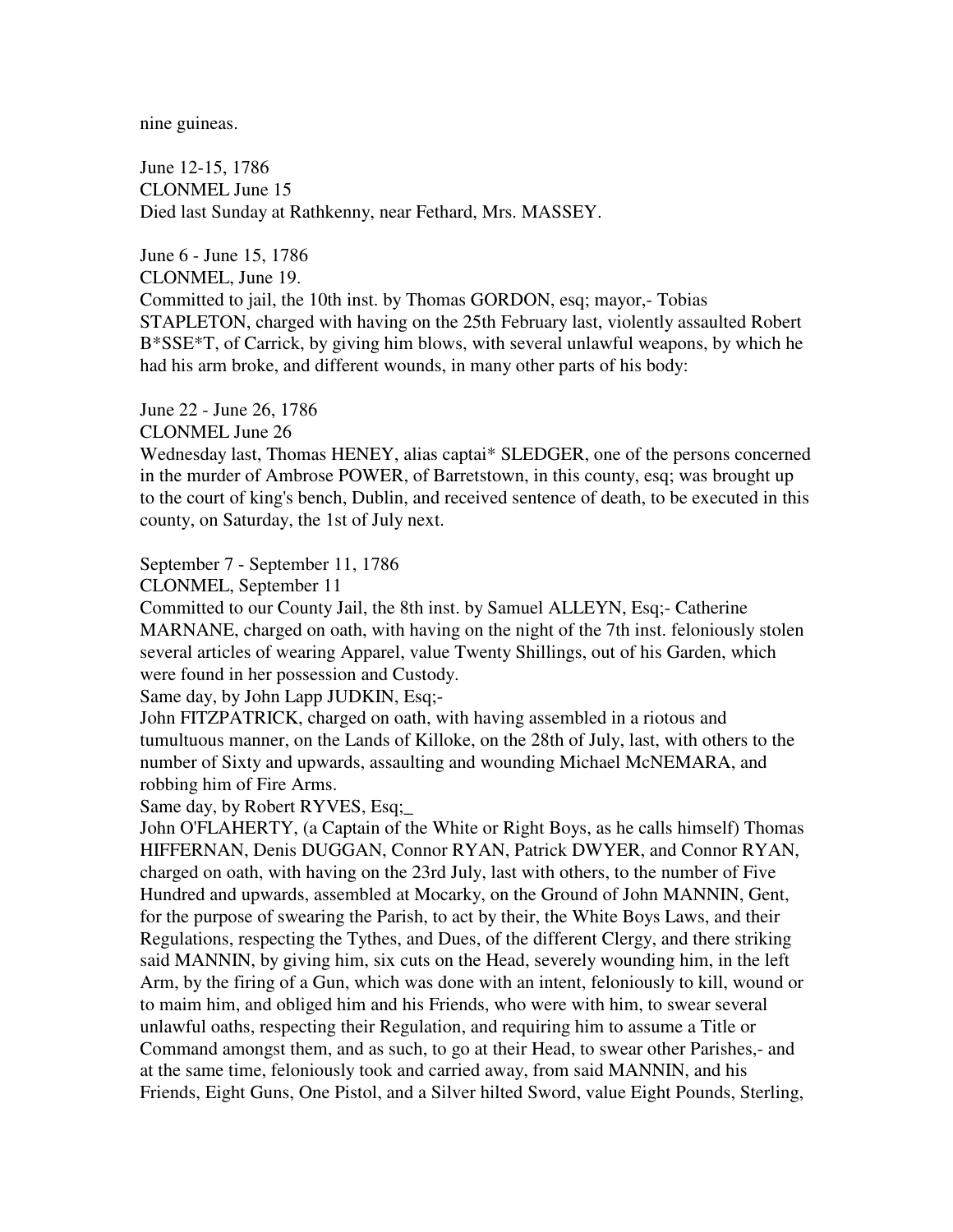nine guineas.

June 12-15, 1786 CLONMEL June 15 Died last Sunday at Rathkenny, near Fethard, Mrs. MASSEY.

June 6 - June 15, 1786 CLONMEL, June 19. Committed to jail, the 10th inst. by Thomas GORDON, esq; mayor,- Tobias STAPLETON, charged with having on the 25th February last, violently assaulted Robert B\*SSE\*T, of Carrick, by giving him blows, with several unlawful weapons, by which he had his arm broke, and different wounds, in many other parts of his body:

June 22 - June 26, 1786

CLONMEL June 26

Wednesday last, Thomas HENEY, alias captai\* SLEDGER, one of the persons concerned in the murder of Ambrose POWER, of Barretstown, in this county, esq; was brought up to the court of king's bench, Dublin, and received sentence of death, to be executed in this county, on Saturday, the 1st of July next.

September 7 - September 11, 1786

CLONMEL, September 11

Committed to our County Jail, the 8th inst. by Samuel ALLEYN, Esq;- Catherine MARNANE, charged on oath, with having on the night of the 7th inst. feloniously stolen several articles of wearing Apparel, value Twenty Shillings, out of his Garden, which were found in her possession and Custody.

Same day, by John Lapp JUDKIN, Esq;-

John FITZPATRICK, charged on oath, with having assembled in a riotous and tumultuous manner, on the Lands of Killoke, on the 28th of July, last, with others to the number of Sixty and upwards, assaulting and wounding Michael McNEMARA, and robbing him of Fire Arms.

Same day, by Robert RYVES, Esq;\_

John O'FLAHERTY, (a Captain of the White or Right Boys, as he calls himself) Thomas HIFFERNAN, Denis DUGGAN, Connor RYAN, Patrick DWYER, and Connor RYAN, charged on oath, with having on the 23rd July, last with others, to the number of Five Hundred and upwards, assembled at Mocarky, on the Ground of John MANNIN, Gent, for the purpose of swearing the Parish, to act by their, the White Boys Laws, and their Regulations, respecting the Tythes, and Dues, of the different Clergy, and there striking said MANNIN, by giving him, six cuts on the Head, severely wounding him, in the left Arm, by the firing of a Gun, which was done with an intent, feloniously to kill, wound or to maim him, and obliged him and his Friends, who were with him, to swear several unlawful oaths, respecting their Regulation, and requiring him to assume a Title or Command amongst them, and as such, to go at their Head, to swear other Parishes,- and at the same time, feloniously took and carried away, from said MANNIN, and his Friends, Eight Guns, One Pistol, and a Silver hilted Sword, value Eight Pounds, Sterling,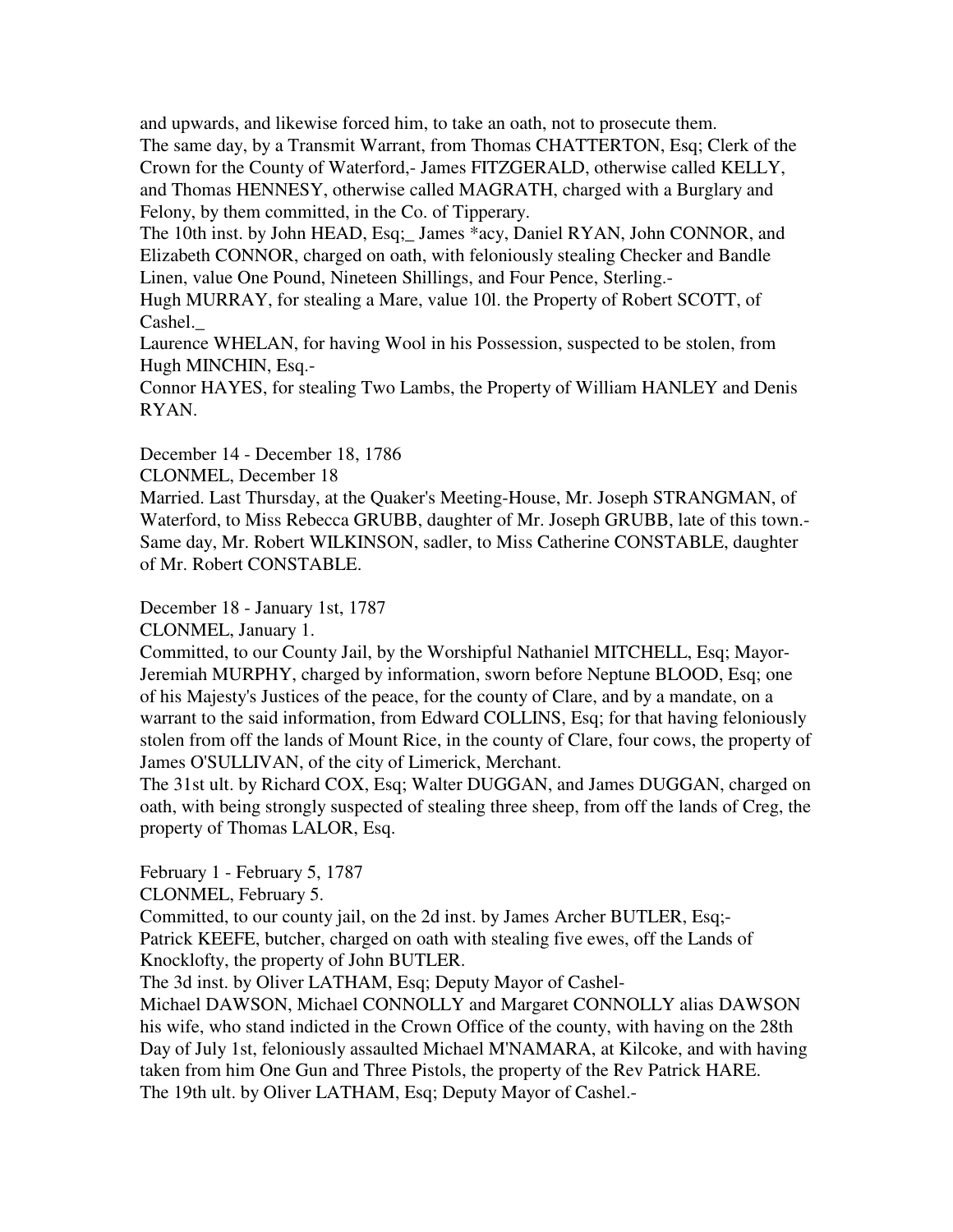and upwards, and likewise forced him, to take an oath, not to prosecute them. The same day, by a Transmit Warrant, from Thomas CHATTERTON, Esq; Clerk of the Crown for the County of Waterford,- James FITZGERALD, otherwise called KELLY, and Thomas HENNESY, otherwise called MAGRATH, charged with a Burglary and Felony, by them committed, in the Co. of Tipperary.

The 10th inst. by John HEAD, Esq; James \*acy, Daniel RYAN, John CONNOR, and Elizabeth CONNOR, charged on oath, with feloniously stealing Checker and Bandle Linen, value One Pound, Nineteen Shillings, and Four Pence, Sterling.-

Hugh MURRAY, for stealing a Mare, value 10l. the Property of Robert SCOTT, of Cashel.\_

Laurence WHELAN, for having Wool in his Possession, suspected to be stolen, from Hugh MINCHIN, Esq.-

Connor HAYES, for stealing Two Lambs, the Property of William HANLEY and Denis RYAN.

December 14 - December 18, 1786

CLONMEL, December 18

Married. Last Thursday, at the Quaker's Meeting-House, Mr. Joseph STRANGMAN, of Waterford, to Miss Rebecca GRUBB, daughter of Mr. Joseph GRUBB, late of this town.- Same day, Mr. Robert WILKINSON, sadler, to Miss Catherine CONSTABLE, daughter of Mr. Robert CONSTABLE.

December 18 - January 1st, 1787

CLONMEL, January 1.

Committed, to our County Jail, by the Worshipful Nathaniel MITCHELL, Esq; Mayor-Jeremiah MURPHY, charged by information, sworn before Neptune BLOOD, Esq; one of his Majesty's Justices of the peace, for the county of Clare, and by a mandate, on a warrant to the said information, from Edward COLLINS, Esq; for that having feloniously stolen from off the lands of Mount Rice, in the county of Clare, four cows, the property of James O'SULLIVAN, of the city of Limerick, Merchant.

The 31st ult. by Richard COX, Esq; Walter DUGGAN, and James DUGGAN, charged on oath, with being strongly suspected of stealing three sheep, from off the lands of Creg, the property of Thomas LALOR, Esq.

February 1 - February 5, 1787

CLONMEL, February 5.

Committed, to our county jail, on the 2d inst. by James Archer BUTLER, Esq;- Patrick KEEFE, butcher, charged on oath with stealing five ewes, off the Lands of Knocklofty, the property of John BUTLER.

The 3d inst. by Oliver LATHAM, Esq; Deputy Mayor of Cashel-

Michael DAWSON, Michael CONNOLLY and Margaret CONNOLLY alias DAWSON his wife, who stand indicted in the Crown Office of the county, with having on the 28th Day of July 1st, feloniously assaulted Michael M'NAMARA, at Kilcoke, and with having taken from him One Gun and Three Pistols, the property of the Rev Patrick HARE. The 19th ult. by Oliver LATHAM, Esq; Deputy Mayor of Cashel.-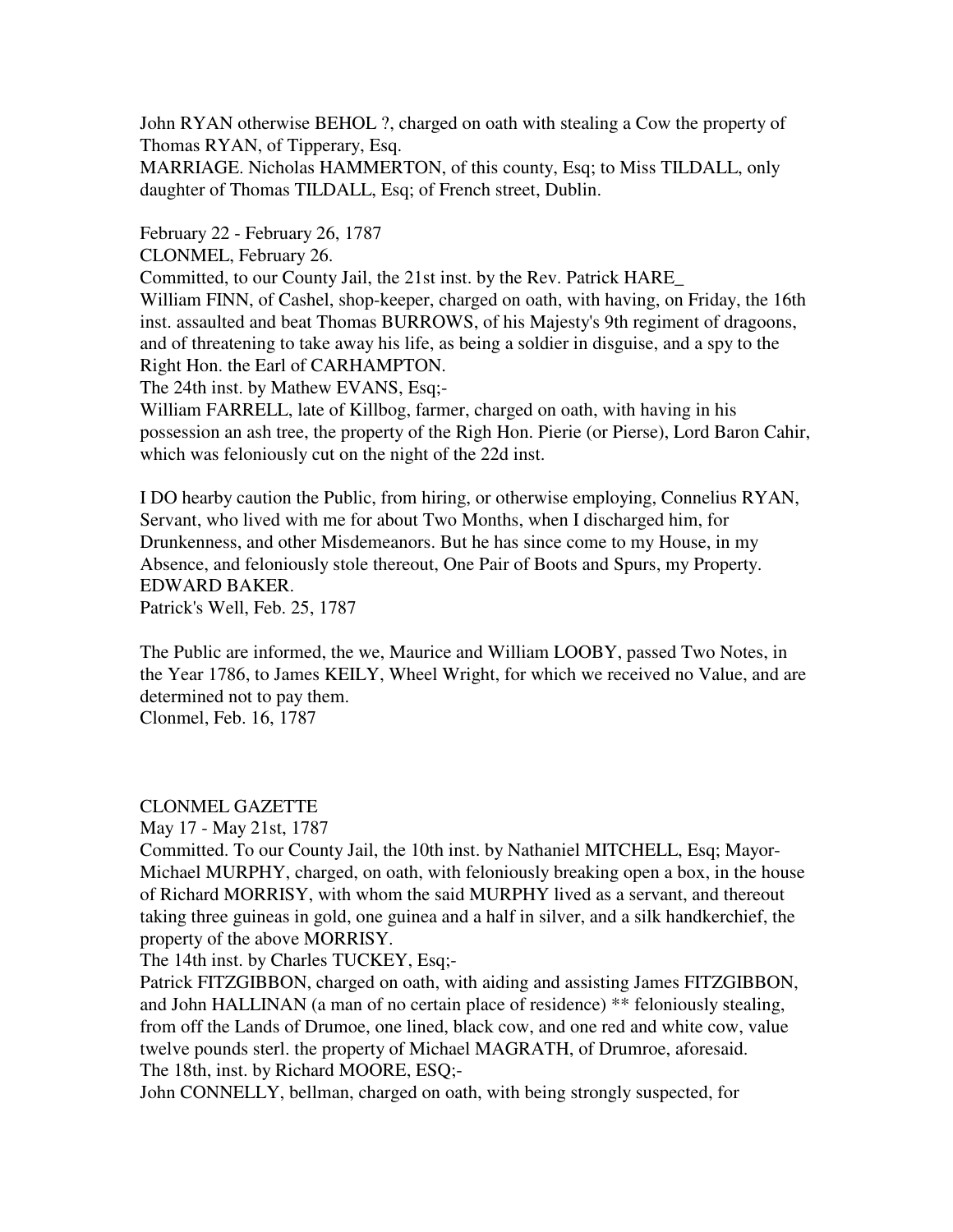John RYAN otherwise BEHOL ?, charged on oath with stealing a Cow the property of Thomas RYAN, of Tipperary, Esq.

MARRIAGE. Nicholas HAMMERTON, of this county, Esq; to Miss TILDALL, only daughter of Thomas TILDALL, Esq; of French street, Dublin.

February 22 - February 26, 1787

CLONMEL, February 26.

Committed, to our County Jail, the 21st inst. by the Rev. Patrick HARE\_

William FINN, of Cashel, shop-keeper, charged on oath, with having, on Friday, the 16th inst. assaulted and beat Thomas BURROWS, of his Majesty's 9th regiment of dragoons, and of threatening to take away his life, as being a soldier in disguise, and a spy to the Right Hon. the Earl of CARHAMPTON.

The 24th inst. by Mathew EVANS, Esq;-

William FARRELL, late of Killbog, farmer, charged on oath, with having in his possession an ash tree, the property of the Righ Hon. Pierie (or Pierse), Lord Baron Cahir, which was feloniously cut on the night of the 22d inst.

I DO hearby caution the Public, from hiring, or otherwise employing, Connelius RYAN, Servant, who lived with me for about Two Months, when I discharged him, for Drunkenness, and other Misdemeanors. But he has since come to my House, in my Absence, and feloniously stole thereout, One Pair of Boots and Spurs, my Property. EDWARD BAKER. Patrick's Well, Feb. 25, 1787

The Public are informed, the we, Maurice and William LOOBY, passed Two Notes, in the Year 1786, to James KEILY, Wheel Wright, for which we received no Value, and are determined not to pay them. Clonmel, Feb. 16, 1787

CLONMEL GAZETTE

May 17 - May 21st, 1787

Committed. To our County Jail, the 10th inst. by Nathaniel MITCHELL, Esq; Mayor-Michael MURPHY, charged, on oath, with feloniously breaking open a box, in the house of Richard MORRISY, with whom the said MURPHY lived as a servant, and thereout taking three guineas in gold, one guinea and a half in silver, and a silk handkerchief, the property of the above MORRISY.

The 14th inst. by Charles TUCKEY, Esq;-

Patrick FITZGIBBON, charged on oath, with aiding and assisting James FITZGIBBON, and John HALLINAN (a man of no certain place of residence) \*\* feloniously stealing, from off the Lands of Drumoe, one lined, black cow, and one red and white cow, value twelve pounds sterl. the property of Michael MAGRATH, of Drumroe, aforesaid. The 18th, inst. by Richard MOORE, ESQ;-

John CONNELLY, bellman, charged on oath, with being strongly suspected, for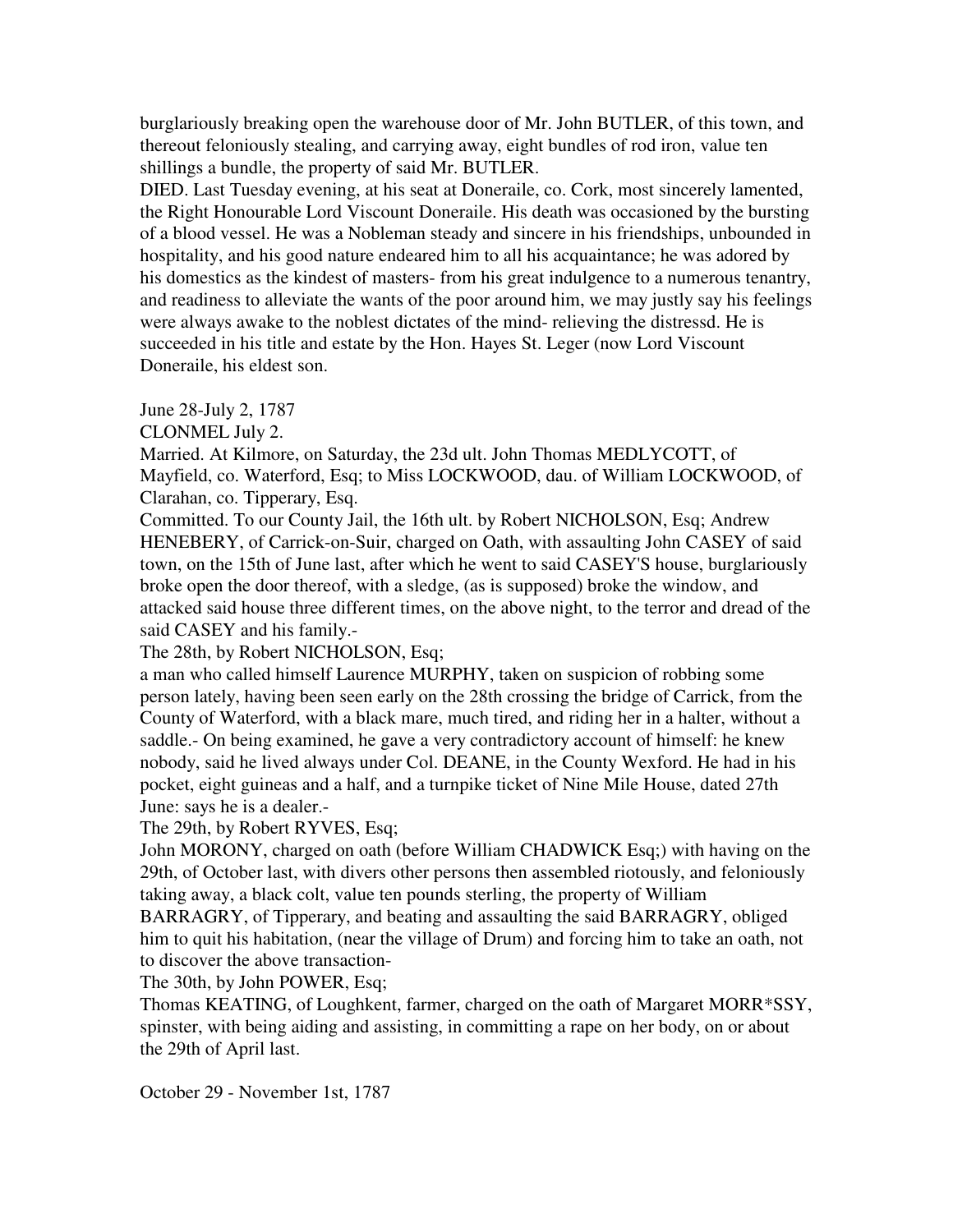burglariously breaking open the warehouse door of Mr. John BUTLER, of this town, and thereout feloniously stealing, and carrying away, eight bundles of rod iron, value ten shillings a bundle, the property of said Mr. BUTLER.

DIED. Last Tuesday evening, at his seat at Doneraile, co. Cork, most sincerely lamented, the Right Honourable Lord Viscount Doneraile. His death was occasioned by the bursting of a blood vessel. He was a Nobleman steady and sincere in his friendships, unbounded in hospitality, and his good nature endeared him to all his acquaintance; he was adored by his domestics as the kindest of masters- from his great indulgence to a numerous tenantry, and readiness to alleviate the wants of the poor around him, we may justly say his feelings were always awake to the noblest dictates of the mind- relieving the distressd. He is succeeded in his title and estate by the Hon. Hayes St. Leger (now Lord Viscount Doneraile, his eldest son.

June 28-July 2, 1787

CLONMEL July 2.

Married. At Kilmore, on Saturday, the 23d ult. John Thomas MEDLYCOTT, of Mayfield, co. Waterford, Esq; to Miss LOCKWOOD, dau. of William LOCKWOOD, of Clarahan, co. Tipperary, Esq.

Committed. To our County Jail, the 16th ult. by Robert NICHOLSON, Esq; Andrew HENEBERY, of Carrick-on-Suir, charged on Oath, with assaulting John CASEY of said town, on the 15th of June last, after which he went to said CASEY'S house, burglariously broke open the door thereof, with a sledge, (as is supposed) broke the window, and attacked said house three different times, on the above night, to the terror and dread of the said CASEY and his family.-

The 28th, by Robert NICHOLSON, Esq;

a man who called himself Laurence MURPHY, taken on suspicion of robbing some person lately, having been seen early on the 28th crossing the bridge of Carrick, from the County of Waterford, with a black mare, much tired, and riding her in a halter, without a saddle.- On being examined, he gave a very contradictory account of himself: he knew nobody, said he lived always under Col. DEANE, in the County Wexford. He had in his pocket, eight guineas and a half, and a turnpike ticket of Nine Mile House, dated 27th June: says he is a dealer.-

The 29th, by Robert RYVES, Esq;

John MORONY, charged on oath (before William CHADWICK Esq;) with having on the 29th, of October last, with divers other persons then assembled riotously, and feloniously taking away, a black colt, value ten pounds sterling, the property of William

BARRAGRY, of Tipperary, and beating and assaulting the said BARRAGRY, obliged him to quit his habitation, (near the village of Drum) and forcing him to take an oath, not to discover the above transaction-

The 30th, by John POWER, Esq;

Thomas KEATING, of Loughkent, farmer, charged on the oath of Margaret MORR\*SSY, spinster, with being aiding and assisting, in committing a rape on her body, on or about the 29th of April last.

October 29 - November 1st, 1787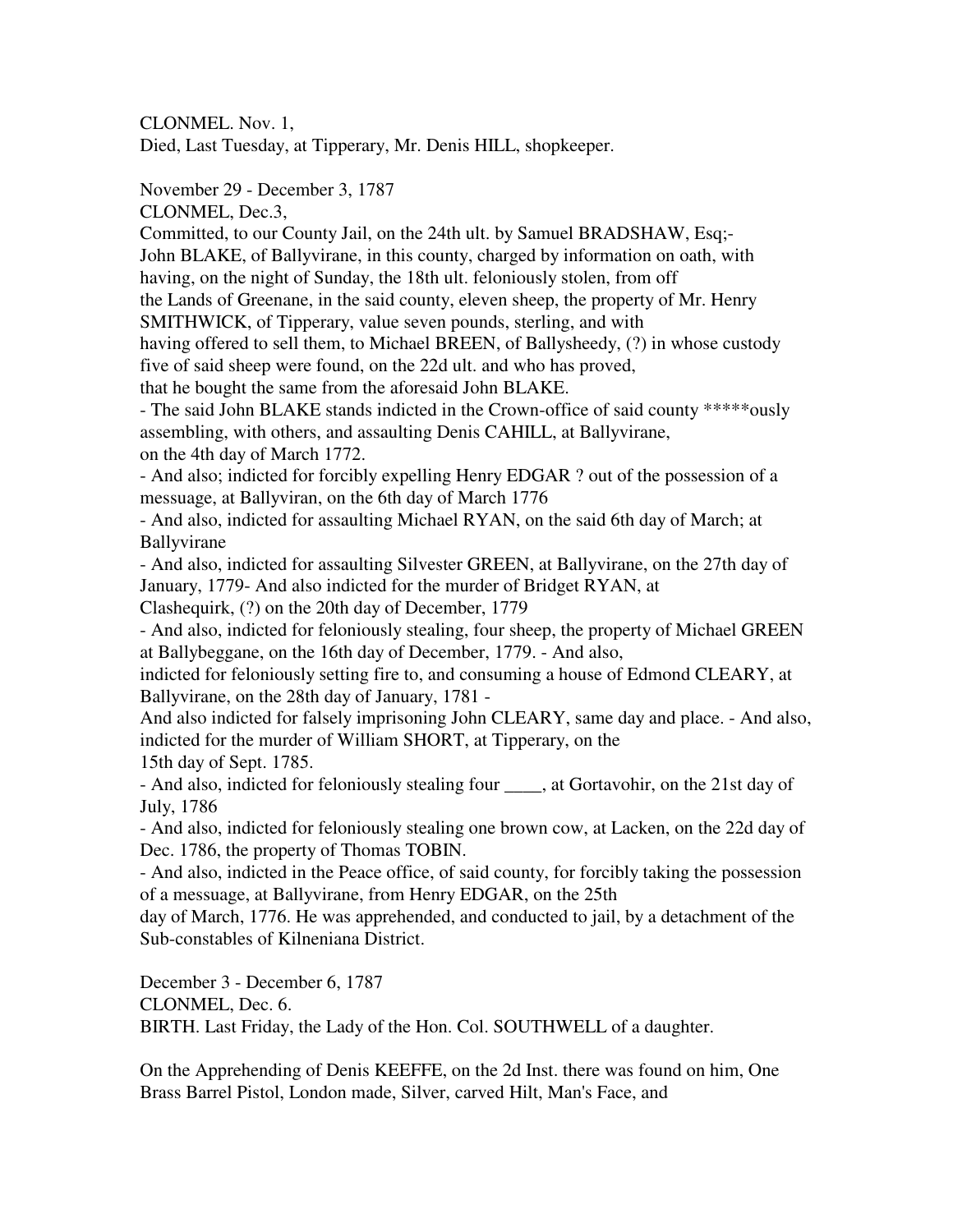CLONMEL. Nov. 1, Died, Last Tuesday, at Tipperary, Mr. Denis HILL, shopkeeper.

November 29 - December 3, 1787

CLONMEL, Dec.3,

Committed, to our County Jail, on the 24th ult. by Samuel BRADSHAW, Esq;- John BLAKE, of Ballyvirane, in this county, charged by information on oath, with having, on the night of Sunday, the 18th ult. feloniously stolen, from off the Lands of Greenane, in the said county, eleven sheep, the property of Mr. Henry SMITHWICK, of Tipperary, value seven pounds, sterling, and with having offered to sell them, to Michael BREEN, of Ballysheedy, (?) in whose custody five of said sheep were found, on the 22d ult. and who has proved, that he bought the same from the aforesaid John BLAKE.

- The said John BLAKE stands indicted in the Crown-office of said county \*\*\*\*\*ously assembling, with others, and assaulting Denis CAHILL, at Ballyvirane, on the 4th day of March 1772.

- And also; indicted for forcibly expelling Henry EDGAR ? out of the possession of a messuage, at Ballyviran, on the 6th day of March 1776

- And also, indicted for assaulting Michael RYAN, on the said 6th day of March; at Ballyvirane

- And also, indicted for assaulting Silvester GREEN, at Ballyvirane, on the 27th day of January, 1779- And also indicted for the murder of Bridget RYAN, at Clashequirk, (?) on the 20th day of December, 1779

- And also, indicted for feloniously stealing, four sheep, the property of Michael GREEN at Ballybeggane, on the 16th day of December, 1779. - And also,

indicted for feloniously setting fire to, and consuming a house of Edmond CLEARY, at Ballyvirane, on the 28th day of January, 1781 -

And also indicted for falsely imprisoning John CLEARY, same day and place. - And also, indicted for the murder of William SHORT, at Tipperary, on the 15th day of Sept. 1785.

- And also, indicted for feloniously stealing four \_\_\_\_, at Gortavohir, on the 21st day of July, 1786

- And also, indicted for feloniously stealing one brown cow, at Lacken, on the 22d day of Dec. 1786, the property of Thomas TOBIN.

- And also, indicted in the Peace office, of said county, for forcibly taking the possession of a messuage, at Ballyvirane, from Henry EDGAR, on the 25th

day of March, 1776. He was apprehended, and conducted to jail, by a detachment of the Sub-constables of Kilneniana District.

December 3 - December 6, 1787 CLONMEL, Dec. 6. BIRTH. Last Friday, the Lady of the Hon. Col. SOUTHWELL of a daughter.

On the Apprehending of Denis KEEFFE, on the 2d Inst. there was found on him, One Brass Barrel Pistol, London made, Silver, carved Hilt, Man's Face, and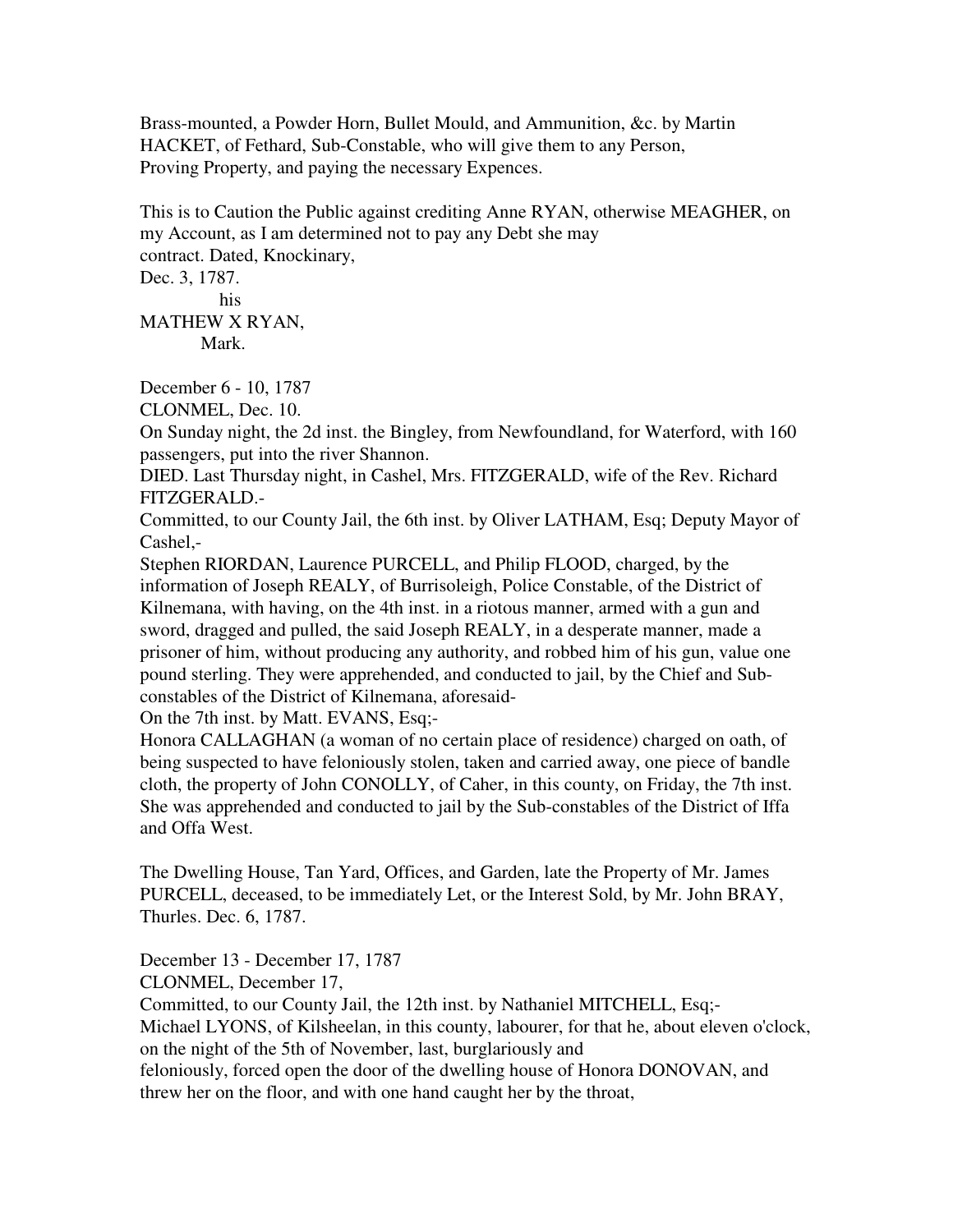Brass-mounted, a Powder Horn, Bullet Mould, and Ammunition, &c. by Martin HACKET, of Fethard, Sub-Constable, who will give them to any Person, Proving Property, and paying the necessary Expences.

This is to Caution the Public against crediting Anne RYAN, otherwise MEAGHER, on my Account, as I am determined not to pay any Debt she may contract. Dated, Knockinary, Dec. 3, 1787. his

MATHEW X RYAN, Mark.

December 6 - 10, 1787

CLONMEL, Dec. 10.

On Sunday night, the 2d inst. the Bingley, from Newfoundland, for Waterford, with 160 passengers, put into the river Shannon.

DIED. Last Thursday night, in Cashel, Mrs. FITZGERALD, wife of the Rev. Richard FITZGERALD.-

Committed, to our County Jail, the 6th inst. by Oliver LATHAM, Esq; Deputy Mayor of Cashel,-

Stephen RIORDAN, Laurence PURCELL, and Philip FLOOD, charged, by the information of Joseph REALY, of Burrisoleigh, Police Constable, of the District of Kilnemana, with having, on the 4th inst. in a riotous manner, armed with a gun and sword, dragged and pulled, the said Joseph REALY, in a desperate manner, made a prisoner of him, without producing any authority, and robbed him of his gun, value one pound sterling. They were apprehended, and conducted to jail, by the Chief and Subconstables of the District of Kilnemana, aforesaid-

On the 7th inst. by Matt. EVANS, Esq;-

Honora CALLAGHAN (a woman of no certain place of residence) charged on oath, of being suspected to have feloniously stolen, taken and carried away, one piece of bandle cloth, the property of John CONOLLY, of Caher, in this county, on Friday, the 7th inst. She was apprehended and conducted to jail by the Sub-constables of the District of Iffa and Offa West.

The Dwelling House, Tan Yard, Offices, and Garden, late the Property of Mr. James PURCELL, deceased, to be immediately Let, or the Interest Sold, by Mr. John BRAY, Thurles. Dec. 6, 1787.

December 13 - December 17, 1787 CLONMEL, December 17,

Committed, to our County Jail, the 12th inst. by Nathaniel MITCHELL, Esq;- Michael LYONS, of Kilsheelan, in this county, labourer, for that he, about eleven o'clock, on the night of the 5th of November, last, burglariously and feloniously, forced open the door of the dwelling house of Honora DONOVAN, and

threw her on the floor, and with one hand caught her by the throat,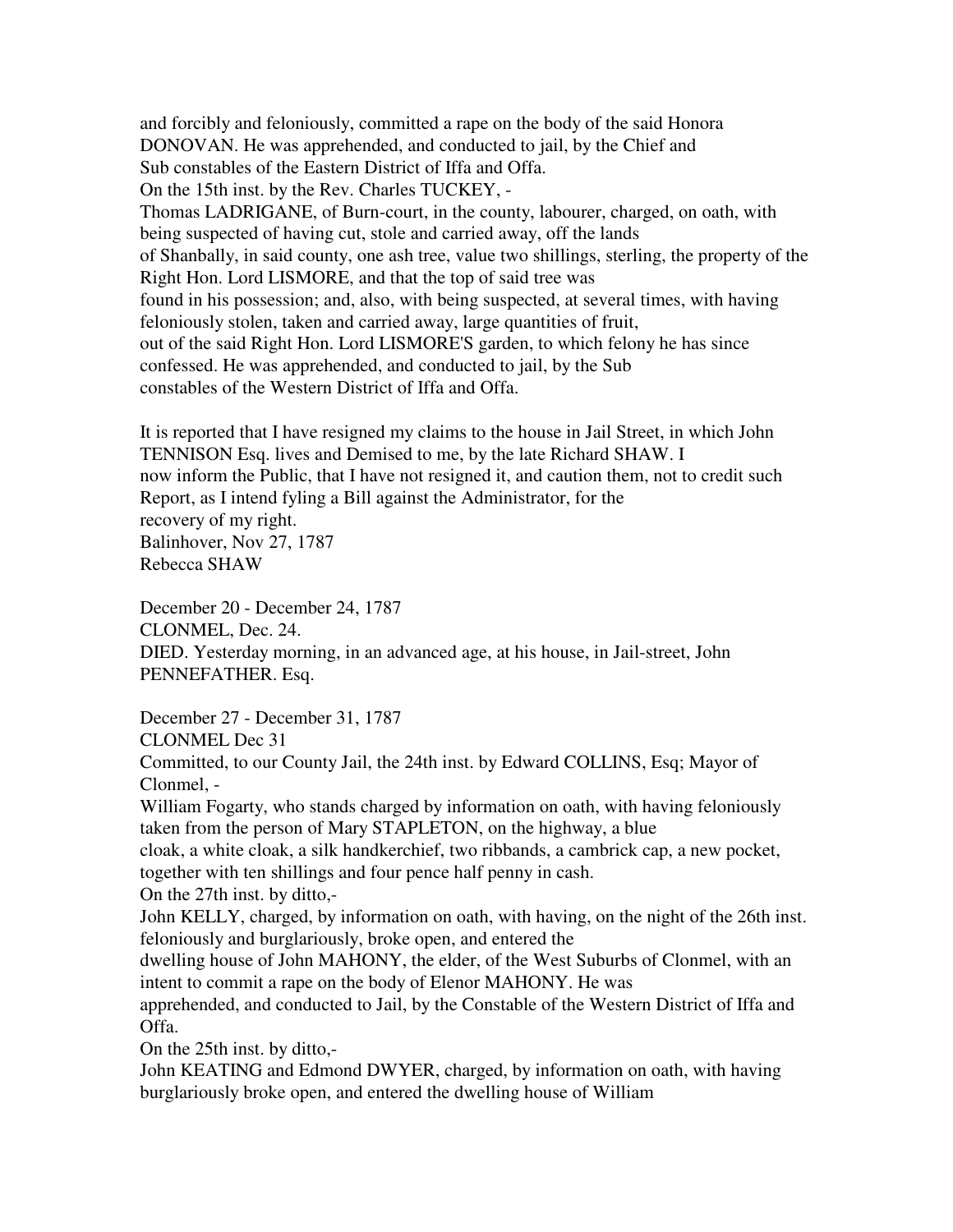and forcibly and feloniously, committed a rape on the body of the said Honora DONOVAN. He was apprehended, and conducted to jail, by the Chief and Sub constables of the Eastern District of Iffa and Offa. On the 15th inst. by the Rev. Charles TUCKEY, - Thomas LADRIGANE, of Burn-court, in the county, labourer, charged, on oath, with being suspected of having cut, stole and carried away, off the lands of Shanbally, in said county, one ash tree, value two shillings, sterling, the property of the Right Hon. Lord LISMORE, and that the top of said tree was found in his possession; and, also, with being suspected, at several times, with having feloniously stolen, taken and carried away, large quantities of fruit, out of the said Right Hon. Lord LISMORE'S garden, to which felony he has since confessed. He was apprehended, and conducted to jail, by the Sub constables of the Western District of Iffa and Offa.

It is reported that I have resigned my claims to the house in Jail Street, in which John TENNISON Esq. lives and Demised to me, by the late Richard SHAW. I now inform the Public, that I have not resigned it, and caution them, not to credit such Report, as I intend fyling a Bill against the Administrator, for the recovery of my right. Balinhover, Nov 27, 1787 Rebecca SHAW

December 20 - December 24, 1787 CLONMEL, Dec. 24. DIED. Yesterday morning, in an advanced age, at his house, in Jail-street, John PENNEFATHER. Esq.

December 27 - December 31, 1787

CLONMEL Dec 31

Committed, to our County Jail, the 24th inst. by Edward COLLINS, Esq; Mayor of Clonmel, -

William Fogarty, who stands charged by information on oath, with having feloniously taken from the person of Mary STAPLETON, on the highway, a blue

cloak, a white cloak, a silk handkerchief, two ribbands, a cambrick cap, a new pocket, together with ten shillings and four pence half penny in cash.

On the 27th inst. by ditto,-

John KELLY, charged, by information on oath, with having, on the night of the 26th inst. feloniously and burglariously, broke open, and entered the

dwelling house of John MAHONY, the elder, of the West Suburbs of Clonmel, with an intent to commit a rape on the body of Elenor MAHONY. He was

apprehended, and conducted to Jail, by the Constable of the Western District of Iffa and Offa.

On the 25th inst. by ditto,-

John KEATING and Edmond DWYER, charged, by information on oath, with having burglariously broke open, and entered the dwelling house of William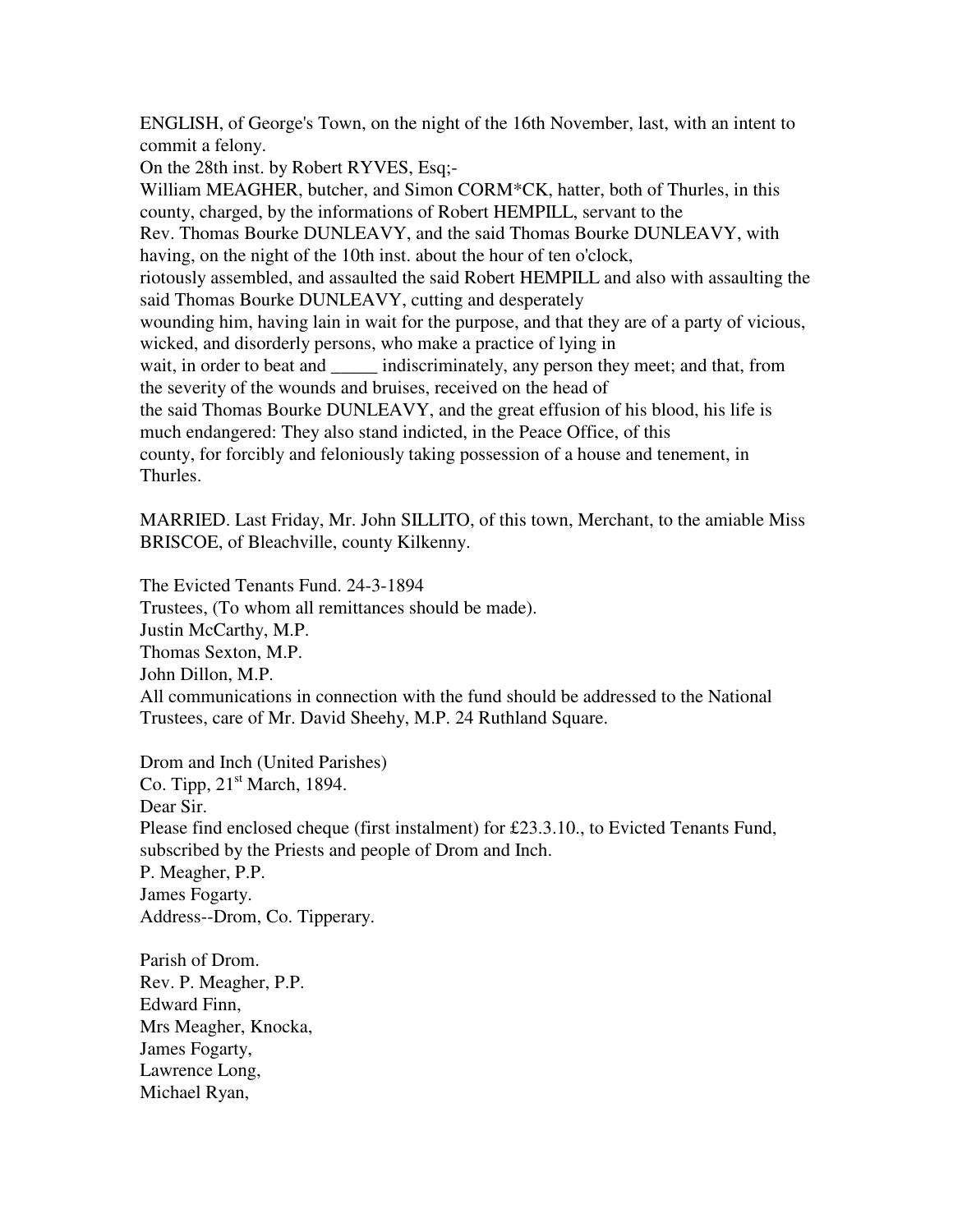ENGLISH, of George's Town, on the night of the 16th November, last, with an intent to commit a felony.

On the 28th inst. by Robert RYVES, Esq;-

William MEAGHER, butcher, and Simon CORM\*CK, hatter, both of Thurles, in this county, charged, by the informations of Robert HEMPILL, servant to the Rev. Thomas Bourke DUNLEAVY, and the said Thomas Bourke DUNLEAVY, with having, on the night of the 10th inst. about the hour of ten o'clock, riotously assembled, and assaulted the said Robert HEMPILL and also with assaulting the said Thomas Bourke DUNLEAVY, cutting and desperately wounding him, having lain in wait for the purpose, and that they are of a party of vicious, wicked, and disorderly persons, who make a practice of lying in wait, in order to beat and \_\_\_\_\_\_ indiscriminately, any person they meet; and that, from the severity of the wounds and bruises, received on the head of the said Thomas Bourke DUNLEAVY, and the great effusion of his blood, his life is much endangered: They also stand indicted, in the Peace Office, of this county, for forcibly and feloniously taking possession of a house and tenement, in Thurles.

MARRIED. Last Friday, Mr. John SILLITO, of this town, Merchant, to the amiable Miss BRISCOE, of Bleachville, county Kilkenny.

The Evicted Tenants Fund. 24-3-1894 Trustees, (To whom all remittances should be made). Justin McCarthy, M.P. Thomas Sexton, M.P. John Dillon, M.P. All communications in connection with the fund should be addressed to the National Trustees, care of Mr. David Sheehy, M.P. 24 Ruthland Square.

Drom and Inch (United Parishes) Co. Tipp,  $21<sup>st</sup>$  March, 1894. Dear Sir. Please find enclosed cheque (first instalment) for £23.3.10., to Evicted Tenants Fund, subscribed by the Priests and people of Drom and Inch. P. Meagher, P.P. James Fogarty. Address--Drom, Co. Tipperary.

Parish of Drom. Rev. P. Meagher, P.P. Edward Finn, Mrs Meagher, Knocka, James Fogarty, Lawrence Long, Michael Ryan,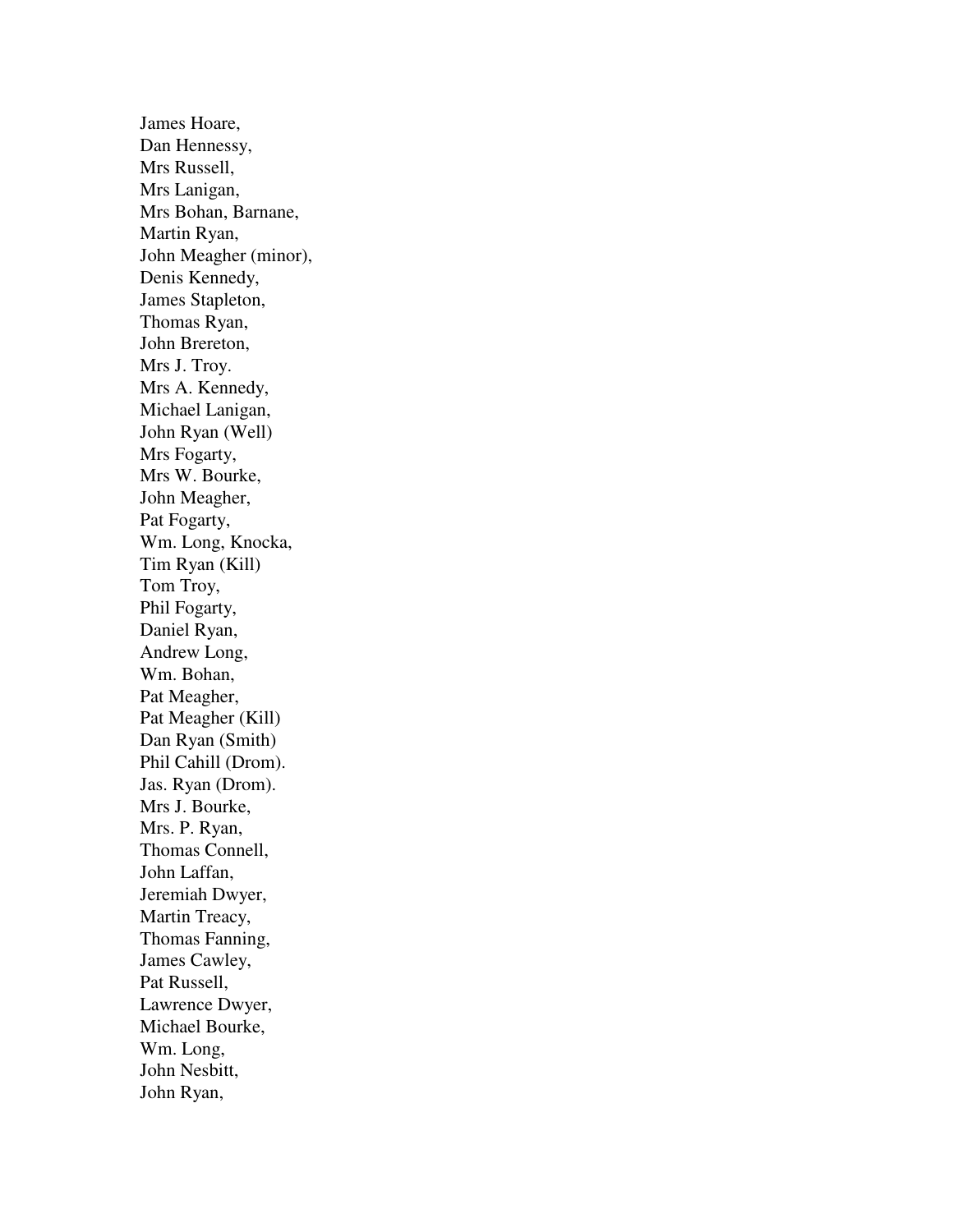James Hoare, Dan Hennessy, Mrs Russell, Mrs Lanigan, Mrs Bohan, Barnane, Martin Ryan, John Meagher (minor), Denis Kennedy, James Stapleton, Thomas Ryan, John Brereton, Mrs J. Troy. Mrs A. Kennedy, Michael Lanigan, John Ryan (Well) Mrs Fogarty, Mrs W. Bourke, John Meagher, Pat Fogarty, Wm. Long, Knocka, Tim Ryan (Kill) Tom Troy, Phil Fogarty, Daniel Ryan, Andrew Long, Wm. Bohan, Pat Meagher, Pat Meagher (Kill) Dan Ryan (Smith) Phil Cahill (Drom). Jas. Ryan (Drom). Mrs J. Bourke, Mrs. P. Ryan, Thomas Connell, John Laffan, Jeremiah Dwyer, Martin Treacy, Thomas Fanning, James Cawley, Pat Russell, Lawrence Dwyer, Michael Bourke, Wm. Long, John Nesbitt, John Ryan,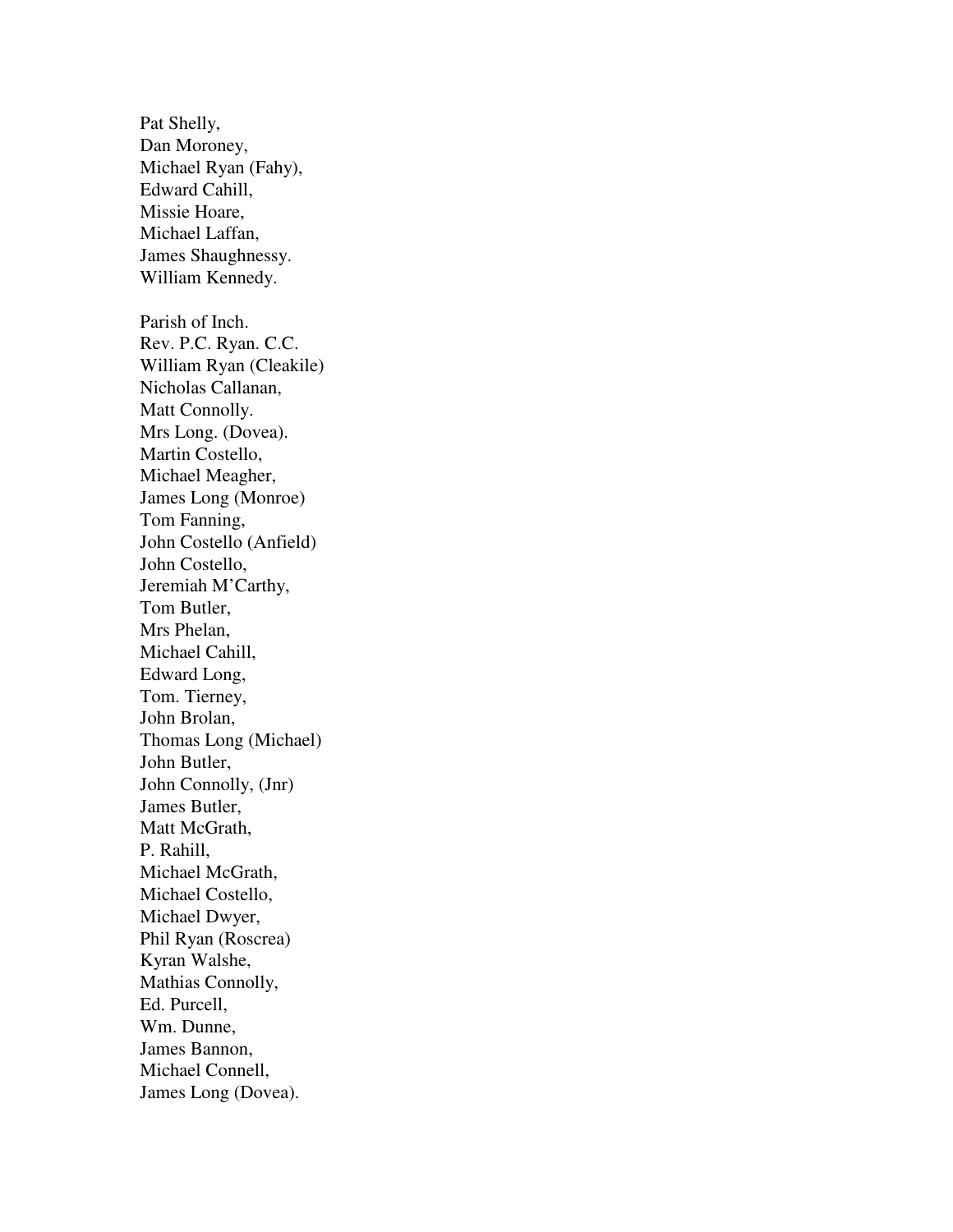Pat Shelly, Dan Moroney, Michael Ryan (Fahy), Edward Cahill, Missie Hoare, Michael Laffan, James Shaughnessy. William Kennedy. Parish of Inch. Rev. P.C. Ryan. C.C. William Ryan (Cleakile) Nicholas Callanan, Matt Connolly. Mrs Long. (Dovea). Martin Costello, Michael Meagher, James Long (Monroe) Tom Fanning, John Costello (Anfield) John Costello, Jeremiah M'Carthy, Tom Butler, Mrs Phelan, Michael Cahill, Edward Long, Tom. Tierney, John Brolan, Thomas Long (Michael) John Butler, John Connolly, (Jnr) James Butler, Matt McGrath, P. Rahill, Michael McGrath, Michael Costello, Michael Dwyer, Phil Ryan (Roscrea) Kyran Walshe, Mathias Connolly, Ed. Purcell, Wm. Dunne, James Bannon, Michael Connell, James Long (Dovea).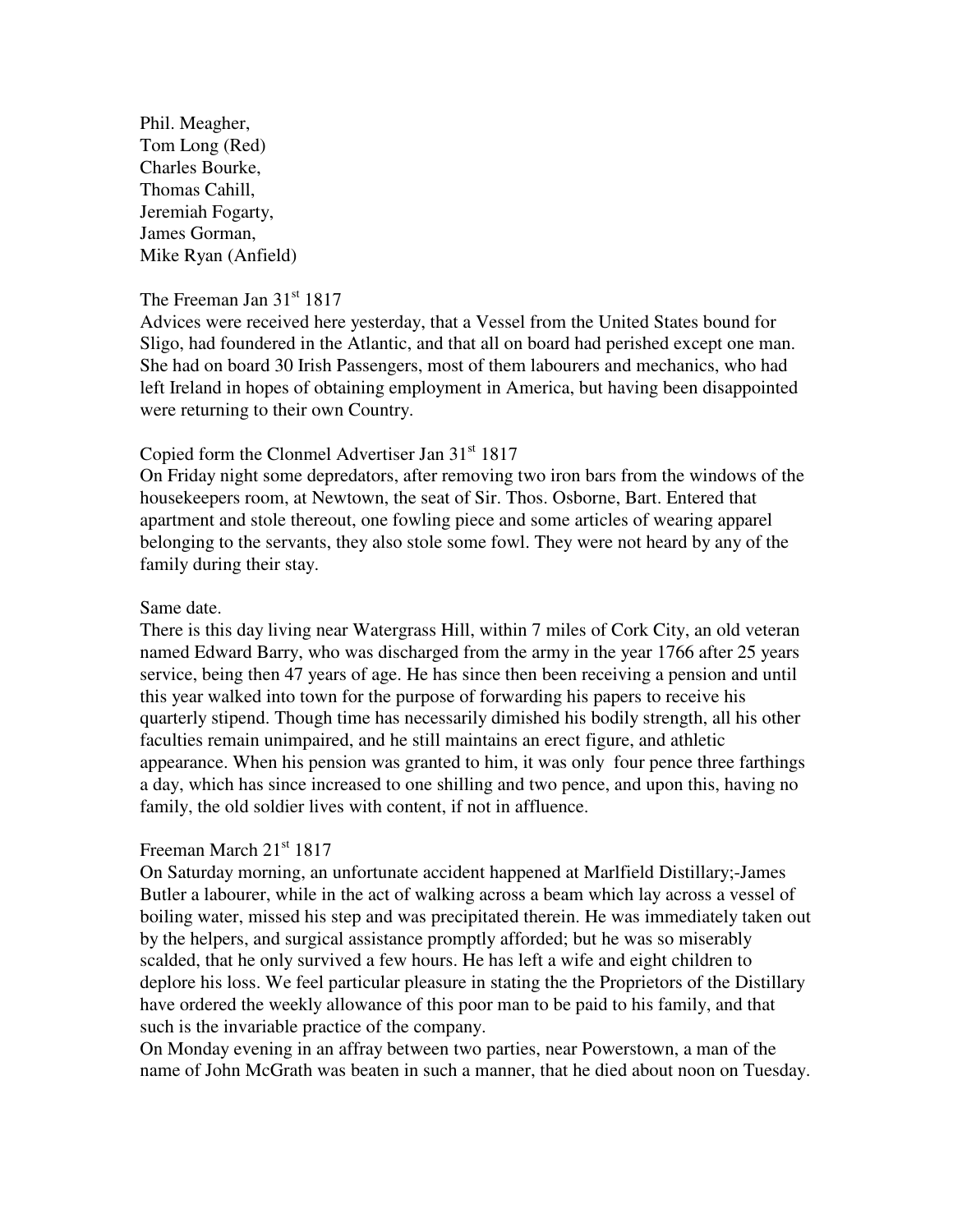Phil. Meagher, Tom Long (Red) Charles Bourke, Thomas Cahill, Jeremiah Fogarty, James Gorman, Mike Ryan (Anfield)

### The Freeman Jan  $31<sup>st</sup> 1817$

Advices were received here yesterday, that a Vessel from the United States bound for Sligo, had foundered in the Atlantic, and that all on board had perished except one man. She had on board 30 Irish Passengers, most of them labourers and mechanics, who had left Ireland in hopes of obtaining employment in America, but having been disappointed were returning to their own Country.

## Copied form the Clonmel Advertiser Jan 31<sup>st</sup> 1817

On Friday night some depredators, after removing two iron bars from the windows of the housekeepers room, at Newtown, the seat of Sir. Thos. Osborne, Bart. Entered that apartment and stole thereout, one fowling piece and some articles of wearing apparel belonging to the servants, they also stole some fowl. They were not heard by any of the family during their stay.

### Same date.

There is this day living near Watergrass Hill, within 7 miles of Cork City, an old veteran named Edward Barry, who was discharged from the army in the year 1766 after 25 years service, being then 47 years of age. He has since then been receiving a pension and until this year walked into town for the purpose of forwarding his papers to receive his quarterly stipend. Though time has necessarily dimished his bodily strength, all his other faculties remain unimpaired, and he still maintains an erect figure, and athletic appearance. When his pension was granted to him, it was only four pence three farthings a day, which has since increased to one shilling and two pence, and upon this, having no family, the old soldier lives with content, if not in affluence.

# Freeman March 21<sup>st</sup> 1817

On Saturday morning, an unfortunate accident happened at Marlfield Distillary;-James Butler a labourer, while in the act of walking across a beam which lay across a vessel of boiling water, missed his step and was precipitated therein. He was immediately taken out by the helpers, and surgical assistance promptly afforded; but he was so miserably scalded, that he only survived a few hours. He has left a wife and eight children to deplore his loss. We feel particular pleasure in stating the the Proprietors of the Distillary have ordered the weekly allowance of this poor man to be paid to his family, and that such is the invariable practice of the company.

On Monday evening in an affray between two parties, near Powerstown, a man of the name of John McGrath was beaten in such a manner, that he died about noon on Tuesday.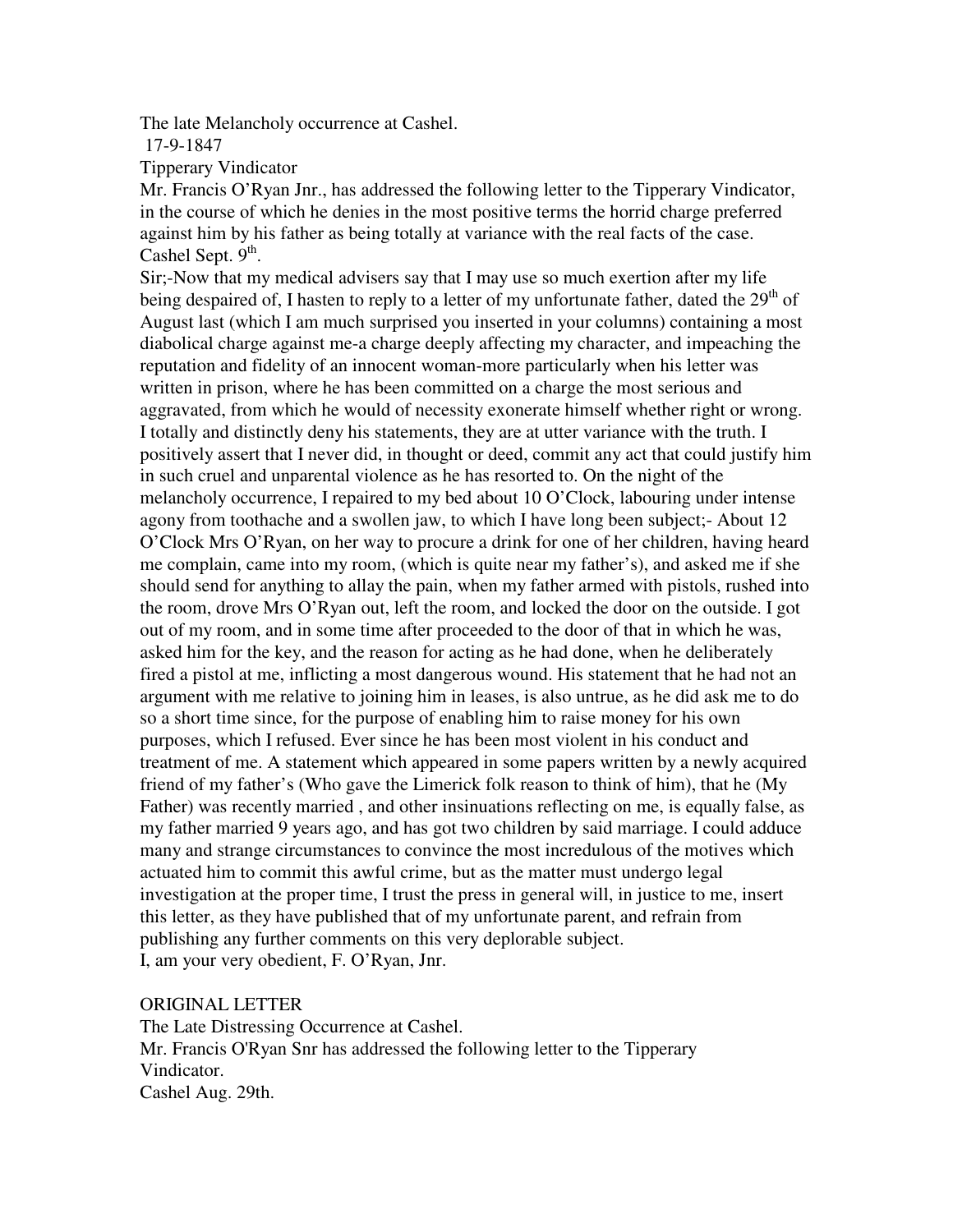The late Melancholy occurrence at Cashel.

17-9-1847

Tipperary Vindicator

Mr. Francis O'Ryan Jnr., has addressed the following letter to the Tipperary Vindicator, in the course of which he denies in the most positive terms the horrid charge preferred against him by his father as being totally at variance with the real facts of the case. Cashel Sept.  $9<sup>th</sup>$ .

Sir;-Now that my medical advisers say that I may use so much exertion after my life being despaired of, I hasten to reply to a letter of my unfortunate father, dated the  $29<sup>th</sup>$  of August last (which I am much surprised you inserted in your columns) containing a most diabolical charge against me-a charge deeply affecting my character, and impeaching the reputation and fidelity of an innocent woman-more particularly when his letter was written in prison, where he has been committed on a charge the most serious and aggravated, from which he would of necessity exonerate himself whether right or wrong. I totally and distinctly deny his statements, they are at utter variance with the truth. I positively assert that I never did, in thought or deed, commit any act that could justify him in such cruel and unparental violence as he has resorted to. On the night of the melancholy occurrence, I repaired to my bed about 10 O'Clock, labouring under intense agony from toothache and a swollen jaw, to which I have long been subject;- About 12 O'Clock Mrs O'Ryan, on her way to procure a drink for one of her children, having heard me complain, came into my room, (which is quite near my father's), and asked me if she should send for anything to allay the pain, when my father armed with pistols, rushed into the room, drove Mrs O'Ryan out, left the room, and locked the door on the outside. I got out of my room, and in some time after proceeded to the door of that in which he was, asked him for the key, and the reason for acting as he had done, when he deliberately fired a pistol at me, inflicting a most dangerous wound. His statement that he had not an argument with me relative to joining him in leases, is also untrue, as he did ask me to do so a short time since, for the purpose of enabling him to raise money for his own purposes, which I refused. Ever since he has been most violent in his conduct and treatment of me. A statement which appeared in some papers written by a newly acquired friend of my father's (Who gave the Limerick folk reason to think of him), that he (My Father) was recently married , and other insinuations reflecting on me, is equally false, as my father married 9 years ago, and has got two children by said marriage. I could adduce many and strange circumstances to convince the most incredulous of the motives which actuated him to commit this awful crime, but as the matter must undergo legal investigation at the proper time, I trust the press in general will, in justice to me, insert this letter, as they have published that of my unfortunate parent, and refrain from publishing any further comments on this very deplorable subject. I, am your very obedient, F. O'Ryan, Jnr.

## ORIGINAL LETTER

The Late Distressing Occurrence at Cashel. Mr. Francis O'Ryan Snr has addressed the following letter to the Tipperary Vindicator. Cashel Aug. 29th.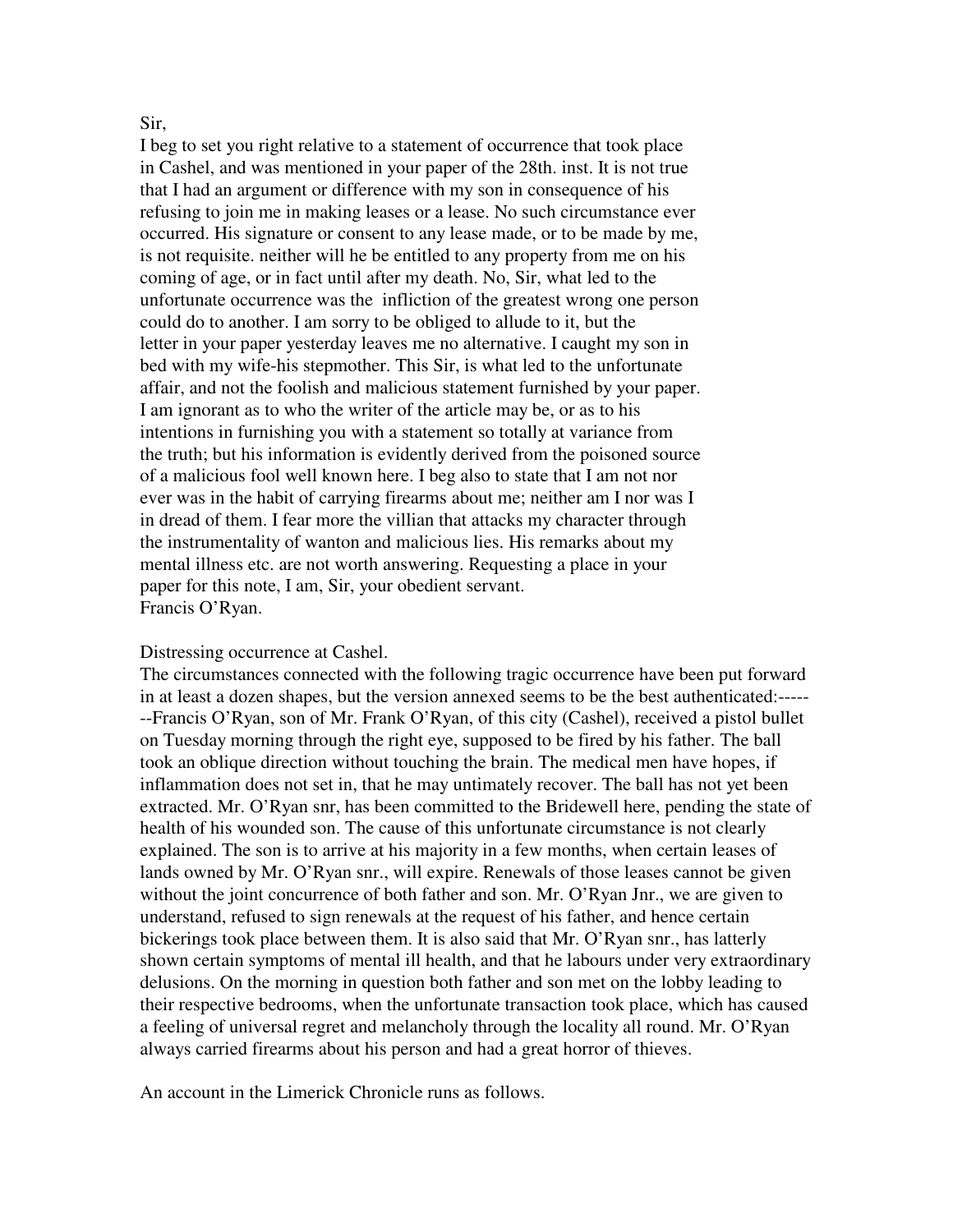#### Sir,

I beg to set you right relative to a statement of occurrence that took place in Cashel, and was mentioned in your paper of the 28th. inst. It is not true that I had an argument or difference with my son in consequence of his refusing to join me in making leases or a lease. No such circumstance ever occurred. His signature or consent to any lease made, or to be made by me, is not requisite. neither will he be entitled to any property from me on his coming of age, or in fact until after my death. No, Sir, what led to the unfortunate occurrence was the infliction of the greatest wrong one person could do to another. I am sorry to be obliged to allude to it, but the letter in your paper yesterday leaves me no alternative. I caught my son in bed with my wife-his stepmother. This Sir, is what led to the unfortunate affair, and not the foolish and malicious statement furnished by your paper. I am ignorant as to who the writer of the article may be, or as to his intentions in furnishing you with a statement so totally at variance from the truth; but his information is evidently derived from the poisoned source of a malicious fool well known here. I beg also to state that I am not nor ever was in the habit of carrying firearms about me; neither am I nor was I in dread of them. I fear more the villian that attacks my character through the instrumentality of wanton and malicious lies. His remarks about my mental illness etc. are not worth answering. Requesting a place in your paper for this note, I am, Sir, your obedient servant. Francis O'Ryan.

#### Distressing occurrence at Cashel.

The circumstances connected with the following tragic occurrence have been put forward in at least a dozen shapes, but the version annexed seems to be the best authenticated:----- --Francis O'Ryan, son of Mr. Frank O'Ryan, of this city (Cashel), received a pistol bullet on Tuesday morning through the right eye, supposed to be fired by his father. The ball took an oblique direction without touching the brain. The medical men have hopes, if inflammation does not set in, that he may untimately recover. The ball has not yet been extracted. Mr. O'Ryan snr, has been committed to the Bridewell here, pending the state of health of his wounded son. The cause of this unfortunate circumstance is not clearly explained. The son is to arrive at his majority in a few months, when certain leases of lands owned by Mr. O'Ryan snr., will expire. Renewals of those leases cannot be given without the joint concurrence of both father and son. Mr. O'Ryan Jnr., we are given to understand, refused to sign renewals at the request of his father, and hence certain bickerings took place between them. It is also said that Mr. O'Ryan snr., has latterly shown certain symptoms of mental ill health, and that he labours under very extraordinary delusions. On the morning in question both father and son met on the lobby leading to their respective bedrooms, when the unfortunate transaction took place, which has caused a feeling of universal regret and melancholy through the locality all round. Mr. O'Ryan always carried firearms about his person and had a great horror of thieves.

An account in the Limerick Chronicle runs as follows.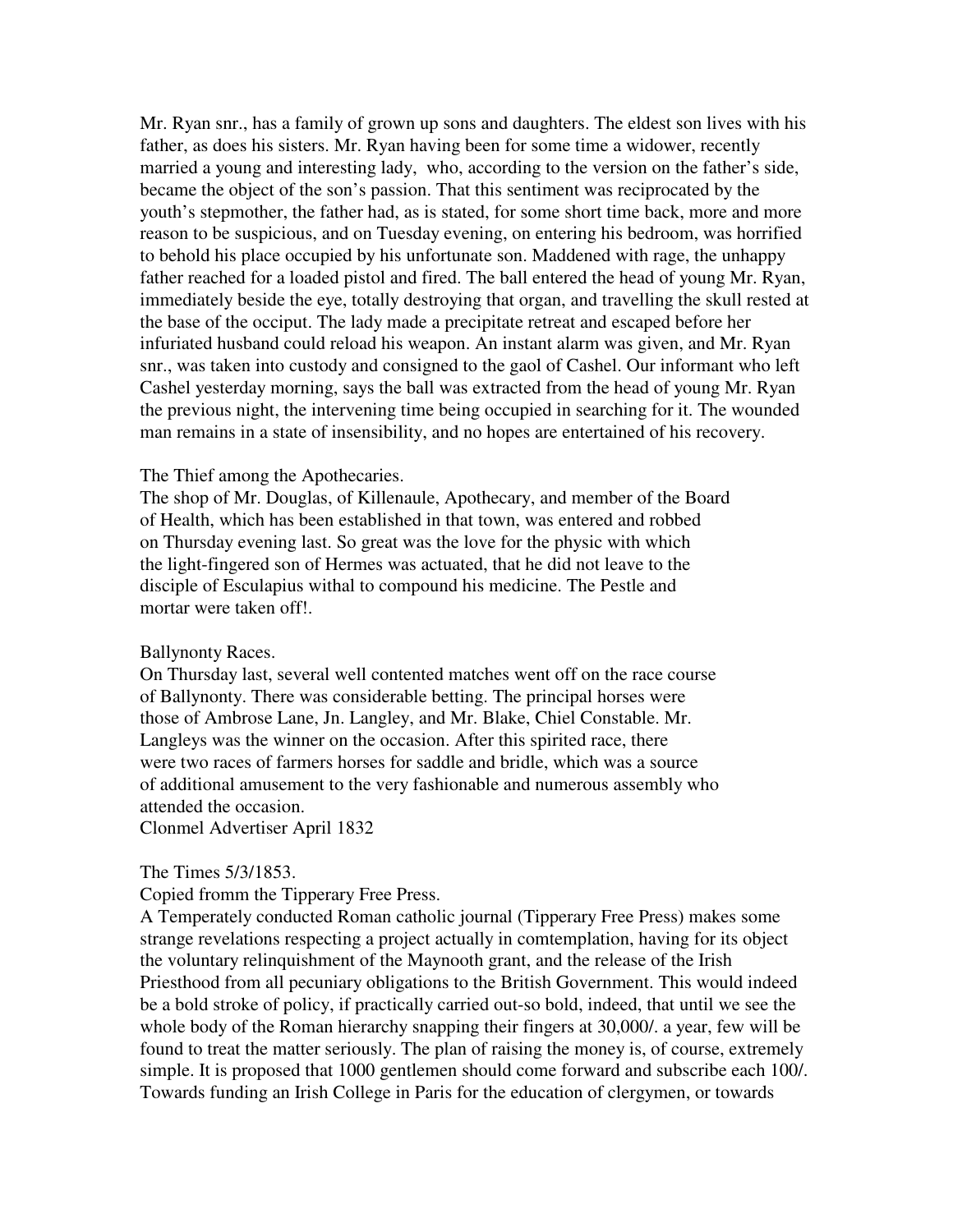Mr. Ryan snr., has a family of grown up sons and daughters. The eldest son lives with his father, as does his sisters. Mr. Ryan having been for some time a widower, recently married a young and interesting lady, who, according to the version on the father's side, became the object of the son's passion. That this sentiment was reciprocated by the youth's stepmother, the father had, as is stated, for some short time back, more and more reason to be suspicious, and on Tuesday evening, on entering his bedroom, was horrified to behold his place occupied by his unfortunate son. Maddened with rage, the unhappy father reached for a loaded pistol and fired. The ball entered the head of young Mr. Ryan, immediately beside the eye, totally destroying that organ, and travelling the skull rested at the base of the occiput. The lady made a precipitate retreat and escaped before her infuriated husband could reload his weapon. An instant alarm was given, and Mr. Ryan snr., was taken into custody and consigned to the gaol of Cashel. Our informant who left Cashel yesterday morning, says the ball was extracted from the head of young Mr. Ryan the previous night, the intervening time being occupied in searching for it. The wounded man remains in a state of insensibility, and no hopes are entertained of his recovery.

#### The Thief among the Apothecaries.

The shop of Mr. Douglas, of Killenaule, Apothecary, and member of the Board of Health, which has been established in that town, was entered and robbed on Thursday evening last. So great was the love for the physic with which the light-fingered son of Hermes was actuated, that he did not leave to the disciple of Esculapius withal to compound his medicine. The Pestle and mortar were taken off!.

#### Ballynonty Races.

On Thursday last, several well contented matches went off on the race course of Ballynonty. There was considerable betting. The principal horses were those of Ambrose Lane, Jn. Langley, and Mr. Blake, Chiel Constable. Mr. Langleys was the winner on the occasion. After this spirited race, there were two races of farmers horses for saddle and bridle, which was a source of additional amusement to the very fashionable and numerous assembly who attended the occasion.

Clonmel Advertiser April 1832

#### The Times 5/3/1853.

#### Copied fromm the Tipperary Free Press.

A Temperately conducted Roman catholic journal (Tipperary Free Press) makes some strange revelations respecting a project actually in comtemplation, having for its object the voluntary relinquishment of the Maynooth grant, and the release of the Irish Priesthood from all pecuniary obligations to the British Government. This would indeed be a bold stroke of policy, if practically carried out-so bold, indeed, that until we see the whole body of the Roman hierarchy snapping their fingers at 30,000/. a year, few will be found to treat the matter seriously. The plan of raising the money is, of course, extremely simple. It is proposed that 1000 gentlemen should come forward and subscribe each 100/. Towards funding an Irish College in Paris for the education of clergymen, or towards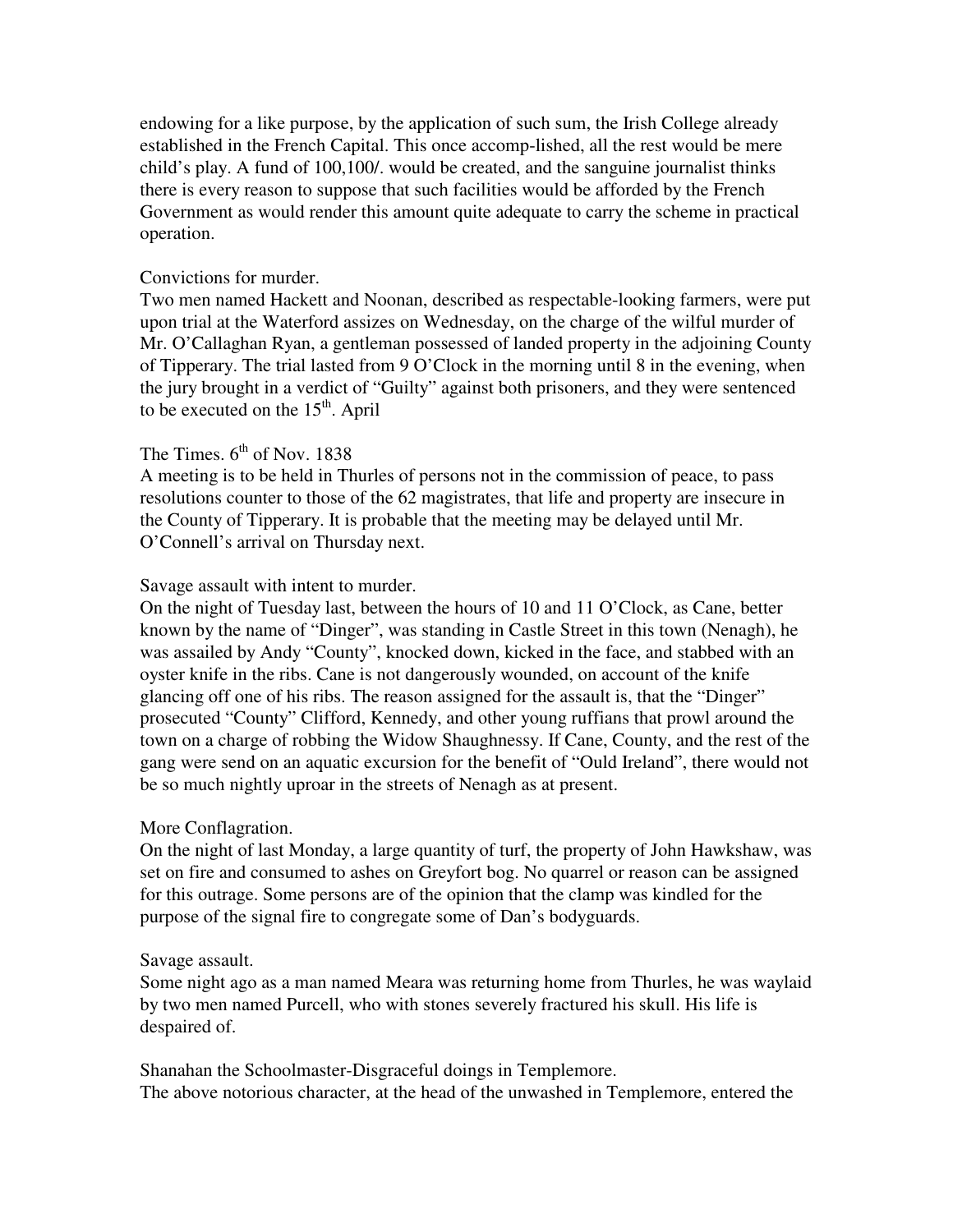endowing for a like purpose, by the application of such sum, the Irish College already established in the French Capital. This once accomp-lished, all the rest would be mere child's play. A fund of 100,100/. would be created, and the sanguine journalist thinks there is every reason to suppose that such facilities would be afforded by the French Government as would render this amount quite adequate to carry the scheme in practical operation.

### Convictions for murder.

Two men named Hackett and Noonan, described as respectable-looking farmers, were put upon trial at the Waterford assizes on Wednesday, on the charge of the wilful murder of Mr. O'Callaghan Ryan, a gentleman possessed of landed property in the adjoining County of Tipperary. The trial lasted from 9 O'Clock in the morning until 8 in the evening, when the jury brought in a verdict of "Guilty" against both prisoners, and they were sentenced to be executed on the  $15<sup>th</sup>$ . April

## The Times.  $6<sup>th</sup>$  of Nov. 1838

A meeting is to be held in Thurles of persons not in the commission of peace, to pass resolutions counter to those of the 62 magistrates, that life and property are insecure in the County of Tipperary. It is probable that the meeting may be delayed until Mr. O'Connell's arrival on Thursday next.

## Savage assault with intent to murder.

On the night of Tuesday last, between the hours of 10 and 11 O'Clock, as Cane, better known by the name of "Dinger", was standing in Castle Street in this town (Nenagh), he was assailed by Andy "County", knocked down, kicked in the face, and stabbed with an oyster knife in the ribs. Cane is not dangerously wounded, on account of the knife glancing off one of his ribs. The reason assigned for the assault is, that the "Dinger" prosecuted "County" Clifford, Kennedy, and other young ruffians that prowl around the town on a charge of robbing the Widow Shaughnessy. If Cane, County, and the rest of the gang were send on an aquatic excursion for the benefit of "Ould Ireland", there would not be so much nightly uproar in the streets of Nenagh as at present.

## More Conflagration.

On the night of last Monday, a large quantity of turf, the property of John Hawkshaw, was set on fire and consumed to ashes on Greyfort bog. No quarrel or reason can be assigned for this outrage. Some persons are of the opinion that the clamp was kindled for the purpose of the signal fire to congregate some of Dan's bodyguards.

## Savage assault.

Some night ago as a man named Meara was returning home from Thurles, he was waylaid by two men named Purcell, who with stones severely fractured his skull. His life is despaired of.

Shanahan the Schoolmaster-Disgraceful doings in Templemore. The above notorious character, at the head of the unwashed in Templemore, entered the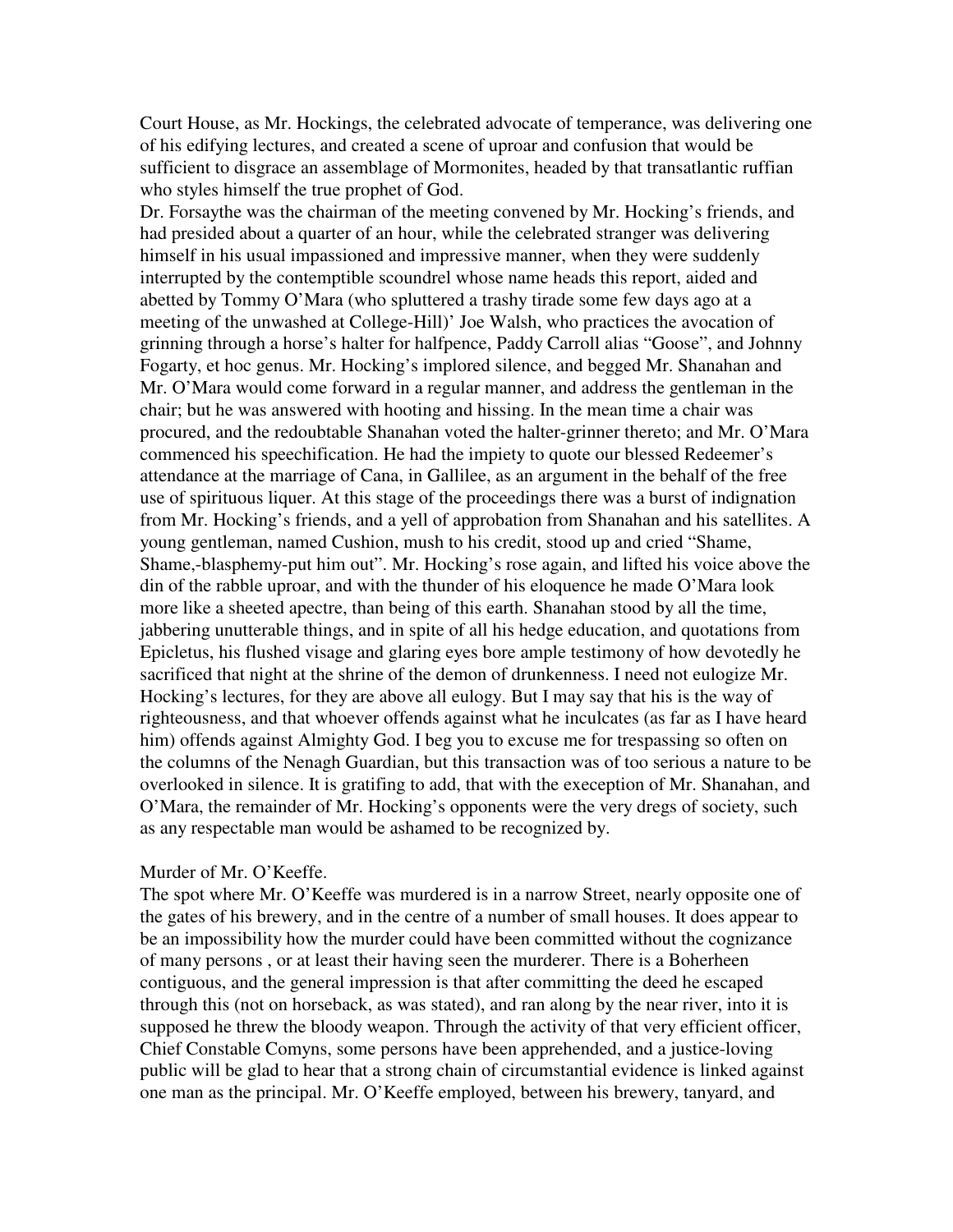Court House, as Mr. Hockings, the celebrated advocate of temperance, was delivering one of his edifying lectures, and created a scene of uproar and confusion that would be sufficient to disgrace an assemblage of Mormonites, headed by that transatlantic ruffian who styles himself the true prophet of God.

Dr. Forsaythe was the chairman of the meeting convened by Mr. Hocking's friends, and had presided about a quarter of an hour, while the celebrated stranger was delivering himself in his usual impassioned and impressive manner, when they were suddenly interrupted by the contemptible scoundrel whose name heads this report, aided and abetted by Tommy O'Mara (who spluttered a trashy tirade some few days ago at a meeting of the unwashed at College-Hill)' Joe Walsh, who practices the avocation of grinning through a horse's halter for halfpence, Paddy Carroll alias "Goose", and Johnny Fogarty, et hoc genus. Mr. Hocking's implored silence, and begged Mr. Shanahan and Mr. O'Mara would come forward in a regular manner, and address the gentleman in the chair; but he was answered with hooting and hissing. In the mean time a chair was procured, and the redoubtable Shanahan voted the halter-grinner thereto; and Mr. O'Mara commenced his speechification. He had the impiety to quote our blessed Redeemer's attendance at the marriage of Cana, in Gallilee, as an argument in the behalf of the free use of spirituous liquer. At this stage of the proceedings there was a burst of indignation from Mr. Hocking's friends, and a yell of approbation from Shanahan and his satellites. A young gentleman, named Cushion, mush to his credit, stood up and cried "Shame, Shame,-blasphemy-put him out". Mr. Hocking's rose again, and lifted his voice above the din of the rabble uproar, and with the thunder of his eloquence he made O'Mara look more like a sheeted apectre, than being of this earth. Shanahan stood by all the time, jabbering unutterable things, and in spite of all his hedge education, and quotations from Epicletus, his flushed visage and glaring eyes bore ample testimony of how devotedly he sacrificed that night at the shrine of the demon of drunkenness. I need not eulogize Mr. Hocking's lectures, for they are above all eulogy. But I may say that his is the way of righteousness, and that whoever offends against what he inculcates (as far as I have heard him) offends against Almighty God. I beg you to excuse me for trespassing so often on the columns of the Nenagh Guardian, but this transaction was of too serious a nature to be overlooked in silence. It is gratifing to add, that with the exeception of Mr. Shanahan, and O'Mara, the remainder of Mr. Hocking's opponents were the very dregs of society, such as any respectable man would be ashamed to be recognized by.

#### Murder of Mr. O'Keeffe.

The spot where Mr. O'Keeffe was murdered is in a narrow Street, nearly opposite one of the gates of his brewery, and in the centre of a number of small houses. It does appear to be an impossibility how the murder could have been committed without the cognizance of many persons , or at least their having seen the murderer. There is a Boherheen contiguous, and the general impression is that after committing the deed he escaped through this (not on horseback, as was stated), and ran along by the near river, into it is supposed he threw the bloody weapon. Through the activity of that very efficient officer, Chief Constable Comyns, some persons have been apprehended, and a justice-loving public will be glad to hear that a strong chain of circumstantial evidence is linked against one man as the principal. Mr. O'Keeffe employed, between his brewery, tanyard, and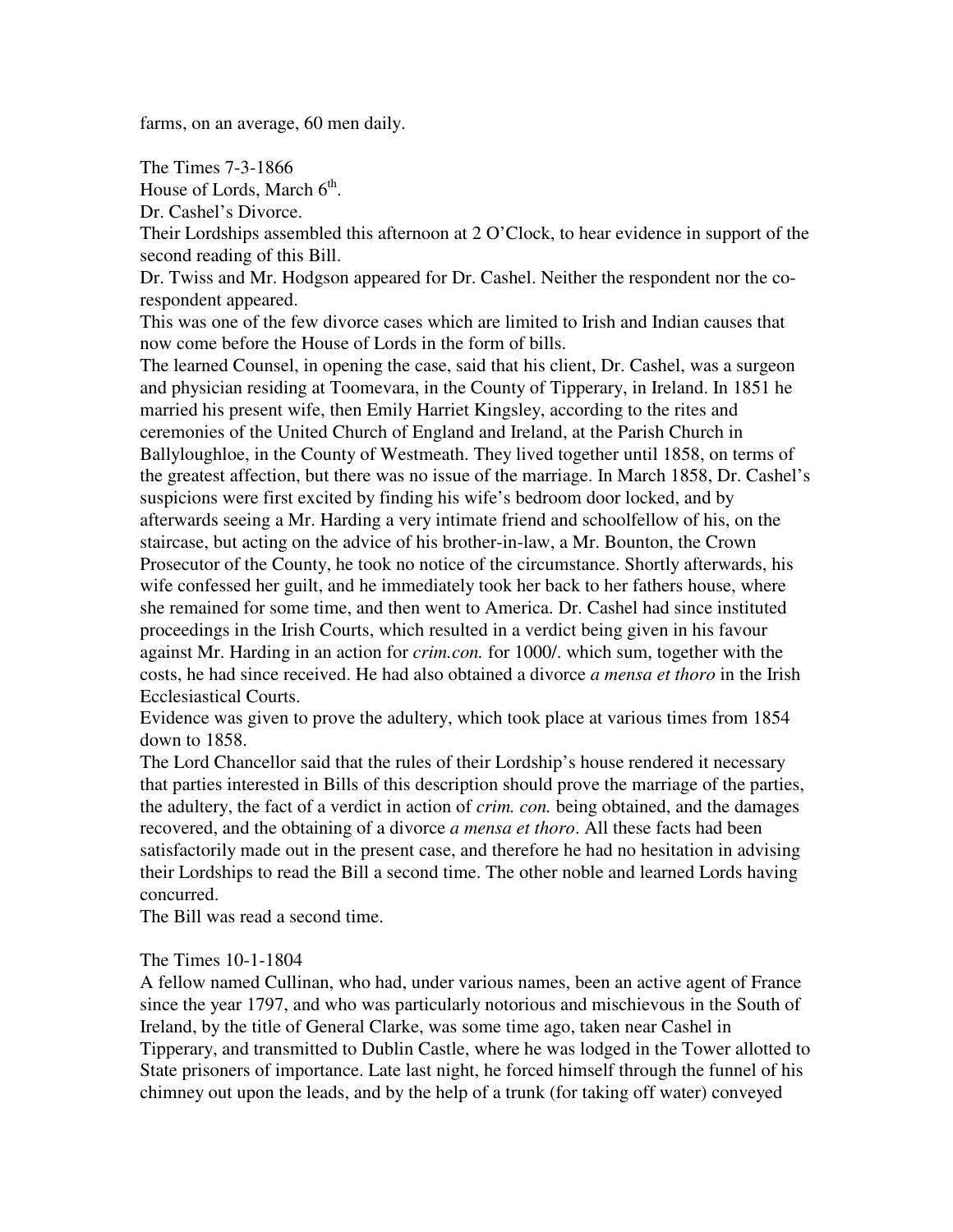farms, on an average, 60 men daily.

The Times 7-3-1866

House of Lords, March 6<sup>th</sup>.

Dr. Cashel's Divorce.

Their Lordships assembled this afternoon at 2 O'Clock, to hear evidence in support of the second reading of this Bill.

Dr. Twiss and Mr. Hodgson appeared for Dr. Cashel. Neither the respondent nor the corespondent appeared.

This was one of the few divorce cases which are limited to Irish and Indian causes that now come before the House of Lords in the form of bills.

The learned Counsel, in opening the case, said that his client, Dr. Cashel, was a surgeon and physician residing at Toomevara, in the County of Tipperary, in Ireland. In 1851 he married his present wife, then Emily Harriet Kingsley, according to the rites and ceremonies of the United Church of England and Ireland, at the Parish Church in Ballyloughloe, in the County of Westmeath. They lived together until 1858, on terms of the greatest affection, but there was no issue of the marriage. In March 1858, Dr. Cashel's suspicions were first excited by finding his wife's bedroom door locked, and by afterwards seeing a Mr. Harding a very intimate friend and schoolfellow of his, on the staircase, but acting on the advice of his brother-in-law, a Mr. Bounton, the Crown Prosecutor of the County, he took no notice of the circumstance. Shortly afterwards, his wife confessed her guilt, and he immediately took her back to her fathers house, where she remained for some time, and then went to America. Dr. Cashel had since instituted proceedings in the Irish Courts, which resulted in a verdict being given in his favour against Mr. Harding in an action for *crim.con.* for 1000/. which sum, together with the costs, he had since received. He had also obtained a divorce *a mensa et thoro* in the Irish Ecclesiastical Courts.

Evidence was given to prove the adultery, which took place at various times from 1854 down to 1858.

The Lord Chancellor said that the rules of their Lordship's house rendered it necessary that parties interested in Bills of this description should prove the marriage of the parties, the adultery, the fact of a verdict in action of *crim. con.* being obtained, and the damages recovered, and the obtaining of a divorce *a mensa et thoro*. All these facts had been satisfactorily made out in the present case, and therefore he had no hesitation in advising their Lordships to read the Bill a second time. The other noble and learned Lords having concurred.

The Bill was read a second time.

## The Times 10-1-1804

A fellow named Cullinan, who had, under various names, been an active agent of France since the year 1797, and who was particularly notorious and mischievous in the South of Ireland, by the title of General Clarke, was some time ago, taken near Cashel in Tipperary, and transmitted to Dublin Castle, where he was lodged in the Tower allotted to State prisoners of importance. Late last night, he forced himself through the funnel of his chimney out upon the leads, and by the help of a trunk (for taking off water) conveyed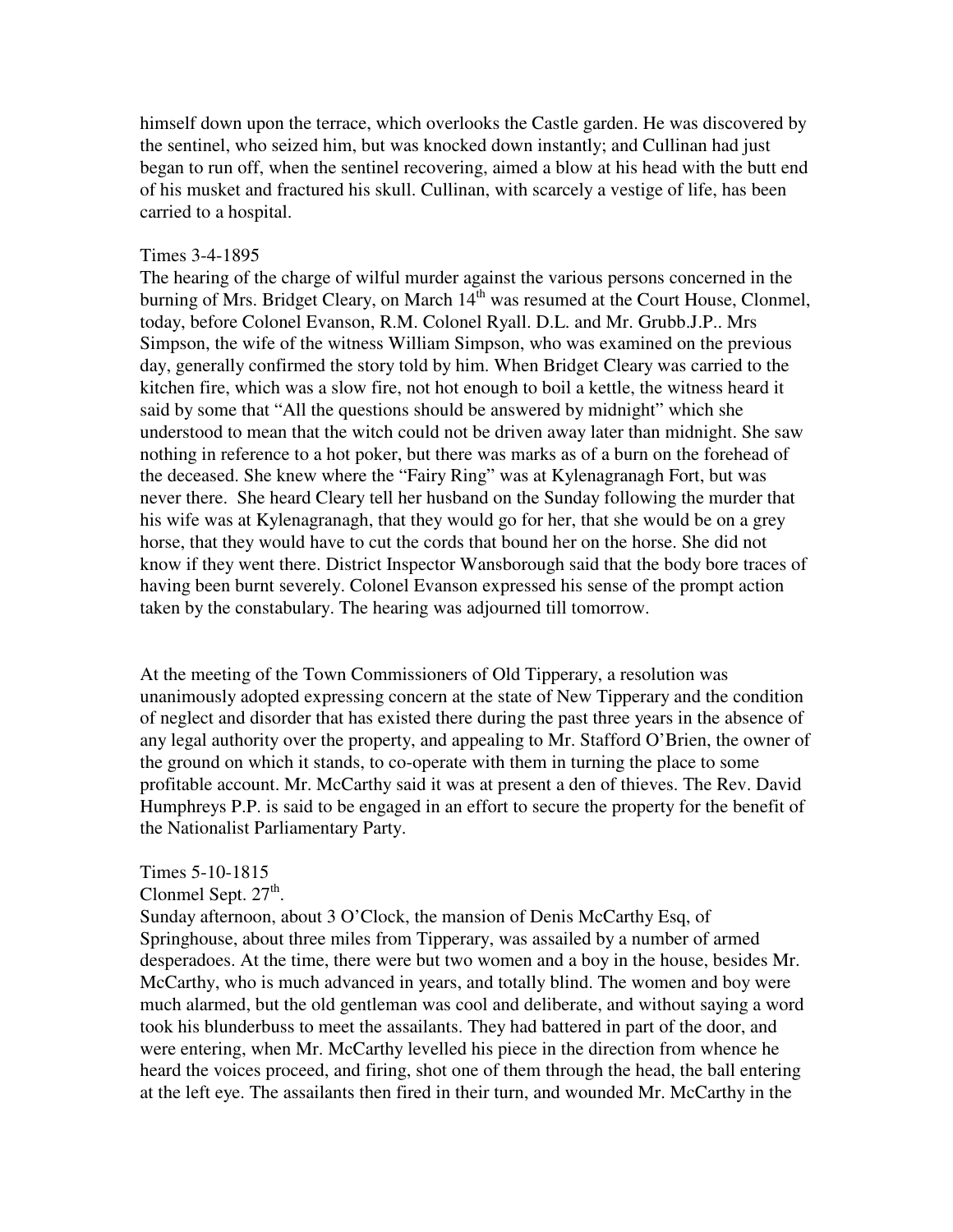himself down upon the terrace, which overlooks the Castle garden. He was discovered by the sentinel, who seized him, but was knocked down instantly; and Cullinan had just began to run off, when the sentinel recovering, aimed a blow at his head with the butt end of his musket and fractured his skull. Cullinan, with scarcely a vestige of life, has been carried to a hospital.

#### Times 3-4-1895

The hearing of the charge of wilful murder against the various persons concerned in the burning of Mrs. Bridget Cleary, on March 14<sup>th</sup> was resumed at the Court House, Clonmel, today, before Colonel Evanson, R.M. Colonel Ryall. D.L. and Mr. Grubb.J.P.. Mrs Simpson, the wife of the witness William Simpson, who was examined on the previous day, generally confirmed the story told by him. When Bridget Cleary was carried to the kitchen fire, which was a slow fire, not hot enough to boil a kettle, the witness heard it said by some that "All the questions should be answered by midnight" which she understood to mean that the witch could not be driven away later than midnight. She saw nothing in reference to a hot poker, but there was marks as of a burn on the forehead of the deceased. She knew where the "Fairy Ring" was at Kylenagranagh Fort, but was never there. She heard Cleary tell her husband on the Sunday following the murder that his wife was at Kylenagranagh, that they would go for her, that she would be on a grey horse, that they would have to cut the cords that bound her on the horse. She did not know if they went there. District Inspector Wansborough said that the body bore traces of having been burnt severely. Colonel Evanson expressed his sense of the prompt action taken by the constabulary. The hearing was adjourned till tomorrow.

At the meeting of the Town Commissioners of Old Tipperary, a resolution was unanimously adopted expressing concern at the state of New Tipperary and the condition of neglect and disorder that has existed there during the past three years in the absence of any legal authority over the property, and appealing to Mr. Stafford O'Brien, the owner of the ground on which it stands, to co-operate with them in turning the place to some profitable account. Mr. McCarthy said it was at present a den of thieves. The Rev. David Humphreys P.P. is said to be engaged in an effort to secure the property for the benefit of the Nationalist Parliamentary Party.

#### Times 5-10-1815

# Clonmel Sept.  $27<sup>th</sup>$ .

Sunday afternoon, about 3 O'Clock, the mansion of Denis McCarthy Esq, of Springhouse, about three miles from Tipperary, was assailed by a number of armed desperadoes. At the time, there were but two women and a boy in the house, besides Mr. McCarthy, who is much advanced in years, and totally blind. The women and boy were much alarmed, but the old gentleman was cool and deliberate, and without saying a word took his blunderbuss to meet the assailants. They had battered in part of the door, and were entering, when Mr. McCarthy levelled his piece in the direction from whence he heard the voices proceed, and firing, shot one of them through the head, the ball entering at the left eye. The assailants then fired in their turn, and wounded Mr. McCarthy in the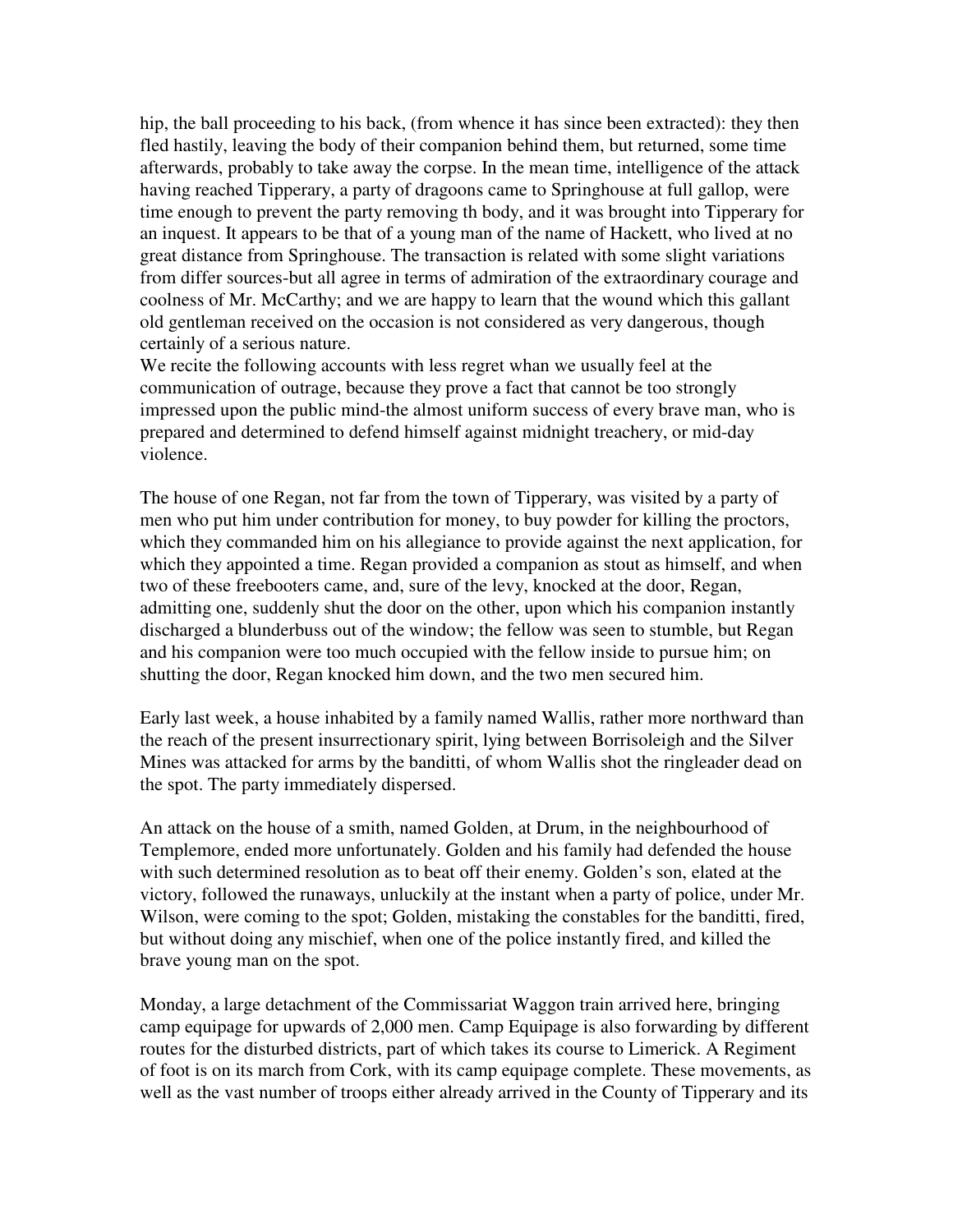hip, the ball proceeding to his back, (from whence it has since been extracted): they then fled hastily, leaving the body of their companion behind them, but returned, some time afterwards, probably to take away the corpse. In the mean time, intelligence of the attack having reached Tipperary, a party of dragoons came to Springhouse at full gallop, were time enough to prevent the party removing th body, and it was brought into Tipperary for an inquest. It appears to be that of a young man of the name of Hackett, who lived at no great distance from Springhouse. The transaction is related with some slight variations from differ sources-but all agree in terms of admiration of the extraordinary courage and coolness of Mr. McCarthy; and we are happy to learn that the wound which this gallant old gentleman received on the occasion is not considered as very dangerous, though certainly of a serious nature.

We recite the following accounts with less regret whan we usually feel at the communication of outrage, because they prove a fact that cannot be too strongly impressed upon the public mind-the almost uniform success of every brave man, who is prepared and determined to defend himself against midnight treachery, or mid-day violence.

The house of one Regan, not far from the town of Tipperary, was visited by a party of men who put him under contribution for money, to buy powder for killing the proctors, which they commanded him on his allegiance to provide against the next application, for which they appointed a time. Regan provided a companion as stout as himself, and when two of these freebooters came, and, sure of the levy, knocked at the door, Regan, admitting one, suddenly shut the door on the other, upon which his companion instantly discharged a blunderbuss out of the window; the fellow was seen to stumble, but Regan and his companion were too much occupied with the fellow inside to pursue him; on shutting the door, Regan knocked him down, and the two men secured him.

Early last week, a house inhabited by a family named Wallis, rather more northward than the reach of the present insurrectionary spirit, lying between Borrisoleigh and the Silver Mines was attacked for arms by the banditti, of whom Wallis shot the ringleader dead on the spot. The party immediately dispersed.

An attack on the house of a smith, named Golden, at Drum, in the neighbourhood of Templemore, ended more unfortunately. Golden and his family had defended the house with such determined resolution as to beat off their enemy. Golden's son, elated at the victory, followed the runaways, unluckily at the instant when a party of police, under Mr. Wilson, were coming to the spot; Golden, mistaking the constables for the banditti, fired, but without doing any mischief, when one of the police instantly fired, and killed the brave young man on the spot.

Monday, a large detachment of the Commissariat Waggon train arrived here, bringing camp equipage for upwards of 2,000 men. Camp Equipage is also forwarding by different routes for the disturbed districts, part of which takes its course to Limerick. A Regiment of foot is on its march from Cork, with its camp equipage complete. These movements, as well as the vast number of troops either already arrived in the County of Tipperary and its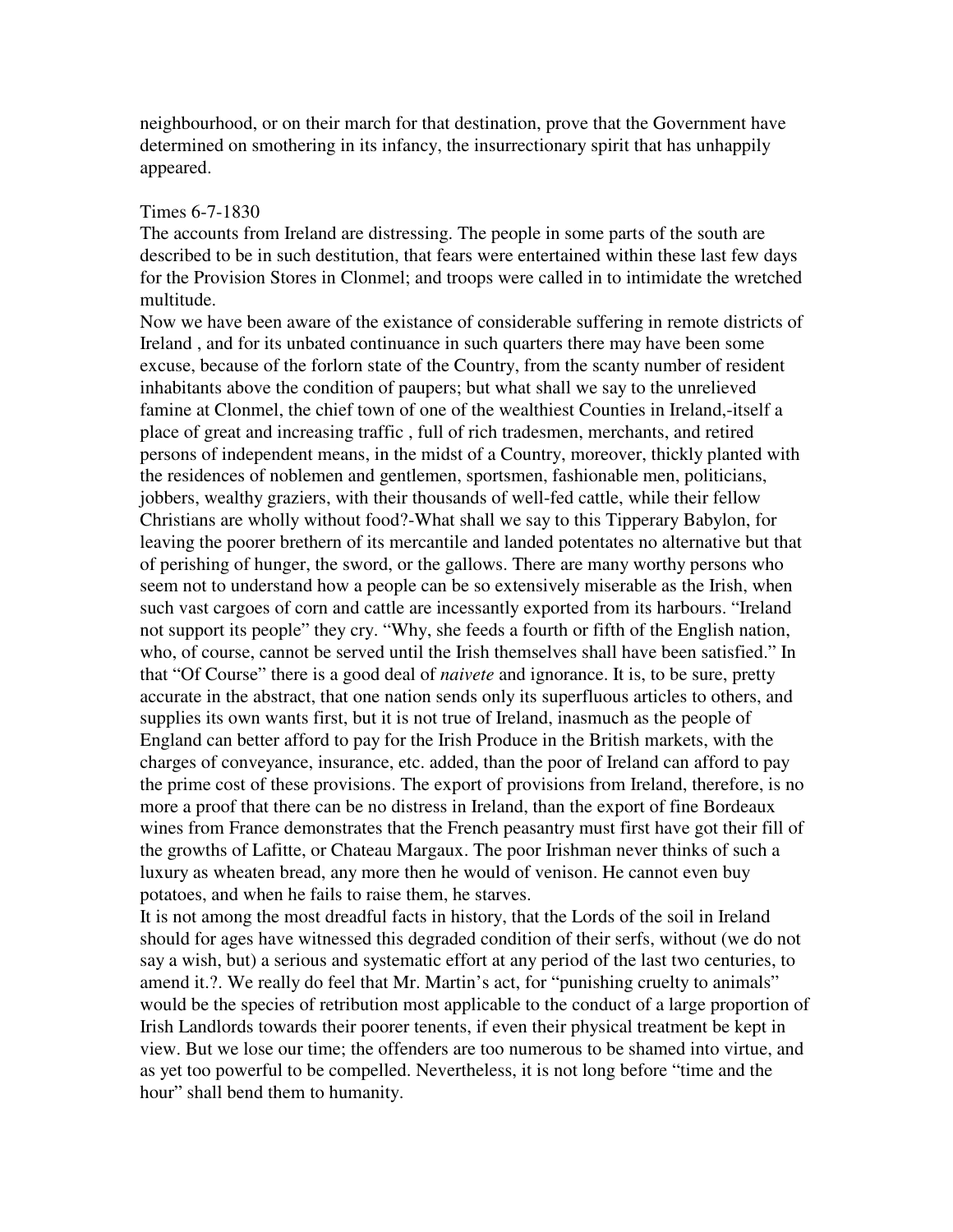neighbourhood, or on their march for that destination, prove that the Government have determined on smothering in its infancy, the insurrectionary spirit that has unhappily appeared.

#### Times 6-7-1830

The accounts from Ireland are distressing. The people in some parts of the south are described to be in such destitution, that fears were entertained within these last few days for the Provision Stores in Clonmel; and troops were called in to intimidate the wretched multitude.

Now we have been aware of the existance of considerable suffering in remote districts of Ireland , and for its unbated continuance in such quarters there may have been some excuse, because of the forlorn state of the Country, from the scanty number of resident inhabitants above the condition of paupers; but what shall we say to the unrelieved famine at Clonmel, the chief town of one of the wealthiest Counties in Ireland,-itself a place of great and increasing traffic , full of rich tradesmen, merchants, and retired persons of independent means, in the midst of a Country, moreover, thickly planted with the residences of noblemen and gentlemen, sportsmen, fashionable men, politicians, jobbers, wealthy graziers, with their thousands of well-fed cattle, while their fellow Christians are wholly without food?-What shall we say to this Tipperary Babylon, for leaving the poorer brethern of its mercantile and landed potentates no alternative but that of perishing of hunger, the sword, or the gallows. There are many worthy persons who seem not to understand how a people can be so extensively miserable as the Irish, when such vast cargoes of corn and cattle are incessantly exported from its harbours. "Ireland not support its people" they cry. "Why, she feeds a fourth or fifth of the English nation, who, of course, cannot be served until the Irish themselves shall have been satisfied." In that "Of Course" there is a good deal of *naivete* and ignorance. It is, to be sure, pretty accurate in the abstract, that one nation sends only its superfluous articles to others, and supplies its own wants first, but it is not true of Ireland, inasmuch as the people of England can better afford to pay for the Irish Produce in the British markets, with the charges of conveyance, insurance, etc. added, than the poor of Ireland can afford to pay the prime cost of these provisions. The export of provisions from Ireland, therefore, is no more a proof that there can be no distress in Ireland, than the export of fine Bordeaux wines from France demonstrates that the French peasantry must first have got their fill of the growths of Lafitte, or Chateau Margaux. The poor Irishman never thinks of such a luxury as wheaten bread, any more then he would of venison. He cannot even buy potatoes, and when he fails to raise them, he starves.

It is not among the most dreadful facts in history, that the Lords of the soil in Ireland should for ages have witnessed this degraded condition of their serfs, without (we do not say a wish, but) a serious and systematic effort at any period of the last two centuries, to amend it.?. We really do feel that Mr. Martin's act, for "punishing cruelty to animals" would be the species of retribution most applicable to the conduct of a large proportion of Irish Landlords towards their poorer tenents, if even their physical treatment be kept in view. But we lose our time; the offenders are too numerous to be shamed into virtue, and as yet too powerful to be compelled. Nevertheless, it is not long before "time and the hour" shall bend them to humanity.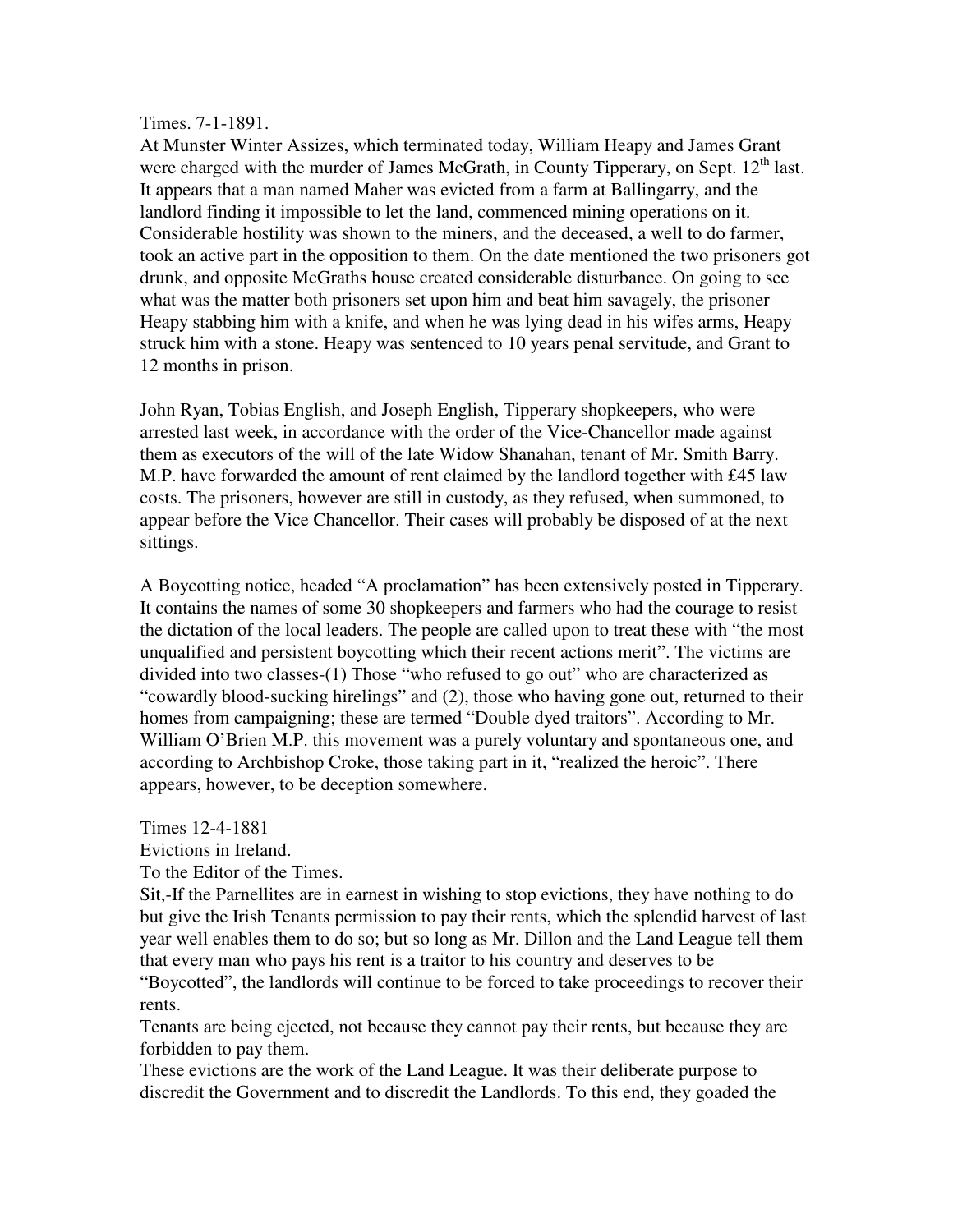### Times. 7-1-1891.

At Munster Winter Assizes, which terminated today, William Heapy and James Grant were charged with the murder of James McGrath, in County Tipperary, on Sept.  $12<sup>th</sup>$  last. It appears that a man named Maher was evicted from a farm at Ballingarry, and the landlord finding it impossible to let the land, commenced mining operations on it. Considerable hostility was shown to the miners, and the deceased, a well to do farmer, took an active part in the opposition to them. On the date mentioned the two prisoners got drunk, and opposite McGraths house created considerable disturbance. On going to see what was the matter both prisoners set upon him and beat him savagely, the prisoner Heapy stabbing him with a knife, and when he was lying dead in his wifes arms, Heapy struck him with a stone. Heapy was sentenced to 10 years penal servitude, and Grant to 12 months in prison.

John Ryan, Tobias English, and Joseph English, Tipperary shopkeepers, who were arrested last week, in accordance with the order of the Vice-Chancellor made against them as executors of the will of the late Widow Shanahan, tenant of Mr. Smith Barry. M.P. have forwarded the amount of rent claimed by the landlord together with £45 law costs. The prisoners, however are still in custody, as they refused, when summoned, to appear before the Vice Chancellor. Their cases will probably be disposed of at the next sittings.

A Boycotting notice, headed "A proclamation" has been extensively posted in Tipperary. It contains the names of some 30 shopkeepers and farmers who had the courage to resist the dictation of the local leaders. The people are called upon to treat these with "the most unqualified and persistent boycotting which their recent actions merit". The victims are divided into two classes-(1) Those "who refused to go out" who are characterized as "cowardly blood-sucking hirelings" and (2), those who having gone out, returned to their homes from campaigning; these are termed "Double dyed traitors". According to Mr. William O'Brien M.P. this movement was a purely voluntary and spontaneous one, and according to Archbishop Croke, those taking part in it, "realized the heroic". There appears, however, to be deception somewhere.

Times 12-4-1881

Evictions in Ireland.

To the Editor of the Times.

Sit,-If the Parnellites are in earnest in wishing to stop evictions, they have nothing to do but give the Irish Tenants permission to pay their rents, which the splendid harvest of last year well enables them to do so; but so long as Mr. Dillon and the Land League tell them that every man who pays his rent is a traitor to his country and deserves to be

"Boycotted", the landlords will continue to be forced to take proceedings to recover their rents.

Tenants are being ejected, not because they cannot pay their rents, but because they are forbidden to pay them.

These evictions are the work of the Land League. It was their deliberate purpose to discredit the Government and to discredit the Landlords. To this end, they goaded the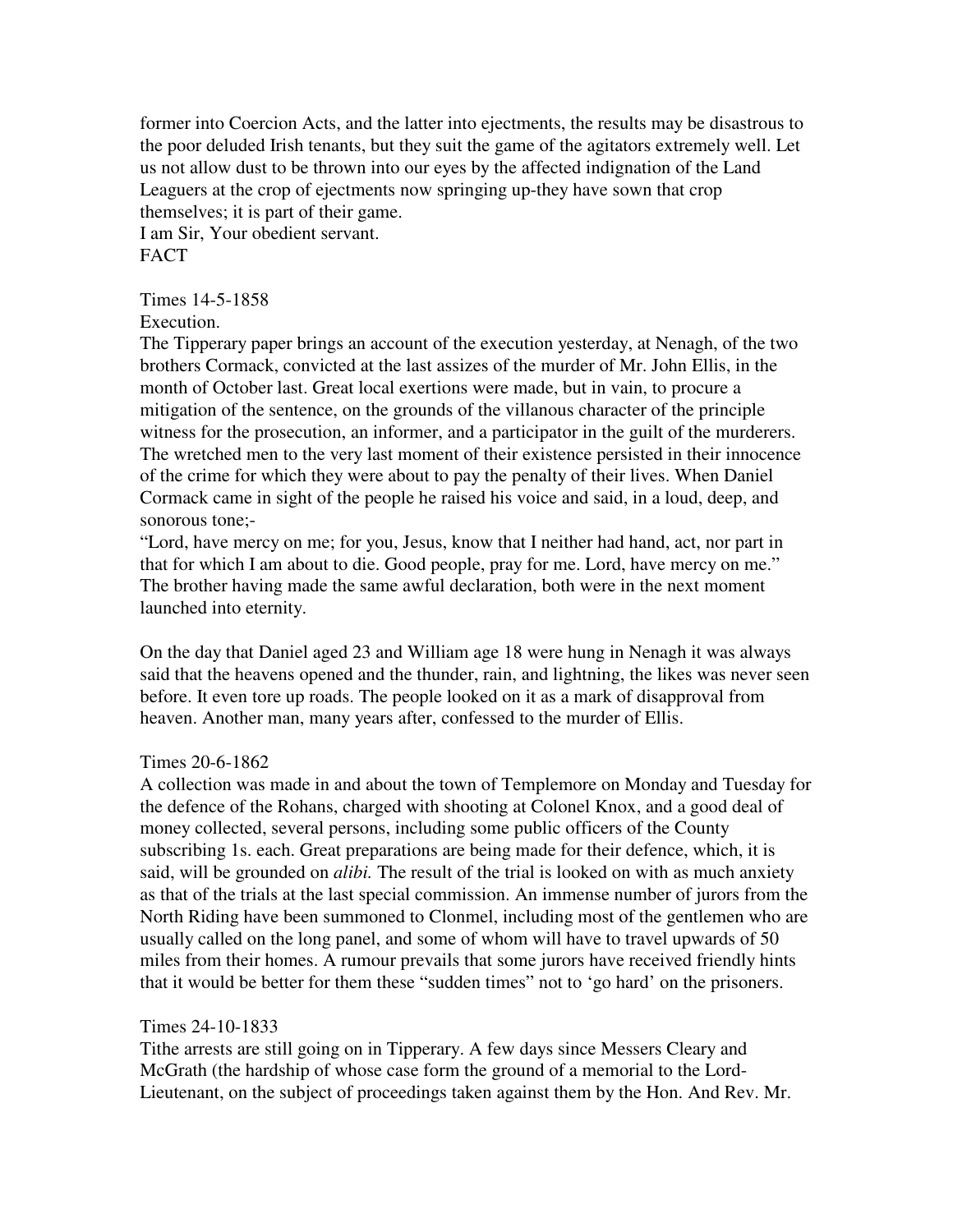former into Coercion Acts, and the latter into ejectments, the results may be disastrous to the poor deluded Irish tenants, but they suit the game of the agitators extremely well. Let us not allow dust to be thrown into our eyes by the affected indignation of the Land Leaguers at the crop of ejectments now springing up-they have sown that crop themselves; it is part of their game. I am Sir, Your obedient servant.

**FACT** 

Times 14-5-1858

Execution.

The Tipperary paper brings an account of the execution yesterday, at Nenagh, of the two brothers Cormack, convicted at the last assizes of the murder of Mr. John Ellis, in the month of October last. Great local exertions were made, but in vain, to procure a mitigation of the sentence, on the grounds of the villanous character of the principle witness for the prosecution, an informer, and a participator in the guilt of the murderers. The wretched men to the very last moment of their existence persisted in their innocence of the crime for which they were about to pay the penalty of their lives. When Daniel Cormack came in sight of the people he raised his voice and said, in a loud, deep, and sonorous tone;-

"Lord, have mercy on me; for you, Jesus, know that I neither had hand, act, nor part in that for which I am about to die. Good people, pray for me. Lord, have mercy on me." The brother having made the same awful declaration, both were in the next moment launched into eternity.

On the day that Daniel aged 23 and William age 18 were hung in Nenagh it was always said that the heavens opened and the thunder, rain, and lightning, the likes was never seen before. It even tore up roads. The people looked on it as a mark of disapproval from heaven. Another man, many years after, confessed to the murder of Ellis.

#### Times 20-6-1862

A collection was made in and about the town of Templemore on Monday and Tuesday for the defence of the Rohans, charged with shooting at Colonel Knox, and a good deal of money collected, several persons, including some public officers of the County subscribing 1s. each. Great preparations are being made for their defence, which, it is said, will be grounded on *alibi.* The result of the trial is looked on with as much anxiety as that of the trials at the last special commission. An immense number of jurors from the North Riding have been summoned to Clonmel, including most of the gentlemen who are usually called on the long panel, and some of whom will have to travel upwards of 50 miles from their homes. A rumour prevails that some jurors have received friendly hints that it would be better for them these "sudden times" not to 'go hard' on the prisoners.

## Times 24-10-1833

Tithe arrests are still going on in Tipperary. A few days since Messers Cleary and McGrath (the hardship of whose case form the ground of a memorial to the Lord-Lieutenant, on the subject of proceedings taken against them by the Hon. And Rev. Mr.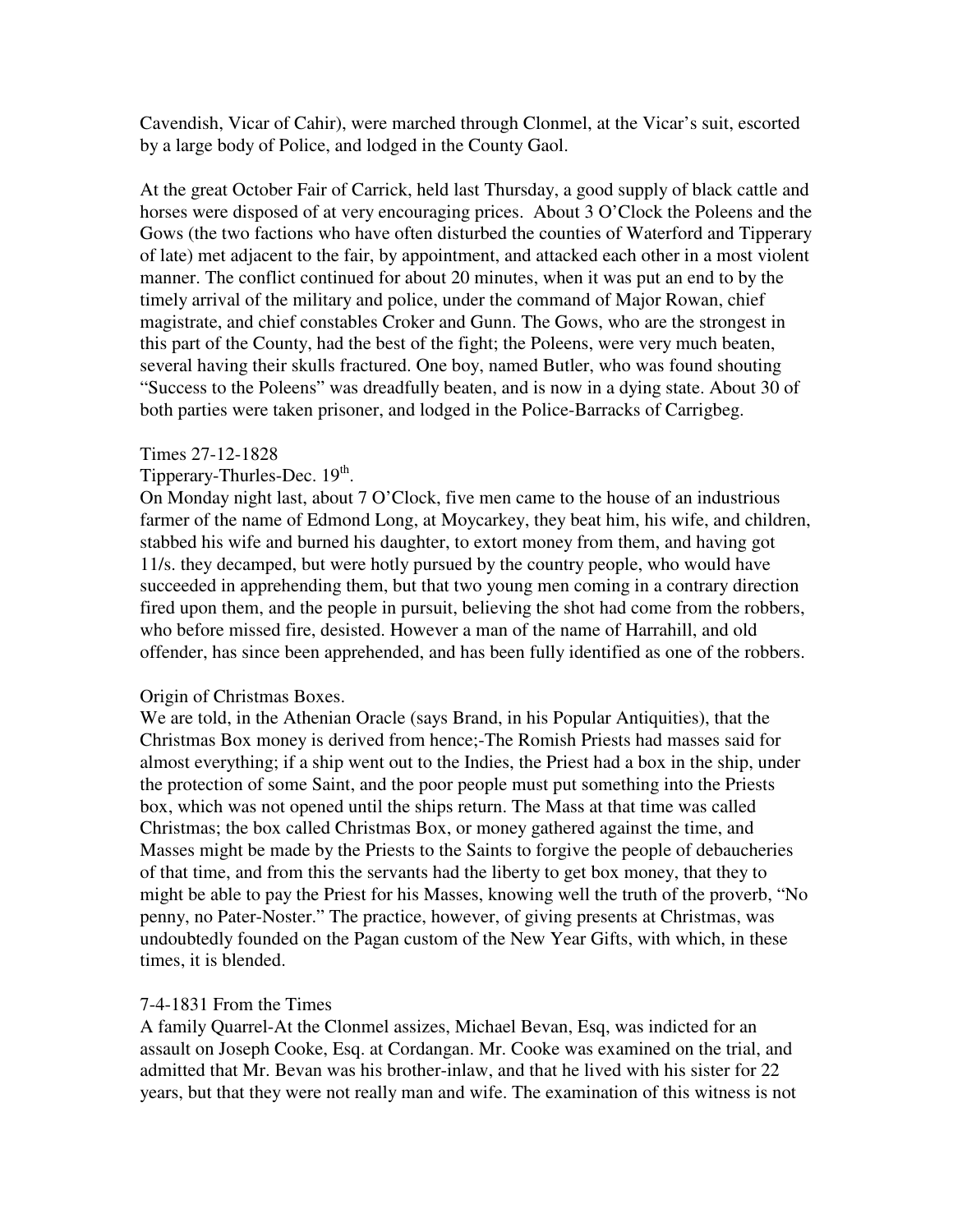Cavendish, Vicar of Cahir), were marched through Clonmel, at the Vicar's suit, escorted by a large body of Police, and lodged in the County Gaol.

At the great October Fair of Carrick, held last Thursday, a good supply of black cattle and horses were disposed of at very encouraging prices. About 3 O'Clock the Poleens and the Gows (the two factions who have often disturbed the counties of Waterford and Tipperary of late) met adjacent to the fair, by appointment, and attacked each other in a most violent manner. The conflict continued for about 20 minutes, when it was put an end to by the timely arrival of the military and police, under the command of Major Rowan, chief magistrate, and chief constables Croker and Gunn. The Gows, who are the strongest in this part of the County, had the best of the fight; the Poleens, were very much beaten, several having their skulls fractured. One boy, named Butler, who was found shouting "Success to the Poleens" was dreadfully beaten, and is now in a dying state. About 30 of both parties were taken prisoner, and lodged in the Police-Barracks of Carrigbeg.

### Times 27-12-1828

# Tipperary-Thurles-Dec. 19<sup>th</sup>.

On Monday night last, about 7 O'Clock, five men came to the house of an industrious farmer of the name of Edmond Long, at Moycarkey, they beat him, his wife, and children, stabbed his wife and burned his daughter, to extort money from them, and having got 11/s. they decamped, but were hotly pursued by the country people, who would have succeeded in apprehending them, but that two young men coming in a contrary direction fired upon them, and the people in pursuit, believing the shot had come from the robbers, who before missed fire, desisted. However a man of the name of Harrahill, and old offender, has since been apprehended, and has been fully identified as one of the robbers.

## Origin of Christmas Boxes.

We are told, in the Athenian Oracle (says Brand, in his Popular Antiquities), that the Christmas Box money is derived from hence;-The Romish Priests had masses said for almost everything; if a ship went out to the Indies, the Priest had a box in the ship, under the protection of some Saint, and the poor people must put something into the Priests box, which was not opened until the ships return. The Mass at that time was called Christmas; the box called Christmas Box, or money gathered against the time, and Masses might be made by the Priests to the Saints to forgive the people of debaucheries of that time, and from this the servants had the liberty to get box money, that they to might be able to pay the Priest for his Masses, knowing well the truth of the proverb, "No penny, no Pater-Noster." The practice, however, of giving presents at Christmas, was undoubtedly founded on the Pagan custom of the New Year Gifts, with which, in these times, it is blended.

## 7-4-1831 From the Times

A family Quarrel-At the Clonmel assizes, Michael Bevan, Esq, was indicted for an assault on Joseph Cooke, Esq. at Cordangan. Mr. Cooke was examined on the trial, and admitted that Mr. Bevan was his brother-inlaw, and that he lived with his sister for 22 years, but that they were not really man and wife. The examination of this witness is not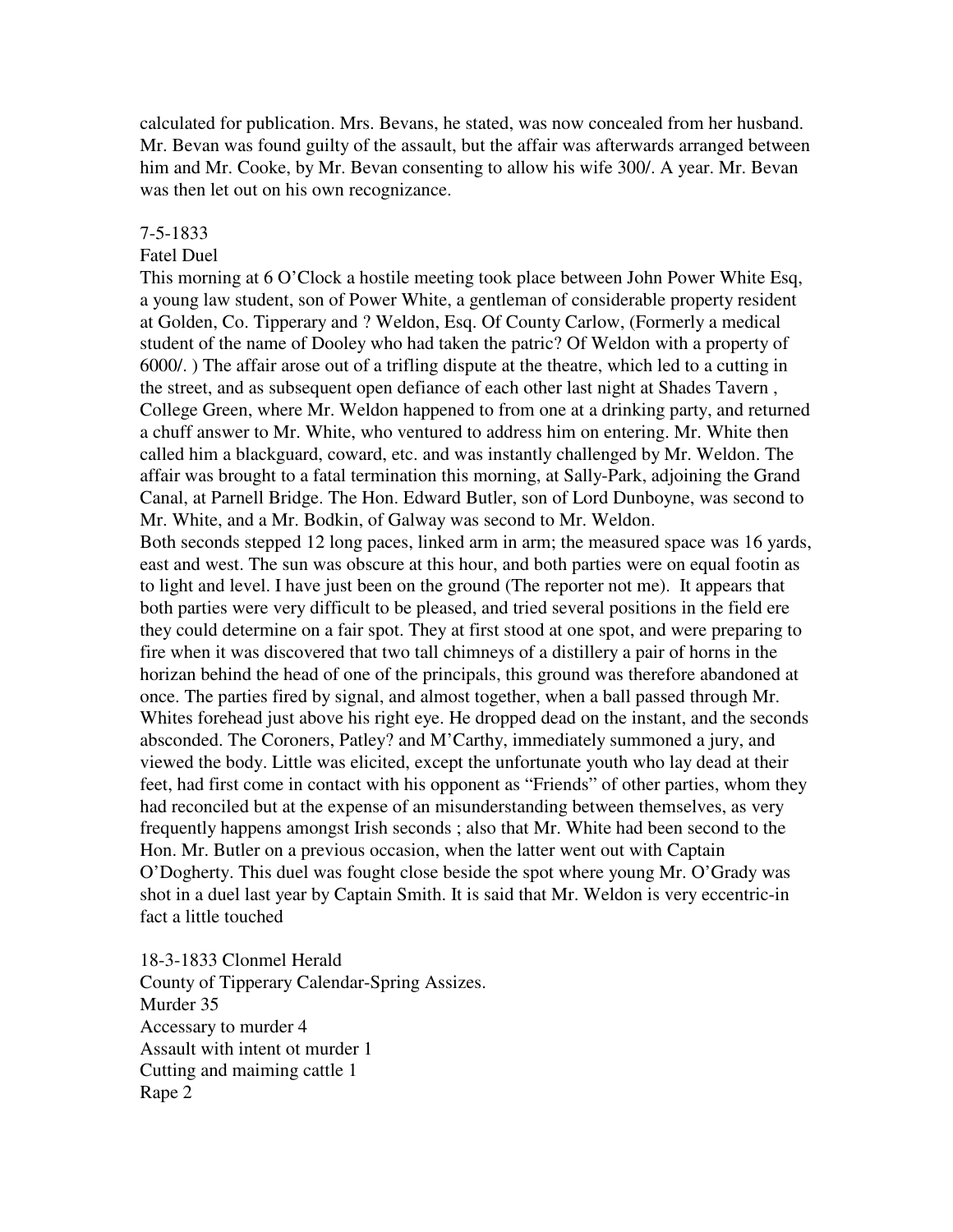calculated for publication. Mrs. Bevans, he stated, was now concealed from her husband. Mr. Bevan was found guilty of the assault, but the affair was afterwards arranged between him and Mr. Cooke, by Mr. Bevan consenting to allow his wife 300/. A year. Mr. Bevan was then let out on his own recognizance.

#### 7-5-1833

#### Fatel Duel

This morning at 6 O'Clock a hostile meeting took place between John Power White Esq, a young law student, son of Power White, a gentleman of considerable property resident at Golden, Co. Tipperary and ? Weldon, Esq. Of County Carlow, (Formerly a medical student of the name of Dooley who had taken the patric? Of Weldon with a property of 6000/. ) The affair arose out of a trifling dispute at the theatre, which led to a cutting in the street, and as subsequent open defiance of each other last night at Shades Tavern , College Green, where Mr. Weldon happened to from one at a drinking party, and returned a chuff answer to Mr. White, who ventured to address him on entering. Mr. White then called him a blackguard, coward, etc. and was instantly challenged by Mr. Weldon. The affair was brought to a fatal termination this morning, at Sally-Park, adjoining the Grand Canal, at Parnell Bridge. The Hon. Edward Butler, son of Lord Dunboyne, was second to Mr. White, and a Mr. Bodkin, of Galway was second to Mr. Weldon.

Both seconds stepped 12 long paces, linked arm in arm; the measured space was 16 yards, east and west. The sun was obscure at this hour, and both parties were on equal footin as to light and level. I have just been on the ground (The reporter not me). It appears that both parties were very difficult to be pleased, and tried several positions in the field ere they could determine on a fair spot. They at first stood at one spot, and were preparing to fire when it was discovered that two tall chimneys of a distillery a pair of horns in the horizan behind the head of one of the principals, this ground was therefore abandoned at once. The parties fired by signal, and almost together, when a ball passed through Mr. Whites forehead just above his right eye. He dropped dead on the instant, and the seconds absconded. The Coroners, Patley? and M'Carthy, immediately summoned a jury, and viewed the body. Little was elicited, except the unfortunate youth who lay dead at their feet, had first come in contact with his opponent as "Friends" of other parties, whom they had reconciled but at the expense of an misunderstanding between themselves, as very frequently happens amongst Irish seconds ; also that Mr. White had been second to the Hon. Mr. Butler on a previous occasion, when the latter went out with Captain O'Dogherty. This duel was fought close beside the spot where young Mr. O'Grady was shot in a duel last year by Captain Smith. It is said that Mr. Weldon is very eccentric-in fact a little touched

18-3-1833 Clonmel Herald County of Tipperary Calendar-Spring Assizes. Murder 35 Accessary to murder 4 Assault with intent ot murder 1 Cutting and maiming cattle 1 Rape 2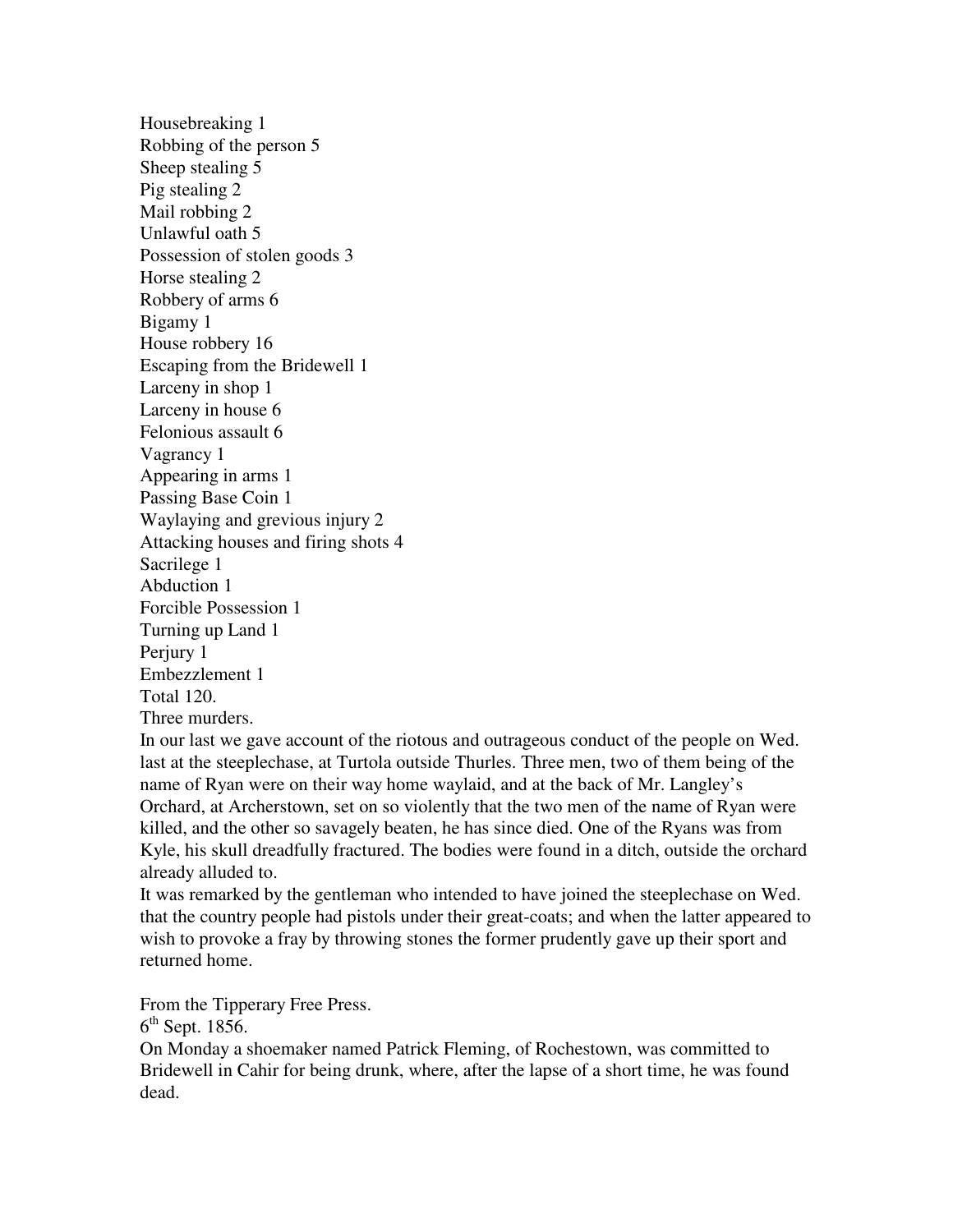Housebreaking 1 Robbing of the person 5 Sheep stealing 5 Pig stealing 2 Mail robbing 2 Unlawful oath 5 Possession of stolen goods 3 Horse stealing 2 Robbery of arms 6 Bigamy 1 House robbery 16 Escaping from the Bridewell 1 Larceny in shop 1 Larceny in house 6 Felonious assault 6 Vagrancy 1 Appearing in arms 1 Passing Base Coin 1 Waylaying and grevious injury 2 Attacking houses and firing shots 4 Sacrilege 1 Abduction 1 Forcible Possession 1 Turning up Land 1 Perjury 1 Embezzlement 1 Total 120. Three murders.

In our last we gave account of the riotous and outrageous conduct of the people on Wed. last at the steeplechase, at Turtola outside Thurles. Three men, two of them being of the name of Ryan were on their way home waylaid, and at the back of Mr. Langley's Orchard, at Archerstown, set on so violently that the two men of the name of Ryan were killed, and the other so savagely beaten, he has since died. One of the Ryans was from Kyle, his skull dreadfully fractured. The bodies were found in a ditch, outside the orchard already alluded to.

It was remarked by the gentleman who intended to have joined the steeplechase on Wed. that the country people had pistols under their great-coats; and when the latter appeared to wish to provoke a fray by throwing stones the former prudently gave up their sport and returned home.

From the Tipperary Free Press.

 $6<sup>th</sup>$  Sept. 1856.

On Monday a shoemaker named Patrick Fleming, of Rochestown, was committed to Bridewell in Cahir for being drunk, where, after the lapse of a short time, he was found dead.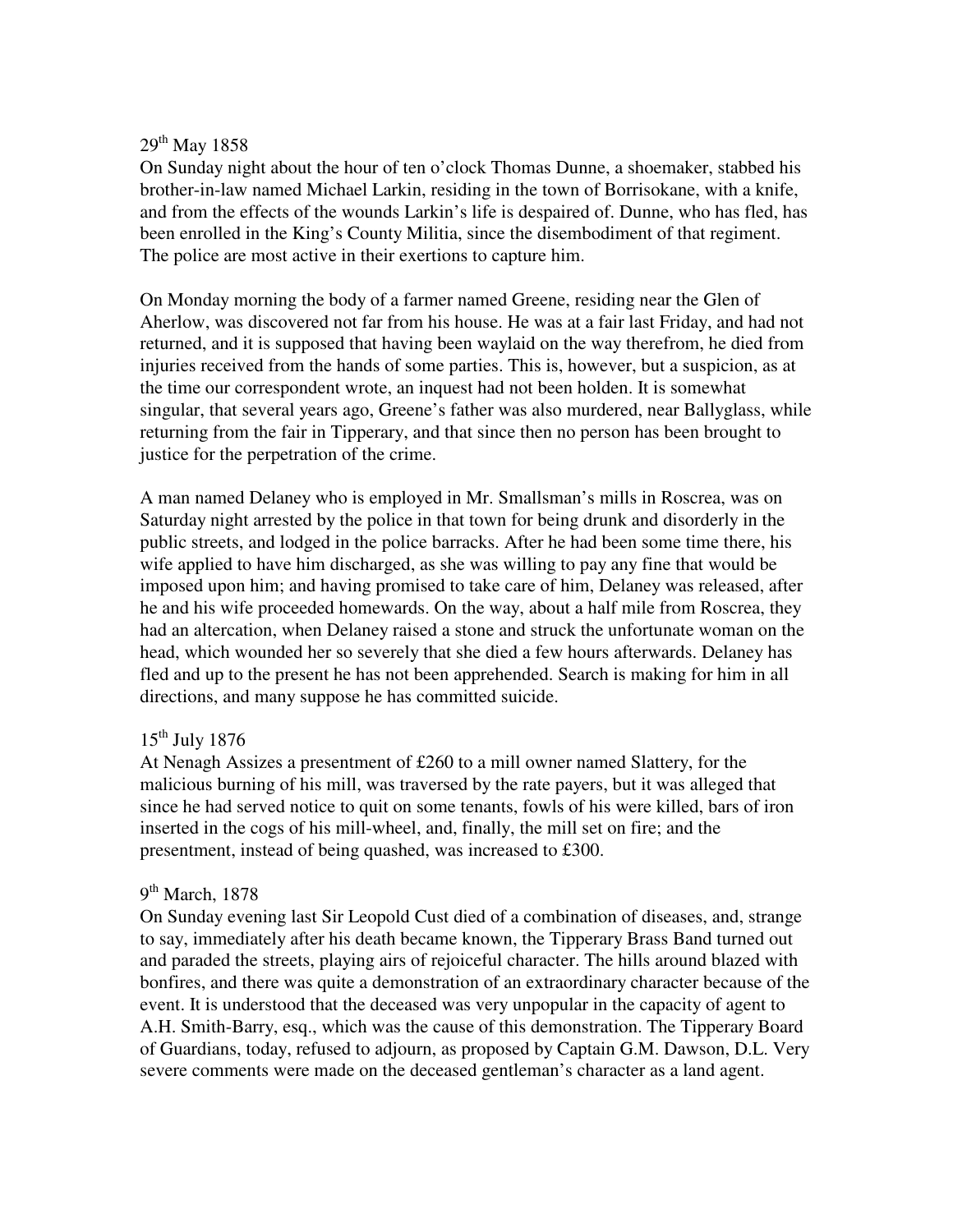### 29<sup>th</sup> May 1858

On Sunday night about the hour of ten o'clock Thomas Dunne, a shoemaker, stabbed his brother-in-law named Michael Larkin, residing in the town of Borrisokane, with a knife, and from the effects of the wounds Larkin's life is despaired of. Dunne, who has fled, has been enrolled in the King's County Militia, since the disembodiment of that regiment. The police are most active in their exertions to capture him.

On Monday morning the body of a farmer named Greene, residing near the Glen of Aherlow, was discovered not far from his house. He was at a fair last Friday, and had not returned, and it is supposed that having been waylaid on the way therefrom, he died from injuries received from the hands of some parties. This is, however, but a suspicion, as at the time our correspondent wrote, an inquest had not been holden. It is somewhat singular, that several years ago, Greene's father was also murdered, near Ballyglass, while returning from the fair in Tipperary, and that since then no person has been brought to justice for the perpetration of the crime.

A man named Delaney who is employed in Mr. Smallsman's mills in Roscrea, was on Saturday night arrested by the police in that town for being drunk and disorderly in the public streets, and lodged in the police barracks. After he had been some time there, his wife applied to have him discharged, as she was willing to pay any fine that would be imposed upon him; and having promised to take care of him, Delaney was released, after he and his wife proceeded homewards. On the way, about a half mile from Roscrea, they had an altercation, when Delaney raised a stone and struck the unfortunate woman on the head, which wounded her so severely that she died a few hours afterwards. Delaney has fled and up to the present he has not been apprehended. Search is making for him in all directions, and many suppose he has committed suicide.

## $15<sup>th</sup>$  July 1876

At Nenagh Assizes a presentment of £260 to a mill owner named Slattery, for the malicious burning of his mill, was traversed by the rate payers, but it was alleged that since he had served notice to quit on some tenants, fowls of his were killed, bars of iron inserted in the cogs of his mill-wheel, and, finally, the mill set on fire; and the presentment, instead of being quashed, was increased to £300.

## 9<sup>th</sup> March, 1878

On Sunday evening last Sir Leopold Cust died of a combination of diseases, and, strange to say, immediately after his death became known, the Tipperary Brass Band turned out and paraded the streets, playing airs of rejoiceful character. The hills around blazed with bonfires, and there was quite a demonstration of an extraordinary character because of the event. It is understood that the deceased was very unpopular in the capacity of agent to A.H. Smith-Barry, esq., which was the cause of this demonstration. The Tipperary Board of Guardians, today, refused to adjourn, as proposed by Captain G.M. Dawson, D.L. Very severe comments were made on the deceased gentleman's character as a land agent.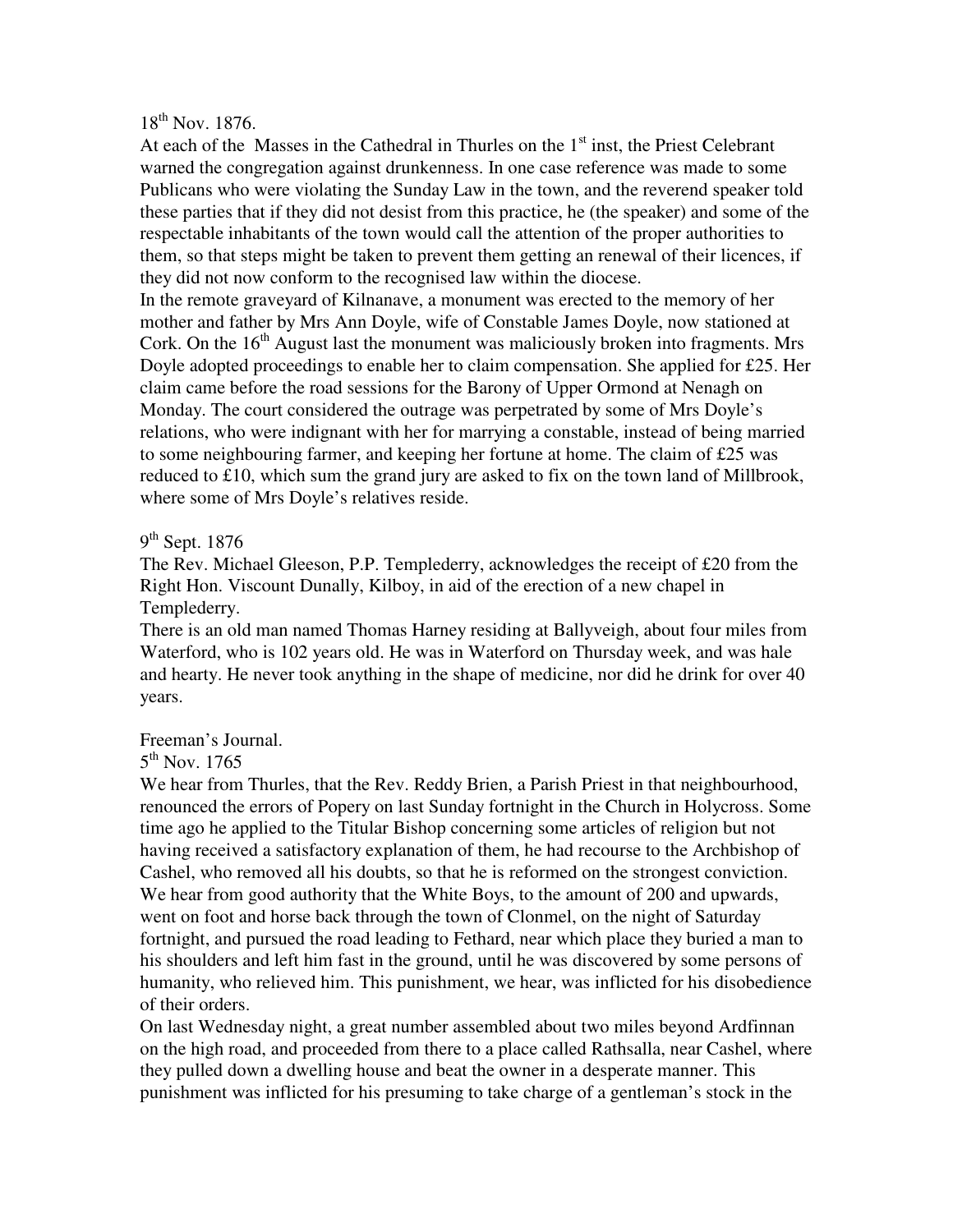## 18th Nov. 1876.

At each of the Masses in the Cathedral in Thurles on the  $1<sup>st</sup>$  inst, the Priest Celebrant warned the congregation against drunkenness. In one case reference was made to some Publicans who were violating the Sunday Law in the town, and the reverend speaker told these parties that if they did not desist from this practice, he (the speaker) and some of the respectable inhabitants of the town would call the attention of the proper authorities to them, so that steps might be taken to prevent them getting an renewal of their licences, if they did not now conform to the recognised law within the diocese.

In the remote graveyard of Kilnanave, a monument was erected to the memory of her mother and father by Mrs Ann Doyle, wife of Constable James Doyle, now stationed at Cork. On the  $16<sup>th</sup>$  August last the monument was maliciously broken into fragments. Mrs Doyle adopted proceedings to enable her to claim compensation. She applied for £25. Her claim came before the road sessions for the Barony of Upper Ormond at Nenagh on Monday. The court considered the outrage was perpetrated by some of Mrs Doyle's relations, who were indignant with her for marrying a constable, instead of being married to some neighbouring farmer, and keeping her fortune at home. The claim of £25 was reduced to £10, which sum the grand jury are asked to fix on the town land of Millbrook, where some of Mrs Doyle's relatives reside.

## 9<sup>th</sup> Sept. 1876

The Rev. Michael Gleeson, P.P. Templederry, acknowledges the receipt of £20 from the Right Hon. Viscount Dunally, Kilboy, in aid of the erection of a new chapel in Templederry.

There is an old man named Thomas Harney residing at Ballyveigh, about four miles from Waterford, who is 102 years old. He was in Waterford on Thursday week, and was hale and hearty. He never took anything in the shape of medicine, nor did he drink for over 40 years.

#### Freeman's Journal.

# $5^{\text{th}}$  Nov. 1765

We hear from Thurles, that the Rev. Reddy Brien, a Parish Priest in that neighbourhood, renounced the errors of Popery on last Sunday fortnight in the Church in Holycross. Some time ago he applied to the Titular Bishop concerning some articles of religion but not having received a satisfactory explanation of them, he had recourse to the Archbishop of Cashel, who removed all his doubts, so that he is reformed on the strongest conviction. We hear from good authority that the White Boys, to the amount of 200 and upwards, went on foot and horse back through the town of Clonmel, on the night of Saturday fortnight, and pursued the road leading to Fethard, near which place they buried a man to his shoulders and left him fast in the ground, until he was discovered by some persons of humanity, who relieved him. This punishment, we hear, was inflicted for his disobedience of their orders.

On last Wednesday night, a great number assembled about two miles beyond Ardfinnan on the high road, and proceeded from there to a place called Rathsalla, near Cashel, where they pulled down a dwelling house and beat the owner in a desperate manner. This punishment was inflicted for his presuming to take charge of a gentleman's stock in the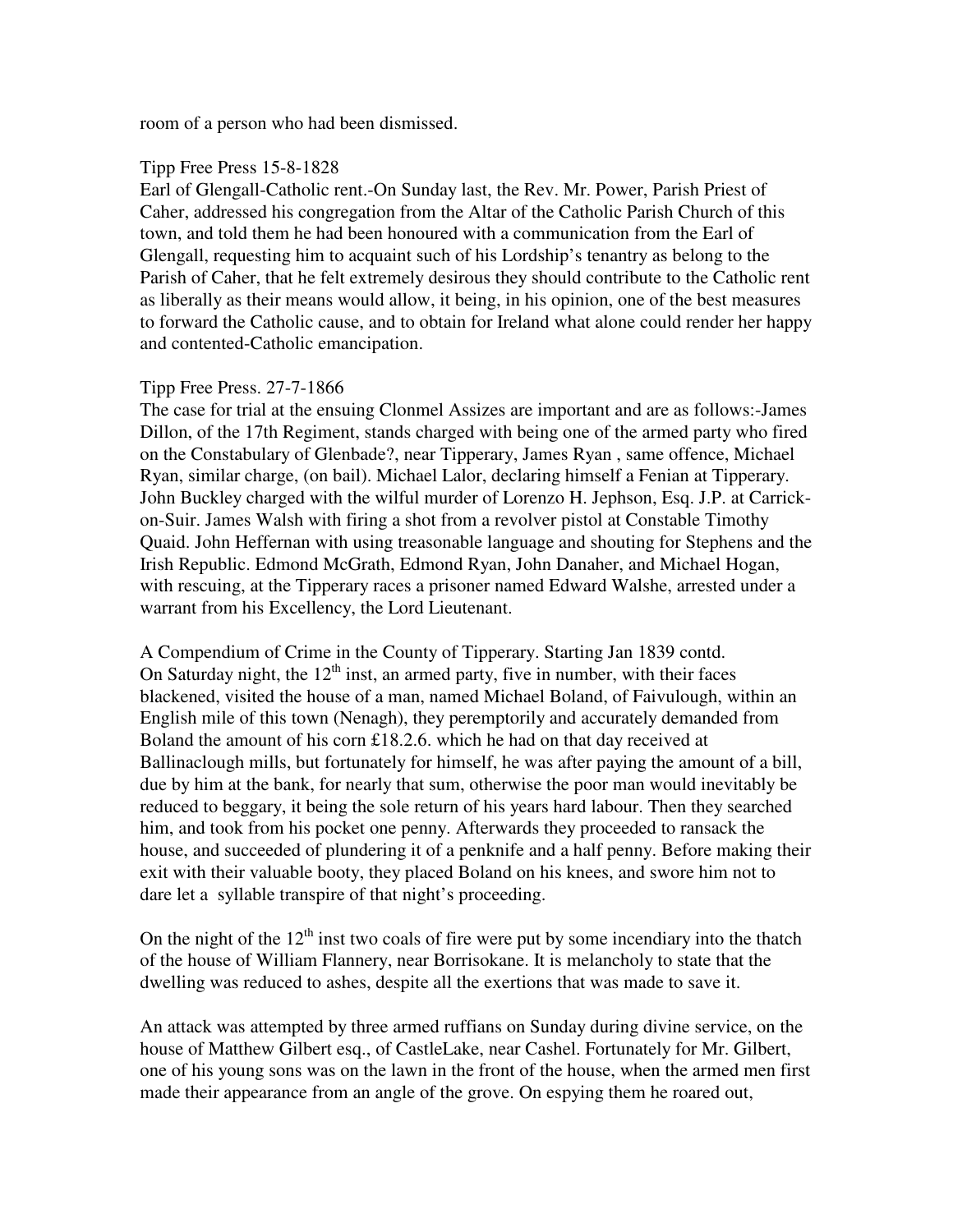room of a person who had been dismissed.

#### Tipp Free Press 15-8-1828

Earl of Glengall-Catholic rent.-On Sunday last, the Rev. Mr. Power, Parish Priest of Caher, addressed his congregation from the Altar of the Catholic Parish Church of this town, and told them he had been honoured with a communication from the Earl of Glengall, requesting him to acquaint such of his Lordship's tenantry as belong to the Parish of Caher, that he felt extremely desirous they should contribute to the Catholic rent as liberally as their means would allow, it being, in his opinion, one of the best measures to forward the Catholic cause, and to obtain for Ireland what alone could render her happy and contented-Catholic emancipation.

#### Tipp Free Press. 27-7-1866

The case for trial at the ensuing Clonmel Assizes are important and are as follows:-James Dillon, of the 17th Regiment, stands charged with being one of the armed party who fired on the Constabulary of Glenbade?, near Tipperary, James Ryan , same offence, Michael Ryan, similar charge, (on bail). Michael Lalor, declaring himself a Fenian at Tipperary. John Buckley charged with the wilful murder of Lorenzo H. Jephson, Esq. J.P. at Carrickon-Suir. James Walsh with firing a shot from a revolver pistol at Constable Timothy Quaid. John Heffernan with using treasonable language and shouting for Stephens and the Irish Republic. Edmond McGrath, Edmond Ryan, John Danaher, and Michael Hogan, with rescuing, at the Tipperary races a prisoner named Edward Walshe, arrested under a warrant from his Excellency, the Lord Lieutenant.

A Compendium of Crime in the County of Tipperary. Starting Jan 1839 contd. On Saturday night, the  $12<sup>th</sup>$  inst, an armed party, five in number, with their faces blackened, visited the house of a man, named Michael Boland, of Faivulough, within an English mile of this town (Nenagh), they peremptorily and accurately demanded from Boland the amount of his corn £18.2.6. which he had on that day received at Ballinaclough mills, but fortunately for himself, he was after paying the amount of a bill, due by him at the bank, for nearly that sum, otherwise the poor man would inevitably be reduced to beggary, it being the sole return of his years hard labour. Then they searched him, and took from his pocket one penny. Afterwards they proceeded to ransack the house, and succeeded of plundering it of a penknife and a half penny. Before making their exit with their valuable booty, they placed Boland on his knees, and swore him not to dare let a syllable transpire of that night's proceeding.

On the night of the  $12<sup>th</sup>$  inst two coals of fire were put by some incendiary into the thatch of the house of William Flannery, near Borrisokane. It is melancholy to state that the dwelling was reduced to ashes, despite all the exertions that was made to save it.

An attack was attempted by three armed ruffians on Sunday during divine service, on the house of Matthew Gilbert esq., of CastleLake, near Cashel. Fortunately for Mr. Gilbert, one of his young sons was on the lawn in the front of the house, when the armed men first made their appearance from an angle of the grove. On espying them he roared out,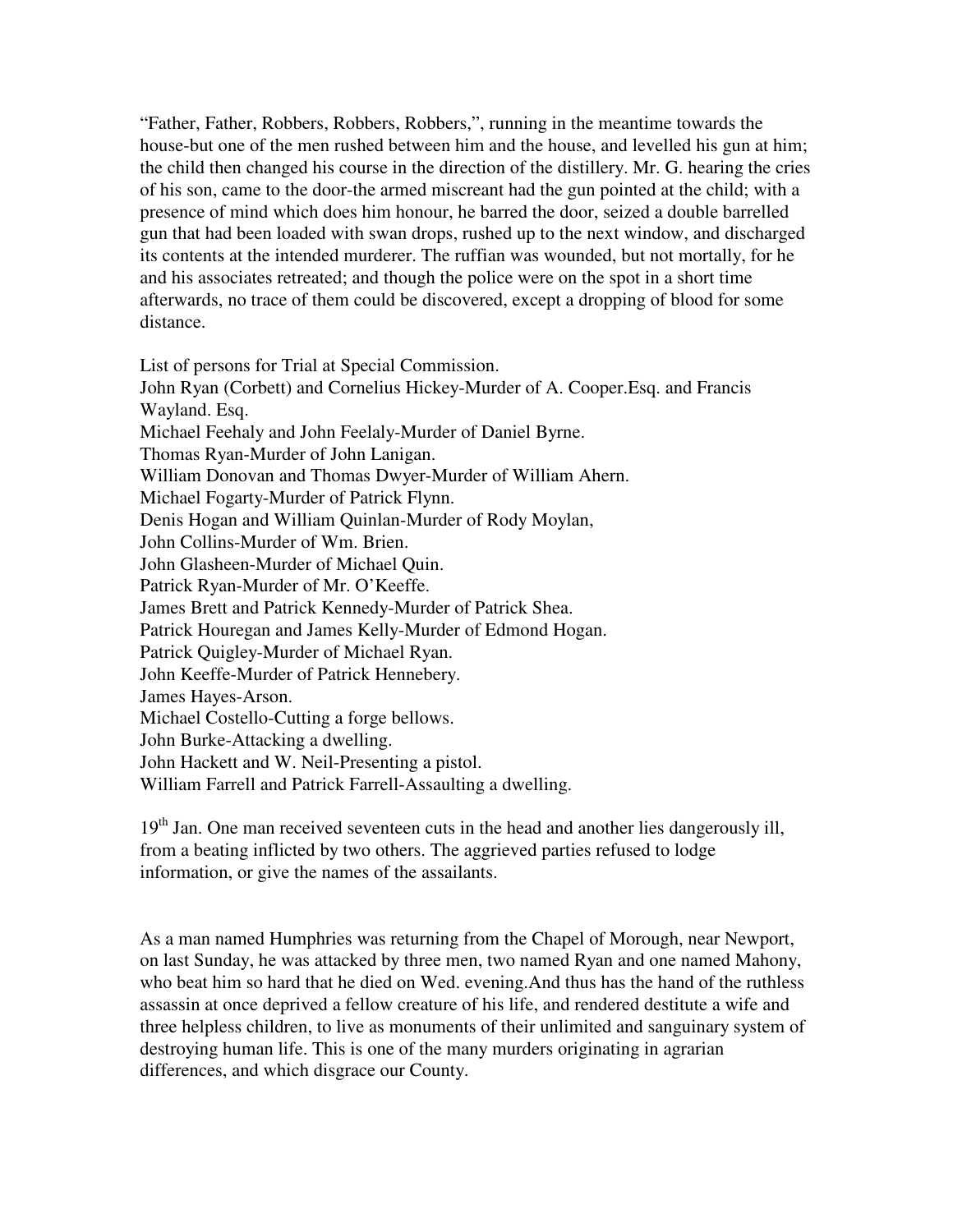"Father, Father, Robbers, Robbers, Robbers,", running in the meantime towards the house-but one of the men rushed between him and the house, and levelled his gun at him; the child then changed his course in the direction of the distillery. Mr. G. hearing the cries of his son, came to the door-the armed miscreant had the gun pointed at the child; with a presence of mind which does him honour, he barred the door, seized a double barrelled gun that had been loaded with swan drops, rushed up to the next window, and discharged its contents at the intended murderer. The ruffian was wounded, but not mortally, for he and his associates retreated; and though the police were on the spot in a short time afterwards, no trace of them could be discovered, except a dropping of blood for some distance.

List of persons for Trial at Special Commission. John Ryan (Corbett) and Cornelius Hickey-Murder of A. Cooper.Esq. and Francis Wayland. Esq. Michael Feehaly and John Feelaly-Murder of Daniel Byrne. Thomas Ryan-Murder of John Lanigan. William Donovan and Thomas Dwyer-Murder of William Ahern. Michael Fogarty-Murder of Patrick Flynn. Denis Hogan and William Quinlan-Murder of Rody Moylan, John Collins-Murder of Wm. Brien. John Glasheen-Murder of Michael Quin. Patrick Ryan-Murder of Mr. O'Keeffe. James Brett and Patrick Kennedy-Murder of Patrick Shea. Patrick Houregan and James Kelly-Murder of Edmond Hogan. Patrick Quigley-Murder of Michael Ryan. John Keeffe-Murder of Patrick Hennebery. James Hayes-Arson. Michael Costello-Cutting a forge bellows. John Burke-Attacking a dwelling. John Hackett and W. Neil-Presenting a pistol. William Farrell and Patrick Farrell-Assaulting a dwelling.

 $19<sup>th</sup>$  Jan. One man received seventeen cuts in the head and another lies dangerously ill, from a beating inflicted by two others. The aggrieved parties refused to lodge information, or give the names of the assailants.

As a man named Humphries was returning from the Chapel of Morough, near Newport, on last Sunday, he was attacked by three men, two named Ryan and one named Mahony, who beat him so hard that he died on Wed. evening.And thus has the hand of the ruthless assassin at once deprived a fellow creature of his life, and rendered destitute a wife and three helpless children, to live as monuments of their unlimited and sanguinary system of destroying human life. This is one of the many murders originating in agrarian differences, and which disgrace our County.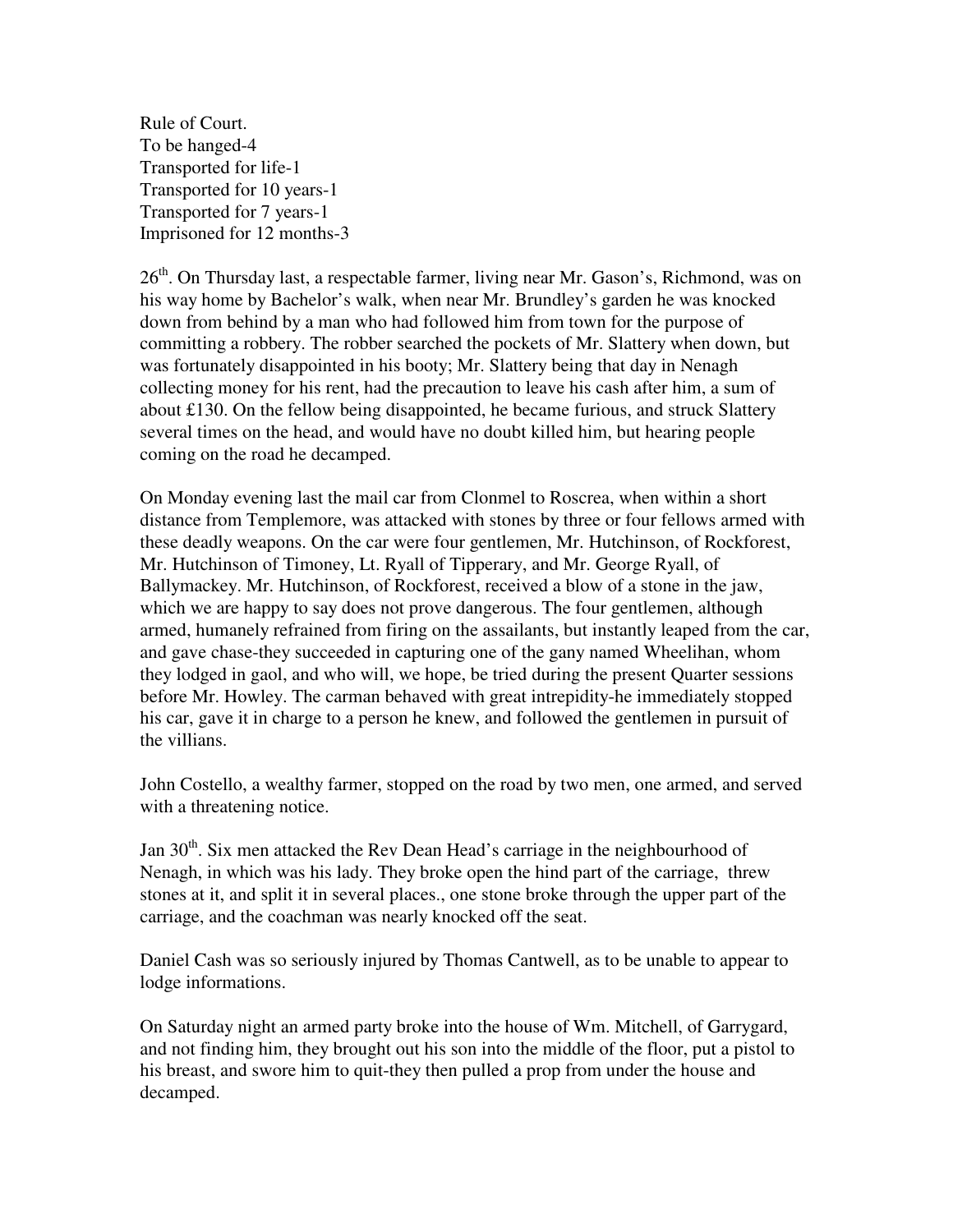Rule of Court. To be hanged-4 Transported for life-1 Transported for 10 years-1 Transported for 7 years-1 Imprisoned for 12 months-3

26<sup>th</sup>. On Thursday last, a respectable farmer, living near Mr. Gason's, Richmond, was on his way home by Bachelor's walk, when near Mr. Brundley's garden he was knocked down from behind by a man who had followed him from town for the purpose of committing a robbery. The robber searched the pockets of Mr. Slattery when down, but was fortunately disappointed in his booty; Mr. Slattery being that day in Nenagh collecting money for his rent, had the precaution to leave his cash after him, a sum of about £130. On the fellow being disappointed, he became furious, and struck Slattery several times on the head, and would have no doubt killed him, but hearing people coming on the road he decamped.

On Monday evening last the mail car from Clonmel to Roscrea, when within a short distance from Templemore, was attacked with stones by three or four fellows armed with these deadly weapons. On the car were four gentlemen, Mr. Hutchinson, of Rockforest, Mr. Hutchinson of Timoney, Lt. Ryall of Tipperary, and Mr. George Ryall, of Ballymackey. Mr. Hutchinson, of Rockforest, received a blow of a stone in the jaw, which we are happy to say does not prove dangerous. The four gentlemen, although armed, humanely refrained from firing on the assailants, but instantly leaped from the car, and gave chase-they succeeded in capturing one of the gany named Wheelihan, whom they lodged in gaol, and who will, we hope, be tried during the present Quarter sessions before Mr. Howley. The carman behaved with great intrepidity-he immediately stopped his car, gave it in charge to a person he knew, and followed the gentlemen in pursuit of the villians.

John Costello, a wealthy farmer, stopped on the road by two men, one armed, and served with a threatening notice.

Jan 30<sup>th</sup>. Six men attacked the Rev Dean Head's carriage in the neighbourhood of Nenagh, in which was his lady. They broke open the hind part of the carriage, threw stones at it, and split it in several places., one stone broke through the upper part of the carriage, and the coachman was nearly knocked off the seat.

Daniel Cash was so seriously injured by Thomas Cantwell, as to be unable to appear to lodge informations.

On Saturday night an armed party broke into the house of Wm. Mitchell, of Garrygard, and not finding him, they brought out his son into the middle of the floor, put a pistol to his breast, and swore him to quit-they then pulled a prop from under the house and decamped.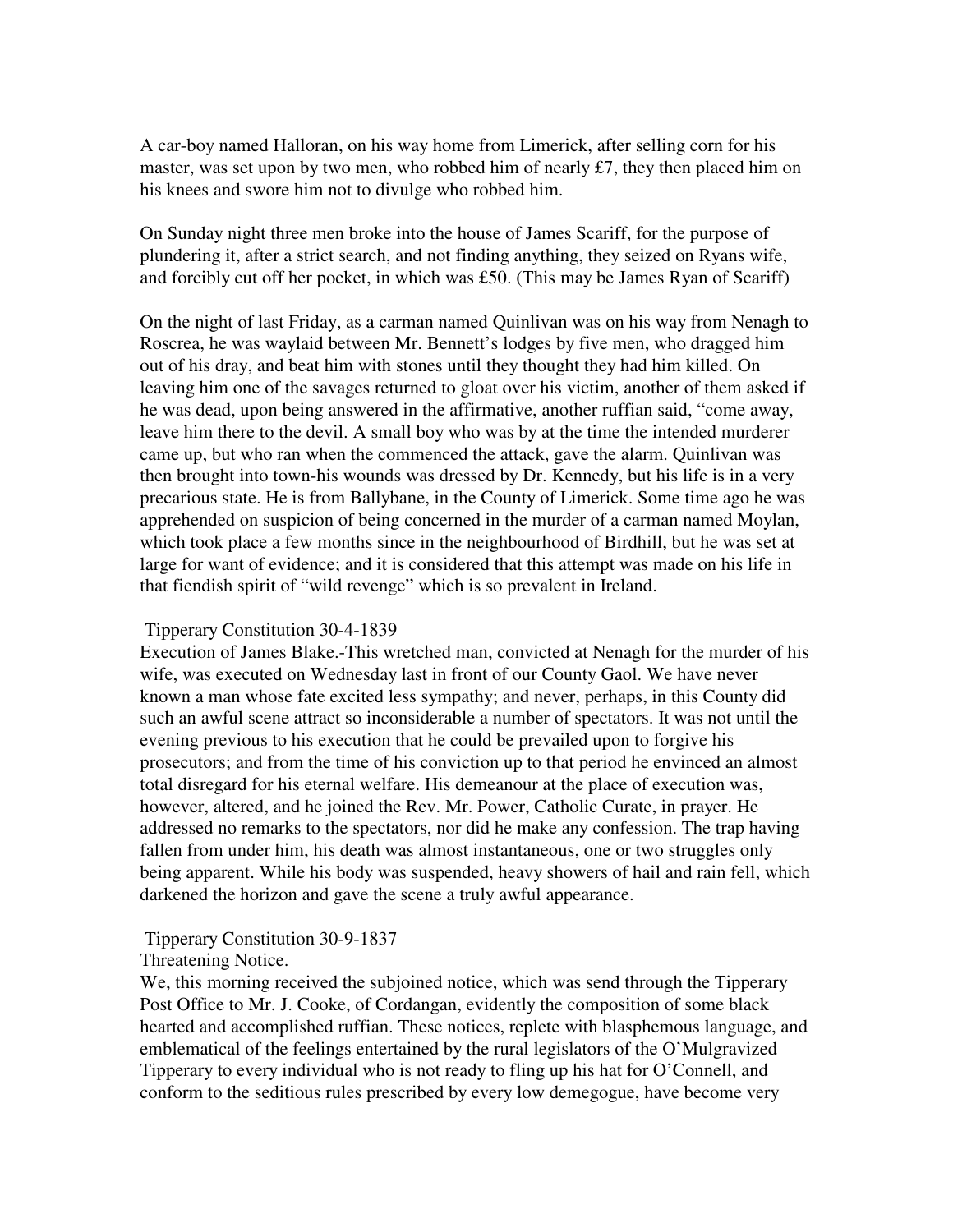A car-boy named Halloran, on his way home from Limerick, after selling corn for his master, was set upon by two men, who robbed him of nearly £7, they then placed him on his knees and swore him not to divulge who robbed him.

On Sunday night three men broke into the house of James Scariff, for the purpose of plundering it, after a strict search, and not finding anything, they seized on Ryans wife, and forcibly cut off her pocket, in which was £50. (This may be James Ryan of Scariff)

On the night of last Friday, as a carman named Quinlivan was on his way from Nenagh to Roscrea, he was waylaid between Mr. Bennett's lodges by five men, who dragged him out of his dray, and beat him with stones until they thought they had him killed. On leaving him one of the savages returned to gloat over his victim, another of them asked if he was dead, upon being answered in the affirmative, another ruffian said, "come away, leave him there to the devil. A small boy who was by at the time the intended murderer came up, but who ran when the commenced the attack, gave the alarm. Quinlivan was then brought into town-his wounds was dressed by Dr. Kennedy, but his life is in a very precarious state. He is from Ballybane, in the County of Limerick. Some time ago he was apprehended on suspicion of being concerned in the murder of a carman named Moylan, which took place a few months since in the neighbourhood of Birdhill, but he was set at large for want of evidence; and it is considered that this attempt was made on his life in that fiendish spirit of "wild revenge" which is so prevalent in Ireland.

## Tipperary Constitution 30-4-1839

Execution of James Blake.-This wretched man, convicted at Nenagh for the murder of his wife, was executed on Wednesday last in front of our County Gaol. We have never known a man whose fate excited less sympathy; and never, perhaps, in this County did such an awful scene attract so inconsiderable a number of spectators. It was not until the evening previous to his execution that he could be prevailed upon to forgive his prosecutors; and from the time of his conviction up to that period he envinced an almost total disregard for his eternal welfare. His demeanour at the place of execution was, however, altered, and he joined the Rev. Mr. Power, Catholic Curate, in prayer. He addressed no remarks to the spectators, nor did he make any confession. The trap having fallen from under him, his death was almost instantaneous, one or two struggles only being apparent. While his body was suspended, heavy showers of hail and rain fell, which darkened the horizon and gave the scene a truly awful appearance.

# Tipperary Constitution 30-9-1837

# Threatening Notice.

We, this morning received the subjoined notice, which was send through the Tipperary Post Office to Mr. J. Cooke, of Cordangan, evidently the composition of some black hearted and accomplished ruffian. These notices, replete with blasphemous language, and emblematical of the feelings entertained by the rural legislators of the O'Mulgravized Tipperary to every individual who is not ready to fling up his hat for O'Connell, and conform to the seditious rules prescribed by every low demegogue, have become very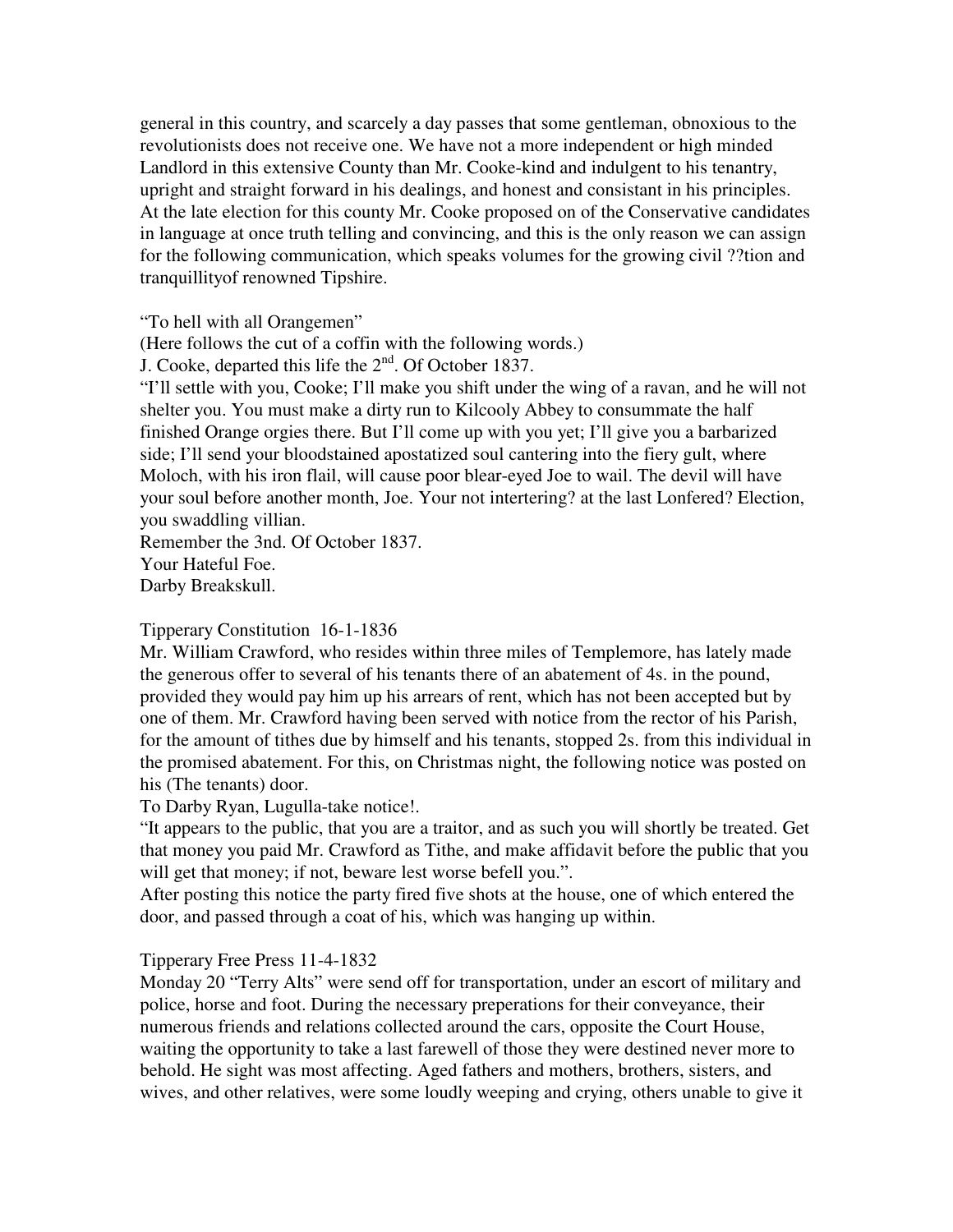general in this country, and scarcely a day passes that some gentleman, obnoxious to the revolutionists does not receive one. We have not a more independent or high minded Landlord in this extensive County than Mr. Cooke-kind and indulgent to his tenantry, upright and straight forward in his dealings, and honest and consistant in his principles. At the late election for this county Mr. Cooke proposed on of the Conservative candidates in language at once truth telling and convincing, and this is the only reason we can assign for the following communication, which speaks volumes for the growing civil ??tion and tranquillityof renowned Tipshire.

"To hell with all Orangemen"

(Here follows the cut of a coffin with the following words.)

J. Cooke, departed this life the  $2<sup>nd</sup>$ . Of October 1837.

"I'll settle with you, Cooke; I'll make you shift under the wing of a ravan, and he will not shelter you. You must make a dirty run to Kilcooly Abbey to consummate the half finished Orange orgies there. But I'll come up with you yet; I'll give you a barbarized side; I'll send your bloodstained apostatized soul cantering into the fiery gult, where Moloch, with his iron flail, will cause poor blear-eyed Joe to wail. The devil will have your soul before another month, Joe. Your not intertering? at the last Lonfered? Election, you swaddling villian.

Remember the 3nd. Of October 1837. Your Hateful Foe. Darby Breakskull.

Tipperary Constitution 16-1-1836

Mr. William Crawford, who resides within three miles of Templemore, has lately made the generous offer to several of his tenants there of an abatement of 4s. in the pound, provided they would pay him up his arrears of rent, which has not been accepted but by one of them. Mr. Crawford having been served with notice from the rector of his Parish, for the amount of tithes due by himself and his tenants, stopped 2s. from this individual in the promised abatement. For this, on Christmas night, the following notice was posted on his (The tenants) door.

To Darby Ryan, Lugulla-take notice!.

"It appears to the public, that you are a traitor, and as such you will shortly be treated. Get that money you paid Mr. Crawford as Tithe, and make affidavit before the public that you will get that money; if not, beware lest worse befell you.".

After posting this notice the party fired five shots at the house, one of which entered the door, and passed through a coat of his, which was hanging up within.

Tipperary Free Press 11-4-1832

Monday 20 "Terry Alts" were send off for transportation, under an escort of military and police, horse and foot. During the necessary preperations for their conveyance, their numerous friends and relations collected around the cars, opposite the Court House, waiting the opportunity to take a last farewell of those they were destined never more to behold. He sight was most affecting. Aged fathers and mothers, brothers, sisters, and wives, and other relatives, were some loudly weeping and crying, others unable to give it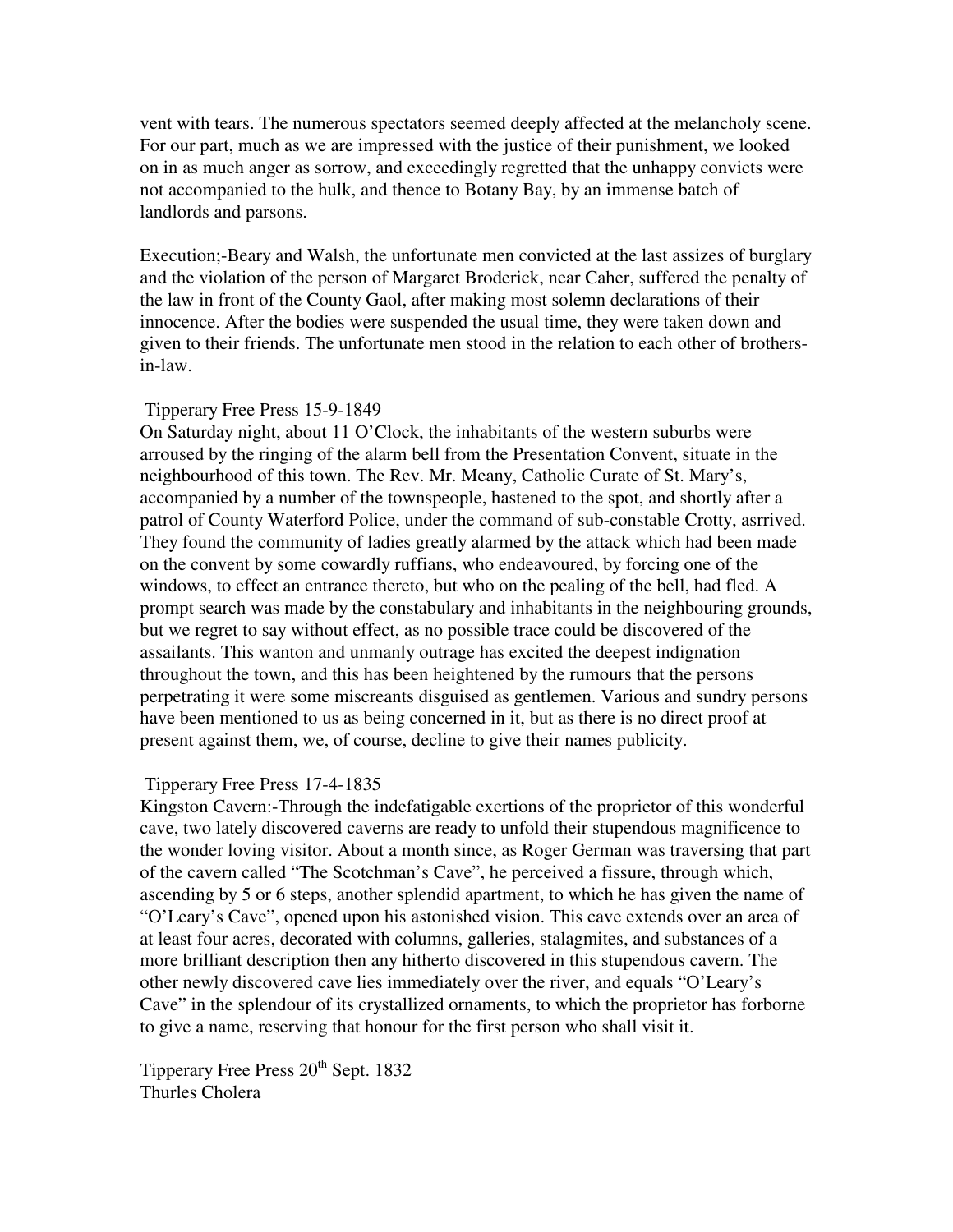vent with tears. The numerous spectators seemed deeply affected at the melancholy scene. For our part, much as we are impressed with the justice of their punishment, we looked on in as much anger as sorrow, and exceedingly regretted that the unhappy convicts were not accompanied to the hulk, and thence to Botany Bay, by an immense batch of landlords and parsons.

Execution;-Beary and Walsh, the unfortunate men convicted at the last assizes of burglary and the violation of the person of Margaret Broderick, near Caher, suffered the penalty of the law in front of the County Gaol, after making most solemn declarations of their innocence. After the bodies were suspended the usual time, they were taken down and given to their friends. The unfortunate men stood in the relation to each other of brothersin-law.

#### Tipperary Free Press 15-9-1849

On Saturday night, about 11 O'Clock, the inhabitants of the western suburbs were arroused by the ringing of the alarm bell from the Presentation Convent, situate in the neighbourhood of this town. The Rev. Mr. Meany, Catholic Curate of St. Mary's, accompanied by a number of the townspeople, hastened to the spot, and shortly after a patrol of County Waterford Police, under the command of sub-constable Crotty, asrrived. They found the community of ladies greatly alarmed by the attack which had been made on the convent by some cowardly ruffians, who endeavoured, by forcing one of the windows, to effect an entrance thereto, but who on the pealing of the bell, had fled. A prompt search was made by the constabulary and inhabitants in the neighbouring grounds, but we regret to say without effect, as no possible trace could be discovered of the assailants. This wanton and unmanly outrage has excited the deepest indignation throughout the town, and this has been heightened by the rumours that the persons perpetrating it were some miscreants disguised as gentlemen. Various and sundry persons have been mentioned to us as being concerned in it, but as there is no direct proof at present against them, we, of course, decline to give their names publicity.

#### Tipperary Free Press 17-4-1835

Kingston Cavern:-Through the indefatigable exertions of the proprietor of this wonderful cave, two lately discovered caverns are ready to unfold their stupendous magnificence to the wonder loving visitor. About a month since, as Roger German was traversing that part of the cavern called "The Scotchman's Cave", he perceived a fissure, through which, ascending by 5 or 6 steps, another splendid apartment, to which he has given the name of "O'Leary's Cave", opened upon his astonished vision. This cave extends over an area of at least four acres, decorated with columns, galleries, stalagmites, and substances of a more brilliant description then any hitherto discovered in this stupendous cavern. The other newly discovered cave lies immediately over the river, and equals "O'Leary's Cave" in the splendour of its crystallized ornaments, to which the proprietor has forborne to give a name, reserving that honour for the first person who shall visit it.

Tipperary Free Press 20<sup>th</sup> Sept. 1832 Thurles Cholera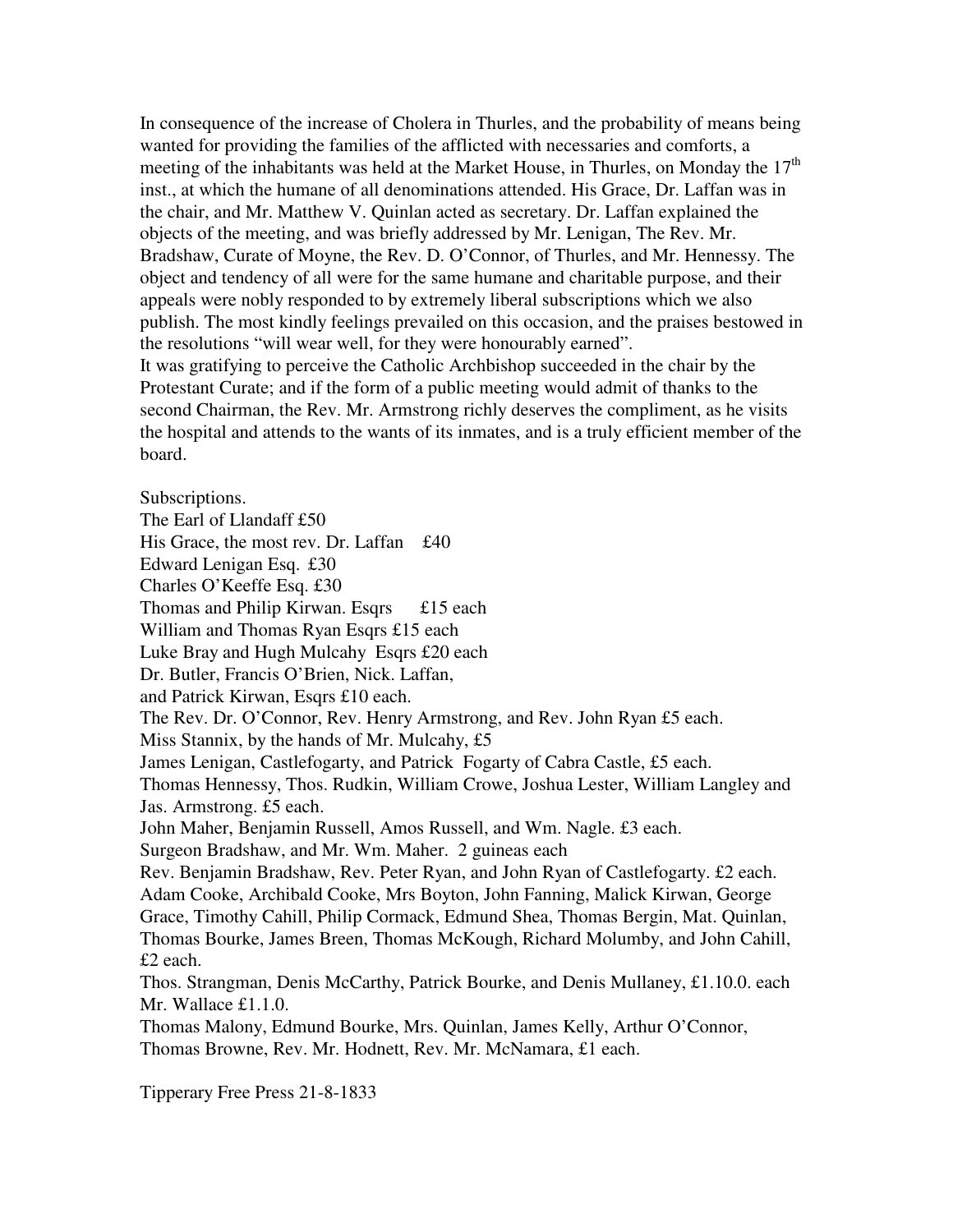In consequence of the increase of Cholera in Thurles, and the probability of means being wanted for providing the families of the afflicted with necessaries and comforts, a meeting of the inhabitants was held at the Market House, in Thurles, on Monday the  $17<sup>th</sup>$ inst., at which the humane of all denominations attended. His Grace, Dr. Laffan was in the chair, and Mr. Matthew V. Quinlan acted as secretary. Dr. Laffan explained the objects of the meeting, and was briefly addressed by Mr. Lenigan, The Rev. Mr. Bradshaw, Curate of Moyne, the Rev. D. O'Connor, of Thurles, and Mr. Hennessy. The object and tendency of all were for the same humane and charitable purpose, and their appeals were nobly responded to by extremely liberal subscriptions which we also publish. The most kindly feelings prevailed on this occasion, and the praises bestowed in the resolutions "will wear well, for they were honourably earned".

It was gratifying to perceive the Catholic Archbishop succeeded in the chair by the Protestant Curate; and if the form of a public meeting would admit of thanks to the second Chairman, the Rev. Mr. Armstrong richly deserves the compliment, as he visits the hospital and attends to the wants of its inmates, and is a truly efficient member of the board.

Subscriptions.

The Earl of Llandaff £50 His Grace, the most rev. Dr. Laffan £40 Edward Lenigan Esq. £30 Charles O'Keeffe Esq. £30 Thomas and Philip Kirwan. Esqrs £15 each William and Thomas Ryan Esqrs £15 each Luke Bray and Hugh Mulcahy Esqrs £20 each Dr. Butler, Francis O'Brien, Nick. Laffan, and Patrick Kirwan, Esqrs £10 each. The Rev. Dr. O'Connor, Rev. Henry Armstrong, and Rev. John Ryan £5 each. Miss Stannix, by the hands of Mr. Mulcahy, £5 James Lenigan, Castlefogarty, and Patrick Fogarty of Cabra Castle, £5 each. Thomas Hennessy, Thos. Rudkin, William Crowe, Joshua Lester, William Langley and Jas. Armstrong. £5 each. John Maher, Benjamin Russell, Amos Russell, and Wm. Nagle. £3 each. Surgeon Bradshaw, and Mr. Wm. Maher. 2 guineas each Rev. Benjamin Bradshaw, Rev. Peter Ryan, and John Ryan of Castlefogarty. £2 each. Adam Cooke, Archibald Cooke, Mrs Boyton, John Fanning, Malick Kirwan, George Grace, Timothy Cahill, Philip Cormack, Edmund Shea, Thomas Bergin, Mat. Quinlan, Thomas Bourke, James Breen, Thomas McKough, Richard Molumby, and John Cahill, £2 each. Thos. Strangman, Denis McCarthy, Patrick Bourke, and Denis Mullaney, £1.10.0. each Mr. Wallace £1.1.0. Thomas Malony, Edmund Bourke, Mrs. Quinlan, James Kelly, Arthur O'Connor, Thomas Browne, Rev. Mr. Hodnett, Rev. Mr. McNamara, £1 each.

Tipperary Free Press 21-8-1833